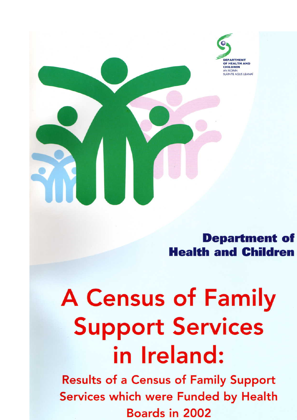

**Department of Health and Children** 

# **A Census of Family Support Services** in Ireland:

**Results of a Census of Family Support** Services which were Funded by Health **Boards in 2002**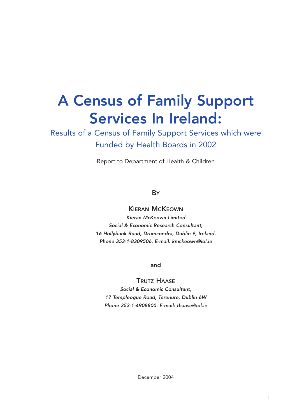# A Census of Family Support Services In Ireland:

Results of a Census of Family Support Services which were Funded by Health Boards in 2002

Report to Department of Health & Children

#### **B**Y

#### KIERAN MCKEOWN

*Kieran McKeown Limited Social & Economic Research Consultant, 16 Hollybank Road, Drumcondra, Dublin 9, Ireland. Phone 353-1-8309506. E-mail: kmckeown@iol.ie*

and

#### TRUTZ HAASE

*Social & Economic Consultant, 17 Templeogue Road, Terenure, Dublin 6W Phone 353-1-4908800. E-mail: thaase@iol.ie*

December 2004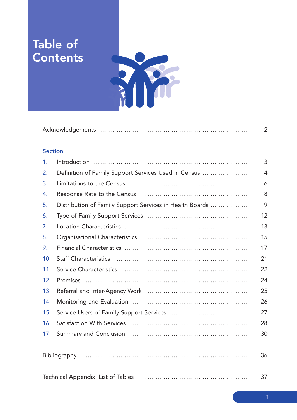## Table of **Contents**



|--|--|--|

#### **Section**

| $\mathbf{1}$ . |                                                          | 3  |
|----------------|----------------------------------------------------------|----|
| 2.             | Definition of Family Support Services Used in Census     | 4  |
| 3.             |                                                          | 6  |
| 4.             |                                                          | 8  |
| 5.             | Distribution of Family Support Services in Health Boards | 9  |
| 6.             |                                                          | 12 |
| 7.             |                                                          | 13 |
| 8.             |                                                          | 15 |
| 9.             |                                                          | 17 |
| 10.            |                                                          | 21 |
| 11.            |                                                          | 22 |
| 12.            |                                                          | 24 |
| 13.            |                                                          | 25 |
| 14.            |                                                          | 26 |
| 15.            |                                                          | 27 |
| 16.            | <br><b>Satisfaction With Services</b>                    | 28 |
| 17.            | <b>Summary and Conclusion</b>                            | 30 |
|                |                                                          |    |

|  | 36 |
|--|----|
|  |    |
|  |    |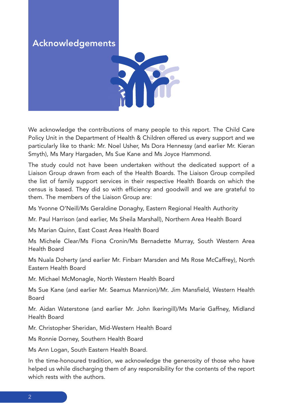## Acknowledgements



We acknowledge the contributions of many people to this report. The Child Care Policy Unit in the Department of Health & Children offered us every support and we particularly like to thank: Mr. Noel Usher, Ms Dora Hennessy (and earlier Mr. Kieran Smyth), Ms Mary Hargaden, Ms Sue Kane and Ms Joyce Hammond.

The study could not have been undertaken without the dedicated support of a Liaison Group drawn from each of the Health Boards. The Liaison Group compiled the list of family support services in their respective Health Boards on which the census is based. They did so with efficiency and goodwill and we are grateful to them. The members of the Liaison Group are:

Ms Yvonne O'Neill/Ms Geraldine Donaghy, Eastern Regional Health Authority

Mr. Paul Harrison (and earlier, Ms Sheila Marshall), Northern Area Health Board

Ms Marian Quinn, East Coast Area Health Board

Ms Michele Clear/Ms Fiona Cronin/Ms Bernadette Murray, South Western Area Health Board

Ms Nuala Doherty (and earlier Mr. Finbarr Marsden and Ms Rose McCaffrey), North Eastern Health Board

Mr. Michael McMonagle, North Western Health Board

Ms Sue Kane (and earlier Mr. Seamus Mannion)/Mr. Jim Mansfield, Western Health Board

Mr. Aidan Waterstone (and earlier Mr. John Ikeringill)/Ms Marie Gaffney, Midland Health Board

Mr. Christopher Sheridan, Mid-Western Health Board

Ms Ronnie Dorney, Southern Health Board

Ms Ann Logan, South Eastern Health Board.

In the time-honoured tradition, we acknowledge the generosity of those who have helped us while discharging them of any responsibility for the contents of the report which rests with the authors.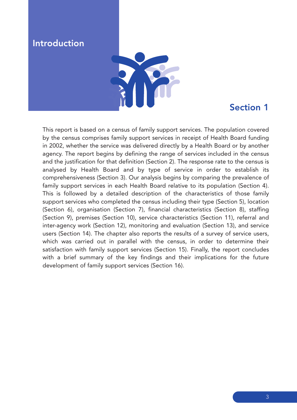## **Introduction**



#### Section 1

This report is based on a census of family support services. The population covered by the census comprises family support services in receipt of Health Board funding in 2002, whether the service was delivered directly by a Health Board or by another agency. The report begins by defining the range of services included in the census and the justification for that definition (Section 2). The response rate to the census is analysed by Health Board and by type of service in order to establish its comprehensiveness (Section 3). Our analysis begins by comparing the prevalence of family support services in each Health Board relative to its population (Section 4). This is followed by a detailed description of the characteristics of those family support services who completed the census including their type (Section 5), location (Section 6), organisation (Section 7), financial characteristics (Section 8), staffing (Section 9), premises (Section 10), service characteristics (Section 11), referral and inter-agency work (Section 12), monitoring and evaluation (Section 13), and service users (Section 14). The chapter also reports the results of a survey of service users, which was carried out in parallel with the census, in order to determine their satisfaction with family support services (Section 15). Finally, the report concludes with a brief summary of the key findings and their implications for the future development of family support services (Section 16).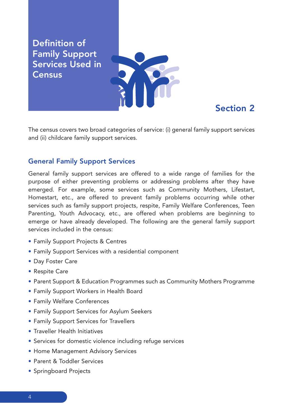Definition of Family Support Services Used in **Census** 



## Section 2

The census covers two broad categories of service: (i) general family support services and (ii) childcare family support services.

#### General Family Support Services

General family support services are offered to a wide range of families for the purpose of either preventing problems or addressing problems after they have emerged. For example, some services such as Community Mothers, Lifestart, Homestart, etc., are offered to prevent family problems occurring while other services such as family support projects, respite, Family Welfare Conferences, Teen Parenting, Youth Advocacy, etc., are offered when problems are beginning to emerge or have already developed. The following are the general family support services included in the census:

- Family Support Projects & Centres
- Family Support Services with a residential component
- Day Foster Care
- Respite Care
- Parent Support & Education Programmes such as Community Mothers Programme
- Family Support Workers in Health Board
- Family Welfare Conferences
- Family Support Services for Asylum Seekers
- Family Support Services for Travellers
- Traveller Health Initiatives
- Services for domestic violence including refuge services
- Home Management Advisory Services
- Parent & Toddler Services
- Springboard Projects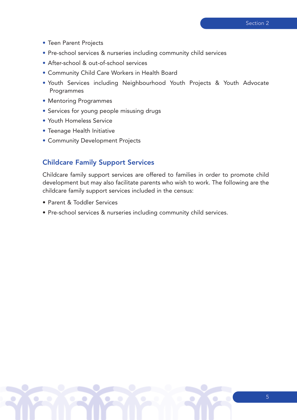- Teen Parent Projects
- Pre-school services & nurseries including community child services
- After-school & out-of-school services
- Community Child Care Workers in Health Board
- Youth Services including Neighbourhood Youth Projects & Youth Advocate **Programmes**
- Mentoring Programmes
- Services for young people misusing drugs
- Youth Homeless Service
- Teenage Health Initiative
- Community Development Projects

#### Childcare Family Support Services

Childcare family support services are offered to families in order to promote child development but may also facilitate parents who wish to work. The following are the childcare family support services included in the census:

- Parent & Toddler Services
- Pre-school services & nurseries including community child services.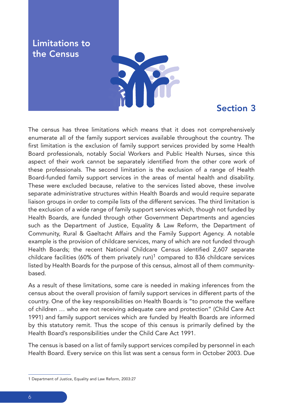Limitations to the Census



#### Section 3

The census has three limitations which means that it does not comprehensively enumerate all of the family support services available throughout the country. The first limitation is the exclusion of family support services provided by some Health Board professionals, notably Social Workers and Public Health Nurses, since this aspect of their work cannot be separately identified from the other core work of these professionals. The second limitation is the exclusion of a range of Health Board-funded family support services in the areas of mental health and disability. These were excluded because, relative to the services listed above, these involve separate administrative structures within Health Boards and would require separate liaison groups in order to compile lists of the different services. The third limitation is the exclusion of a wide range of family support services which, though not funded by Health Boards, are funded through other Government Departments and agencies such as the Department of Justice, Equality & Law Reform, the Department of Community, Rural & Gaeltacht Affairs and the Family Support Agency. A notable example is the provision of childcare services, many of which are not funded through Health Boards; the recent National Childcare Census identified 2,607 separate childcare facilities (60% of them privately run)<sup>1</sup> compared to 836 childcare services listed by Health Boards for the purpose of this census, almost all of them communitybased.

As a result of these limitations, some care is needed in making inferences from the census about the overall provision of family support services in different parts of the country. One of the key responsibilities on Health Boards is "to promote the welfare of children … who are not receiving adequate care and protection" (Child Care Act 1991) and family support services which are funded by Health Boards are informed by this statutory remit. Thus the scope of this census is primarily defined by the Health Board's responsibilities under the Child Care Act 1991.

The census is based on a list of family support services compiled by personnel in each Health Board. Every service on this list was sent a census form in October 2003. Due

<sup>1</sup> Department of Justice, Equality and Law Reform, 2003:27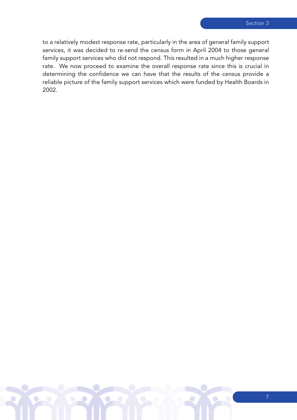to a relatively modest response rate, particularly in the area of general family support services, it was decided to re-send the census form in April 2004 to those general family support services who did not respond. This resulted in a much higher response rate. We now proceed to examine the overall response rate since this is crucial in determining the confidence we can have that the results of the census provide a reliable picture of the family support services which were funded by Health Boards in 2002.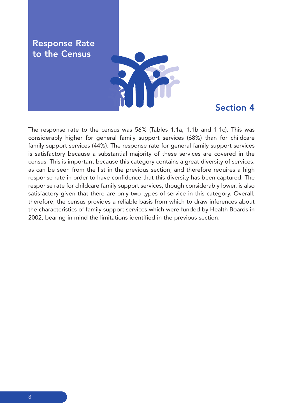Response Rate to the Census



#### Section 4

The response rate to the census was 56% (Tables 1.1a, 1.1b and 1.1c). This was considerably higher for general family support services (68%) than for childcare family support services (44%). The response rate for general family support services is satisfactory because a substantial majority of these services are covered in the census. This is important because this category contains a great diversity of services, as can be seen from the list in the previous section, and therefore requires a high response rate in order to have confidence that this diversity has been captured. The response rate for childcare family support services, though considerably lower, is also satisfactory given that there are only two types of service in this category. Overall, therefore, the census provides a reliable basis from which to draw inferences about the characteristics of family support services which were funded by Health Boards in 2002, bearing in mind the limitations identified in the previous section.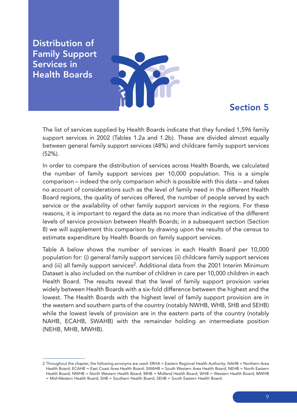Distribution of Family Support Services in Health Boards



#### Section 5

The list of services supplied by Health Boards indicate that they funded 1,596 family support services in 2002 (Tables 1.2a and 1.2b). These are divided almost equally between general family support services (48%) and childcare family support services (52%).

In order to compare the distribution of services across Health Boards, we calculated the number of family support services per 10,000 population. This is a simple comparison – indeed the only comparison which is possible with this data – and takes no account of considerations such as the level of family need in the different Health Board regions, the quality of services offered, the number of people served by each service or the availability of other family support services in the regions. For these reasons, it is important to regard the data as no more than indicative of the different levels of service provision between Health Boards; in a subsequent section (Section 8) we will supplement this comparison by drawing upon the results of the census to estimate expenditure by Health Boards on family support services.

Table A below shows the number of services in each Health Board per 10,000 population for: (i) general family support services (ii) childcare family support services and (iii) all family support services<sup>2</sup>. Additional data from the 2001 Interim Minimum Dataset is also included on the number of children in care per 10,000 children in each Health Board. The results reveal that the level of family support provision varies widely between Health Boards with a six-fold difference between the highest and the lowest. The Health Boards with the highest level of family support provision are in the western and southern parts of the country (notably NWHB, WHB, SHB and SEHB) while the lowest levels of provision are in the eastern parts of the country (notably NAHB, ECAHB, SWAHB) with the remainder holding an intermediate position (NEHB, MHB, MWHB).

<sup>2</sup> Throughout the chapter, the following acronyms are used: ERHA = Eastern Regional Health Authority; NAHB = Northern Area Health Board; ECAHB = East Coast Area Health Board; SWAHB = South Western Area Health Board; NEHB = North Eastern Health Board; NWHB = North Western Health Board; MHB = Midland Health Board; WHB = Western Health Board; MWHB = Mid-Western Health Board; SHB = Southern Health Board; SEHB = South Eastern Health Board.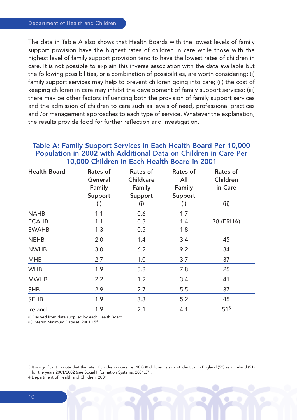The data in Table A also shows that Health Boards with the lowest levels of family support provision have the highest rates of children in care while those with the highest level of family support provision tend to have the lowest rates of children in care. It is not possible to explain this inverse association with the data available but the following possibilities, or a combination of possibilities, are worth considering: (i) family support services may help to prevent children going into care; (ii) the cost of keeping children in care may inhibit the development of family support services; (iii) there may be other factors influencing both the provision of family support services and the admission of children to care such as levels of need, professional practices and /or management approaches to each type of service. Whatever the explanation, the results provide food for further reflection and investigation.

| <b>Health Board</b> | Rates of<br>General<br>Family | Rates of<br><b>Childcare</b><br>Family | Rates of<br>All<br><b>Family</b> | Rates of<br>Children<br>in Care |
|---------------------|-------------------------------|----------------------------------------|----------------------------------|---------------------------------|
|                     | Support<br>(i)                | Support<br>(i)                         | Support<br>(i)                   | (ii)                            |
| <b>NAHB</b>         | 1.1                           | 0.6                                    | 1.7                              |                                 |
| <b>ECAHB</b>        | 1.1                           | 0.3                                    | 1.4                              | 78 (ERHA)                       |
| <b>SWAHB</b>        | 1.3                           | 0.5                                    | 1.8                              |                                 |
| <b>NEHB</b>         | 2.0                           | 1.4                                    | 3.4                              | 45                              |
| <b>NWHB</b>         | 3.0                           | 6.2                                    | 9.2                              | 34                              |
| <b>MHB</b>          | 2.7                           | 1.0                                    | 3.7                              | 37                              |
| <b>WHB</b>          | 1.9                           | 5.8                                    | 7.8                              | 25                              |
| <b>MWHB</b>         | 2.2                           | 1.2                                    | 3.4                              | 41                              |
| <b>SHB</b>          | 2.9                           | 2.7                                    | 5.5                              | 37                              |
| <b>SEHB</b>         | 1.9                           | 3.3                                    | 5.2                              | 45                              |
| Ireland             | 1.9                           | 2.1                                    | 4.1                              | 51 <sup>3</sup>                 |

#### Table A: Family Support Services in Each Health Board Per 10,000 Population in 2002 with Additional Data on Children in Care Per 10,000 Children in Each Health Board in 2001

(i) Derived from data supplied by each Health Board.

(ii) Interim Minimum Dataset, 2001:154

<sup>3</sup> It is significant to note that the rate of children in care per 10,000 children is almost identical in England (52) as in Ireland (51) for the years 2001/2002 (see Social Information Systems, 2001:37).

<sup>4</sup> Department of Health and Children, 2001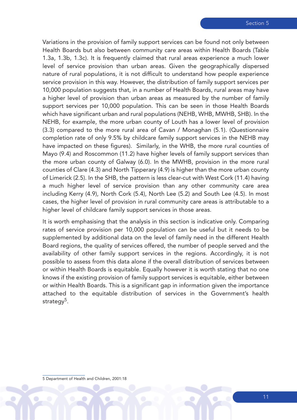Variations in the provision of family support services can be found not only between Health Boards but also between community care areas within Health Boards (Table 1.3a, 1.3b, 1.3c). It is frequently claimed that rural areas experience a much lower level of service provision than urban areas. Given the geographically dispersed nature of rural populations, it is not difficult to understand how people experience service provision in this way. However, the distribution of family support services per 10,000 population suggests that, in a number of Health Boards, rural areas may have a higher level of provision than urban areas as measured by the number of family support services per 10,000 population. This can be seen in those Health Boards which have significant urban and rural populations (NEHB, WHB, MWHB, SHB). In the NEHB, for example, the more urban county of Louth has a lower level of provision (3.3) compared to the more rural area of Cavan / Monaghan (5.1). (Questionnaire completion rate of only 9.5% by childcare family support services in the NEHB may have impacted on these figures). Similarly, in the WHB, the more rural counties of Mayo (9.4) and Roscommon (11.2) have higher levels of family support services than the more urban county of Galway (6.0). In the MWHB, provision in the more rural counties of Clare (4.3) and North Tipperary (4.9) is higher than the more urban county of Limerick (2.5). In the SHB, the pattern is less clear-cut with West Cork (11.4) having a much higher level of service provision than any other community care area including Kerry (4.9), North Cork (5.4), North Lee (5.2) and South Lee (4.5). In most cases, the higher level of provision in rural community care areas is attributable to a higher level of childcare family support services in those areas.

It is worth emphasising that the analysis in this section is indicative only. Comparing rates of service provision per 10,000 population can be useful but it needs to be supplemented by additional data on the level of family need in the different Health Board regions, the quality of services offered, the number of people served and the availability of other family support services in the regions. Accordingly, it is not possible to assess from this data alone if the overall distribution of services between or within Health Boards is equitable. Equally however it is worth stating that no one knows if the existing provision of family support services is equitable, either between or within Health Boards. This is a significant gap in information given the importance attached to the equitable distribution of services in the Government's health strategy<sup>5</sup>.

5 Department of Health and Children, 2001:18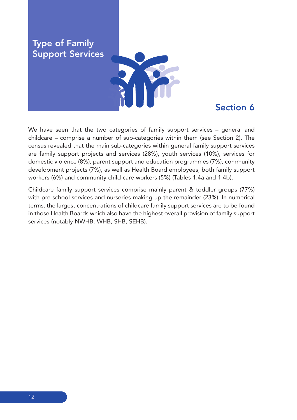

#### Section 6

We have seen that the two categories of family support services – general and childcare – comprise a number of sub-categories within them (see Section 2). The census revealed that the main sub-categories within general family support services are family support projects and services (28%), youth services (10%), services for domestic violence (8%), parent support and education programmes (7%), community development projects (7%), as well as Health Board employees, both family support workers (6%) and community child care workers (5%) (Tables 1.4a and 1.4b).

Childcare family support services comprise mainly parent & toddler groups (77%) with pre-school services and nurseries making up the remainder (23%). In numerical terms, the largest concentrations of childcare family support services are to be found in those Health Boards which also have the highest overall provision of family support services (notably NWHB, WHB, SHB, SEHB).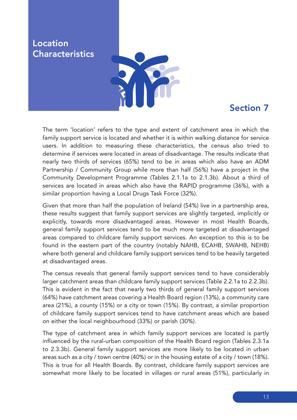#### Location **Characteristics**



## Section 7

The term 'location' refers to the type and extent of catchment area in which the family support service is located and whether it is within walking distance for service users. In addition to measuring these characteristics, the census also tried to determine if services were located in areas of disadvantage. The results indicate that nearly two thirds of services (65%) tend to be in areas which also have an ADM Partnership / Community Group while more than half (56%) have a project in the Community Development Programme (Tables 2.1.1a to 2.1.3b). About a third of services are located in areas which also have the RAPID programme (36%), with a similar proportion having a Local Drugs Task Force (32%).

Given that more than half the population of Ireland (54%) live in a partnership area, these results suggest that family support services are slightly targeted, implicitly or explicitly, towards more disadvantaged areas. However in most Health Boards, general family support services tend to be much more targeted at disadvantaged areas compared to childcare family support services. An exception to this is to be found in the eastern part of the country (notably NAHB, ECAHB, SWAHB, NEHB) where both general and childcare family support services tend to be heavily targeted at disadvantaged areas.

The census reveals that general family support services tend to have considerably larger catchment areas than childcare family support services (Table 2.2.1a to 2.2.3b). This is evident in the fact that nearly two thirds of general family support services (64%) have catchment areas covering a Health Board region (13%), a community care area (21%), a county (15%) or a city or town (15%). By contrast, a similar proportion of childcare family support services tend to have catchment areas which are based on either the local neighbourhood (33%) or parish (30%).

The type of catchment area in which family support services are located is partly influenced by the rural-urban composition of the Health Board region (Tables 2.3.1a to 2.3.3b). General family support services are more likely to be located in urban areas such as a city / town centre (40%) or in the housing estate of a city / town (18%). This is true for all Health Boards. By contrast, childcare family support services are somewhat more likely to be located in villages or rural areas (51%), particularly in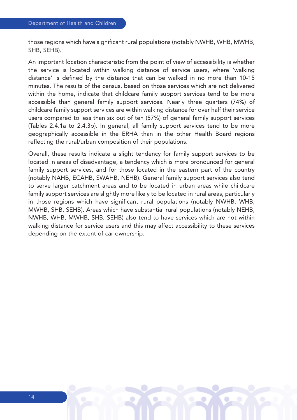those regions which have significant rural populations (notably NWHB, WHB, MWHB, SHB, SEHB).

An important location characteristic from the point of view of accessibility is whether the service is located within walking distance of service users, where 'walking distance' is defined by the distance that can be walked in no more than 10-15 minutes. The results of the census, based on those services which are not delivered within the home, indicate that childcare family support services tend to be more accessible than general family support services. Nearly three quarters (74%) of childcare family support services are within walking distance for over half their service users compared to less than six out of ten (57%) of general family support services (Tables 2.4.1a to 2.4.3b). In general, all family support services tend to be more geographically accessible in the ERHA than in the other Health Board regions reflecting the rural/urban composition of their populations.

Overall, these results indicate a slight tendency for family support services to be located in areas of disadvantage, a tendency which is more pronounced for general family support services, and for those located in the eastern part of the country (notably NAHB, ECAHB, SWAHB, NEHB). General family support services also tend to serve larger catchment areas and to be located in urban areas while childcare family support services are slightly more likely to be located in rural areas, particularly in those regions which have significant rural populations (notably NWHB, WHB, MWHB, SHB, SEHB). Areas which have substantial rural populations (notably NEHB, NWHB, WHB, MWHB, SHB, SEHB) also tend to have services which are not within walking distance for service users and this may affect accessibility to these services depending on the extent of car ownership.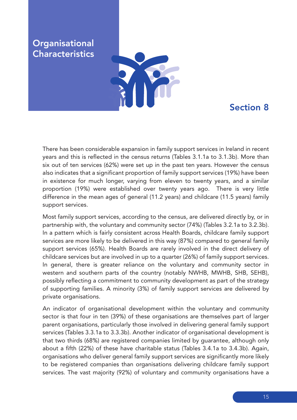### **Organisational Characteristics**



## Section 8

There has been considerable expansion in family support services in Ireland in recent years and this is reflected in the census returns (Tables 3.1.1a to 3.1.3b). More than six out of ten services (62%) were set up in the past ten years. However the census also indicates that a significant proportion of family support services (19%) have been in existence for much longer, varying from eleven to twenty years, and a similar proportion (19%) were established over twenty years ago. There is very little difference in the mean ages of general (11.2 years) and childcare (11.5 years) family support services.

Most family support services, according to the census, are delivered directly by, or in partnership with, the voluntary and community sector (74%) (Tables 3.2.1a to 3.2.3b). In a pattern which is fairly consistent across Health Boards, childcare family support services are more likely to be delivered in this way (87%) compared to general family support services (65%). Health Boards are rarely involved in the direct delivery of childcare services but are involved in up to a quarter (26%) of family support services. In general, there is greater reliance on the voluntary and community sector in western and southern parts of the country (notably NWHB, MWHB, SHB, SEHB), possibly reflecting a commitment to community development as part of the strategy of supporting families. A minority (3%) of family support services are delivered by private organisations.

An indicator of organisational development within the voluntary and community sector is that four in ten (39%) of these organisations are themselves part of larger parent organisations, particularly those involved in delivering general family support services (Tables 3.3.1a to 3.3.3b). Another indicator of organisational development is that two thirds (68%) are registered companies limited by guarantee, although only about a fifth (22%) of these have charitable status (Tables 3.4.1a to 3.4.3b). Again, organisations who deliver general family support services are significantly more likely to be registered companies than organisations delivering childcare family support services. The vast majority (92%) of voluntary and community organisations have a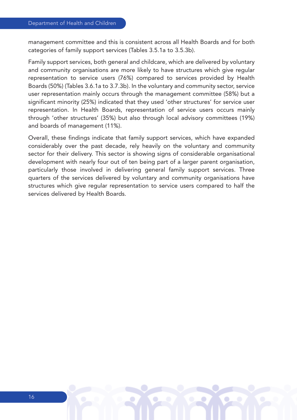management committee and this is consistent across all Health Boards and for both categories of family support services (Tables 3.5.1a to 3.5.3b).

Family support services, both general and childcare, which are delivered by voluntary and community organisations are more likely to have structures which give regular representation to service users (76%) compared to services provided by Health Boards (50%) (Tables 3.6.1a to 3.7.3b). In the voluntary and community sector, service user representation mainly occurs through the management committee (58%) but a significant minority (25%) indicated that they used 'other structures' for service user representation. In Health Boards, representation of service users occurs mainly through 'other structures' (35%) but also through local advisory committees (19%) and boards of management (11%).

Overall, these findings indicate that family support services, which have expanded considerably over the past decade, rely heavily on the voluntary and community sector for their delivery. This sector is showing signs of considerable organisational development with nearly four out of ten being part of a larger parent organisation, particularly those involved in delivering general family support services. Three quarters of the services delivered by voluntary and community organisations have structures which give regular representation to service users compared to half the services delivered by Health Boards.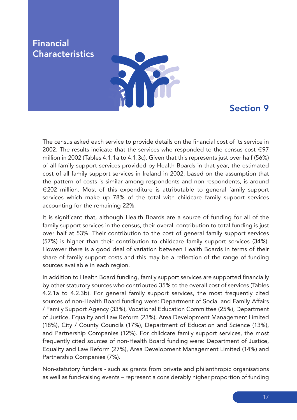#### Financial **Characteristics**



## Section 9

The census asked each service to provide details on the financial cost of its service in 2002. The results indicate that the services who responded to the census cost  $\in$ 97 million in 2002 (Tables 4.1.1a to 4.1.3c). Given that this represents just over half (56%) of all family support services provided by Health Boards in that year, the estimated cost of all family support services in Ireland in 2002, based on the assumption that the pattern of costs is similar among respondents and non-respondents, is around €202 million. Most of this expenditure is attributable to general family support services which make up 78% of the total with childcare family support services accounting for the remaining 22%.

It is significant that, although Health Boards are a source of funding for all of the family support services in the census, their overall contribution to total funding is just over half at 53%. Their contribution to the cost of general family support services (57%) is higher than their contribution to childcare family support services (34%). However there is a good deal of variation between Health Boards in terms of their share of family support costs and this may be a reflection of the range of funding sources available in each region.

In addition to Health Board funding, family support services are supported financially by other statutory sources who contributed 35% to the overall cost of services (Tables 4.2.1a to 4.2.3b). For general family support services, the most frequently cited sources of non-Health Board funding were: Department of Social and Family Affairs / Family Support Agency (33%), Vocational Education Committee (25%), Department of Justice, Equality and Law Reform (23%), Area Development Management Limited (18%), City / County Councils (17%), Department of Education and Science (13%), and Partnership Companies (12%). For childcare family support services, the most frequently cited sources of non-Health Board funding were: Department of Justice, Equality and Law Reform (27%), Area Development Management Limited (14%) and Partnership Companies (7%).

Non-statutory funders - such as grants from private and philanthropic organisations as well as fund-raising events – represent a considerably higher proportion of funding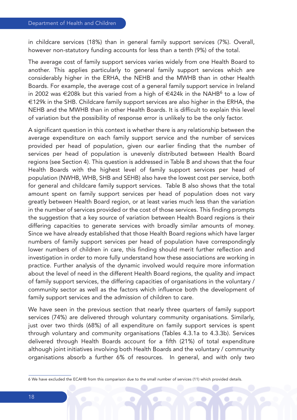in childcare services (18%) than in general family support services (7%). Overall, however non-statutory funding accounts for less than a tenth (9%) of the total.

The average cost of family support services varies widely from one Health Board to another. This applies particularly to general family support services which are considerably higher in the ERHA, the NEHB and the MWHB than in other Health Boards. For example, the average cost of a general family support service in Ireland in 2002 was €208k but this varied from a high of €424k in the NAHB<sup>6</sup> to a low of €129k in the SHB. Childcare family support services are also higher in the ERHA, the NEHB and the MWHB than in other Health Boards. It is difficult to explain this level of variation but the possibility of response error is unlikely to be the only factor.

A significant question in this context is whether there is any relationship between the average expenditure on each family support service and the number of services provided per head of population, given our earlier finding that the number of services per head of population is unevenly distributed between Health Board regions (see Section 4). This question is addressed in Table B and shows that the four Health Boards with the highest level of family support services per head of population (NWHB, WHB, SHB and SEHB) also have the lowest cost per service, both for general and childcare family support services. Table B also shows that the total amount spent on family support services per head of population does not vary greatly between Health Board region, or at least varies much less than the variation in the number of services provided or the cost of those services. This finding prompts the suggestion that a key source of variation between Health Board regions is their differing capacities to generate services with broadly similar amounts of money. Since we have already established that those Health Board regions which have larger numbers of family support services per head of population have correspondingly lower numbers of children in care, this finding should merit further reflection and investigation in order to more fully understand how these associations are working in practice. Further analysis of the dynamic involved would require more information about the level of need in the different Health Board regions, the quality and impact of family support services, the differing capacities of organisations in the voluntary / community sector as well as the factors which influence both the development of family support services and the admission of children to care.

We have seen in the previous section that nearly three quarters of family support services (74%) are delivered through voluntary community organisations. Similarly, just over two thirds (68%) of all expenditure on family support services is spent through voluntary and community organisations (Tables 4.3.1a to 4.3.3b). Services delivered through Health Boards account for a fifth (21%) of total expenditure although joint initiatives involving both Health Boards and the voluntary / community organisations absorb a further 6% of resources. In general, and with only two

<sup>6</sup> We have excluded the ECAHB from this comparison due to the small number of services (11) which provided details.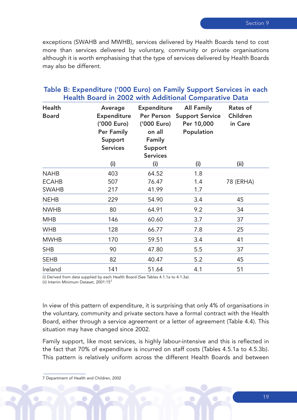exceptions (SWAHB and MWHB), services delivered by Health Boards tend to cost more than services delivered by voluntary, community or private organisations although it is worth emphasising that the type of services delivered by Health Boards may also be different.

#### Table B: Expenditure ('000 Euro) on Family Support Services in each Health Board in 2002 with Additional Comparative Data

| <b>Health</b><br><b>Board</b> | Average<br><b>Expenditure</b><br>('000 Euro)<br><b>Per Family</b><br>Support<br><b>Services</b> | <b>Expenditure</b><br>Per Person<br>('000 Euro)<br>on all<br>Family<br>Support<br><b>Services</b> | <b>All Family</b><br><b>Support Service</b><br>Per 10,000<br>Population | Rates of<br>Children<br>in Care |
|-------------------------------|-------------------------------------------------------------------------------------------------|---------------------------------------------------------------------------------------------------|-------------------------------------------------------------------------|---------------------------------|
|                               | (i)                                                                                             | (i)                                                                                               | (i)                                                                     | (ii)                            |
| <b>NAHB</b>                   | 403                                                                                             | 64.52                                                                                             | 1.8                                                                     |                                 |
| <b>ECAHB</b>                  | 507                                                                                             | 76.47                                                                                             | 1.4                                                                     | 78 (ERHA)                       |
| <b>SWAHB</b>                  | 217                                                                                             | 41.99                                                                                             | 1.7                                                                     |                                 |
| <b>NEHB</b>                   | 229                                                                                             | 54.90                                                                                             | 3.4                                                                     | 45                              |
| <b>NWHB</b>                   | 80                                                                                              | 64.91                                                                                             | 9.2                                                                     | 34                              |
| <b>MHB</b>                    | 146                                                                                             | 60.60                                                                                             | 3.7                                                                     | 37                              |
| <b>WHB</b>                    | 128                                                                                             | 66.77                                                                                             | 7.8                                                                     | 25                              |
| <b>MWHB</b>                   | 170                                                                                             | 59.51                                                                                             | 3.4                                                                     | 41                              |
| <b>SHB</b>                    | 90                                                                                              | 47.80                                                                                             | 5.5                                                                     | 37                              |
| <b>SEHB</b>                   | 82                                                                                              | 40.47                                                                                             | 5.2                                                                     | 45                              |
| Ireland                       | 141                                                                                             | 51.64                                                                                             | 4.1                                                                     | 51                              |

(i) Derived from data supplied by each Health Board (See Tables 4.1.1a to 4.1.3a).

(ii) Interim Minimum Dataset, 2001:157

In view of this pattern of expenditure, it is surprising that only 4% of organisations in the voluntary, community and private sectors have a formal contract with the Health Board, either through a service agreement or a letter of agreement (Table 4.4). This situation may have changed since 2002.

Family support, like most services, is highly labour-intensive and this is reflected in the fact that 70% of expenditure is incurred on staff costs (Tables 4.5.1a to 4.5.3b). This pattern is relatively uniform across the different Health Boards and between

<sup>7</sup> Department of Health and Children, 2002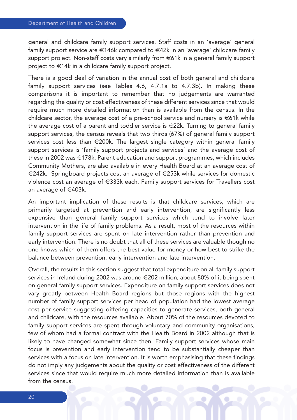general and childcare family support services. Staff costs in an 'average' general family support service are €146k compared to €42k in an 'average' childcare family support project. Non-staff costs vary similarly from €61k in a general family support project to €14k in a childcare family support project.

There is a good deal of variation in the annual cost of both general and childcare family support services (see Tables 4.6, 4.7.1a to 4.7.3b). In making these comparisons it is important to remember that no judgements are warranted regarding the quality or cost effectiveness of these different services since that would require much more detailed information than is available from the census. In the childcare sector, the average cost of a pre-school service and nursery is  $\epsilon$ 61k while the average cost of a parent and toddler service is €22k. Turning to general family support services, the census reveals that two thirds (67%) of general family support services cost less than €200k. The largest single category within general family support services is 'family support projects and services' and the average cost of these in 2002 was €178k. Parent education and support programmes, which includes Community Mothers, are also available in every Health Board at an average cost of €242k. Springboard projects cost an average of €253k while services for domestic violence cost an average of €333k each. Family support services for Travellers cost an average of €403k.

An important implication of these results is that childcare services, which are primarily targeted at prevention and early intervention, are significantly less expensive than general family support services which tend to involve later intervention in the life of family problems. As a result, most of the resources within family support services are spent on late intervention rather than prevention and early intervention. There is no doubt that all of these services are valuable though no one knows which of them offers the best value for money or how best to strike the balance between prevention, early intervention and late intervention.

Overall, the results in this section suggest that total expenditure on all family support services in Ireland during 2002 was around €202 million, about 80% of it being spent on general family support services. Expenditure on family support services does not vary greatly between Health Board regions but those regions with the highest number of family support services per head of population had the lowest average cost per service suggesting differing capacities to generate services, both general and childcare, with the resources available. About 70% of the resources devoted to family support services are spent through voluntary and community organisations, few of whom had a formal contract with the Health Board in 2002 although that is likely to have changed somewhat since then. Family support services whose main focus is prevention and early intervention tend to be substantially cheaper than services with a focus on late intervention. It is worth emphasising that these findings do not imply any judgements about the quality or cost effectiveness of the different services since that would require much more detailed information than is available from the census.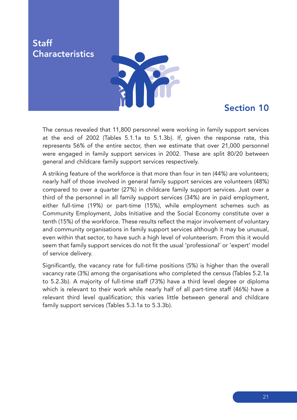**Staff Characteristics** 



## Section 10

The census revealed that 11,800 personnel were working in family support services at the end of 2002 (Tables 5.1.1a to 5.1.3b). If, given the response rate, this represents 56% of the entire sector, then we estimate that over 21,000 personnel were engaged in family support services in 2002. These are split 80/20 between general and childcare family support services respectively.

A striking feature of the workforce is that more than four in ten (44%) are volunteers; nearly half of those involved in general family support services are volunteers (48%) compared to over a quarter (27%) in childcare family support services. Just over a third of the personnel in all family support services (34%) are in paid employment, either full-time (19%) or part-time (15%), while employment schemes such as Community Employment, Jobs Initiative and the Social Economy constitute over a tenth (15%) of the workforce. These results reflect the major involvement of voluntary and community organisations in family support services although it may be unusual, even within that sector, to have such a high level of volunteerism. From this it would seem that family support services do not fit the usual 'professional' or 'expert' model of service delivery.

Significantly, the vacancy rate for full-time positions (5%) is higher than the overall vacancy rate (3%) among the organisations who completed the census (Tables 5.2.1a to 5.2.3b). A majority of full-time staff (73%) have a third level degree or diploma which is relevant to their work while nearly half of all part-time staff (46%) have a relevant third level qualification; this varies little between general and childcare family support services (Tables 5.3.1a to 5.3.3b).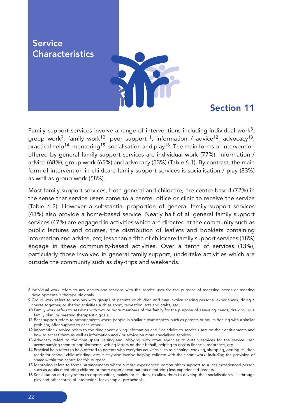**Service Characteristics** 



#### Section 11

Family support services involve a range of interventions including individual work<sup>8</sup>, group work<sup>9</sup>, family work<sup>10</sup>, peer support<sup>11</sup>, information / advice<sup>12</sup>, advocacy<sup>13</sup>, practical help<sup>14</sup>, mentoring<sup>15</sup>, socialisation and play<sup>16</sup>. The main forms of intervention offered by general family support services are individual work (77%), information / advice (68%), group work (65%) and advocacy (53%) (Table 6.1). By contrast, the main form of intervention in childcare family support services is socialisation / play (83%) as well as group work (58%).

Most family support services, both general and childcare, are centre-based (72%) in the sense that service users come to a centre, office or clinic to receive the service (Table 6.2). However a substantial proportion of general family support services (43%) also provide a home-based service. Nearly half of all general family support services (47%) are engaged in activities which are directed at the community such as public lectures and courses, the distribution of leaflets and booklets containing information and advice, etc; less than a fifth of childcare family support services (18%) engage in these community-based activities. Over a tenth of services (13%), particularly those involved in general family support, undertake activities which are outside the community such as day-trips and weekends.

<sup>8</sup> Individual work refers to any one-to-one sessions with the service user for the purpose of assessing needs or meeting developmental / therapeutic goals.

<sup>9</sup> Group work refers to sessions with groups of parents or children and may involve sharing personal experiences, doing a course together, or sharing activities such as sport, recreation, arts and crafts, etc.

<sup>10</sup> Family work refers to sessions with two or more members of the family for the purpose of assessing needs, drawing up a family plan, or meeting therapeutic goals.

<sup>11</sup> Peer support refers to arrangements where people in similar circumstances, such as parents or adults dealing with a similar problem, offer support to each other.

<sup>12</sup> Information / advice refers to the time spent giving information and / or advice to service users on their entitlements and how to access them as well as information and / or advice on more specialised services.

<sup>13</sup> Advocacy refers to the time spent liaising and lobbying with other agencies to obtain services for the service user, accompanying them to appointments, writing letters on their behalf, helping to access financial assistance, etc.

<sup>14</sup> Practical help refers to help offered to parents with everyday activities such as cleaning, cooking, shopping, getting children ready for school, child-minding, etc; it may also involve helping children with their homework, including the provision of space within the centre for this purpose.

<sup>15</sup> Mentoring refers to formal arrangements where a more experienced person offers support to a less experienced person such as adults mentoring children or more experienced parents mentoring less experienced parents.

<sup>16</sup> Socialisation and play refers to opportunities, mainly for children, to allow them to develop their socialisation skills through play and other forms of interaction, for example, pre-schools.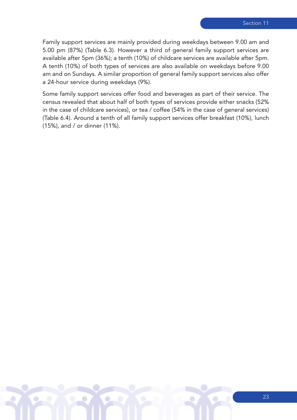Family support services are mainly provided during weekdays between 9.00 am and 5.00 pm (87%) (Table 6.3). However a third of general family support services are available after 5pm (36%); a tenth (10%) of childcare services are available after 5pm. A tenth (10%) of both types of services are also available on weekdays before 9.00 am and on Sundays. A similar proportion of general family support services also offer a 24-hour service during weekdays (9%).

Some family support services offer food and beverages as part of their service. The census revealed that about half of both types of services provide either snacks (52% in the case of childcare services), or tea / coffee (54% in the case of general services) (Table 6.4). Around a tenth of all family support services offer breakfast (10%), lunch (15%), and / or dinner (11%).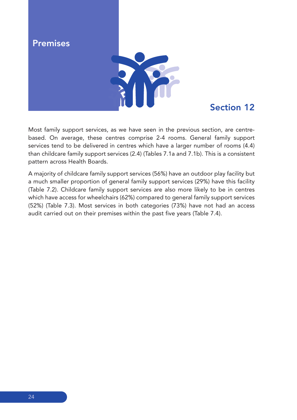

## Section 12

Most family support services, as we have seen in the previous section, are centrebased. On average, these centres comprise 2-4 rooms. General family support services tend to be delivered in centres which have a larger number of rooms (4.4) than childcare family support services (2.4) (Tables 7.1a and 7.1b). This is a consistent pattern across Health Boards.

A majority of childcare family support services (56%) have an outdoor play facility but a much smaller proportion of general family support services (29%) have this facility (Table 7.2). Childcare family support services are also more likely to be in centres which have access for wheelchairs (62%) compared to general family support services (52%) (Table 7.3). Most services in both categories (73%) have not had an access audit carried out on their premises within the past five years (Table 7.4).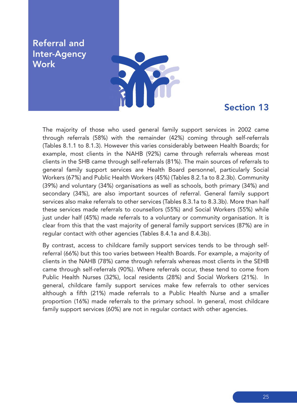#### Referral and Inter-Agency **Work**



### Section 13

The majority of those who used general family support services in 2002 came through referrals (58%) with the remainder (42%) coming through self-referrals (Tables 8.1.1 to 8.1.3). However this varies considerably between Health Boards; for example, most clients in the NAHB (92%) came through referrals whereas most clients in the SHB came through self-referrals (81%). The main sources of referrals to general family support services are Health Board personnel, particularly Social Workers (67%) and Public Health Workers (45%) (Tables 8.2.1a to 8.2.3b). Community (39%) and voluntary (34%) organisations as well as schools, both primary (34%) and secondary (34%), are also important sources of referral. General family support services also make referrals to other services (Tables 8.3.1a to 8.3.3b). More than half these services made referrals to counsellors (55%) and Social Workers (55%) while just under half (45%) made referrals to a voluntary or community organisation. It is clear from this that the vast majority of general family support services (87%) are in regular contact with other agencies (Tables 8.4.1a and 8.4.3b).

By contrast, access to childcare family support services tends to be through selfreferral (66%) but this too varies between Health Boards. For example, a majority of clients in the NAHB (78%) came through referrals whereas most clients in the SEHB came through self-referrals (90%). Where referrals occur, these tend to come from Public Health Nurses (32%), local residents (28%) and Social Workers (21%). In general, childcare family support services make few referrals to other services although a fifth (21%) made referrals to a Public Health Nurse and a smaller proportion (16%) made referrals to the primary school. In general, most childcare family support services (60%) are not in regular contact with other agencies.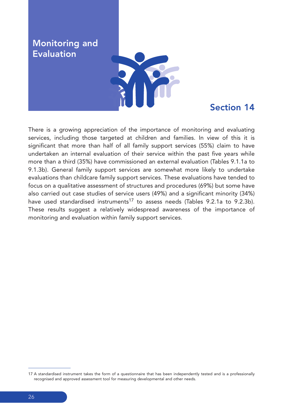Monitoring and Evaluation



#### Section 14

There is a growing appreciation of the importance of monitoring and evaluating services, including those targeted at children and families. In view of this it is significant that more than half of all family support services (55%) claim to have undertaken an internal evaluation of their service within the past five years while more than a third (35%) have commissioned an external evaluation (Tables 9.1.1a to 9.1.3b). General family support services are somewhat more likely to undertake evaluations than childcare family support services. These evaluations have tended to focus on a qualitative assessment of structures and procedures (69%) but some have also carried out case studies of service users (49%) and a significant minority (34%) have used standardised instruments<sup>17</sup> to assess needs (Tables 9.2.1a to 9.2.3b). These results suggest a relatively widespread awareness of the importance of monitoring and evaluation within family support services.

<sup>17</sup> A standardised instrument takes the form of a questionnaire that has been independently tested and is a professionally recognised and approved assessment tool for measuring developmental and other needs.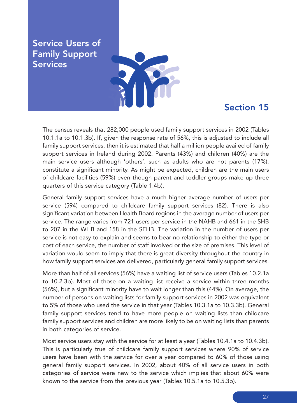Service Users of Family Support Services



#### Section 15

The census reveals that 282,000 people used family support services in 2002 (Tables 10.1.1a to 10.1.3b). If, given the response rate of 56%, this is adjusted to include all family support services, then it is estimated that half a million people availed of family support services in Ireland during 2002. Parents (43%) and children (40%) are the main service users although 'others', such as adults who are not parents (17%), constitute a significant minority. As might be expected, children are the main users of childcare facilities (59%) even though parent and toddler groups make up three quarters of this service category (Table 1.4b).

General family support services have a much higher average number of users per service (594) compared to childcare family support services (82). There is also significant variation between Health Board regions in the average number of users per service. The range varies from 721 users per service in the NAHB and 661 in the SHB to 207 in the WHB and 158 in the SEHB. The variation in the number of users per service is not easy to explain and seems to bear no relationship to either the type or cost of each service, the number of staff involved or the size of premises. This level of variation would seem to imply that there is great diversity throughout the country in how family support services are delivered, particularly general family support services.

More than half of all services (56%) have a waiting list of service users (Tables 10.2.1a to 10.2.3b). Most of those on a waiting list receive a service within three months (56%), but a significant minority have to wait longer than this (44%). On average, the number of persons on waiting lists for family support services in 2002 was equivalent to 5% of those who used the service in that year (Tables 10.3.1a to 10.3.3b). General family support services tend to have more people on waiting lists than childcare family support services and children are more likely to be on waiting lists than parents in both categories of service.

Most service users stay with the service for at least a year (Tables 10.4.1a to 10.4.3b). This is particularly true of childcare family support services where 90% of service users have been with the service for over a year compared to 60% of those using general family support services. In 2002, about 40% of all service users in both categories of service were new to the service which implies that about 60% were known to the service from the previous year (Tables 10.5.1a to 10.5.3b).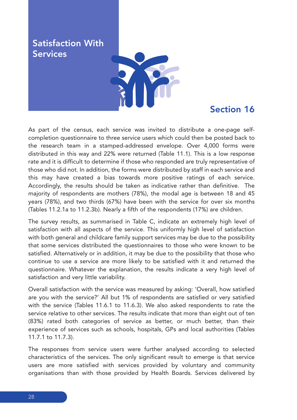Satisfaction With Services



#### Section 16

As part of the census, each service was invited to distribute a one-page selfcompletion questionnaire to three service users which could then be posted back to the research team in a stamped-addressed envelope. Over 4,000 forms were distributed in this way and 22% were returned (Table 11.1). This is a low response rate and it is difficult to determine if those who responded are truly representative of those who did not. In addition, the forms were distributed by staff in each service and this may have created a bias towards more positive ratings of each service. Accordingly, the results should be taken as indicative rather than definitive. The majority of respondents are mothers (78%), the modal age is between 18 and 45 years (78%), and two thirds (67%) have been with the service for over six months (Tables 11.2.1a to 11.2.3b). Nearly a fifth of the respondents (17%) are children.

The survey results, as summarised in Table C, indicate an extremely high level of satisfaction with all aspects of the service. This uniformly high level of satisfaction with both general and childcare family support services may be due to the possibility that some services distributed the questionnaires to those who were known to be satisfied. Alternatively or in addition, it may be due to the possibility that those who continue to use a service are more likely to be satisfied with it and returned the questionnaire. Whatever the explanation, the results indicate a very high level of satisfaction and very little variability.

Overall satisfaction with the service was measured by asking: 'Overall, how satisfied are you with the service?' All but 1% of respondents are satisfied or very satisfied with the service (Tables 11.6.1 to 11.6.3). We also asked respondents to rate the service relative to other services. The results indicate that more than eight out of ten (83%) rated both categories of service as better, or much better, than their experience of services such as schools, hospitals, GPs and local authorities (Tables 11.7.1 to 11.7.3).

The responses from service users were further analysed according to selected characteristics of the services. The only significant result to emerge is that service users are more satisfied with services provided by voluntary and community organisations than with those provided by Health Boards. Services delivered by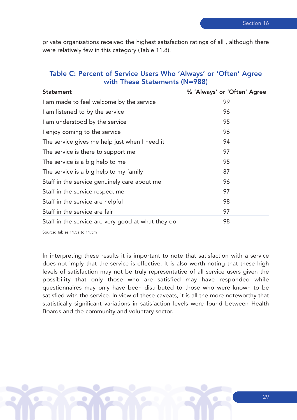private organisations received the highest satisfaction ratings of all , although there were relatively few in this category (Table 11.8).

#### Table C: Percent of Service Users Who 'Always' or 'Often' Agree with These Statements (N=988)

| <b>Statement</b>                                   | % 'Always' or 'Often' Agree |
|----------------------------------------------------|-----------------------------|
| I am made to feel welcome by the service           | 99                          |
| I am listened to by the service                    | 96                          |
| I am understood by the service                     | 95                          |
| I enjoy coming to the service                      | 96                          |
| The service gives me help just when I need it      | 94                          |
| The service is there to support me                 | 97                          |
| The service is a big help to me                    | 95                          |
| The service is a big help to my family             | 87                          |
| Staff in the service genuinely care about me       | 96                          |
| Staff in the service respect me                    | 97                          |
| Staff in the service are helpful                   | 98                          |
| Staff in the service are fair                      | 97                          |
| Staff in the service are very good at what they do | 98                          |

Source: Tables 11.5a to 11.5m

In interpreting these results it is important to note that satisfaction with a service does not imply that the service is effective. It is also worth noting that these high levels of satisfaction may not be truly representative of all service users given the possibility that only those who are satisfied may have responded while questionnaires may only have been distributed to those who were known to be satisfied with the service. In view of these caveats, it is all the more noteworthy that statistically significant variations in satisfaction levels were found between Health Boards and the community and voluntary sector.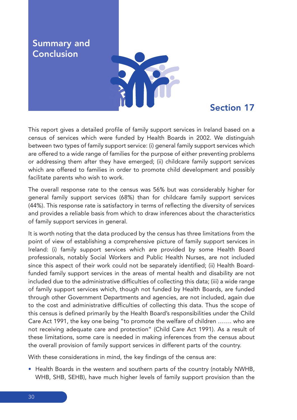**Summary and** Conclusion



### Section 17

This report gives a detailed profile of family support services in Ireland based on a census of services which were funded by Health Boards in 2002. We distinguish between two types of family support service: (i) general family support services which are offered to a wide range of families for the purpose of either preventing problems or addressing them after they have emerged; (ii) childcare family support services which are offered to families in order to promote child development and possibly facilitate parents who wish to work.

The overall response rate to the census was 56% but was considerably higher for general family support services (68%) than for childcare family support services (44%). This response rate is satisfactory in terms of reflecting the diversity of services and provides a reliable basis from which to draw inferences about the characteristics of family support services in general.

It is worth noting that the data produced by the census has three limitations from the point of view of establishing a comprehensive picture of family support services in Ireland: (i) family support services which are provided by some Health Board professionals, notably Social Workers and Public Health Nurses, are not included since this aspect of their work could not be separately identified; (ii) Health Boardfunded family support services in the areas of mental health and disability are not included due to the administrative difficulties of collecting this data; (iii) a wide range of family support services which, though not funded by Health Boards, are funded through other Government Departments and agencies, are not included, again due to the cost and administrative difficulties of collecting this data. Thus the scope of this census is defined primarily by the Health Board's responsibilities under the Child Care Act 1991, the key one being "to promote the welfare of children ……. who are not receiving adequate care and protection" (Child Care Act 1991). As a result of these limitations, some care is needed in making inferences from the census about the overall provision of family support services in different parts of the country.

With these considerations in mind, the key findings of the census are:

• Health Boards in the western and southern parts of the country (notably NWHB, WHB, SHB, SEHB), have much higher levels of family support provision than the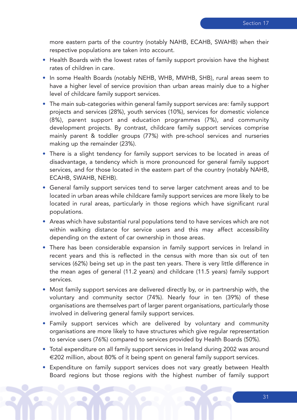more eastern parts of the country (notably NAHB, ECAHB, SWAHB) when their respective populations are taken into account.

- Health Boards with the lowest rates of family support provision have the highest rates of children in care.
- In some Health Boards (notably NEHB, WHB, MWHB, SHB), rural areas seem to have a higher level of service provision than urban areas mainly due to a higher level of childcare family support services.
- The main sub-categories within general family support services are: family support projects and services (28%), youth services (10%), services for domestic violence (8%), parent support and education programmes (7%), and community development projects. By contrast, childcare family support services comprise mainly parent & toddler groups (77%) with pre-school services and nurseries making up the remainder (23%).
- There is a slight tendency for family support services to be located in areas of disadvantage, a tendency which is more pronounced for general family support services, and for those located in the eastern part of the country (notably NAHB, ECAHB, SWAHB, NEHB).
- General family support services tend to serve larger catchment areas and to be located in urban areas while childcare family support services are more likely to be located in rural areas, particularly in those regions which have significant rural populations.
- Areas which have substantial rural populations tend to have services which are not within walking distance for service users and this may affect accessibility depending on the extent of car ownership in those areas.
- There has been considerable expansion in family support services in Ireland in recent years and this is reflected in the census with more than six out of ten services (62%) being set up in the past ten years. There is very little difference in the mean ages of general (11.2 years) and childcare (11.5 years) family support services.
- Most family support services are delivered directly by, or in partnership with, the voluntary and community sector (74%). Nearly four in ten (39%) of these organisations are themselves part of larger parent organisations, particularly those involved in delivering general family support services.
- Family support services which are delivered by voluntary and community organisations are more likely to have structures which give regular representation to service users (76%) compared to services provided by Health Boards (50%).
- Total expenditure on all family support services in Ireland during 2002 was around €202 million, about 80% of it being spent on general family support services.
- Expenditure on family support services does not vary greatly between Health Board regions but those regions with the highest number of family support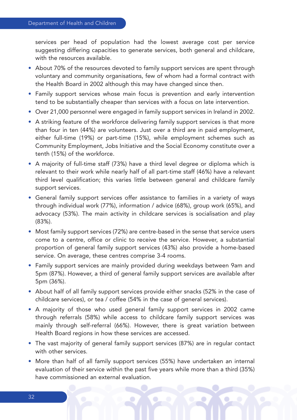services per head of population had the lowest average cost per service suggesting differing capacities to generate services, both general and childcare, with the resources available.

- About 70% of the resources devoted to family support services are spent through voluntary and community organisations, few of whom had a formal contract with the Health Board in 2002 although this may have changed since then.
- Family support services whose main focus is prevention and early intervention tend to be substantially cheaper than services with a focus on late intervention.
- Over 21,000 personnel were engaged in family support services in Ireland in 2002.
- A striking feature of the workforce delivering family support services is that more than four in ten (44%) are volunteers. Just over a third are in paid employment, either full-time (19%) or part-time (15%), while employment schemes such as Community Employment, Jobs Initiative and the Social Economy constitute over a tenth (15%) of the workforce.
- A majority of full-time staff (73%) have a third level degree or diploma which is relevant to their work while nearly half of all part-time staff (46%) have a relevant third level qualification; this varies little between general and childcare family support services.
- General family support services offer assistance to families in a variety of ways through individual work (77%), information / advice (68%), group work (65%), and advocacy (53%). The main activity in childcare services is socialisation and play (83%).
- Most family support services (72%) are centre-based in the sense that service users come to a centre, office or clinic to receive the service. However, a substantial proportion of general family support services (43%) also provide a home-based service. On average, these centres comprise 3-4 rooms.
- Family support services are mainly provided during weekdays between 9am and 5pm (87%). However, a third of general family support services are available after 5pm (36%).
- About half of all family support services provide either snacks (52% in the case of childcare services), or tea / coffee (54% in the case of general services).
- A majority of those who used general family support services in 2002 came through referrals (58%) while access to childcare family support services was mainly through self-referral (66%). However, there is great variation between Health Board regions in how these services are accessed.
- The vast majority of general family support services (87%) are in regular contact with other services.
- More than half of all family support services (55%) have undertaken an internal evaluation of their service within the past five years while more than a third (35%) have commissioned an external evaluation.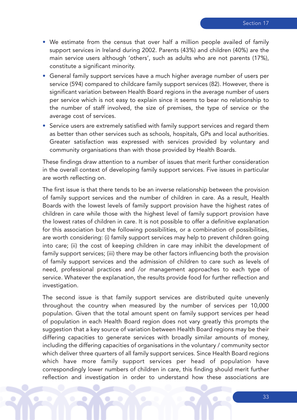- We estimate from the census that over half a million people availed of family support services in Ireland during 2002. Parents (43%) and children (40%) are the main service users although 'others', such as adults who are not parents (17%), constitute a significant minority.
- General family support services have a much higher average number of users per service (594) compared to childcare family support services (82). However, there is significant variation between Health Board regions in the average number of users per service which is not easy to explain since it seems to bear no relationship to the number of staff involved, the size of premises, the type of service or the average cost of services.
- Service users are extremely satisfied with family support services and regard them as better than other services such as schools, hospitals, GPs and local authorities. Greater satisfaction was expressed with services provided by voluntary and community organisations than with those provided by Health Boards.

These findings draw attention to a number of issues that merit further consideration in the overall context of developing family support services. Five issues in particular are worth reflecting on.

The first issue is that there tends to be an inverse relationship between the provision of family support services and the number of children in care. As a result, Health Boards with the lowest levels of family support provision have the highest rates of children in care while those with the highest level of family support provision have the lowest rates of children in care. It is not possible to offer a definitive explanation for this association but the following possibilities, or a combination of possibilities, are worth considering: (i) family support services may help to prevent children going into care; (ii) the cost of keeping children in care may inhibit the development of family support services; (iii) there may be other factors influencing both the provision of family support services and the admission of children to care such as levels of need, professional practices and /or management approaches to each type of service. Whatever the explanation, the results provide food for further reflection and investigation.

The second issue is that family support services are distributed quite unevenly throughout the country when measured by the number of services per 10,000 population. Given that the total amount spent on family support services per head of population in each Health Board region does not vary greatly this prompts the suggestion that a key source of variation between Health Board regions may be their differing capacities to generate services with broadly similar amounts of money, including the differing capacities of organisations in the voluntary / community sector which deliver three quarters of all family support services. Since Health Board regions which have more family support services per head of population have correspondingly lower numbers of children in care, this finding should merit further reflection and investigation in order to understand how these associations are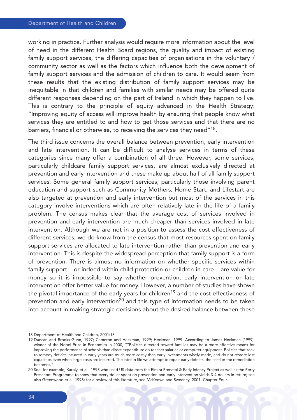working in practice. Further analysis would require more information about the level of need in the different Health Board regions, the quality and impact of existing family support services, the differing capacities of organisations in the voluntary / community sector as well as the factors which influence both the development of family support services and the admission of children to care. It would seem from these results that the existing distribution of family support services may be inequitable in that children and families with similar needs may be offered quite different responses depending on the part of Ireland in which they happen to live. This is contrary to the principle of equity advanced in the Health Strategy: "Improving equity of access will improve health by ensuring that people know what services they are entitled to and how to get those services and that there are no barriers, financial or otherwise, to receiving the services they need"18.

The third issue concerns the overall balance between prevention, early intervention and late intervention. It can be difficult to analyse services in terms of these categories since many offer a combination of all three. However, some services, particularly childcare family support services, are almost exclusively directed at prevention and early intervention and these make up about half of all family support services. Some general family support services, particularly those involving parent education and support such as Community Mothers, Home Start, and Lifestart are also targeted at prevention and early intervention but most of the services in this category involve interventions which are often relatively late in the life of a family problem. The census makes clear that the average cost of services involved in prevention and early intervention are much cheaper than services involved in late intervention. Although we are not in a position to assess the cost effectiveness of different services, we do know from the census that most resources spent on family support services are allocated to late intervention rather than prevention and early intervention. This is despite the widespread perception that family support is a form of prevention. There is almost no information on whether specific services within family support – or indeed within child protection or children in care – are value for money so it is impossible to say whether prevention, early intervention or late intervention offer better value for money. However, a number of studies have shown the pivotal importance of the early years for children<sup>19</sup> and the cost effectiveness of prevention and early intervention<sup>20</sup> and this type of information needs to be taken into account in making strategic decisions about the desired balance between these

<sup>18</sup> Department of Health and Children, 2001:18

<sup>19</sup> Duncan and Brooks-Gunn, 1997; Cameron and Heckman, 1999; Heckman, 1999. According to James Heckman (1999), winner of the Nobel Prize in Economics in 2000, ""Policies directed toward families may be a more effective means for improving the performance of schools than direct expenditure on teacher salaries or computer equipment. Policies that seek to remedy deficits incurred in early years are much more costly than early investments wisely made, and do not restore lost capacities even when large costs are incurred. The later in life we attempt to repair early defects, the costlier the remediation becomes."

<sup>20</sup> See, for example, Karoly, et al., 1998 who used US data from the Elmira Prenatal & Early Infancy Project as well as the Perry Preschool Programme to show that every dollar spent on prevention and early intervention yields 3-4 dollars in return; see also Greenwood et al, 1998; for a review of this literature, see McKeown and Sweeney, 2001, Chapter Four.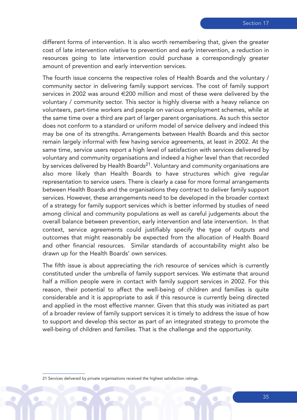different forms of intervention. It is also worth remembering that, given the greater cost of late intervention relative to prevention and early intervention, a reduction in resources going to late intervention could purchase a correspondingly greater amount of prevention and early intervention services.

The fourth issue concerns the respective roles of Health Boards and the voluntary / community sector in delivering family support services. The cost of family support services in 2002 was around €200 million and most of these were delivered by the voluntary / community sector. This sector is highly diverse with a heavy reliance on volunteers, part-time workers and people on various employment schemes, while at the same time over a third are part of larger parent organisations. As such this sector does not conform to a standard or uniform model of service delivery and indeed this may be one of its strengths. Arrangements between Health Boards and this sector remain largely informal with few having service agreements, at least in 2002. At the same time, service users report a high level of satisfaction with services delivered by voluntary and community organisations and indeed a higher level than that recorded by services delivered by Health Boards<sup>21</sup>. Voluntary and community organisations are also more likely than Health Boards to have structures which give regular representation to service users. There is clearly a case for more formal arrangements between Health Boards and the organisations they contract to deliver family support services. However, these arrangements need to be developed in the broader context of a strategy for family support services which is better informed by studies of need among clinical and community populations as well as careful judgements about the overall balance between prevention, early intervention and late intervention. In that context, service agreements could justifiably specify the type of outputs and outcomes that might reasonably be expected from the allocation of Health Board and other financial resources. Similar standards of accountability might also be drawn up for the Health Boards' own services.

The fifth issue is about appreciating the rich resource of services which is currently constituted under the umbrella of family support services. We estimate that around half a million people were in contact with family support services in 2002. For this reason, their potential to affect the well-being of children and families is quite considerable and it is appropriate to ask if this resource is currently being directed and applied in the most effective manner. Given that this study was initiated as part of a broader review of family support services it is timely to address the issue of how to support and develop this sector as part of an integrated strategy to promote the well-being of children and families. That is the challenge and the opportunity.

<sup>21</sup> Services delivered by private organisations received the highest satisfaction ratings.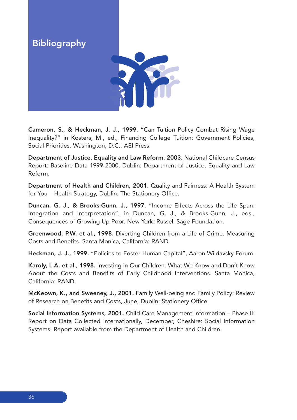Bibliography



Cameron, S., & Heckman, J. J., 1999. "Can Tuition Policy Combat Rising Wage Inequality?" in Kosters, M., ed., Financing College Tuition: Government Policies, Social Priorities. Washington, D.C.: AEI Press.

Department of Justice, Equality and Law Reform, 2003. National Childcare Census Report: Baseline Data 1999-2000, Dublin: Department of Justice, Equality and Law Reform.

Department of Health and Children, 2001. Quality and Fairness: A Health System for You – Health Strategy, Dublin: The Stationery Office.

Duncan, G. J., & Brooks-Gunn, J., 1997. "Income Effects Across the Life Span: Integration and Interpretation", in Duncan, G. J., & Brooks-Gunn, J., eds., Consequences of Growing Up Poor. New York: Russell Sage Foundation.

Greenwood, P.W. et al., 1998. Diverting Children from a Life of Crime. Measuring Costs and Benefits. Santa Monica, California: RAND.

Heckman, J. J., 1999. "Policies to Foster Human Capital", Aaron Wildavsky Forum.

Karoly, L.A. et al., 1998. Investing in Our Children. What We Know and Don't Know About the Costs and Benefits of Early Childhood Interventions. Santa Monica, California: RAND.

McKeown, K., and Sweeney, J., 2001. Family Well-being and Family Policy: Review of Research on Benefits and Costs, June, Dublin: Stationery Office.

Social Information Systems, 2001. Child Care Management Information – Phase II: Report on Data Collected Internationally, December, Cheshire: Social Information Systems. Report available from the Department of Health and Children.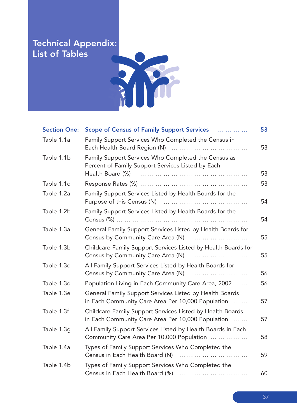# Technical Appendix: List of Tables



| <b>Section One:</b> | Scope of Census of Family Support Services                                                                                   | 53 |
|---------------------|------------------------------------------------------------------------------------------------------------------------------|----|
| Table 1.1a          | Family Support Services Who Completed the Census in                                                                          | 53 |
| Table 1.1b          | Family Support Services Who Completed the Census as<br>Percent of Family Support Services Listed by Each<br>Health Board (%) | 53 |
| Table 1.1c          |                                                                                                                              | 53 |
| Table 1.2a          | Family Support Services Listed by Health Boards for the                                                                      | 54 |
| Table 1.2b          | Family Support Services Listed by Health Boards for the                                                                      | 54 |
| Table 1.3a          | General Family Support Services Listed by Health Boards for<br>Census by Community Care Area (N)                             | 55 |
| Table 1.3b          | Childcare Family Support Services Listed by Health Boards for<br>Census by Community Care Area (N)                           | 55 |
| Table 1.3c          | All Family Support Services Listed by Health Boards for<br>Census by Community Care Area (N)                                 | 56 |
| Table 1.3d          | Population Living in Each Community Care Area, 2002                                                                          | 56 |
| Table 1.3e          | General Family Support Services Listed by Health Boards<br>in Each Community Care Area Per 10,000 Population                 | 57 |
| Table 1.3f          | Childcare Family Support Services Listed by Health Boards<br>in Each Community Care Area Per 10,000 Population               | 57 |
| Table 1.3g          | All Family Support Services Listed by Health Boards in Each<br>Community Care Area Per 10,000 Population                     | 58 |
| Table 1.4a          | Types of Family Support Services Who Completed the<br>Census in Each Health Board (N)                                        | 59 |
| Table 1.4b          | Types of Family Support Services Who Completed the<br>Census in Each Health Board (%)                                        | 60 |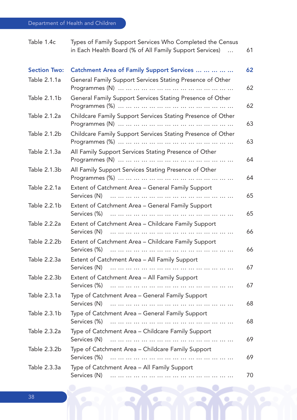| Table 1.4c          | Types of Family Support Services Who Completed the Census<br>in Each Health Board (% of All Family Support Services)<br>$\dddotsc$ | 61 |
|---------------------|------------------------------------------------------------------------------------------------------------------------------------|----|
| <b>Section Two:</b> | Catchment Area of Family Support Services                                                                                          | 62 |
| Table 2.1.1a        | General Family Support Services Stating Presence of Other                                                                          | 62 |
| Table 2.1.1b        | General Family Support Services Stating Presence of Other                                                                          | 62 |
| Table 2.1.2a        | Childcare Family Support Services Stating Presence of Other                                                                        | 63 |
| Table 2.1.2b        | Childcare Family Support Services Stating Presence of Other                                                                        | 63 |
| Table 2.1.3a        | All Family Support Services Stating Presence of Other                                                                              | 64 |
| Table 2.1.3b        | All Family Support Services Stating Presence of Other                                                                              | 64 |
| Table 2.2.1a        | Extent of Catchment Area - General Family Support<br>Services (N)<br>.                                                             | 65 |
| Table 2.2.1b        | Extent of Catchment Area - General Family Support<br>Services (%)<br>.                                                             | 65 |
| Table 2.2.2a        | Extent of Catchment Area - Childcare Family Support<br>Services (N)                                                                | 66 |
| Table 2.2.2b        | Extent of Catchment Area - Childcare Family Support<br>Services (%)                                                                | 66 |
| Table 2.2.3a        | Extent of Catchment Area - All Family Support<br>Services (N)                                                                      | 67 |
| Table 2.2.3b        | Extent of Catchment Area - All Family Support<br>Services (%)                                                                      | 67 |
| Table 2.3.1a        | Type of Catchment Area - General Family Support<br>Services (N)                                                                    | 68 |
| Table 2.3.1b        | Type of Catchment Area - General Family Support                                                                                    | 68 |
| Table 2.3.2a        | Type of Catchment Area - Childcare Family Support<br>Services (N)                                                                  | 69 |
| Table 2.3.2b        | Type of Catchment Area - Childcare Family Support<br>Services (%)                                                                  | 69 |
| Table 2.3.3a        | Type of Catchment Area - All Family Support                                                                                        | 70 |

 $\bullet$ 

۰

 $\bullet$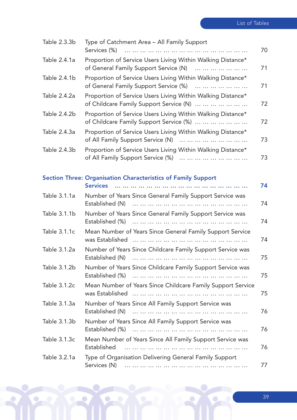| Table 2.3.3b | Type of Catchment Area - All Family Support                                                            | 70 |
|--------------|--------------------------------------------------------------------------------------------------------|----|
| Table 2.4.1a | Proportion of Service Users Living Within Walking Distance*<br>of General Family Support Service (N)   | 71 |
| Table 2.4.1b | Proportion of Service Users Living Within Walking Distance*<br>of General Family Support Service (%)   | 71 |
| Table 2.4.2a | Proportion of Service Users Living Within Walking Distance*<br>of Childcare Family Support Service (N) | 72 |
| Table 2.4.2b | Proportion of Service Users Living Within Walking Distance*<br>of Childcare Family Support Service (%) | 72 |
| Table 2.4.3a | Proportion of Service Users Living Within Walking Distance*<br>of All Family Support Service (N)       | 73 |
| Table 2.4.3b | Proportion of Service Users Living Within Walking Distance*<br>of All Family Support Service (%)       | 73 |
|              | <b>Section Three: Organisation Characteristics of Family Support</b><br><b>Services</b>                | 74 |
| Table 3.1.1a | Number of Years Since General Family Support Service was<br>Established (N)<br>                        | 74 |
| Table 3.1.1b | Number of Years Since General Family Support Service was                                               | 74 |
| Table 3.1.1c | Mean Number of Years Since General Family Support Service                                              | 74 |
| Table 3.1.2a | Number of Years Since Childcare Family Support Service was                                             | 75 |
| Table 3.1.2b | Number of Years Since Childcare Family Support Service was                                             | 75 |
| Table 3.1.2c | Mean Number of Years Since Childcare Family Support Service                                            | 75 |
| Table 3.1.3a | Number of Years Since All Family Support Service was<br>Established (N)<br>.                           | 76 |
| Table 3.1.3b | Number of Years Since All Family Support Service was                                                   | 76 |
| Table 3.1.3c | Mean Number of Years Since All Family Support Service was<br>Established                               | 76 |
| Table 3.2.1a | Type of Organisation Delivering General Family Support<br>Services (N)<br>                             | 77 |

 $\mathbf{R}$ 

Q

 $\bullet$ 

٥

39

ÿ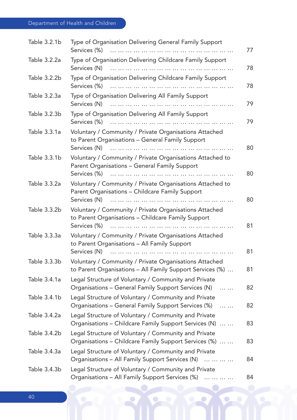# Department of Health and Children

| Table 3.2.1b | Type of Organisation Delivering General Family Support<br>Services (%)                                                            | 77 |
|--------------|-----------------------------------------------------------------------------------------------------------------------------------|----|
| Table 3.2.2a | Type of Organisation Delivering Childcare Family Support<br>Services (N)<br>                                                      | 78 |
| Table 3.2.2b | Type of Organisation Delivering Childcare Family Support<br>Services (%)                                                          | 78 |
| Table 3.2.3a | Type of Organisation Delivering All Family Support<br>Services (N)                                                                | 79 |
| Table 3.2.3b | Type of Organisation Delivering All Family Support<br>Services (%)                                                                | 79 |
| Table 3.3.1a | Voluntary / Community / Private Organisations Attached<br>to Parent Organisations - General Family Support<br>Services (N)        | 80 |
| Table 3.3.1b | Voluntary / Community / Private Organisations Attached to<br>Parent Organisations - General Family Support<br>Services (%)        | 80 |
| Table 3.3.2a | Voluntary / Community / Private Organisations Attached to<br>Parent Organisations - Childcare Family Support<br>Services (N)<br>. | 80 |
| Table 3.3.2b | Voluntary / Community / Private Organisations Attached<br>to Parent Organisations - Childcare Family Support<br>Services (%)      | 81 |
| Table 3.3.3a | Voluntary / Community / Private Organisations Attached<br>to Parent Organisations - All Family Support<br>Services (N)<br>        | 81 |
| Table 3.3.3b | Voluntary / Community / Private Organisations Attached<br>to Parent Organisations - All Family Support Services (%)               | 81 |
| Table 3.4.1a | Legal Structure of Voluntary / Community and Private<br>Organisations - General Family Support Services (N)<br>$\cdots$           | 82 |
| Table 3.4.1b | Legal Structure of Voluntary / Community and Private<br>Organisations – General Family Support Services (%)<br>$\cdots$           | 82 |
| Table 3.4.2a | Legal Structure of Voluntary / Community and Private<br>Organisations - Childcare Family Support Services (N)                     | 83 |
| Table 3.4.2b | Legal Structure of Voluntary / Community and Private<br>Organisations - Childcare Family Support Services (%)                     | 83 |
| Table 3.4.3a | Legal Structure of Voluntary / Community and Private<br>Organisations - All Family Support Services (N)                           | 84 |
| Table 3.4.3b | Legal Structure of Voluntary / Community and Private<br>Organisations - All Family Support Services (%)<br>.                      | 84 |

 $\bullet$ 

۰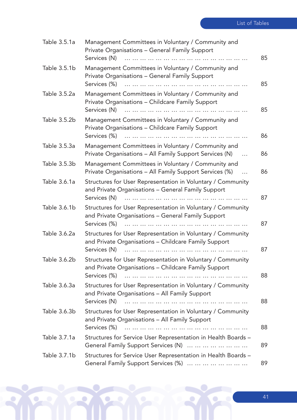| Table 3.5.1a | Management Committees in Voluntary / Community and<br>Private Organisations - General Family Support<br>Services (N)                    | 85 |
|--------------|-----------------------------------------------------------------------------------------------------------------------------------------|----|
| Table 3.5.1b | Management Committees in Voluntary / Community and<br>Private Organisations - General Family Support<br>Services (%)                    | 85 |
| Table 3.5.2a | Management Committees in Voluntary / Community and<br>Private Organisations - Childcare Family Support<br>Services (N)<br>              | 85 |
| Table 3.5.2b | Management Committees in Voluntary / Community and<br>Private Organisations - Childcare Family Support<br>Services (%)                  | 86 |
| Table 3.5.3a | Management Committees in Voluntary / Community and<br>Private Organisations - All Family Support Services (N)<br>$\cdots$               | 86 |
| Table 3.5.3b | Management Committees in Voluntary / Community and<br>Private Organisations - All Family Support Services (%)<br>$\dddotsc$             | 86 |
| Table 3.6.1a | Structures for User Representation in Voluntary / Community<br>and Private Organisations - General Family Support<br>Services (N)       | 87 |
| Table 3.6.1b | Structures for User Representation in Voluntary / Community<br>and Private Organisations - General Family Support                       | 87 |
| Table 3.6.2a | Structures for User Representation in Voluntary / Community<br>and Private Organisations - Childcare Family Support<br>Services (N)     | 87 |
| Table 3.6.2b | Structures for User Representation in Voluntary / Community<br>and Private Organisations - Childcare Family Support<br>Services (%)<br> | 88 |
| Table 3.6.3a | Structures for User Representation in Voluntary / Community<br>and Private Organisations - All Family Support<br>Services (N)           | 88 |
| Table 3.6.3b | Structures for User Representation in Voluntary / Community<br>and Private Organisations - All Family Support<br>Services (%)           | 88 |
| Table 3.7.1a | Structures for Service User Representation in Health Boards -<br>General Family Support Services (N)                                    | 89 |
| Table 3.7.1b | Structures for Service User Representation in Health Boards -<br>General Family Support Services (%)                                    | 89 |

Q

٥

O

 $\mathbf{R}$ 

۶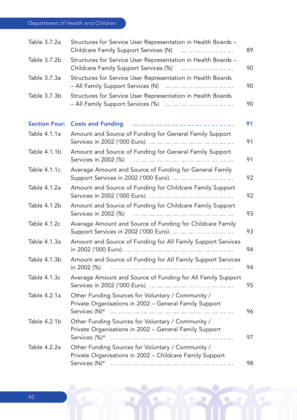| Table 3.7.2a         | Structures for Service User Representation in Health Boards -<br>Childcare Family Support Services (N)<br>.   | 89 |
|----------------------|---------------------------------------------------------------------------------------------------------------|----|
| Table 3.7.2b         | Structures for Service User Representation in Health Boards -<br>Childcare Family Support Services (%)        | 90 |
| Table 3.7.3a         | Structures for Service User Representation in Health Boards<br>- All Family Support Services (N)              | 90 |
| Table 3.7.3b         | Structures for Service User Representation in Health Boards<br>- All Family Support Services (%)              | 90 |
| <b>Section Four:</b> | <b>Costs and Funding</b>                                                                                      | 91 |
| Table 4.1.1a         | Amount and Source of Funding for General Family Support                                                       | 91 |
| Table 4.1.1b         | Amount and Source of Funding for General Family Support<br>Services in 2002 (%)                               | 91 |
| Table 4.1.1c         | Average Amount and Source of Funding for General Family<br>Support Services in 2002 ('000 Euro).              | 92 |
| Table 4.1.2a         | Amount and Source of Funding for Childcare Family Support                                                     | 92 |
| Table 4.1.2b         | Amount and Source of Funding for Childcare Family Support<br>Services in 2002 (%)                             | 93 |
| Table 4.1.2c         | Average Amount and Source of Funding for Childcare Family<br>Support Services in 2002 ('000 Euro).            | 93 |
| Table 4.1.3a         | Amount and Source of Funding for All Family Support Services                                                  | 94 |
| Table 4.1.3b         | Amount and Source of Funding for All Family Support Services<br>in 2002 (%)<br>                               | 94 |
| Table 4.1.3c         | Average Amount and Source of Funding for All Family Support                                                   | 95 |
| Table 4.2.1a         | Other Funding Sources for Voluntary / Community /<br>Private Organisations in 2002 - General Family Support   | 96 |
| Table 4.2.1b         | Other Funding Sources for Voluntary / Community /<br>Private Organisations in 2002 - General Family Support   | 97 |
| Table 4.2.2a         | Other Funding Sources for Voluntary / Community /<br>Private Organisations in 2002 - Childcare Family Support | 98 |

 $\bullet$ 

۰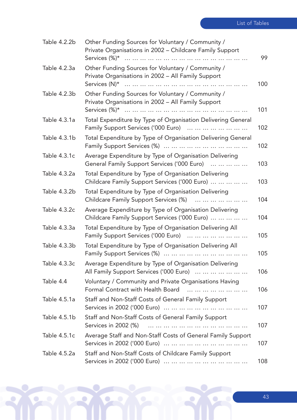| Table 4.2.2b | Other Funding Sources for Voluntary / Community /<br>Private Organisations in 2002 - Childcare Family Support | 99  |
|--------------|---------------------------------------------------------------------------------------------------------------|-----|
| Table 4.2.3a | Other Funding Sources for Voluntary / Community /<br>Private Organisations in 2002 - All Family Support       | 100 |
| Table 4.2.3b | Other Funding Sources for Voluntary / Community /<br>Private Organisations in 2002 - All Family Support       | 101 |
| Table 4.3.1a | Total Expenditure by Type of Organisation Delivering General<br>Family Support Services ('000 Euro)           | 102 |
| Table 4.3.1b | Total Expenditure by Type of Organisation Delivering General                                                  | 102 |
| Table 4.3.1c | Average Expenditure by Type of Organisation Delivering<br>General Family Support Services ('000 Euro)         | 103 |
| Table 4.3.2a | Total Expenditure by Type of Organisation Delivering<br>Childcare Family Support Services ('000 Euro)         | 103 |
| Table 4.3.2b | Total Expenditure by Type of Organisation Delivering<br>Childcare Family Support Services (%)                 | 104 |
| Table 4.3.2c | Average Expenditure by Type of Organisation Delivering<br>Childcare Family Support Services ('000 Euro)       | 104 |
| Table 4.3.3a | Total Expenditure by Type of Organisation Delivering All<br>Family Support Services ('000 Euro)               | 105 |
| Table 4.3.3b | Total Expenditure by Type of Organisation Delivering All                                                      | 105 |
| Table 4.3.3c | Average Expenditure by Type of Organisation Delivering<br>All Family Support Services ('000 Euro)             | 106 |
| Table 4.4    | Voluntary / Community and Private Organisations Having<br>Formal Contract with Health Board                   | 106 |
| Table 4.5.1a | Staff and Non-Staff Costs of General Family Support                                                           | 107 |
| Table 4.5.1b | Staff and Non-Staff Costs of General Family Support<br>Services in 2002 (%)<br>                               | 107 |
| Table 4.5.1c | Average Staff and Non-Staff Costs of General Family Support                                                   | 107 |
| Table 4.5.2a | Staff and Non-Staff Costs of Childcare Family Support                                                         | 108 |

Q

 $\bullet$ 

٥

 $\mathbf{R}$ 

ÿ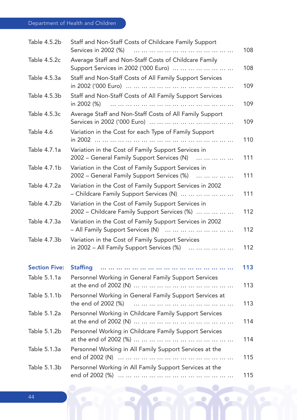| Table 4.5.2b         | Staff and Non-Staff Costs of Childcare Family Support<br>Services in 2002 (%)                       | 108 |
|----------------------|-----------------------------------------------------------------------------------------------------|-----|
| Table 4.5.2c         | Average Staff and Non-Staff Costs of Childcare Family<br>Support Services in 2002 ('000 Euro)       | 108 |
| Table 4.5.3a         | Staff and Non-Staff Costs of All Family Support Services                                            | 109 |
| Table 4.5.3b         | Staff and Non-Staff Costs of All Family Support Services<br>in 2002 (%)                             | 109 |
| Table 4.5.3c         | Average Staff and Non-Staff Costs of All Family Support                                             | 109 |
| Table 4.6            | Variation in the Cost for each Type of Family Support                                               | 110 |
| Table 4.7.1a         | Variation in the Cost of Family Support Services in<br>2002 – General Family Support Services (N)   | 111 |
| Table 4.7.1b         | Variation in the Cost of Family Support Services in<br>2002 – General Family Support Services (%)   | 111 |
| Table 4.7.2a         | Variation in the Cost of Family Support Services in 2002<br>- Childcare Family Support Services (N) | 111 |
| Table 4.7.2b         | Variation in the Cost of Family Support Services in<br>2002 – Childcare Family Support Services (%) | 112 |
| Table 4.7.3a         | Variation in the Cost of Family Support Services in 2002<br>- All Family Support Services (N)       | 112 |
| Table 4.7.3b         | Variation in the Cost of Family Support Services<br>in 2002 - All Family Support Services (%)       | 112 |
| <b>Section Five:</b> | <b>Staffing</b>                                                                                     | 113 |
| Table 5.1.1a         | Personnel Working in General Family Support Services                                                | 113 |
| Table 5.1.1b         | Personnel Working in General Family Support Services at                                             | 113 |
| Table 5.1.2a         | Personnel Working in Childcare Family Support Services                                              | 114 |
| Table 5.1.2b         | Personnel Working in Childcare Family Support Services                                              | 114 |
| Table 5.1.3a         | Personnel Working in All Family Support Services at the                                             | 115 |
| Table 5.1.3b         | Personnel Working in All Family Support Services at the                                             | 115 |

 $\bullet$ 

۰

 $\bullet$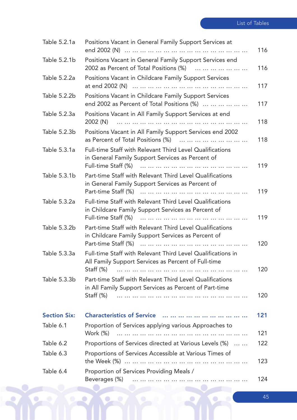| Table 5.2.1a        | Positions Vacant in General Family Support Services at                                                             | 116 |
|---------------------|--------------------------------------------------------------------------------------------------------------------|-----|
| Table 5.2.1b        | Positions Vacant in General Family Support Services end                                                            |     |
|                     | 2002 as Percent of Total Positions (%)                                                                             | 116 |
| Table 5.2.2a        | Positions Vacant in Childcare Family Support Services                                                              |     |
|                     |                                                                                                                    | 117 |
| Table 5.2.2b        | Positions Vacant in Childcare Family Support Services<br>end 2002 as Percent of Total Positions (%)                | 117 |
| Table 5.2.3a        | Positions Vacant in All Family Support Services at end                                                             | 118 |
| Table 5.2.3b        | Positions Vacant in All Family Support Services end 2002<br>as Percent of Total Positions (%)                      | 118 |
| Table 5.3.1a        | Full-time Staff with Relevant Third Level Qualifications<br>in General Family Support Services as Percent of       |     |
|                     |                                                                                                                    | 119 |
| Table 5.3.1b        | Part-time Staff with Relevant Third Level Qualifications<br>in General Family Support Services as Percent of       |     |
|                     |                                                                                                                    | 119 |
| Table 5.3.2a        | Full-time Staff with Relevant Third Level Qualifications<br>in Childcare Family Support Services as Percent of     | 119 |
| Table 5.3.2b        | Part-time Staff with Relevant Third Level Qualifications<br>in Childcare Family Support Services as Percent of     | 120 |
| Table 5.3.3a        | Full-time Staff with Relevant Third Level Qualifications in<br>All Family Support Services as Percent of Full-time |     |
|                     | Staff $(\%)$                                                                                                       | 120 |
| Table 5.3.3b        | Part-time Staff with Relevant Third Level Qualifications<br>in All Family Support Services as Percent of Part-time |     |
|                     | Staff $(\%)$                                                                                                       | 120 |
| <b>Section Six:</b> |                                                                                                                    | 121 |
| Table 6.1           | Proportion of Services applying various Approaches to<br>Work (%)                                                  | 121 |
| Table 6.2           | Proportions of Services directed at Various Levels (%)                                                             | 122 |
| Table 6.3           | Proportions of Services Accessible at Various Times of                                                             | 123 |
| Table 6.4           | Proportion of Services Providing Meals /                                                                           | 124 |
|                     |                                                                                                                    |     |

 $\mathbf{R}$ 

 $\bullet$ 

 $\bullet$ 

٥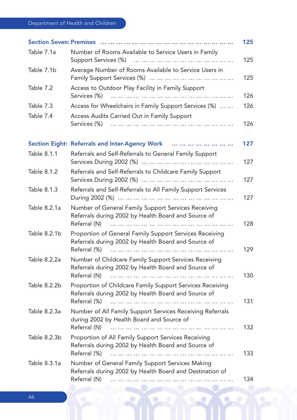# Department of Health and Children

|              |                                                                                                                                  | 125 |
|--------------|----------------------------------------------------------------------------------------------------------------------------------|-----|
| Table 7.1a   | Number of Rooms Available to Service Users in Family                                                                             | 125 |
| Table 7.1b   | Average Number of Rooms Available to Service Users in                                                                            | 125 |
| Table 7.2    | Access to Outdoor Play Facility in Family Support<br>Services (%)<br>.                                                           | 126 |
| Table 7.3    | Access for Wheelchairs in Family Support Services (%)                                                                            | 126 |
| Table 7.4    | Access Audits Carried Out in Family Support                                                                                      | 126 |
|              | Section Eight: Referrals and Inter-Agency Work                                                                                   | 127 |
| Table 8.1.1  | Referrals and Self-Referrals to General Family Support                                                                           | 127 |
| Table 8.1.2  | Referrals and Self-Referrals to Childcare Family Support                                                                         | 127 |
| Table 8.1.3  | Referrals and Self-Referrals to All Family Support Services                                                                      | 127 |
| Table 8.2.1a | Number of General Family Support Services Receiving<br>Referrals during 2002 by Health Board and Source of<br>Referral (N)       | 128 |
| Table 8.2.1b | Proportion of General Family Support Services Receiving<br>Referrals during 2002 by Health Board and Source of<br>Referral (%)   | 129 |
| Table 8.2.2a | Number of Childcare Family Support Services Receiving<br>Referrals during 2002 by Health Board and Source of<br>Referral (N)     | 130 |
| Table 8.2.2b | Proportion of Childcare Family Support Services Receiving<br>Referrals during 2002 by Health Board and Source of<br>Referral (%) | 131 |
| Table 8.2.3a | Number of All Family Support Services Receiving Referrals<br>during 2002 by Health Board and Source of<br>Referral (N)<br>       | 132 |
| Table 8.2.3b | Proportion of All Family Support Services Receiving<br>Referrals during 2002 by Health Board and Source of<br>Referral (%)       | 133 |
| Table 8.3.1a | Number of General Family Support Services Making<br>Referrals during 2002 by Health Board and Destination of<br>Referral (N)     | 134 |

 $\bullet$ 

۰

 $\bullet$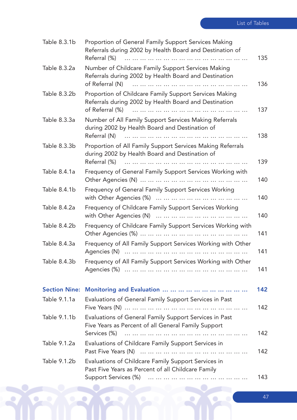| Table 8.3.1b         | Proportion of General Family Support Services Making<br>Referrals during 2002 by Health Board and Destination of<br>Referral (%)    | 135 |
|----------------------|-------------------------------------------------------------------------------------------------------------------------------------|-----|
| Table 8.3.2a         | Number of Childcare Family Support Services Making<br>Referrals during 2002 by Health Board and Destination<br>of Referral (N)<br>. | 136 |
| Table 8.3.2b         | Proportion of Childcare Family Support Services Making<br>Referrals during 2002 by Health Board and Destination<br>of Referral (%)  | 137 |
| Table 8.3.3a         | Number of All Family Support Services Making Referrals<br>during 2002 by Health Board and Destination of<br>Referral (N)            | 138 |
| Table 8.3.3b         | Proportion of All Family Support Services Making Referrals<br>during 2002 by Health Board and Destination of<br>Referral (%)        | 139 |
| Table 8.4.1a         | Frequency of General Family Support Services Working with                                                                           | 140 |
| Table 8.4.1b         | Frequency of General Family Support Services Working                                                                                | 140 |
| Table 8.4.2a         | Frequency of Childcare Family Support Services Working                                                                              | 140 |
| Table 8.4.2b         | Frequency of Childcare Family Support Services Working with                                                                         | 141 |
| Table 8.4.3a         | Frequency of All Family Support Services Working with Other                                                                         | 141 |
| Table 8.4.3b         | Frequency of All Family Support Services Working with Other                                                                         | 141 |
| <b>Section Nine:</b> |                                                                                                                                     | 142 |
| Table 9.1.1a         | Evaluations of General Family Support Services in Past                                                                              | 142 |
| Table 9.1.1b         | Evaluations of General Family Support Services in Past<br>Five Years as Percent of all General Family Support<br>Services (%)       | 142 |
| Table 9.1.2a         | Evaluations of Childcare Family Support Services in                                                                                 | 142 |
| Table 9.1.2b         | Evaluations of Childcare Family Support Services in<br>Past Five Years as Percent of all Childcare Family                           |     |
|                      |                                                                                                                                     | 143 |

 $\bullet$ 

 $\bullet$ 

٥

 $\mathbf{R}$ 

þ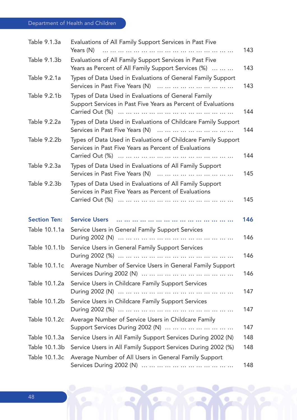# Department of Health and Children

| Table 9.1.3a        | Evaluations of All Family Support Services in Past Five<br>Years (N)                                                   | 143 |
|---------------------|------------------------------------------------------------------------------------------------------------------------|-----|
| Table 9.1.3b        | Evaluations of All Family Support Services in Past Five<br>Years as Percent of All Family Support Services (%)         | 143 |
| Table 9.2.1a        | Types of Data Used in Evaluations of General Family Support                                                            | 143 |
| Table 9.2.1b        | Types of Data Used in Evaluations of General Family<br>Support Services in Past Five Years as Percent of Evaluations   | 144 |
| Table 9.2.2a        | Types of Data Used in Evaluations of Childcare Family Support                                                          | 144 |
| Table 9.2.2b        | Types of Data Used in Evaluations of Childcare Family Support<br>Services in Past Five Years as Percent of Evaluations | 144 |
| Table 9.2.3a        | Types of Data Used in Evaluations of All Family Support                                                                | 145 |
| Table 9.2.3b        | Types of Data Used in Evaluations of All Family Support<br>Services in Past Five Years as Percent of Evaluations       | 145 |
| <b>Section Ten:</b> | <b>Service Users</b>                                                                                                   | 146 |
| Table 10.1.1a       | Service Users in General Family Support Services                                                                       | 146 |
| Table 10.1.1b       | Service Users in General Family Support Services                                                                       | 146 |
| Table 10.1.1c       | Average Number of Service Users in General Family Support                                                              | 146 |
| Table 10.1.2a       | Service Users in Childcare Family Support Services                                                                     | 147 |
| Table 10.1.2b       | Service Users in Childcare Family Support Services                                                                     | 147 |
| Table 10.1.2c       | Average Number of Service Users in Childcare Family<br>Support Services During 2002 (N)                                | 147 |
| Table 10.1.3a       | Service Users in All Family Support Services During 2002 (N)                                                           | 148 |
| Table 10.1.3b       | Service Users in All Family Support Services During 2002 (%)                                                           | 148 |
| Table 10.1.3c       | Average Number of All Users in General Family Support                                                                  | 148 |

 $\bullet$ 

۰

 $\bullet$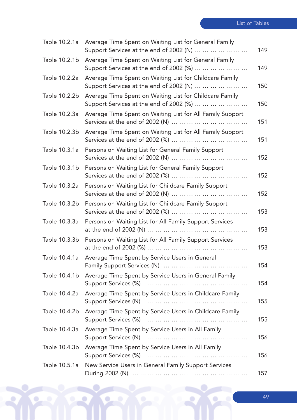| Table 10.2.1a | Average Time Spent on Waiting List for General Family<br>Support Services at the end of 2002 (N)   | 149 |
|---------------|----------------------------------------------------------------------------------------------------|-----|
| Table 10.2.1b | Average Time Spent on Waiting List for General Family<br>Support Services at the end of 2002 (%)   | 149 |
| Table 10.2.2a | Average Time Spent on Waiting List for Childcare Family<br>Support Services at the end of 2002 (N) | 150 |
| Table 10.2.2b | Average Time Spent on Waiting List for Childcare Family<br>Support Services at the end of 2002 (%) | 150 |
| Table 10.2.3a | Average Time Spent on Waiting List for All Family Support                                          | 151 |
| Table 10.2.3b | Average Time Spent on Waiting List for All Family Support                                          | 151 |
| Table 10.3.1a | Persons on Waiting List for General Family Support                                                 | 152 |
| Table 10.3.1b | Persons on Waiting List for General Family Support                                                 | 152 |
| Table 10.3.2a | Persons on Waiting List for Childcare Family Support                                               | 152 |
| Table 10.3.2b | Persons on Waiting List for Childcare Family Support                                               | 153 |
| Table 10.3.3a | Persons on Waiting List for All Family Support Services                                            | 153 |
| Table 10.3.3b | Persons on Waiting List for All Family Support Services                                            | 153 |
| Table 10.4.1a | Average Time Spent by Service Users in General                                                     | 154 |
| Table 10.4.1b | Average Time Spent by Service Users in General Family                                              | 154 |
| Table 10.4.2a | Average Time Spent by Service Users in Childcare Family                                            | 155 |
| Table 10.4.2b | Average Time Spent by Service Users in Childcare Family                                            | 155 |
| Table 10.4.3a | Average Time Spent by Service Users in All Family                                                  | 156 |
| Table 10.4.3b | Average Time Spent by Service Users in All Family                                                  | 156 |
| Table 10.5.1a | New Service Users in General Family Support Services                                               | 157 |

Q

 $\bullet$ 

٥

 $\mathbf{R}$ 

ÿ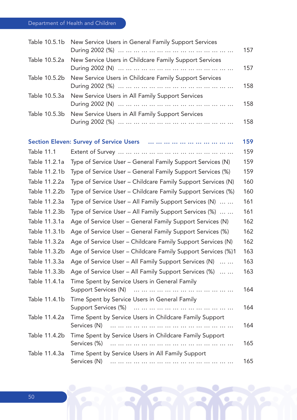# Department of Health and Children

| Table 10.5.1b     | New Service Users in General Family Support Services       | 157                        |
|-------------------|------------------------------------------------------------|----------------------------|
| Table 10.5.2a     | New Service Users in Childcare Family Support Services     | 157                        |
| Table 10.5.2b     | New Service Users in Childcare Family Support Services     | 158                        |
| Table 10.5.3a     | New Service Users in All Family Support Services           | 158                        |
| Table 10.5.3b     | New Service Users in All Family Support Services           | 158                        |
|                   |                                                            | 159                        |
| <b>Table 11.1</b> |                                                            | 159                        |
| Table 11.2.1a     | Type of Service User – General Family Support Services (N) | 159                        |
| Table 11.2.1b     | Type of Service User - General Family Support Services (%) | 159                        |
| — II <i>AA</i> OO |                                                            | $\lambda$ $\lambda$ $\sim$ |

| Table 11.2.2a | Type of Service User – Childcare Family Support Services (N)                | 160 |
|---------------|-----------------------------------------------------------------------------|-----|
| Table 11.2.2b | Type of Service User - Childcare Family Support Services (%)                | 160 |
| Table 11.2.3a | Type of Service User - All Family Support Services (N)                      | 161 |
| Table 11.2.3b | Type of Service User - All Family Support Services (%)                      | 161 |
| Table 11.3.1a | Age of Service User - General Family Support Services (N)                   | 162 |
| Table 11.3.1b | Age of Service User - General Family Support Services (%)                   | 162 |
| Table 11.3.2a | Age of Service User – Childcare Family Support Services (N)                 | 162 |
| Table 11.3.2b | Age of Service User – Childcare Family Support Services (%)1                | 163 |
| Table 11.3.3a | Age of Service User - All Family Support Services (N)                       | 163 |
| Table 11.3.3b | Age of Service User - All Family Support Services (%)                       | 163 |
| Table 11.4.1a | Time Spent by Service Users in General Family<br>Support Services (N)<br>.  | 164 |
| Table 11.4.1b | Time Spent by Service Users in General Family                               | 164 |
| Table 11.4.2a | Time Spent by Service Users in Childcare Family Support<br><br>Services (N) | 164 |
| Table 11.4.2b | Time Spent by Service Users in Childcare Family Support<br>Services (%)     | 165 |
| Table 11.4.3a | Time Spent by Service Users in All Family Support<br>Services (N)<br>       | 165 |

 $\bullet$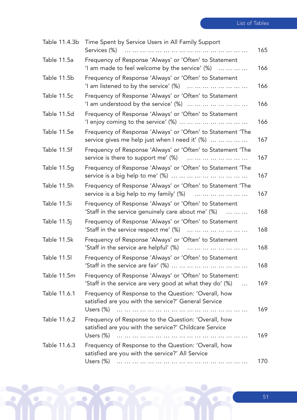| Table 11.4.3b | Time Spent by Service Users in All Family Support<br>Services (%)<br>                                                             | 165 |
|---------------|-----------------------------------------------------------------------------------------------------------------------------------|-----|
| Table 11.5a   | Frequency of Response 'Always' or 'Often' to Statement<br>'I am made to feel welcome by the service' $(\%)$                       | 166 |
| Table 11.5b   | Frequency of Response 'Always' or 'Often' to Statement<br>'I am listened to by the service' $(\%)$                                | 166 |
| Table 11.5c   | Frequency of Response 'Always' or 'Often' to Statement<br>'I am understood by the service' $(\%)$                                 | 166 |
| Table 11.5d   | Frequency of Response 'Always' or 'Often' to Statement<br>'I enjoy coming to the service' $\%$ )                                  | 166 |
| Table 11.5e   | Frequency of Response 'Always' or 'Often' to Statement 'The<br>service gives me help just when I need it' (%)                     | 167 |
| Table 11.5f   | Frequency of Response 'Always' or 'Often' to Statement 'The<br>service is there to support me' (%)                                | 167 |
| Table 11.5g   | Frequency of Response 'Always' or 'Often' to Statement 'The                                                                       | 167 |
| Table 11.5h   | Frequency of Response 'Always' or 'Often' to Statement 'The<br>service is a big help to my family' (%)                            | 167 |
| Table 11.5i   | Frequency of Response 'Always' or 'Often' to Statement<br>'Staff in the service genuinely care about me' (%)<br>.                 | 168 |
| Table 11.5j   | Frequency of Response 'Always' or 'Often' to Statement<br>'Staff in the service respect me' $(\%)$                                | 168 |
| Table 11.5k   | Frequency of Response 'Always' or 'Often' to Statement<br>'Staff in the service are helpful' $(\%)$                               | 168 |
| Table 11.5I   | Frequency of Response 'Always' or 'Often' to Statement                                                                            | 168 |
| Table 11.5m   | Frequency of Response 'Always' or 'Often' to Statement:<br>'Staff in the service are very good at what they do' (%)<br>$\dddotsc$ | 169 |
| Table 11.6.1  | Frequency of Response to the Question: 'Overall, how<br>satisfied are you with the service?' General Service                      |     |
|               |                                                                                                                                   | 169 |
| Table 11.6.2  | Frequency of Response to the Question: 'Overall, how<br>satisfied are you with the service?' Childcare Service<br>Users (%)       | 169 |
| Table 11.6.3  | Frequency of Response to the Question: 'Overall, how<br>satisfied are you with the service?' All Service                          |     |
|               | Users (%)<br>.                                                                                                                    | 170 |

Q

٥

 $\bullet$ 

 $\mathbf{R}$ 

۶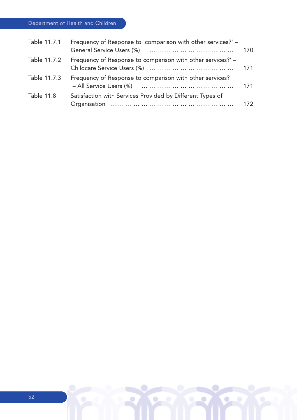Department of Health and Children

| Table 11.7.1      | Frequency of Response to 'comparison with other services?' – | 170 |
|-------------------|--------------------------------------------------------------|-----|
| Table 11.7.2      | Frequency of Response to comparison with other services?' -  | 171 |
| Table 11.7.3      | Frequency of Response to comparison with other services?     | 171 |
| <b>Table 11.8</b> | Satisfaction with Services Provided by Different Types of    | 172 |

 $\bullet$ 

۰

 $\bullet$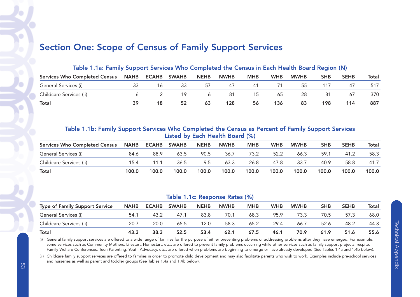# Section One: Scope of Census of Family Support Services

| Table 1.1a: Family Support Services Who Completed the Census in Each Health Board Region (N) |  |    |                    |              |             |            |            |             |            |             |       |  |  |
|----------------------------------------------------------------------------------------------|--|----|--------------------|--------------|-------------|------------|------------|-------------|------------|-------------|-------|--|--|
| Services Who Completed Census NAHB                                                           |  |    | <b>ECAHB SWAHB</b> | <b>NEHB</b>  | <b>NWHB</b> | <b>MHB</b> | <b>WHB</b> | <b>MWHB</b> | <b>SHB</b> | <b>SEHB</b> | Total |  |  |
| General Services (i)                                                                         |  | 16 | -33                | 57           | 47          | 41         |            | 55.         |            | 47          | 517   |  |  |
| Childcare Services (ii)                                                                      |  |    | 19                 | <sup>6</sup> | -81         | 15         | 65         | -28         | 81         | 67          | 370   |  |  |
| <b>Total</b>                                                                                 |  | 18 | 52                 | 63           | 128         | 56         | 136        | 83          | 198        | 114         | 887   |  |  |

#### Table 1.1b: Family Support Services Who Completed the Census as Percent of Family Support Services Listed by Each Health Board (%)

| <b>Services Who Completed Census</b> | <b>NAHB</b> | <b>ECAHB</b> | <b>SWAHB</b> | <b>NEHB</b> | <b>NWHB</b> | <b>MHB</b> | <b>WHB</b> | <b>MWHB</b> | <b>SHB</b> | <b>SEHB</b> | Total |
|--------------------------------------|-------------|--------------|--------------|-------------|-------------|------------|------------|-------------|------------|-------------|-------|
| General Services (i)                 | 84.6        | 88.9         | 63.5         | 90.5        | 36.7        | 73.2       | 52.2       | 66.3        | 59.1       | 41.2        | 58.3  |
| Childcare Services (ii)              | 15.4        | 11.1         | 36.5         | 9.5         | 63.3        | 26.8       | 47.8       | 33.7        | 40.9       | 58.8        | 41.7  |
| Total                                | 100.0       | 100.0        | 100.0        | 100.0       | 100.0       | 100.0      | 100.0      | 100.0       | 100.0      | 100.0       | 100.0 |

#### Table 1.1c: Response Rates (%)

| <b>Type of Family Support Service</b> | <b>NAHB</b> | <b>ECAHB</b> | <b>SWAHB</b> | <b>NEHB</b> | <b>NWHB</b> | <b>MHB</b> | <b>WHB</b> | <b>MWHB</b> | <b>SHB</b> | <b>SEHB</b> | <b>Total</b> |
|---------------------------------------|-------------|--------------|--------------|-------------|-------------|------------|------------|-------------|------------|-------------|--------------|
| General Services (i)                  | 54.7        | 43.2         | 47.1         | 83.8        | 70.1        | 68.3       | 95.9       | 73.3        | 70.5       | 57.3        | 68.0         |
| Childcare Services (ii)               | 20.7        | 20.0         | 65.5         | 12.0        | 58.3        | 65.2       | 29.4       | 66.7        | 52.6       | 48.2        | 44.3         |
| Total                                 | 43.3        | 38.3         | 52.5         | 53.4        | 62.1        | 67.5       | 46.1       | 70.9        | 61.9       | 51.6        | 55.6         |

(i) General family support services are offered to a wide range of families for the purpose of either preventing problems or addressing problems after they have emerged. For example, some services such as Community Mothers, Lifestart, Homestart, etc., are offered to prevent family problems occurring while other services such as family support projects, respite, Family Welfare Conferences, Teen Parenting, Youth Advocacy, etc., are offered when problems are beginning to emerge or have already developed (See Tables 1.4a and 1.4b below).

(ii) Childcare family support services are offered to families in order to promote child development and may also facilitate parents who wish to work. Examples include pre-school services and nurseries as well as parent and toddler groups (See Tables 1.4a and 1.4b below).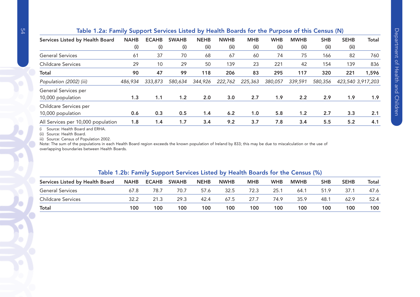### Table 1.2a: Family Support Services Listed by Health Boards for the Purpose of this Census (N)

| Services Listed by Health Board    | <b>NAHB</b> | <b>ECAHB</b> | <b>SWAHB</b> | <b>NEHB</b> | <b>NWHB</b> | <b>MHB</b> | <b>WHB</b> | <b>MWHB</b> | <b>SHB</b> | <b>SEHB</b> | <b>Total</b>      |
|------------------------------------|-------------|--------------|--------------|-------------|-------------|------------|------------|-------------|------------|-------------|-------------------|
|                                    | (i)         | (i)          | (i)          | (ii)        | (ii)        | (iii)      | (ii)       | (ii)        | (iii)      | (iii)       |                   |
| <b>General Services</b>            | 61          | 37           | 70           | 68          | 67          | 60         | 74         | 75          | 166        | 82          | 760               |
| <b>Childcare Services</b>          | 29          | 10           | 29           | 50          | 139         | 23         | 221        | 42          | 154        | 139         | 836               |
| <b>Total</b>                       | 90          | 47           | 99           | 118         | 206         | 83         | 295        | 117         | 320        | 221         | 1,596             |
| Population (2002) (iii)            | 486,934     | 333,873      | 580,634      | 344,926     | 222,762     | 225,363    | 380,057    | 339,591     | 580,356    |             | 423,540 3,917,203 |
| General Services per               |             |              |              |             |             |            |            |             |            |             |                   |
| 10,000 population                  | 1.3         | 1.1          | 1.2          | 2.0         | 3.0         | 2.7        | 1.9        | 2.2         | 2.9        | 1.9         | 1.9 <sup>°</sup>  |
| Childcare Services per             |             |              |              |             |             |            |            |             |            |             |                   |
| 10,000 population                  | 0.6         | 0.3          | 0.5          | 1.4         | 6.2         | 1.0        | 5.8        | 1.2         | 2.7        | 3.3         | 2.1               |
| All Services per 10,000 population | 1.8         | 1.4          | 1.7          | 3.4         | 9.2         | 3.7        | 7.8        | 3.4         | 5.5        | 5.2         | 4.1               |

(i Source: Health Board and ERHA.

(ii) Source: Health Board.

iii) Source: Census of Population 2002.

Note: The sum of the populations in each Health Board region exceeds the known population of Ireland by 833; this may be due to miscalculation or the use of overlapping boundaries between Health Boards.

#### Table 1.2b: Family Support Services Listed by Health Boards for the Census (%)

| Services Listed by Health Board | <b>NAHB</b> | <b>ECAHB</b> | <b>SWAHB</b> | <b>NEHB</b> | <b>NWHB</b> | <b>MHB</b> | <b>WHB</b> | <b>MWHB</b> | SHB  | <b>SEHB</b> | Total |
|---------------------------------|-------------|--------------|--------------|-------------|-------------|------------|------------|-------------|------|-------------|-------|
| <b>General Services</b>         | 67.8        | 78.7         | 70.7         | 57.6        | 32.5        | 72.3       | 25.1       | 64.1        | 51.9 | 37.1        | 47.6  |
| <b>Childcare Services</b>       | 32.2        | 21.3         | 29.3         | 42.4        | 67.5        | 27.7       | 74.9       | 35.9        | 48.1 | 62.9        | 52.4  |
| <b>Total</b>                    | 100         | 100          | 100          | 100         | 100         | 100        | 100        | 100         | 100  | 100         | 100   |

 $\mathcal{L}$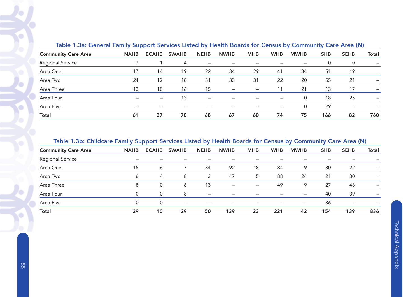| Table 1.3a: General Family Support Services Listed by Health Boards for Census by Community Care Area (iv) |                          |                              |              |                          |                          |                          |            |             |            |             |       |
|------------------------------------------------------------------------------------------------------------|--------------------------|------------------------------|--------------|--------------------------|--------------------------|--------------------------|------------|-------------|------------|-------------|-------|
| <b>Community Care Area</b>                                                                                 | <b>NAHB</b>              | <b>ECAHB</b>                 | <b>SWAHB</b> | <b>NEHB</b>              | <b>NWHB</b>              | <b>MHB</b>               | <b>WHB</b> | <b>MWHB</b> | <b>SHB</b> | <b>SEHB</b> | Total |
| <b>Regional Service</b>                                                                                    |                          |                              | 4            |                          |                          |                          |            |             | 0          | 0           |       |
| Area One                                                                                                   | 17                       | 14                           | 19           | 22                       | 34                       | 29                       | 41         | 34          | 51         | 19          |       |
| Area Two                                                                                                   | 24                       | 12                           | 18           | 31                       | 33                       | 31                       | 22         | 20          | 55         | 21          |       |
| Area Three                                                                                                 | 13                       | 10                           | 16           | 15                       | $\overline{\phantom{m}}$ | $\overline{\phantom{m}}$ |            | 21          | 13         | 17          | -     |
| Area Four                                                                                                  | $\overline{\phantom{m}}$ | $\qquad \qquad \blacksquare$ | 13           | $\overline{\phantom{0}}$ |                          |                          |            | 0           | 18         | 25          |       |
| Area Five                                                                                                  | $\overline{\phantom{0}}$ |                              |              |                          |                          |                          |            | 0           | 29         |             |       |
| <b>Total</b>                                                                                               | 61                       | 37                           | 70           | 68                       | 67                       | 60                       | 74         | 75          | 166        | 82          | 760   |

## Table 1.3a: General Family Support Services Listed by Health Boards for Census by Community Care Area (N)

#### Table 1.3b: Childcare Family Support Services Listed by Health Boards for Census by Community Care Area (N)

|                            | -            | .            | -                        |             |             |            |            |                          |            |                          |                          |
|----------------------------|--------------|--------------|--------------------------|-------------|-------------|------------|------------|--------------------------|------------|--------------------------|--------------------------|
| <b>Community Care Area</b> | <b>NAHB</b>  | <b>ECAHB</b> | <b>SWAHB</b>             | <b>NEHB</b> | <b>NWHB</b> | <b>MHB</b> | <b>WHB</b> | <b>MWHB</b>              | <b>SHB</b> | <b>SEHB</b>              | <b>Total</b>             |
| <b>Regional Service</b>    |              |              |                          |             |             |            |            |                          |            |                          |                          |
| Area One                   | 15           | 6            |                          | 34          | 92          | 18         | 84         | 9                        | 30         | 22                       | $\overline{\phantom{0}}$ |
| Area Two                   | 6            | 4            | 8                        | 3           | 47          | 5          | 88         | 24                       | 21         | 30                       | -                        |
| Area Three                 | 8            | 0            | 6                        | 13          |             |            | 49         | 9                        | 27         | 48                       | $\overline{\phantom{0}}$ |
| Area Four                  | $\mathbf{0}$ | 0            | 8                        |             |             |            |            | $\overline{\phantom{m}}$ | 40         | 39                       | -                        |
| Area Five                  |              | 0            | $\overline{\phantom{0}}$ | -           |             |            |            | $\qquad \qquad$          | 36         | $\overline{\phantom{0}}$ | -                        |
| Total                      | 29           | 10           | 29                       | 50          | 139         | 23         | 221        | 42                       | 154        | 139                      | 836                      |
|                            |              |              |                          |             |             |            |            |                          |            |                          |                          |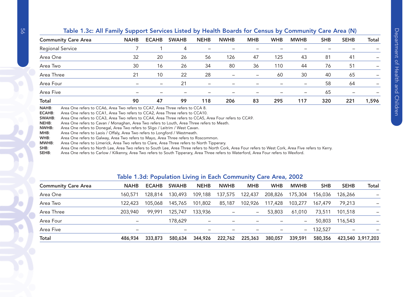| <b>Community Care Area</b> | <b>NAHB</b> | <b>ECAHB</b>             | <b>SWAHB</b> | <b>NEHB</b> | <b>NWHB</b> | <b>MHB</b> | <b>WHB</b> | <b>MWHB</b>              | <b>SHB</b> | <b>SEHB</b> | Total |
|----------------------------|-------------|--------------------------|--------------|-------------|-------------|------------|------------|--------------------------|------------|-------------|-------|
| <b>Regional Service</b>    |             |                          | 4            |             |             |            |            |                          |            |             |       |
| Area One                   | 32          | 20                       | 26           | 56          | 126         | 47         | 125        | 43                       | 81         | 41          |       |
| Area Two                   | 30          | 16                       | 26           | 34          | 80          | 36         | 110        | 44                       | 76         | 51          |       |
| Area Three                 | 21          | 10                       | 22           | 28          |             |            | 60         | 30                       | 40         | 65          |       |
| Area Four                  |             | $\overline{\phantom{m}}$ | 21           |             |             |            |            | $\overline{\phantom{0}}$ | 58         | 64          |       |
| Area Five                  |             |                          |              |             |             |            |            | $\overline{\phantom{0}}$ | 65         |             |       |
| <b>Total</b>               | 90          | 47                       | 99           | 118         | 206         | 83         | 295        | 117                      | 320        | 221         | 1,596 |

#### Table 1.3c: All Family Support Services Listed by Health Boards for Census by Community Care Area (N)

ECAHB: Area One refers to CCA1, Area Two refers to CCA2, Area Three refers to CCA10.

SWAHB: Area One refers to CCA3, Area Two refers to CCA4, Area Three refers to CCA5, Area Four refers to CCA9.

NEHB: Area One refers to Cavan / Monaghan, Area Two refers to Louth, Area Three refers to Meath.

NWHB:Area One refers to Donegal, Area Two refers to Sligo / Leitrim / West Cavan.

MHB: Area One refers to Laois / Offaly, Area Two refers to Longford / Westmeath.

WHB: Area One refers to Galway, Area Two refers to Mayo, Area Three refers to Roscommon.

MWHB: Area One refers to Limerick, Area Two refers to Clare, Area Three refers to North Tipperary.

SHB: Area One refers to North Lee, Area Two refers to South Lee, Area Three refers to North Cork, Area Four refers to West Cork, Area Five refers to Kerry.

SEHB: Area One refers to Carlow / Kilkenny, Area Two refers to South Tipperary, Area Three refers to Waterford, Area Four refers to Wexford.

#### Table 1.3d: Population Living in Each Community Care Area, 2002

| <b>Community Care Area</b> | <b>NAHB</b>     | <b>ECAHB</b> | <b>SWAHB</b> | <b>NEHB</b>       | <b>NWHB</b>     | <b>MHB</b>        | <b>WHB</b> | <b>MWHB</b>              | <b>SHB</b> | <b>SEHB</b>              | <b>Total</b>      |
|----------------------------|-----------------|--------------|--------------|-------------------|-----------------|-------------------|------------|--------------------------|------------|--------------------------|-------------------|
| Area One                   | 160,571         | 128.814      | 130,493      | 109,188           | 137,575         | 122,437           | 208,826    | 175,304                  | 156.036    | 126,266                  |                   |
| Area Two                   | 122,423         | 105,068      | 145,765      | 101,802           | 85,187          | 102,926           | 117,428    | 103,277                  | 167.479    | 79,213                   |                   |
| Area Three                 | 203,940         | 99,991       | 125,747      | 133,936           |                 | $\qquad \qquad -$ | 53,803     | 61,010                   | 73,511     | 101,518                  |                   |
| Area Four                  | $\qquad \qquad$ |              | 178,629      | $\qquad \qquad -$ |                 |                   |            | $\qquad \qquad -$        | 50,803     | 116,543                  |                   |
| Area Five                  |                 |              |              |                   | $\qquad \qquad$ |                   |            | $\overline{\phantom{0}}$ | 132,527    | $\overline{\phantom{0}}$ |                   |
| Total                      | 486,934         | 333,873      | 580,634      | 344,926           | 222,762         | 225,363           | 380,057    | 339,591                  | 580,356    |                          | 423,540 3,917,203 |
|                            |                 |              |              |                   |                 |                   |            |                          |            |                          |                   |

 $\mathcal{S}$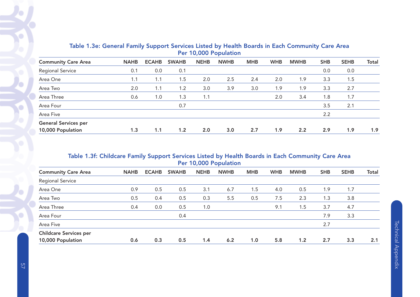| <b>Community Care Area</b>  | <b>NAHB</b> | <b>ECAHB</b> | <b>SWAHB</b> | <b>NEHB</b> | <b>NWHB</b> | <b>MHB</b> | <b>WHB</b> | <b>MWHB</b> | <b>SHB</b> | <b>SEHB</b> | <b>Total</b> |
|-----------------------------|-------------|--------------|--------------|-------------|-------------|------------|------------|-------------|------------|-------------|--------------|
| <b>Regional Service</b>     | 0.1         | 0.0          | 0.1          |             |             |            |            |             | 0.0        | 0.0         |              |
| Area One                    | 1.1         | 1.1          | 1.5          | 2.0         | 2.5         | 2.4        | 2.0        | 1.9         | 3.3        | 1.5         |              |
| Area Two                    | 2.0         | 1.1          | 1.2          | 3.0         | 3.9         | 3.0        | 1.9        | 1.9         | 3.3        | 2.7         |              |
| Area Three                  | 0.6         | 1.0          | 1.3          | 1.1         |             |            | 2.0        | 3.4         | 1.8        | 1.7         |              |
| Area Four                   |             |              | 0.7          |             |             |            |            |             | 3.5        | 2.1         |              |
| Area Five                   |             |              |              |             |             |            |            |             | 2.2        |             |              |
| <b>General Services per</b> |             |              |              |             |             |            |            |             |            |             |              |
| 10,000 Population           | 1.3         | 1.1          | 1.2          | 2.0         | 3.0         | 2.7        | 1.9        | 2.2         | 2.9        | 1.9         | 1.9          |

## Table 1.3e: General Family Support Services Listed by Health Boards in Each Community Care Area Per 10,000 Population

# Table 1.3f: Childcare Family Support Services Listed by Health Boards in Each Community Care Area Per 10,000 Population

| <b>Community Care Area</b>    | <b>NAHB</b> | <b>ECAHB</b> | <b>SWAHB</b> | <b>NEHB</b> | <b>NWHB</b> | <b>MHB</b> | <b>WHB</b> | <b>MWHB</b> | <b>SHB</b> | <b>SEHB</b> | <b>Total</b> |
|-------------------------------|-------------|--------------|--------------|-------------|-------------|------------|------------|-------------|------------|-------------|--------------|
| Regional Service              |             |              |              |             |             |            |            |             |            |             |              |
| Area One                      | 0.9         | 0.5          | 0.5          | 3.1         | 6.7         | 1.5        | 4.0        | 0.5         | 1.9        | 1.7         |              |
| Area Two                      | 0.5         | 0.4          | 0.5          | 0.3         | 5.5         | 0.5        | 7.5        | 2.3         | 1.3        | 3.8         |              |
| Area Three                    | 0.4         | 0.0          | 0.5          | 1.0         |             |            | 9.1        | 1.5         | 3.7        | 4.7         |              |
| Area Four                     |             |              | 0.4          |             |             |            |            |             | 7.9        | 3.3         |              |
| Area Five                     |             |              |              |             |             |            |            |             | 2.7        |             |              |
| <b>Childcare Services per</b> |             |              |              |             |             |            |            |             |            |             |              |
| 10,000 Population             | 0.6         | 0.3          | 0.5          | 1.4         | 6.2         | 1.0        | 5.8        | 1.2         | 2.7        | 3.3         | 2.1          |

 $\blacklozenge$ 

 $\mathcal{L}$ 

G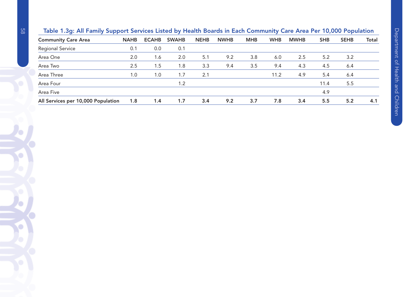| -<br>-<br>. .                      |             |              | -            |             |             |            | -          |             |            |             |       |
|------------------------------------|-------------|--------------|--------------|-------------|-------------|------------|------------|-------------|------------|-------------|-------|
| <b>Community Care Area</b>         | <b>NAHB</b> | <b>ECAHB</b> | <b>SWAHB</b> | <b>NEHB</b> | <b>NWHB</b> | <b>MHB</b> | <b>WHB</b> | <b>MWHB</b> | <b>SHB</b> | <b>SEHB</b> | Total |
| <b>Regional Service</b>            | 0.1         | 0.0          | 0.1          |             |             |            |            |             |            |             |       |
| Area One                           | 2.0         | 1.6          | 2.0          | 5.1         | 9.2         | 3.8        | 6.0        | 2.5         | 5.2        | 3.2         |       |
| Area Two                           | 2.5         | 1.5          | 1.8          | 3.3         | 9.4         | 3.5        | 9.4        | 4.3         | 4.5        | 6.4         |       |
| Area Three                         | 1.0         | 1.0          | 1.7          | 2.1         |             |            | 11.2       | 4.9         | 5.4        | 6.4         |       |
| Area Four                          |             |              | 1.2          |             |             |            |            |             | 11.4       | 5.5         |       |
| Area Five                          |             |              |              |             |             |            |            |             | 4.9        |             |       |
| All Services per 10,000 Population | 1.8         | 1.4          | 1.7          | 3.4         | 9.2         | 3.7        | 7.8        | 3.4         | 5.5        | 5.2         | 4.1   |

# Table 1.3g: All Family Support Services Listed by Health Boards in Each Community Care Area Per 10,000 Population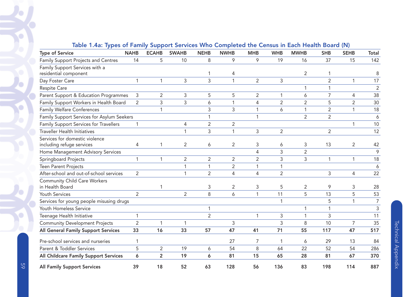| <b>Type of Service</b>                     | <b>NAHB</b>    | <b>ECAHB</b>   | <b>SWAHB</b>   | <b>NEHB</b>    | <b>NWHB</b>    | <b>MHB</b>     | <b>WHB</b>     | <b>MWHB</b>    | <b>SHB</b>     | <b>SEHB</b>    | Total          |
|--------------------------------------------|----------------|----------------|----------------|----------------|----------------|----------------|----------------|----------------|----------------|----------------|----------------|
| Family Support Projects and Centres        | 14             | 5              | 10             | 8              | 9              | 9              | 19             | 16             | 37             | 15             | 142            |
| Family Support Services with a             |                |                |                |                |                |                |                |                |                |                |                |
| residential component                      |                |                |                |                | 4              |                |                | $\overline{2}$ |                |                | 8              |
| Day Foster Care                            | 1              | $\mathbf{1}$   | 3              | 3              | $\mathbf{1}$   | $\overline{2}$ | 3              |                | $\overline{2}$ | 1              | 17             |
| Respite Care                               |                |                |                |                |                |                |                | $\mathbf{1}$   | 1              |                | $\overline{2}$ |
| Parent Support & Education Programmes      | 3              | $\overline{2}$ | $\mathsf{3}$   | 5              | 5              | $\overline{2}$ | 1              | 6              | $\overline{7}$ | 4              | 38             |
| Family Support Workers in Health Board     | $\overline{2}$ | $\overline{3}$ | 3              | 6              | $\mathbf{1}$   | 4              | $\overline{2}$ | $\overline{2}$ | 5              | $\overline{2}$ | 30             |
| <b>Family Welfare Conferences</b>          |                | $\mathbf{1}$   |                | 3              | 3              | 1              | 6              | $\mathbf{1}$   | $\overline{2}$ | $\mathbf{1}$   | 18             |
| Family Support Services for Asylum Seekers |                |                |                |                |                | 1              |                | $\overline{2}$ | $\overline{2}$ |                | 6              |
| Family Support Services for Travellers     |                |                | $\overline{4}$ | $\overline{2}$ | $\overline{2}$ |                |                |                |                | $\mathbf{1}$   | 10             |
| <b>Traveller Health Initiatives</b>        |                |                | $\mathbf{1}$   | 3              | $\mathbf{1}$   | 3              | $\overline{2}$ |                | $\overline{2}$ |                | 12             |
| Services for domestic violence             |                |                |                |                |                |                |                |                |                |                |                |
| including refuge services                  | 4              | 1              | $\overline{2}$ | 6              | $\overline{2}$ | 3              | 6              | 3              | 13             | $\overline{2}$ | 42             |
| Home Management Advisory Services          |                |                |                |                |                | 4              | 3              | $\overline{2}$ |                |                | 9              |
| Springboard Projects                       | 1              | $\mathbf{1}$   | $\overline{2}$ | $\overline{2}$ | 2              | $\overline{2}$ | 3              | 3              | $\mathbf{1}$   | $\mathbf{1}$   | 18             |
| <b>Teen Parent Projects</b>                |                |                | $\mathbf{1}$   |                | $\overline{2}$ | 1              | 1              |                |                |                | 6              |
| After-school and out-of-school services    | $\overline{2}$ |                | $\mathbf{1}$   | $\overline{2}$ | 4              | 4              | $\overline{2}$ |                | 3              | 4              | 22             |
| <b>Community Child Care Workers</b>        |                |                |                |                |                |                |                |                |                |                |                |
| in Health Board                            |                |                |                | 3              | $\overline{2}$ | 3              | 5              | $\overline{2}$ | 9              | 3              | 28             |
| Youth Services                             | $\overline{2}$ |                | $\overline{2}$ | 8              | 6              | 1              | 11             | 5              | 13             | 5              | 53             |
| Services for young people misusing drugs   |                |                |                |                |                |                | 1              |                | 5              | $\mathbf{1}$   | $\overline{7}$ |
| Youth Homeless Service                     |                |                |                |                |                |                |                | 1              | $\mathbf 1$    |                | 3              |
| Teenage Health Initiative                  | 1              |                |                | $\overline{2}$ |                | $\mathbf{1}$   | 3              | $\mathbf{1}$   | 3              |                | 11             |
| <b>Community Development Projects</b>      | $\overline{2}$ | 1              | 1              |                | 3              |                | 3              | 8              | 10             | 7              | 35             |
| All General Family Support Services        | 33             | 16             | 33             | 57             | 47             | 41             | 71             | 55             | 117            | 47             | 517            |
| Pre-school services and nurseries          |                |                |                |                | 27             |                | 1              | 6              | 29             | 13             | 84             |
| Parent & Toddler Services                  | 5              | $\overline{2}$ | 19             | 6              | 54             | 8              | 64             | 22             | 52             | 54             | 286            |
| All Childcare Family Support Services      | 6              | $\overline{2}$ | 19             | 6              | 81             | 15             | 65             | 28             | 81             | 67             | 370            |
| <b>All Family Support Services</b>         | 39             | 18             | 52             | 63             | 128            | 56             | 136            | 83             | 198            | 114            | 887            |

#### Table 1.4a: Types of Family Support Services Who Completed the Census in Each Health Board (N)

 $\blacklozenge$ 

Ó

O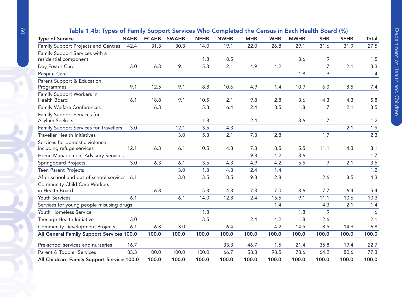| Table 1.4b: Types of Family Support Services Who Completed the Census in Each Health Board (%) |  |  |
|------------------------------------------------------------------------------------------------|--|--|
|                                                                                                |  |  |

| <b>Type of Service</b>                                      | <b>NAHB</b> | <b>ECAHB</b> | $\frac{1}{2}$ . These this completed the constant mean from $\frac{1}{2}$ . The $\frac{1}{2}$<br><b>SWAHB</b> | <b>NEHB</b> | <b>NWHB</b> | <b>MHB</b> | <b>WHB</b> | <b>MWHB</b> | <b>SHB</b> | <b>SEHB</b> | Total |
|-------------------------------------------------------------|-------------|--------------|---------------------------------------------------------------------------------------------------------------|-------------|-------------|------------|------------|-------------|------------|-------------|-------|
| Family Support Projects and Centres                         | 42.4        | 31.3         | 30.3                                                                                                          | 14.0        | 19.1        | 22.0       | 26.8       | 29.1        | 31.6       | 31.9        | 27.5  |
| Family Support Services with a<br>residential component     |             |              |                                                                                                               | 1.8         | 8.5         |            |            | 3.6         | .9         |             | 1.5   |
| Day Foster Care                                             | 3.0         | 6.3          | 9.1                                                                                                           | 5.3         | 2.1         | 4.9        | 4.2        |             | 1.7        | 2.1         | 3.3   |
| <b>Respite Care</b>                                         |             |              |                                                                                                               |             |             |            |            | 1.8         | .9         |             | .4    |
| Parent Support & Education<br>Programmes                    | 9.1         | 12.5         | 9.1                                                                                                           | 8.8         | 10.6        | 4.9        | 1.4        | 10.9        | 6.0        | 8.5         | 7.4   |
| Family Support Workers in<br>Health Board                   | 6.1         | 18.8         | 9.1                                                                                                           | 10.5        | 2.1         | 9.8        | 2.8        | 3.6         | 4.3        | 4.3         | 5.8   |
| Family Welfare Conferences                                  |             | 6.3          |                                                                                                               | 5.3         | 6.4         | 2.4        | 8.5        | 1.8         | 1.7        | 2.1         | 3.5   |
| Family Support Services for<br>Asylum Seekers               |             |              |                                                                                                               | 1.8         |             | 2.4        |            | 3.6         | 1.7        |             | 1.2   |
| Family Support Services for Travellers                      | 3.0         |              | 12.1                                                                                                          | 3.5         | 4.3         |            |            |             |            | 2.1         | 1.9   |
| <b>Traveller Health Initiatives</b>                         |             |              | 3.0                                                                                                           | 5.3         | 2.1         | 7.3        | 2.8        |             | 1.7        |             | 2.3   |
| Services for domestic violence<br>including refuge services | 12.1        | 6.3          | 6.1                                                                                                           | 10.5        | 4.3         | 7.3        | 8.5        | 5.5         | 11.1       | 4.3         | 8.1   |
| Home Management Advisory Services                           |             |              |                                                                                                               |             |             | 9.8        | 4.2        | 3.6         |            |             | 1.7   |
| Springboard Projects                                        | 3.0         | 6.3          | 6.1                                                                                                           | 3.5         | 4.3         | 4.9        | 4.2        | 5.5         | .9         | 2.1         | 3.5   |
| <b>Teen Parent Projects</b>                                 |             |              | 3.0                                                                                                           | 1.8         | 4.3         | 2.4        | 1.4        |             |            |             | 1.2   |
| After-school and out-of-school services 6.1                 |             |              | 3.0                                                                                                           | 3.5         | 8.5         | 9.8        | 2.8        |             | 2.6        | 8.5         | 4.3   |
| <b>Community Child Care Workers</b><br>in Health Board      |             | 6.3          |                                                                                                               | 5.3         | 4.3         | 7.3        | 7.0        | 3.6         | 7.7        | 6.4         | 5.4   |
| Youth Services                                              | 6.1         |              | 6.1                                                                                                           | 14.0        | 12.8        | 2.4        | 15.5       | 9.1         | 11.1       | 10.6        | 10.3  |
| Services for young people misusing drugs                    |             |              |                                                                                                               |             |             |            | 1.4        |             | 4.3        | 2.1         | 1.4   |
| Youth Homeless Service                                      |             |              |                                                                                                               | 1.8         |             |            |            | 1.8         | .9         |             | .6    |
| Teenage Health Initiative                                   | 3.0         |              |                                                                                                               | 3.5         |             | 2.4        | 4.2        | 1.8         | 2.6        |             | 2.1   |
| <b>Community Development Projects</b>                       | 6.1         | 6.3          | 3.0                                                                                                           |             | 6.4         |            | 4.2        | 14.5        | 8.5        | 14.9        | 6.8   |
| All General Family Support Services 100.0                   |             | 100.0        | 100.0                                                                                                         | 100.0       | 100.0       | 100.0      | 100.0      | 100.0       | 100.0      | 100.0       | 100.0 |
| Pre-school services and nurseries                           | 16.7        |              |                                                                                                               |             | 33.3        | 46.7       | 1.5        | 21.4        | 35.8       | 19.4        | 22.7  |
| Parent & Toddler Services                                   | 83.3        | 100.0        | 100.0                                                                                                         | 100.0       | 66.7        | 53.3       | 98.5       | 78.6        | 64.2       | 80.6        | 77.3  |
| All Childcare Family Support Services100.0                  |             | 100.0        | 100.0                                                                                                         | 100.0       | 100.0       | 100.0      | 100.0      | 100.0       | 100.0      | 100.0       | 100.0 |

 $\bullet$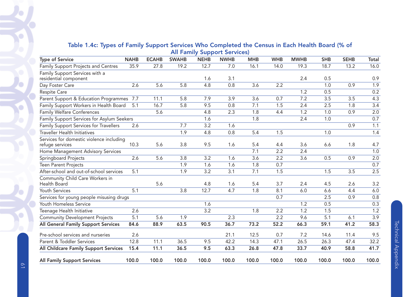|  |  |  | Table 1.4c: Types of Family Support Services Who Completed the Census in Each Health Board (% of |  |  |  |
|--|--|--|--------------------------------------------------------------------------------------------------|--|--|--|
|  |  |  | <b>All Family Support Services)</b>                                                              |  |  |  |

|                                                             |             |              |              | . .              |             |            |            |             |            |             |                  |
|-------------------------------------------------------------|-------------|--------------|--------------|------------------|-------------|------------|------------|-------------|------------|-------------|------------------|
| <b>Type of Service</b>                                      | <b>NAHB</b> | <b>ECAHB</b> | <b>SWAHB</b> | <b>NEHB</b>      | <b>NWHB</b> | <b>MHB</b> | <b>WHB</b> | <b>MWHB</b> | <b>SHB</b> | <b>SEHB</b> | Total            |
| Family Support Projects and Centres                         | 35.9        | 27.8         | 19.2         | 12.7             | 7.0         | 16.1       | 14.0       | 19.3        | 18.7       | 13.2        | 16.0             |
| Family Support Services with a<br>residential component     |             |              |              | 1.6              | 3.1         |            |            | 2.4         | 0.5        |             | 0.9              |
| Day Foster Care                                             | 2.6         | 5.6          | 5.8          | 4.8              | 0.8         | 3.6        | 2.2        |             | 1.0        | 0.9         | 1.9              |
| Respite Care                                                |             |              |              |                  |             |            |            | 1.2         | 0.5        |             | 0.2              |
| Parent Support & Education Programmes 7.7                   |             | 11.1         | 5.8          | 7.9              | 3.9         | 3.6        | 0.7        | 7.2         | 3.5        | 3.5         | 4.3              |
| Family Support Workers in Health Board                      | 5.1         | 16.7         | 5.8          | 9.5              | 0.8         | 7.1        | 1.5        | 2.4         | 2.5        | 1.8         | $\overline{3.4}$ |
| <b>Family Welfare Conferences</b>                           |             | 5.6          |              | 4.8              | 2.3         | 1.8        | 4.4        | 1.2         | 1.0        | 0.9         | $\overline{2.0}$ |
| Family Support Services for Asylum Seekers                  |             |              |              | 1.6              |             | 1.8        |            | 2.4         | 1.0        |             | 0.7              |
| Family Support Services for Travellers                      | 2.6         |              | 7.7          | 3.2              | 1.6         |            |            |             |            | 0.9         | 1.1              |
| <b>Traveller Health Initiatives</b>                         |             |              | 1.9          | 4.8              | 0.8         | 5.4        | 1.5        |             | 1.0        |             | 1.4              |
| Services for domestic violence including<br>refuge services | 10.3        | 5.6          | 3.8          | 9.5              | 1.6         | 5.4        | 4.4        | 3.6         | 6.6        | 1.8         | 4.7              |
| Home Management Advisory Services                           |             |              |              |                  |             | 7.1        | 2.2        | 2.4         |            |             | 1.0              |
| Springboard Projects                                        | 2.6         | 5.6          | 3.8          | 3.2              | 1.6         | 3.6        | 2.2        | 3.6         | 0.5        | 0.9         | 2.0              |
| <b>Teen Parent Projects</b>                                 |             |              | 1.9          | 1.6              | 1.6         | 1.8        | 0.7        |             |            |             | 0.7              |
| After-school and out-of-school services                     | 5.1         |              | 1.9          | 3.2              | 3.1         | 7.1        | 1.5        |             | 1.5        | 3.5         | 2.5              |
| Community Child Care Workers in<br>Health Board             |             | 5.6          |              | 4.8              | 1.6         | 5.4        | 3.7        | 2.4         | 4.5        | 2.6         | 3.2              |
| Youth Services                                              | 5.1         |              | 3.8          | 12.7             | 4.7         | 1.8        | 8.1        | 6.0         | 6.6        | 4.4         | $6.0\,$          |
| Services for young people misusing drugs                    |             |              |              |                  |             |            | 0.7        |             | 2.5        | 0.9         | 0.8              |
| Youth Homeless Service                                      |             |              |              | 1.6              |             |            |            | 1.2         | 0.5        |             | 0.3              |
| Teenage Health Initiative                                   | 2.6         |              |              | $\overline{3.2}$ |             | 1.8        | 2.2        | 1.2         | 1.5        |             | 1.2              |
| <b>Community Development Projects</b>                       | 5.1         | 5.6          | 1.9          |                  | 2.3         |            | 2.2        | 9.6         | 5.1        | 6.1         | $\overline{3.9}$ |
| All General Family Support Services                         | 84.6        | 88.9         | 63.5         | 90.5             | 36.7        | 73.2       | 52.2       | 66.3        | 59.1       | 41.2        | 58.3             |
| Pre-school services and nurseries                           | 2.6         |              |              |                  | 21.1        | 12.5       | 0.7        | 7.2         | 14.6       | 11.4        | 9.5              |
| Parent & Toddler Services                                   | 12.8        | 11.1         | 36.5         | 9.5              | 42.2        | 14.3       | 47.1       | 26.5        | 26.3       | 47.4        | 32.2             |
| All Childcare Family Support Services                       | 15.4        | 11.1         | 36.5         | 9.5              | 63.3        | 26.8       | 47.8       | 33.7        | 40.9       | 58.8        | 41.7             |
| <b>All Family Support Services</b>                          | 100.0       | 100.0        | 100.0        | 100.0            | 100.0       | 100.0      | 100.0      | 100.0       | 100.0      | 100.0       | 100.0            |

O

 $\bullet$ 

 $\bullet$ 

b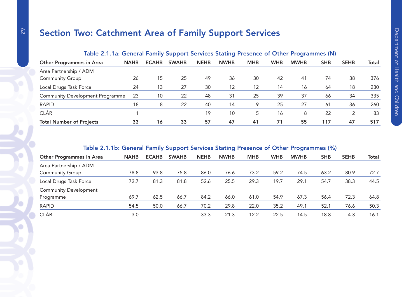# Section Two: Catchment Area of Family Support Services

| Table 2.1.1a: General Family Support Services Stating Presence of Other Programmes (N) |             |              |              |             |             |            |            |             |            |             |              |
|----------------------------------------------------------------------------------------|-------------|--------------|--------------|-------------|-------------|------------|------------|-------------|------------|-------------|--------------|
| Other Programmes in Area                                                               | <b>NAHB</b> | <b>ECAHB</b> | <b>SWAHB</b> | <b>NEHB</b> | <b>NWHB</b> | <b>MHB</b> | <b>WHB</b> | <b>MWHB</b> | <b>SHB</b> | <b>SEHB</b> | <b>Total</b> |
| Area Partnership / ADM                                                                 |             |              |              |             |             |            |            |             |            |             |              |
| <b>Community Group</b>                                                                 | 26          | 15           | 25           | 49          | 36          | 30         | 42         | 41          | 74         | 38          | 376          |
| Local Drugs Task Force                                                                 | 24          | 13           | 27           | 30          | 12          | 12         | 14         | 16          | 64         | 18          | 230          |
| <b>Community Development Programme</b>                                                 | 23          | 10           | 22           | 48          | 31          | 25         | 39         | 37          | 66         | 34          | 335          |
| <b>RAPID</b>                                                                           | 18          | 8            | 22           | 40          | 14          | 9          | 25         | 27          | 61         | 36          | 260          |
| <b>CLÁR</b>                                                                            |             |              |              | 19          | 10          | 5          | 16         | 8           | 22         |             | 83           |
| <b>Total Number of Projects</b>                                                        | 33          | 16           | 33           | 57          | 47          | 41         | 71         | 55          | 117        | 47          | 517          |

# Table 2.1.1b: General Family Support Services Stating Presence of Other Programmes (%)

| <b>Other Programmes in Area</b> | <b>NAHB</b> | <b>ECAHB</b> | <b>SWAHB</b> | <b>NEHB</b> | <b>NWHB</b> | <b>MHB</b> | <b>WHB</b> | <b>MWHB</b> | <b>SHB</b> | <b>SEHB</b> | Total |
|---------------------------------|-------------|--------------|--------------|-------------|-------------|------------|------------|-------------|------------|-------------|-------|
| Area Partnership / ADM          |             |              |              |             |             |            |            |             |            |             |       |
| <b>Community Group</b>          | 78.8        | 93.8         | 75.8         | 86.0        | 76.6        | 73.2       | 59.2       | 74.5        | 63.2       | 80.9        | 72.7  |
| Local Drugs Task Force          | 72.7        | 81.3         | 81.8         | 52.6        | 25.5        | 29.3       | 19.7       | 29.1        | 54.7       | 38.3        | 44.5  |
| <b>Community Development</b>    |             |              |              |             |             |            |            |             |            |             |       |
| Programme                       | 69.7        | 62.5         | 66.7         | 84.2        | 66.0        | 61.0       | 54.9       | 67.3        | 56.4       | 72.3        | 64.8  |
| <b>RAPID</b>                    | 54.5        | 50.0         | 66.7         | 70.2        | 29.8        | 22.0       | 35.2       | 49.1        | 52.7       | 76.6        | 50.3  |
| <b>CLÁR</b>                     | 3.0         |              |              | 33.3        | 21.3        | 12.2       | 22.5       | 14.5        | 18.8       | 4.3         | 16.1  |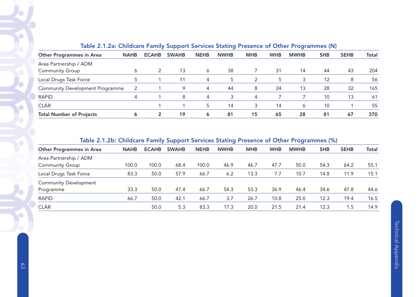| <u>1990 - 1129 Children e Tanny Cappert Corneco Clasing Froconce of Canol Fregramme (Fy</u> |             |              |              |             |             |            |            |             |            |             |              |
|---------------------------------------------------------------------------------------------|-------------|--------------|--------------|-------------|-------------|------------|------------|-------------|------------|-------------|--------------|
| <b>Other Programmes in Area</b>                                                             | <b>NAHB</b> | <b>ECAHB</b> | <b>SWAHB</b> | <b>NEHB</b> | <b>NWHB</b> | <b>MHB</b> | <b>WHB</b> | <b>MWHB</b> | <b>SHB</b> | <b>SEHB</b> | <b>Total</b> |
| Area Partnership / ADM                                                                      |             |              |              |             |             |            |            |             |            |             |              |
| <b>Community Group</b>                                                                      | Ô           |              | 13           | 6           | 38          |            | 31         | 14          | 44         | 43          | 204          |
| Local Drugs Task Force                                                                      |             |              | 11           | 4           | 5           | 2          | 5          | 3           | 12         | 8           | 56           |
| <b>Community Development Programme</b>                                                      | 2           |              | 9            | 4           | 44          | 8          | 24         | 13          | 28         | 32          | 165          |
| <b>RAPID</b>                                                                                | 4           |              | 8            | 4           | 3           | 4          |            |             | 10         | 13          | 61           |
| <b>CLÁR</b>                                                                                 |             |              |              | 5           | 14          | 3          | 14         | 6           | 10         |             | 55           |
| <b>Total Number of Projects</b>                                                             | Ô           | $\mathbf{2}$ | 19           | 6           | 81          | 15         | 65         | 28          | 81         | 67          | 370          |

#### Table 2.1.2a: Childcare Family Support Services Stating Presence of Other Programmes (N)

## Table 2.1.2b: Childcare Family Support Services Stating Presence of Other Programmes (%)

| <b>Other Programmes in Area</b> | <b>NAHB</b> | <b>ECAHB</b> | <b>SWAHB</b> | <b>NEHB</b> | <b>NWHB</b> | <b>MHB</b> | <b>WHB</b> | <b>MWHB</b> | <b>SHB</b> | <b>SEHB</b> | Total |
|---------------------------------|-------------|--------------|--------------|-------------|-------------|------------|------------|-------------|------------|-------------|-------|
| Area Partnership / ADM          |             |              |              |             |             |            |            |             |            |             |       |
| <b>Community Group</b>          | 100.0       | 100.0        | 68.4         | 100.0       | 46.9        | 46.7       | 47.7       | 50.0        | 54.3       | 64.2        | 55.1  |
| Local Drugs Task Force          | 83.3        | 50.0         | 57.9         | 66.7        | 6.2         | 13.3       | 7.7        | 10.7        | 14.8       | 11.9        | 15.1  |
| <b>Community Development</b>    |             |              |              |             |             |            |            |             |            |             |       |
| Programme                       | 33.3        | 50.0         | 47.4         | 66.7        | 54.3        | 53.3       | 36.9       | 46.4        | 34.6       | 47.8        | 44.6  |
| <b>RAPID</b>                    | 66.7        | 50.0         | 42.1         | 66.7        | 3.7         | 26.7       | 10.8       | 25.0        | 12.3       | 19.4        | 16.5  |
| <b>CLÁR</b>                     |             | 50.0         | 5.3          | 83.3        | 17.3        | 20.0       | 21.5       | 21.4        | 12.3       | 1.5         | 14.9  |
|                                 |             |              |              |             |             |            |            |             |            |             |       |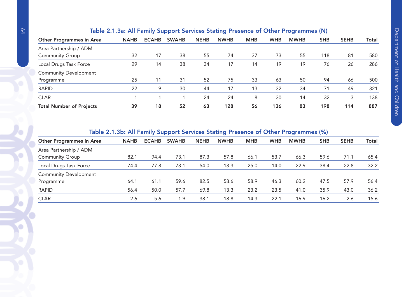|                                 | rapid 2.1.00. Air Farmly Dapport Dervices Diathly Fresched of Other Frogrammes (H) |              |              |             |             |            |            |             |            |             |       |
|---------------------------------|------------------------------------------------------------------------------------|--------------|--------------|-------------|-------------|------------|------------|-------------|------------|-------------|-------|
| <b>Other Programmes in Area</b> | <b>NAHB</b>                                                                        | <b>ECAHB</b> | <b>SWAHB</b> | <b>NEHB</b> | <b>NWHB</b> | <b>MHB</b> | <b>WHB</b> | <b>MWHB</b> | <b>SHB</b> | <b>SEHB</b> | Total |
| Area Partnership / ADM          |                                                                                    |              |              |             |             |            |            |             |            |             |       |
| <b>Community Group</b>          | 32                                                                                 | 17           | 38           | 55          | 74          | 37         | 73         | 55          | 118        | 81          | 580   |
| Local Drugs Task Force          | 29                                                                                 | 14           | 38           | 34          | 17          | 14         | 19         | 19          | 76         | 26          | 286   |
| <b>Community Development</b>    |                                                                                    |              |              |             |             |            |            |             |            |             |       |
| Programme                       | 25                                                                                 | 11           | 31           | 52          | 75          | 33         | 63         | 50          | 94         | 66          | 500   |
| <b>RAPID</b>                    | 22                                                                                 | 9            | 30           | 44          | 17          | 13         | 32         | 34          | 71         | 49          | 321   |
| <b>CLÁR</b>                     |                                                                                    |              |              | 24          | 24          | 8          | 30         | 14          | 32         | 3           | 138   |
| <b>Total Number of Projects</b> | 39                                                                                 | 18           | 52           | 63          | 128         | 56         | 136        | 83          | 198        | 114         | 887   |

#### Table 2.1.3a: All Family Support Services Stating Presence of Other Programmes (N)

Table 2.1.3b: All Family Support Services Stating Presence of Other Programmes (%)

| <b>Other Programmes in Area</b> | <b>NAHB</b> | <b>ECAHB</b> | <b>SWAHB</b> | <b>NEHB</b> | <b>NWHB</b> | <b>MHB</b> | <b>WHB</b> | <b>MWHB</b> | <b>SHB</b> | <b>SEHB</b> | <b>Total</b> |
|---------------------------------|-------------|--------------|--------------|-------------|-------------|------------|------------|-------------|------------|-------------|--------------|
| Area Partnership / ADM          |             |              |              |             |             |            |            |             |            |             |              |
| <b>Community Group</b>          | 82.1        | 94.4         | 73.1         | 87.3        | 57.8        | 66.1       | 53.7       | 66.3        | 59.6       | 71.1        | 65.4         |
| Local Drugs Task Force          | 74.4        | 77.8         | 73.1         | 54.0        | 13.3        | 25.0       | 14.0       | 22.9        | 38.4       | 22.8        | 32.2         |
| <b>Community Development</b>    |             |              |              |             |             |            |            |             |            |             |              |
| Programme                       | 64.1        | 61.1         | 59.6         | 82.5        | 58.6        | 58.9       | 46.3       | 60.2        | 47.5       | 57.9        | 56.4         |
| <b>RAPID</b>                    | 56.4        | 50.0         | 57.7         | 69.8        | 13.3        | 23.2       | 23.5       | 41.0        | 35.9       | 43.0        | 36.2         |
| <b>CLÁR</b>                     | 2.6         | 5.6          | 1.9          | 38.1        | 18.8        | 14.3       | 22.1       | 16.9        | 16.2       | 2.6         | 15.6         |

O

Ō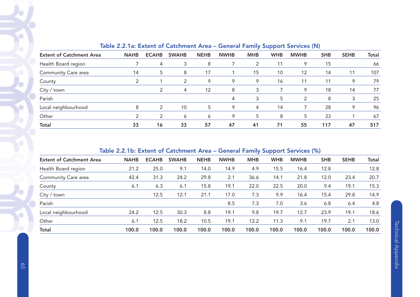|                                 |             |               |               |             |             | -------    |            |             |            |             |              |
|---------------------------------|-------------|---------------|---------------|-------------|-------------|------------|------------|-------------|------------|-------------|--------------|
| <b>Extent of Catchment Area</b> | <b>NAHB</b> | <b>ECAHB</b>  | <b>SWAHB</b>  | <b>NEHB</b> | <b>NWHB</b> | <b>MHB</b> | <b>WHB</b> | <b>MWHB</b> | <b>SHB</b> | <b>SEHB</b> | <b>Total</b> |
| Health Board region             |             | 4             | 3             | 8           |             |            | 11         | 9           | 15         |             | 66           |
| Community Care area             | 14          | 5             | 8             | 17          |             | 15         | 10         | 12          | 14         | 11          | 107          |
| County                          | 2           |               | $\mathcal{P}$ | 9           | 9           | 9          | 16         | 11          | 11         | 9           | 79           |
| City / town                     |             | $\mathcal{P}$ | 4             | 12          | 8           | 3          |            | 9           | 18         | 14          | 77           |
| Parish                          |             |               |               |             | 4           | 3          | 5          | 2           | 8          | 3           | 25           |
| Local neighbourhood             | 8           | $\mathcal{P}$ | 10            | 5           | 9           | 4          | 14         |             | 28         | 9           | 96           |
| Other                           | っ           | 2             | 6             | 6           | 9           | 5          | 8          | 5           | 23         |             | 67           |
| <b>Total</b>                    | 33          | 16            | 33            | 57          | 47          | 41         | 71         | 55          | 117        | 47          | 517          |

## Table 2.2.1a: Extent of Catchment Area – General Family Support Services (N)

# Table 2.2.1b: Extent of Catchment Area – General Family Support Services (%)

| <b>Extent of Catchment Area</b> | <b>NAHB</b> | <b>ECAHB</b> | <b>SWAHB</b> | <b>NEHB</b> | <b>NWHB</b> | <b>MHB</b> | <b>WHB</b> | <b>MWHB</b> | <b>SHB</b> | <b>SEHB</b> | <b>Total</b> |
|---------------------------------|-------------|--------------|--------------|-------------|-------------|------------|------------|-------------|------------|-------------|--------------|
| Health Board region             | 21.2        | 25.0         | 9.1          | 14.0        | 14.9        | 4.9        | 15.5       | 16.4        | 12.8       |             | 12.8         |
| Community Care area             | 42.4        | 31.3         | 24.2         | 29.8        | 2.1         | 36.6       | 14.1       | 21.8        | 12.0       | 23.4        | 20.7         |
| County                          | 6.1         | 6.3          | 6.1          | 15.8        | 19.1        | 22.0       | 22.5       | 20.0        | 9.4        | 19.1        | 15.3         |
| City / town                     |             | 12.5         | 12.1         | 21.1        | 17.0        | 7.3        | 9.9        | 16.4        | 15.4       | 29.8        | 14.9         |
| Parish                          |             |              |              |             | 8.5         | 7.3        | 7.0        | 3.6         | 6.8        | 6.4         | 4.8          |
| Local neighbourhood             | 24.2        | 12.5         | 30.3         | 8.8         | 19.1        | 9.8        | 19.7       | 12.7        | 23.9       | 19.1        | 18.6         |
| Other                           | 6.1         | 12.5         | 18.2         | 10.5        | 19.1        | 12.2       | 11.3       | 9.1         | 19.7       | 2.1         | 13.0         |
| <b>Total</b>                    | 100.0       | 100.0        | 100.0        | 100.0       | 100.0       | 100.0      | 100.0      | 100.0       | 100.0      | 100.0       | 100.0        |
|                                 |             |              |              |             |             |            |            |             |            |             |              |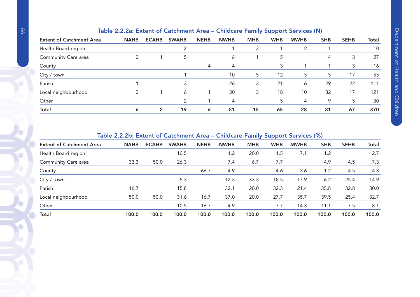|                                 | Table 2.2.2a: Extent of Catchment Area – Childcare Family Support Services (N) |                |              |             |             |            |            |             |            |             |              |
|---------------------------------|--------------------------------------------------------------------------------|----------------|--------------|-------------|-------------|------------|------------|-------------|------------|-------------|--------------|
| <b>Extent of Catchment Area</b> | <b>NAHB</b>                                                                    | <b>ECAHB</b>   | <b>SWAHB</b> | <b>NEHB</b> | <b>NWHB</b> | <b>MHB</b> | <b>WHB</b> | <b>MWHB</b> | <b>SHB</b> | <b>SEHB</b> | <b>Total</b> |
| Health Board region             |                                                                                |                |              |             |             | 3          |            |             |            |             | 10           |
| Community Care area             |                                                                                |                | 5            |             | 6           |            |            |             | 4          | 3           | 27           |
| County                          |                                                                                |                |              | 4           | 4           |            |            |             |            | 3           | 16           |
| City / town                     |                                                                                |                |              |             | 10          | 5          | 12         | 5           | 5          | 17          | 55           |
| Parish                          |                                                                                |                |              |             | 26          | 3          | 21         | 6           | 29         | 22          | 111          |
| Local neighbourhood             |                                                                                |                | 6            |             | 30          | 3          | 18         | 10          | 32         | 17          | 121          |
| Other                           |                                                                                |                |              |             | 4           |            |            | 4           | 9          | 5           | 30           |
| Total                           | 6                                                                              | $\overline{2}$ | 19           | 6           | 81          | 15         | 65         | 28          | 81         | 67          | 370          |
|                                 |                                                                                |                |              |             |             |            |            |             |            |             |              |

#### Table 2.2.2a: Extent of Catchment Area – Childcare Family Support Services (N)

Table 2.2.2b: Extent of Catchment Area – Childcare Family Support Services (%)

|                                 |             |              |              |             | $\frac{1}{2}$ |            |            |             |            |             |              |
|---------------------------------|-------------|--------------|--------------|-------------|---------------|------------|------------|-------------|------------|-------------|--------------|
| <b>Extent of Catchment Area</b> | <b>NAHB</b> | <b>ECAHB</b> | <b>SWAHB</b> | <b>NEHB</b> | <b>NWHB</b>   | <b>MHB</b> | <b>WHB</b> | <b>MWHB</b> | <b>SHB</b> | <b>SEHB</b> | <b>Total</b> |
| Health Board region             |             |              | 10.5         |             | 1.2           | 20.0       | 1.5        | 7.1         | 1.2        |             | 2.7          |
| Community Care area             | 33.3        | 50.0         | 26.3         |             | 7.4           | 6.7        | 7.7        |             | 4.9        | 4.5         | 7.3          |
| County                          |             |              |              | 66.7        | 4.9           |            | 4.6        | 3.6         | 1.2        | 4.5         | 4.3          |
| City / town                     |             |              | 5.3          |             | 12.3          | 33.3       | 18.5       | 17.9        | 6.2        | 25.4        | 14.9         |
| Parish                          | 16.7        |              | 15.8         |             | 32.1          | 20.0       | 32.3       | 21.4        | 35.8       | 32.8        | 30.0         |
| Local neighbourhood             | 50.0        | 50.0         | 31.6         | 16.7        | 37.0          | 20.0       | 27.7       | 35.7        | 39.5       | 25.4        | 32.7         |
| Other                           |             |              | 10.5         | 16.7        | 4.9           |            | 7.7        | 14.3        | 11.1       | 7.5         | 8.1          |
| <b>Total</b>                    | 100.0       | 100.0        | 100.0        | 100.0       | 100.0         | 100.0      | 100.0      | 100.0       | 100.0      | 100.0       | 100.0        |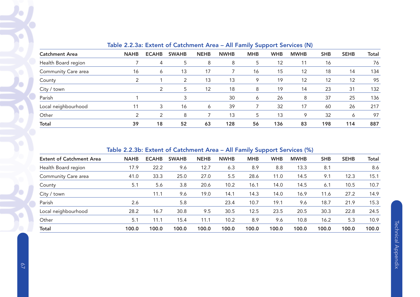|                       | TORIO ETERVOIT EXIGITI VI VOIGITTIVITI 7 II VO<br>$\frac{1}{2}$ and $\frac{1}{2}$ and $\frac{1}{2}$ and $\frac{1}{2}$ and $\frac{1}{2}$ and $\frac{1}{2}$ and $\frac{1}{2}$ |              |              |             |             |            |            |             |            |             |       |  |  |  |
|-----------------------|-----------------------------------------------------------------------------------------------------------------------------------------------------------------------------|--------------|--------------|-------------|-------------|------------|------------|-------------|------------|-------------|-------|--|--|--|
| <b>Catchment Area</b> | <b>NAHB</b>                                                                                                                                                                 | <b>ECAHB</b> | <b>SWAHB</b> | <b>NEHB</b> | <b>NWHB</b> | <b>MHB</b> | <b>WHB</b> | <b>MWHB</b> | <b>SHB</b> | <b>SEHB</b> | Total |  |  |  |
| Health Board region   |                                                                                                                                                                             | 4            | 5            | 8           | 8           | 5          | 12         | 11          | 16         |             | 76    |  |  |  |
| Community Care area   | 16                                                                                                                                                                          | 6            | 13           | 17          |             | 16         | 15         | 12          | 18         | 14          | 134   |  |  |  |
| County                | 2                                                                                                                                                                           |              | 2            | 13          | 13          | 9          | 19         | 12          | 12         | 12          | 95    |  |  |  |
| City / town           |                                                                                                                                                                             |              | 5            | 12          | 18          | 8          | 19         | 14          | 23         | 31          | 132   |  |  |  |
| Parish                |                                                                                                                                                                             |              | 3            |             | 30          | 6          | 26         | 8           | 37         | 25          | 136   |  |  |  |
| Local neighbourhood   |                                                                                                                                                                             | 3            | 16           | 6           | 39          |            | 32         | 17          | 60         | 26          | 217   |  |  |  |
| Other                 |                                                                                                                                                                             | 2            | 8            |             | 13          | 5          | 13         | 9           | 32         | 6           | 97    |  |  |  |
| <b>Total</b>          | 39                                                                                                                                                                          | 18           | 52           | 63          | 128         | 56         | 136        | 83          | 198        | 114         | 887   |  |  |  |

#### Table 2.2.3a: Extent of Catchment Area – All Family Support Services (N)

# Table 2.2.3b: Extent of Catchment Area – All Family Support Services (%)

| <b>Extent of Catchment Area</b> | <b>NAHB</b> | <b>ECAHB</b> | <b>SWAHB</b> | <b>NEHB</b> | <b>NWHB</b> | <b>MHB</b> | <b>WHB</b> | <b>MWHB</b> | <b>SHB</b> | <b>SEHB</b> | Total |
|---------------------------------|-------------|--------------|--------------|-------------|-------------|------------|------------|-------------|------------|-------------|-------|
| Health Board region             | 17.9        | 22.2         | 9.6          | 12.7        | 6.3         | 8.9        | 8.8        | 13.3        | 8.1        |             | 8.6   |
| Community Care area             | 41.0        | 33.3         | 25.0         | 27.0        | 5.5         | 28.6       | 11.0       | 14.5        | 9.1        | 12.3        | 15.1  |
| County                          | 5.1         | 5.6          | 3.8          | 20.6        | 10.2        | 16.1       | 14.0       | 14.5        | 6.1        | 10.5        | 10.7  |
| City / town                     |             | 11.1         | 9.6          | 19.0        | 14.1        | 14.3       | 14.0       | 16.9        | 11.6       | 27.2        | 14.9  |
| Parish                          | 2.6         |              | 5.8          |             | 23.4        | 10.7       | 19.1       | 9.6         | 18.7       | 21.9        | 15.3  |
| Local neighbourhood             | 28.2        | 16.7         | 30.8         | 9.5         | 30.5        | 12.5       | 23.5       | 20.5        | 30.3       | 22.8        | 24.5  |
| Other                           | 5.1         | 11.1         | 15.4         | 11.1        | 10.2        | 8.9        | 9.6        | 10.8        | 16.2       | 5.3         | 10.9  |
| <b>Total</b>                    | 100.0       | 100.0        | 100.0        | 100.0       | 100.0       | 100.0      | 100.0      | 100.0       | 100.0      | 100.0       | 100.0 |
|                                 |             |              |              |             |             |            |            |             |            |             |       |

Ó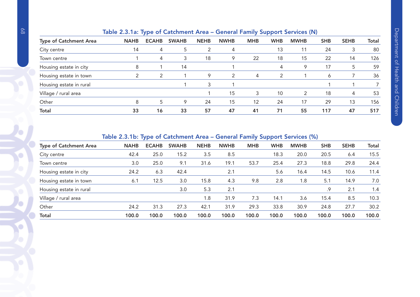|                               | Table 2.3.1a. Type of Catchment Area – General Family Support Services (N) |              |              |             |             |            |            |                          |            |             |       |  |
|-------------------------------|----------------------------------------------------------------------------|--------------|--------------|-------------|-------------|------------|------------|--------------------------|------------|-------------|-------|--|
| <b>Type of Catchment Area</b> | <b>NAHB</b>                                                                | <b>ECAHB</b> | <b>SWAHB</b> | <b>NEHB</b> | <b>NWHB</b> | <b>MHB</b> | <b>WHB</b> | <b>MWHB</b>              | <b>SHB</b> | <b>SEHB</b> | Total |  |
| City centre                   | 14                                                                         | 4            | 5            | 2           | 4           |            | 13         | 11                       | 24         | 3           | 80    |  |
| Town centre                   |                                                                            | 4            | 3            | 18          | 9           | 22         | 18         | 15                       | 22         | 14          | 126   |  |
| Housing estate in city        | 8                                                                          |              | 14           |             |             |            | 4          | 9                        | 17         | 5           | 59    |  |
| Housing estate in town        | っ                                                                          | 2            |              | 9           | 2           | 4          | 2          |                          | 6          |             | 36    |  |
| Housing estate in rural       |                                                                            |              |              | 3           |             |            |            |                          |            |             |       |  |
| Village / rural area          |                                                                            |              |              |             | 15          | 3          | 10         | $\overline{\phantom{a}}$ | 18         | 4           | 53    |  |
| Other                         | 8                                                                          | 5            | 9            | 24          | 15          | 12         | 24         | 17                       | 29         | 13          | 156   |  |
| <b>Total</b>                  | 33                                                                         | 16           | 33           | 57          | 47          | 41         | 71         | 55                       | 117        | 47          | 517   |  |
|                               |                                                                            |              |              |             |             |            |            |                          |            |             |       |  |

# Table 2.3.1a: Type of Catchment Area – General Family Support Services (N)

## Table 2.3.1b: Type of Catchment Area – General Family Support Services (%)

| <b>Type of Catchment Area</b> | <b>NAHB</b> | <b>ECAHB</b> | <b>SWAHB</b> | <b>NEHB</b> | <b>NWHB</b> | <b>MHB</b> | <b>WHB</b> | <b>MWHB</b> | <b>SHB</b> | <b>SEHB</b> | <b>Total</b> |  |
|-------------------------------|-------------|--------------|--------------|-------------|-------------|------------|------------|-------------|------------|-------------|--------------|--|
| City centre                   | 42.4        | 25.0         | 15.2         | 3.5         | 8.5         |            | 18.3       | 20.0        | 20.5       | 6.4         | 15.5         |  |
| Town centre                   | 3.0         | 25.0         | 9.1          | 31.6        | 19.1        | 53.7       | 25.4       | 27.3        | 18.8       | 29.8        | 24.4         |  |
| Housing estate in city        | 24.2        | 6.3          | 42.4         |             | 2.1         |            | 5.6        | 16.4        | 14.5       | 10.6        | 11.4         |  |
| Housing estate in town        | 6.1         | 12.5         | 3.0          | 15.8        | 4.3         | 9.8        | 2.8        | 1.8         | 5.1        | 14.9        | 7.0          |  |
| Housing estate in rural       |             |              | 3.0          | 5.3         | 2.1         |            |            |             | .9         | 2.1         | 1.4          |  |
| Village / rural area          |             |              |              | 1.8         | 31.9        | 7.3        | 14.1       | 3.6         | 15.4       | 8.5         | 10.3         |  |
| Other                         | 24.2        | 31.3         | 27.3         | 42.1        | 31.9        | 29.3       | 33.8       | 30.9        | 24.8       | 27.7        | 30.2         |  |
| <b>Total</b>                  | 100.0       | 100.0        | 100.0        | 100.0       | 100.0       | 100.0      | 100.0      | 100.0       | 100.0      | 100.0       | 100.0        |  |
|                               |             |              |              |             |             |            |            |             |            |             |              |  |

C

O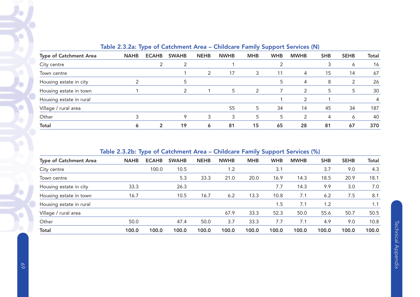|                         | __________  |              |              |             |             |            |            |               |            |             |       |  |  |
|-------------------------|-------------|--------------|--------------|-------------|-------------|------------|------------|---------------|------------|-------------|-------|--|--|
| Type of Catchment Area  | <b>NAHB</b> | <b>ECAHB</b> | <b>SWAHB</b> | <b>NEHB</b> | <b>NWHB</b> | <b>MHB</b> | <b>WHB</b> | <b>MWHB</b>   | <b>SHB</b> | <b>SEHB</b> | Total |  |  |
| City centre             |             |              |              |             |             |            |            |               |            | 6           | 16    |  |  |
| Town centre             |             |              |              | 2           | 17          | 3          | 11         | 4             | 15         | 14          | 67    |  |  |
| Housing estate in city  |             |              |              |             |             |            | 5          | 4             | 8          |             | 26    |  |  |
| Housing estate in town  |             |              | 2            |             | 5           | 2          |            | $\mathcal{P}$ | 5          | 5           | 30    |  |  |
| Housing estate in rural |             |              |              |             |             |            |            | 2             |            |             | 4     |  |  |
| Village / rural area    |             |              |              |             | 55          | 5          | 34         | 14            | 45         | 34          | 187   |  |  |
| Other                   |             |              | 9            | 3           | 3           | 5          | 5          | 2             | 4          | O           | 40    |  |  |
| <b>Total</b>            | 6           | 2            | 19           | Ô           | 81          | 15         | 65         | 28            | 81         | 67          | 370   |  |  |

## Table 2.3.2a: Type of Catchment Area – Childcare Family Support Services (N)

# Table 2.3.2b: Type of Catchment Area – Childcare Family Support Services (%)

|                               | - -         |              |              |             |             | . .        |            |             |            |             |       |
|-------------------------------|-------------|--------------|--------------|-------------|-------------|------------|------------|-------------|------------|-------------|-------|
| <b>Type of Catchment Area</b> | <b>NAHB</b> | <b>ECAHB</b> | <b>SWAHB</b> | <b>NEHB</b> | <b>NWHB</b> | <b>MHB</b> | <b>WHB</b> | <b>MWHB</b> | <b>SHB</b> | <b>SEHB</b> | Total |
| City centre                   |             | 100.0        | 10.5         |             | 1.2         |            | 3.1        |             | 3.7        | 9.0         | 4.3   |
| Town centre                   |             |              | 5.3          | 33.3        | 21.0        | 20.0       | 16.9       | 14.3        | 18.5       | 20.9        | 18.1  |
| Housing estate in city        | 33.3        |              | 26.3         |             |             |            | 7.7        | 14.3        | 9.9        | 3.0         | 7.0   |
| Housing estate in town        | 16.7        |              | 10.5         | 16.7        | 6.2         | 13.3       | 10.8       | 7.1         | 6.2        | 7.5         | 8.1   |
| Housing estate in rural       |             |              |              |             |             |            | 1.5        | 7.1         | 1.2        |             | 1.1   |
| Village / rural area          |             |              |              |             | 67.9        | 33.3       | 52.3       | 50.0        | 55.6       | 50.7        | 50.5  |
| Other                         | 50.0        |              | 47.4         | 50.0        | 3.7         | 33.3       | 7.7        | 7.1         | 4.9        | 9.0         | 10.8  |
| <b>Total</b>                  | 100.0       | 100.0        | 100.0        | 100.0       | 100.0       | 100.0      | 100.0      | 100.0       | 100.0      | 100.0       | 100.0 |
|                               |             |              |              |             |             |            |            |             |            |             |       |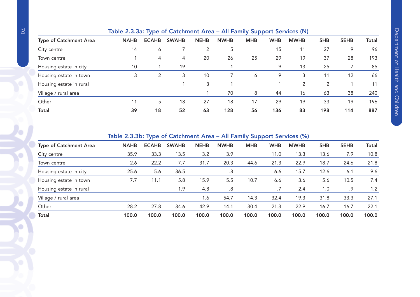|  | Table 2.3.3a: Type of Catchment Area - All Family Support Services (N) |
|--|------------------------------------------------------------------------|
|  |                                                                        |

| <b>Type of Catchment Area</b> | <b>NAHB</b> | <b>ECAHB</b> | <b>SWAHB</b> | <b>NEHB</b> | <b>NWHB</b> | <b>MHB</b> | <b>WHB</b> | <b>MWHB</b> | <b>SHB</b> | <b>SEHB</b> | Total |
|-------------------------------|-------------|--------------|--------------|-------------|-------------|------------|------------|-------------|------------|-------------|-------|
| City centre                   | 14          | 6            |              | 2           | 5           |            | 15         | 11          | 27         | 9           | 96    |
| Town centre                   |             | 4            | 4            | 20          | 26          | 25         | 29         | 19          | 37         | 28          | 193   |
| Housing estate in city        | 10          |              | 19           |             |             |            | 9          | 13          | 25         |             | 85    |
| Housing estate in town        |             | 2            | 3            | 10          |             | 6          | 9          | 3           | 11         | 12          | 66    |
| Housing estate in rural       |             |              |              | 3           |             |            |            | 2           | 2          |             | 11    |
| Village / rural area          |             |              |              |             | 70          | 8          | 44         | 16          | 63         | 38          | 240   |
| Other                         |             | 5            | 18           | 27          | 18          | 17         | 29         | 19          | 33         | 19          | 196   |
| <b>Total</b>                  | 39          | 18           | 52           | 63          | 128         | 56         | 136        | 83          | 198        | 114         | 887   |

#### Table 2.3.3b: Type of Catchment Area – All Family Support Services (%)

| <b>Type of Catchment Area</b> | <b>NAHB</b> | <b>ECAHB</b> | <b>SWAHB</b> | <b>NEHB</b> | <b>NWHB</b> | <b>MHB</b> | <b>WHB</b> | <b>MWHB</b> | <b>SHB</b> | <b>SEHB</b> | Total |  |  |  |
|-------------------------------|-------------|--------------|--------------|-------------|-------------|------------|------------|-------------|------------|-------------|-------|--|--|--|
| City centre                   | 35.9        | 33.3         | 13.5         | 3.2         | 3.9         |            | 11.0       | 13.3        | 13.6       | 7.9         | 10.8  |  |  |  |
| Town centre                   | 2.6         | 22.2         | 7.7          | 31.7        | 20.3        | 44.6       | 21.3       | 22.9        | 18.7       | 24.6        | 21.8  |  |  |  |
| Housing estate in city        | 25.6        | 5.6          | 36.5         |             | .8          |            | 6.6        | 15.7        | 12.6       | 6.1         | 9.6   |  |  |  |
| Housing estate in town        | 7.7         | 11.1         | 5.8          | 15.9        | 5.5         | 10.7       | 6.6        | 3.6         | 5.6        | 10.5        | 7.4   |  |  |  |
| Housing estate in rural       |             |              | 1.9          | 4.8         | .8          |            |            | 2.4         | 1.0        | .9          | 1.2   |  |  |  |
| Village / rural area          |             |              |              | 1.6         | 54.7        | 14.3       | 32.4       | 19.3        | 31.8       | 33.3        | 27.1  |  |  |  |
| Other                         | 28.2        | 27.8         | 34.6         | 42.9        | 14.1        | 30.4       | 21.3       | 22.9        | 16.7       | 16.7        | 22.1  |  |  |  |
| <b>Total</b>                  | 100.0       | 100.0        | 100.0        | 100.0       | 100.0       | 100.0      | 100.0      | 100.0       | 100.0      | 100.0       | 100.0 |  |  |  |
|                               |             |              |              |             |             |            |            |             |            |             |       |  |  |  |

 $\bullet$ 

 $\bullet$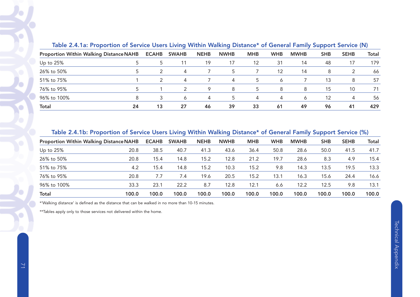| Table 2.4.1a: Proportion of Service Users Living Within Walking Distance* of General Family Support Service (N) |    |              |              |             |             |            |            |             |            |             |       |
|-----------------------------------------------------------------------------------------------------------------|----|--------------|--------------|-------------|-------------|------------|------------|-------------|------------|-------------|-------|
| <b>Proportion Within Walking Distance NAHB</b>                                                                  |    | <b>ECAHB</b> | <b>SWAHB</b> | <b>NEHB</b> | <b>NWHB</b> | <b>MHB</b> | <b>WHB</b> | <b>MWHB</b> | <b>SHB</b> | <b>SEHB</b> | Total |
| Up to $25%$                                                                                                     |    | 5            |              | 19          | 17          | 12         | 31         | 14          | 48         | 17          | 179   |
| 26% to 50%                                                                                                      |    |              | 4            |             | 5           |            | 12         | 14          | 8          | -2          | 66    |
| 51% to 75%                                                                                                      |    |              | 4            |             | 4           | 5          | Ô          |             | 13         | 8           | 57    |
| 76% to 95%                                                                                                      |    |              |              | 9           | 8           | .5         | 8          | 8           | 15         | 10          | 71    |
| 96% to 100%                                                                                                     | 8  |              | 6            | 4           | 5           | 4          | 4          | 6           | 12         | 4           | 56    |
| <b>Total</b>                                                                                                    | 24 | 13           | 27           | 46          | 39          | 33         | 61         | 49          | 96         | 41          | 429   |

Table 2.4.1a: Proportion of Service Users Living Within Walking Distance\* of General Family Support Service (N)

#### Table 2.4.1b: Proportion of Service Users Living Within Walking Distance\* of General Family Support Service (%)

|                                                |       |              | ~            |             | -           |            |            |             | . .        |             |              |
|------------------------------------------------|-------|--------------|--------------|-------------|-------------|------------|------------|-------------|------------|-------------|--------------|
| <b>Proportion Within Walking Distance NAHB</b> |       | <b>ECAHB</b> | <b>SWAHB</b> | <b>NEHB</b> | <b>NWHB</b> | <b>MHB</b> | <b>WHB</b> | <b>MWHB</b> | <b>SHB</b> | <b>SEHB</b> | <b>Total</b> |
| Up to 25%                                      | 20.8  | 38.5         | 40.7         | 41.3        | 43.6        | 36.4       | 50.8       | 28.6        | 50.0       | 41.5        | 41.7         |
| 26% to 50%                                     | 20.8  | 15.4         | 14.8         | 15.2        | 12.8        | 21.2       | 19.7       | 28.6        | 8.3        | 4.9         | 15.4         |
| 51% to 75%                                     | 4.2   | 15.4         | 14.8         | 15.2        | 10.3        | 15.2       | 9.8        | 14.3        | 13.5       | 19.5        | 13.3         |
| 76% to 95%                                     | 20.8  | 7.7          | 7.4          | 19.6        | 20.5        | 15.2       | 13.1       | 16.3        | 15.6       | 24.4        | 16.6         |
| 96% to 100%                                    | 33.3  | 23.1         | 22.2         | 8.7         | 12.8        | 12.1       | 6.6        | 12.2        | 12.5       | 9.8         | 13.1         |
| <b>Total</b>                                   | 100.0 | 100.0        | 100.0        | 100.0       | 100.0       | 100.0      | 100.0      | 100.0       | 100.0      | 100.0       | 100.0        |

\*'Walking distance' is defined as the distance that can be walked in no more than 10-15 minutes.

\*\*Tables apply only to those services not delivered within the home.

O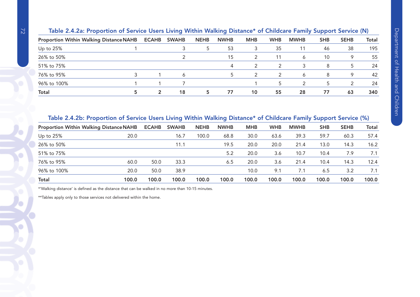|             | Table 2.4.2a: Proportion of Service Users Living Within Walking Distance* of Childcare Family Support Service (N)<br><b>Proportion Within Walking Distance NAHB</b><br><b>ECAHB</b><br><b>MHB</b><br><b>WHB</b><br><b>SHB</b><br><b>SEHB</b><br>Total<br><b>SWAHB</b><br><b>MWHB</b><br><b>NEHB</b><br><b>NWHB</b><br>195<br>46<br>38<br>53<br>35<br>11 |              |    |  |    |    |    |    |    |    |     |  |  |  |
|-------------|---------------------------------------------------------------------------------------------------------------------------------------------------------------------------------------------------------------------------------------------------------------------------------------------------------------------------------------------------------|--------------|----|--|----|----|----|----|----|----|-----|--|--|--|
|             |                                                                                                                                                                                                                                                                                                                                                         |              |    |  |    |    |    |    |    |    |     |  |  |  |
| Up to $25%$ |                                                                                                                                                                                                                                                                                                                                                         |              |    |  |    |    |    |    |    |    |     |  |  |  |
| 26% to 50%  |                                                                                                                                                                                                                                                                                                                                                         |              |    |  | 15 |    | 11 | 6  | 10 | 9  | 55  |  |  |  |
| 51% to 75%  |                                                                                                                                                                                                                                                                                                                                                         |              |    |  | 4  |    |    | 3  | 8  | 5  | 24  |  |  |  |
| 76% to 95%  |                                                                                                                                                                                                                                                                                                                                                         |              | 6  |  |    |    |    | 6  | 8  | 9  | 42  |  |  |  |
| 96% to 100% |                                                                                                                                                                                                                                                                                                                                                         |              |    |  |    |    | 5  |    | 5  | 2  | 24  |  |  |  |
| Total       |                                                                                                                                                                                                                                                                                                                                                         | $\mathbf{c}$ | 18 |  | 77 | 10 | 55 | 28 | 77 | 63 | 340 |  |  |  |

| Table 2.4.2b: Proportion of Service Users Living Within Walking Distance* of Childcare Family Support Service (%) |       |              |              |             |             |            |            |             |            |             |       |
|-------------------------------------------------------------------------------------------------------------------|-------|--------------|--------------|-------------|-------------|------------|------------|-------------|------------|-------------|-------|
| <b>Proportion Within Walking Distance NAHB</b>                                                                    |       | <b>ECAHB</b> | <b>SWAHB</b> | <b>NEHB</b> | <b>NWHB</b> | <b>MHB</b> | <b>WHB</b> | <b>MWHB</b> | <b>SHB</b> | <b>SEHB</b> | Total |
| Up to 25%                                                                                                         | 20.0  |              | 16.7         | 100.0       | 68.8        | 30.0       | 63.6       | 39.3        | 59.7       | 60.3        | 57.4  |
| 26% to 50%                                                                                                        |       |              | 11.1         |             | 19.5        | 20.0       | 20.0       | 21.4        | 13.0       | 14.3        | 16.2  |
| 51% to 75%                                                                                                        |       |              |              |             | 5.2         | 20.0       | 3.6        | 10.7        | 10.4       | 7.9         | 7.1   |
| 76% to 95%                                                                                                        | 60.0  | 50.0         | 33.3         |             | 6.5         | 20.0       | 3.6        | 21.4        | 10.4       | 14.3        | 12.4  |
| 96% to 100%                                                                                                       | 20.0  | 50.0         | 38.9         |             |             | 10.0       | 9.1        | 7.1         | 6.5        | 3.2         | 7.1   |
| <b>Total</b>                                                                                                      | 100.0 | 100.0        | 100.0        | 100.0       | 100.0       | 100.0      | 100.0      | 100.0       | 100.0      | 100.0       | 100.0 |

\*'Walking distance' is defined as the distance that can be walked in no more than 10-15 minutes.

\*\*Tables apply only to those services not delivered within the home.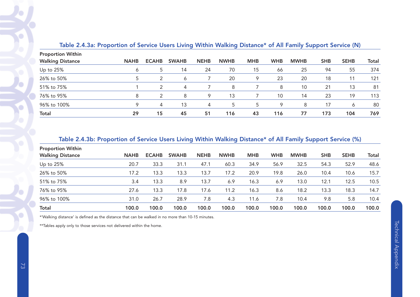| <b>Proportion Within</b> |             |               |              |             |             |            |            |             |            |             |              |
|--------------------------|-------------|---------------|--------------|-------------|-------------|------------|------------|-------------|------------|-------------|--------------|
| <b>Walking Distance</b>  | <b>NAHB</b> | <b>ECAHB</b>  | <b>SWAHB</b> | <b>NEHB</b> | <b>NWHB</b> | <b>MHB</b> | <b>WHB</b> | <b>MWHB</b> | <b>SHB</b> | <b>SEHB</b> | <b>Total</b> |
| Up to 25%                | 6           | 5             | 14           | 24          | 70          | 15         | 66         | 25          | 94         | 55          | 374          |
| 26% to 50%               |             |               | 6            |             | 20          | 9          | 23         | 20          | 18         | 11          | 121          |
| 51% to 75%               |             | 2             | 4            |             | 8           |            | 8          | 10          | 21         | 13          | 81           |
| 76% to 95%               | 8           | $\mathcal{P}$ | 8            | 9           | 13          |            | 10         | 14          | 23         | 19          | 113          |
| 96% to 100%              |             | 4             | 13           | 4           | 5           | 5          | 9          | 8           | 17         | 6           | 80           |
| <b>Total</b>             | 29          | 15            | 45           | 51          | 116         | 43         | 116        | 77          | 173        | 104         | 769          |

# Table 2.4.3a: Proportion of Service Users Living Within Walking Distance\* of All Family Support Service (N)

# Table 2.4.3b: Proportion of Service Users Living Within Walking Distance\* of All Family Support Service (%)

| <b>Proportion Within</b> |             |              |              |             |             |            |            |             |            |             |       |
|--------------------------|-------------|--------------|--------------|-------------|-------------|------------|------------|-------------|------------|-------------|-------|
| <b>Walking Distance</b>  | <b>NAHB</b> | <b>ECAHB</b> | <b>SWAHB</b> | <b>NEHB</b> | <b>NWHB</b> | <b>MHB</b> | <b>WHB</b> | <b>MWHB</b> | <b>SHB</b> | <b>SEHB</b> | Total |
| Up to 25%                | 20.7        | 33.3         | 31.1         | 47.1        | 60.3        | 34.9       | 56.9       | 32.5        | 54.3       | 52.9        | 48.6  |
| 26% to 50%               | 17.2        | 13.3         | 13.3         | 13.7        | 17.2        | 20.9       | 19.8       | 26.0        | 10.4       | 10.6        | 15.7  |
| 51% to 75%               | 3.4         | 13.3         | 8.9          | 13.7        | 6.9         | 16.3       | 6.9        | 13.0        | 12.1       | 12.5        | 10.5  |
| 76% to 95%               | 27.6        | 13.3         | 17.8         | 17.6        | 11.2        | 16.3       | 8.6        | 18.2        | 13.3       | 18.3        | 14.7  |
| 96% to 100%              | 31.0        | 26.7         | 28.9         | 7.8         | 4.3         | 11.6       | 7.8        | 10.4        | 9.8        | 5.8         | 10.4  |
| <b>Total</b>             | 100.0       | 100.0        | 100.0        | 100.0       | 100.0       | 100.0      | 100.0      | 100.0       | 100.0      | 100.0       | 100.0 |

\*'Walking distance' is defined as the distance that can be walked in no more than 10-15 minutes.

\*\*Tables apply only to those services not delivered within the home.

 $\bigcirc$ 

€

c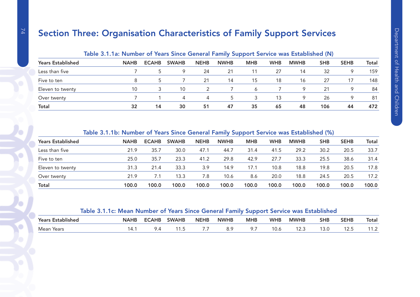# Section Three: Organisation Characteristics of Family Support Services

|                          | <u>rapie official indifferent of teams office deficial i alling oupport betwice was established (in)</u> |              |              |             |             |            |            |             |            |             |       |
|--------------------------|----------------------------------------------------------------------------------------------------------|--------------|--------------|-------------|-------------|------------|------------|-------------|------------|-------------|-------|
| <b>Years Established</b> | <b>NAHB</b>                                                                                              | <b>ECAHB</b> | <b>SWAHB</b> | <b>NEHB</b> | <b>NWHB</b> | <b>MHB</b> | <b>WHB</b> | <b>MWHB</b> | <b>SHB</b> | <b>SEHB</b> | Total |
| Less than five           |                                                                                                          |              | 9            | 24          | 21          | 11         | 27         | 14          | 32         | $\circ$     | 159   |
| Five to ten              |                                                                                                          |              |              | 21          | 14          | 15         | 18         | 16          | 27         | 17          | 148   |
| Eleven to twenty         | 10                                                                                                       |              | 10           |             |             | 6          |            | 9           | 21         | 9           | 84    |
| Over twenty              |                                                                                                          |              | 4            | 4           | 5           |            | 13         | Q           | 26         | $\circ$     | 81    |
| <b>Total</b>             | 32                                                                                                       | 14           | 30           | 51          | 47          | 35         | 65         | 48          | 106        | 44          | 472   |

# Table 3.1.1a: Number of Years Since General Family Support Service was Established (N)

#### Table 3.1.1b: Number of Years Since General Family Support Service was Established (%)

| <b>NAHB</b> | <b>ECAHB</b> | <b>SWAHB</b> | <b>NEHB</b> | <b>NWHB</b> | <b>MHB</b> | <b>WHB</b> | <b>MWHB</b> | <b>SHB</b> | <b>SEHB</b> | <b>Total</b> |
|-------------|--------------|--------------|-------------|-------------|------------|------------|-------------|------------|-------------|--------------|
| 21.9        | 35.7         | 30.0         | 47.1        | 44.7        | 31.4       | 41.5       | 29.2        | 30.2       | 20.5        | 33.7         |
| 25.0        | 35.7         | 23.3         | 41.2        | 29.8        | 42.9       | 27.7       | 33.3        | 25.5       | 38.6        | 31.4         |
| 31.3        | 21.4         | 33.3         | 3.9         | 14.9        | 17.1       | 10.8       | 18.8        | 19.8       | 20.5        | 17.8         |
| 21.9        | 7.1          | 13.3         | 7.8         | 10.6        | 8.6        | 20.0       | 18.8        | 24.5       | 20.5        | 17.2         |
| 100.0       | 100.0        | 100.0        | 100.0       | 100.0       | 100.0      | 100.0      | 100.0       | 100.0      | 100.0       | 100.0        |
|             |              |              |             |             |            |            |             |            |             |              |

# Table 3.1.1c: Mean Number of Years Since General Family Support Service was Established

| $\blacksquare$<br>Years.<br><b>Established</b> | <b>NAHB</b> | <b>ECAHE</b> | <b>SWAHB</b>   | <b>NEHB</b> | <b>NWHB</b> | <b>MHB</b> | <b>WHB</b>    | <b>MWHB</b> | <b>SHB</b> | <b>SEHB</b> | Total  |
|------------------------------------------------|-------------|--------------|----------------|-------------|-------------|------------|---------------|-------------|------------|-------------|--------|
| Mean<br>Years                                  | $\sqrt{1}$  |              | $\cdot$ $\sim$ |             | o. .        |            | $\sim$<br>v.o | ، ک ا       | $\ddotsc$  | .<br>ں کا ا | .<br>. |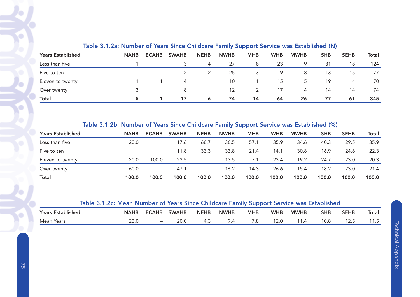|                          | TOWIS OFFICER TRAINING OF TOOLS ONTEG ON MODEL ON THE OWNER TO FIRST HIS CONSIDERED (17) |              |              |              |             |            |            |             |            |             |       |
|--------------------------|------------------------------------------------------------------------------------------|--------------|--------------|--------------|-------------|------------|------------|-------------|------------|-------------|-------|
| <b>Years Established</b> | <b>NAHB</b>                                                                              | <b>ECAHB</b> | <b>SWAHB</b> | <b>NEHB</b>  | <b>NWHB</b> | <b>MHB</b> | <b>WHB</b> | <b>MWHB</b> | <b>SHB</b> | <b>SEHB</b> | Total |
| Less than five           |                                                                                          |              |              | 4            | 27          | 8          | 23         | 9           | 31         | 18          | 124   |
| Five to ten              |                                                                                          |              |              |              | 25          |            | о          | 8           | 13         | 15          | 77    |
| Eleven to twenty         |                                                                                          |              | 4            |              | 10          |            | 15         | 5           | 19         | 14          | 70    |
| Over twenty              |                                                                                          |              | 8            |              | 12          |            |            | 4           | 14         | 14          | 74    |
| <b>Total</b>             |                                                                                          |              | 17           | <sub>6</sub> | 74          | 14         | 64         | 26          | 77         | 61          | 345   |

# Table 3.1.2a: Number of Years Since Childcare Family Support Service was Established (N)

| <b>Years Established</b> | <b>NAHB</b> | <b>ECAHB</b> | <b>SWAHB</b> | <b>NEHB</b> | <b>NWHB</b> | <b>MHB</b> | <b>WHB</b> | <b>MWHB</b> | <b>SHB</b> | <b>SEHB</b> | <b>Total</b> |
|--------------------------|-------------|--------------|--------------|-------------|-------------|------------|------------|-------------|------------|-------------|--------------|
| Less than five           | 20.0        |              | 17.6         | 66.7        | 36.5        | 57.1       | 35.9       | 34.6        | 40.3       | 29.5        | 35.9         |
| Five to ten              |             |              | 11.8         | 33.3        | 33.8        | 21.4       | 14.1       | 30.8        | 16.9       | 24.6        | 22.3         |
| Eleven to twenty         | 20.0        | 100.0        | 23.5         |             | 13.5        | 7.1        | 23.4       | 19.2        | 24.7       | 23.0        | 20.3         |
| Over twenty              | 60.0        |              | 47.1         |             | 16.2        | 14.3       | 26.6       | 15.4        | 18.2       | 23.0        | 21.4         |
| Total                    | 100.0       | 100.0        | 100.0        | 100.0       | 100.0       | 100.0      | 100.0      | 100.0       | 100.0      | 100.0       | 100.0        |

|                   | Table 3.1.2c: Mean Number of Years Since Childcare Family Support Service was Established |  |                            |  |            |            |             |          |       |
|-------------------|-------------------------------------------------------------------------------------------|--|----------------------------|--|------------|------------|-------------|----------|-------|
| Years Established |                                                                                           |  | NAHB ECAHB SWAHB NEHB NWHB |  | <b>MHB</b> | <b>WHB</b> | <b>MWHB</b> | SHB SEHB | Total |

| i edi S<br>ESLADIISHEU | <b>IVAND</b> | :САПР                    | JVVAND | INEND | <b>IVVVIID</b> | IVIND          | VVID | IVIVTHD | эпр  | ЭЕПР | ιυιαι    |
|------------------------|--------------|--------------------------|--------|-------|----------------|----------------|------|---------|------|------|----------|
| Mean<br>Years          | ∠J.∪         | $\overline{\phantom{0}}$ | _v.v   | −…    | $\cdot$        | $\cdot$ $\sim$ |      |         | ししいし | ۰۰ ک | $\cdots$ |

Ö

٠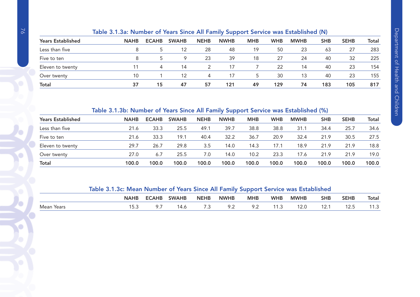|                          | Table of Hoat Hamber of Tears Since Air Farmly Support Service was Established (H) |              |              |             |             |            |            |             |            |             |       |
|--------------------------|------------------------------------------------------------------------------------|--------------|--------------|-------------|-------------|------------|------------|-------------|------------|-------------|-------|
| <b>Years Established</b> | <b>NAHB</b>                                                                        | <b>ECAHB</b> | <b>SWAHB</b> | <b>NEHB</b> | <b>NWHB</b> | <b>MHB</b> | <b>WHB</b> | <b>MWHB</b> | <b>SHB</b> | <b>SEHB</b> | Total |
| Less than five           |                                                                                    |              | 12           | 28          | 48          | 19         | 50         | 23          | 63         | 27          | 283   |
| Five to ten              |                                                                                    |              | 9            | 23          | 39          | 18         | 27         | 24          | 40         | 32          | 225   |
| Eleven to twenty         |                                                                                    | 4            | 14           |             | 17          |            | 22         | 14          | 40         | 23          | 154   |
| Over twenty              | 10                                                                                 |              | 12           | 4           | 17          |            | 30         | 13          | 40         | 23          | 155   |
| Total                    | 37                                                                                 | 15           | 47           | 57          | 121         | 49         | 129        | 74          | 183        | 105         | 817   |

# Table 3.1.3a: Number of Years Since All Family Support Service was Established (N)

# Table 3.1.3b: Number of Years Since All Family Support Service was Established (%)

| <b>Years Established</b> | <b>NAHB</b> | <b>ECAHB</b> | <b>SWAHB</b> | <b>NEHB</b> | <b>NWHB</b> | <b>MHB</b> | <b>WHB</b> | <b>MWHB</b> | <b>SHB</b> | <b>SEHB</b> | Total |
|--------------------------|-------------|--------------|--------------|-------------|-------------|------------|------------|-------------|------------|-------------|-------|
| Less than five           | 21.6        | 33.3         | 25.5         | 49.1        | 39.7        | 38.8       | 38.8       | 31.1        | 34.4       | 25.7        | 34.6  |
| Five to ten              | 21.6        | 33.3         | 19.1         | 40.4        | 32.2        | 36.7       | 20.9       | 32.4        | 21.9       | 30.5        | 27.5  |
| Eleven to twenty         | 29.7        | 26.7         | 29.8         | 3.5         | 14.0        | 14.3       | 17.1       | 18.9        | 21.9       | 21.9        | 18.8  |
| Over twenty              | 27.0        | 6.7          | 25.5         | 7.0         | 14.0        | 10.2       | 23.3       | 17.6        | 21.9       | 21.9        | 19.0  |
| <b>Total</b>             | 100.0       | 100.0        | 100.0        | 100.0       | 100.0       | 100.0      | 100.0      | 100.0       | 100.0      | 100.0       | 100.0 |

# Table 3.1.3c: Mean Number of Years Since All Family Support Service was Established

|               | NAHE      | <b>ECAHB</b> | <b>SWAHB</b> | <b>NEHB</b> | <b>NWHB</b> | <b>MHE</b>        | <b>WHB</b> | <b>MWHB</b>    | <b>SHB</b>     | <b>SEHB</b>       | <b>Total</b>                    |
|---------------|-----------|--------------|--------------|-------------|-------------|-------------------|------------|----------------|----------------|-------------------|---------------------------------|
| Mean<br>Years | -<br>ن.رب | , , ,        | 4.C          | . .         | ے .         | $\sim$ . 4 $\sim$ | .          | າ ລິຕ<br>. 2.v | $\sim$<br>۰– ۱ | $\sim$<br>ں . ک ، | $\overline{\phantom{a}}$<br>ن . |

O

C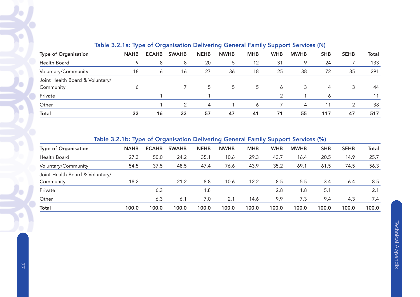|                                 |             |              |              |             |             |            |            | Table 0.2.1a. Type of Organisation Denvering Ocheral Family Support Services (H) |            |             |              |
|---------------------------------|-------------|--------------|--------------|-------------|-------------|------------|------------|----------------------------------------------------------------------------------|------------|-------------|--------------|
| <b>Type of Organisation</b>     | <b>NAHB</b> | <b>ECAHB</b> | <b>SWAHB</b> | <b>NEHB</b> | <b>NWHB</b> | <b>MHB</b> | <b>WHB</b> | <b>MWHB</b>                                                                      | <b>SHB</b> | <b>SEHB</b> | <b>Total</b> |
| Health Board                    | 9           | 8            | 8            | 20          | 5           | 12         | 31         | 9                                                                                | 24         |             | 133          |
| Voluntary/Community             | 18          | 6            | 16           | 27          | 36          | 18         | 25         | 38                                                                               | 72         | 35          | 291          |
| Joint Health Board & Voluntary/ |             |              |              |             |             |            |            |                                                                                  |            |             |              |
| Community                       | Ô           |              |              | 5           | 5           | 5          | 6          | 3                                                                                | 4          | 3           | 44           |
| Private                         |             |              |              |             |             |            |            |                                                                                  | 6          |             |              |
| Other                           |             |              | C            | 4           |             | 6          |            | 4                                                                                | 11         |             | 38           |
| <b>Total</b>                    | 33          | 16           | 33           | 57          | 47          | 41         | 71         | 55                                                                               | 117        | 47          | 517          |

# Table 3.2.1a: Type of Organisation Delivering General Family Support Services (N)

# Table 3.2.1b: Type of Organisation Delivering General Family Support Services (%)

|                                 | - -         |              |              |             |             |            | . .        |             |            |             |              |
|---------------------------------|-------------|--------------|--------------|-------------|-------------|------------|------------|-------------|------------|-------------|--------------|
| <b>Type of Organisation</b>     | <b>NAHB</b> | <b>ECAHB</b> | <b>SWAHB</b> | <b>NEHB</b> | <b>NWHB</b> | <b>MHB</b> | <b>WHB</b> | <b>MWHB</b> | <b>SHB</b> | <b>SEHB</b> | <b>Total</b> |
| Health Board                    | 27.3        | 50.0         | 24.2         | 35.1        | 10.6        | 29.3       | 43.7       | 16.4        | 20.5       | 14.9        | 25.7         |
| Voluntary/Community             | 54.5        | 37.5         | 48.5         | 47.4        | 76.6        | 43.9       | 35.2       | 69.1        | 61.5       | 74.5        | 56.3         |
| Joint Health Board & Voluntary/ |             |              |              |             |             |            |            |             |            |             |              |
| Community                       | 18.2        |              | 21.2         | 8.8         | 10.6        | 12.2       | 8.5        | 5.5         | 3.4        | 6.4         | 8.5          |
| Private                         |             | 6.3          |              | 1.8         |             |            | 2.8        | 1.8         | 5.1        |             | 2.1          |
| Other                           |             | 6.3          | 6.1          | 7.0         | 2.1         | 14.6       | 9.9        | 7.3         | 9.4        | 4.3         | 7.4          |
| <b>Total</b>                    | 100.0       | 100.0        | 100.0        | 100.0       | 100.0       | 100.0      | 100.0      | 100.0       | 100.0      | 100.0       | 100.0        |
|                                 |             |              |              |             |             |            |            |             |            |             |              |

Ó

O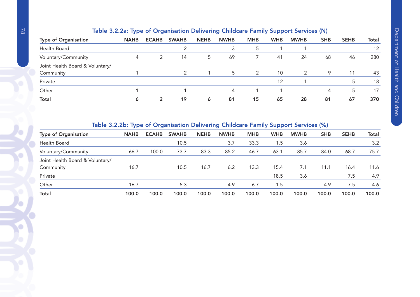|                                 |             |               |               |             |             |            |            | Table 3.2.2a: Type of Organisation Delivering Childcare Family Support Services (N) |            |             |       |
|---------------------------------|-------------|---------------|---------------|-------------|-------------|------------|------------|-------------------------------------------------------------------------------------|------------|-------------|-------|
| <b>Type of Organisation</b>     | <b>NAHB</b> | <b>ECAHB</b>  | <b>SWAHB</b>  | <b>NEHB</b> | <b>NWHB</b> | <b>MHB</b> | <b>WHB</b> | <b>MWHB</b>                                                                         | <b>SHB</b> | <b>SEHB</b> | Total |
| Health Board                    |             |               |               |             | 3           | 5          |            |                                                                                     |            |             | 12    |
| Voluntary/Community             | 4           | $\mathcal{P}$ | 14            | 5           | 69          |            | 41         | 24                                                                                  | 68         | 46          | 280   |
| Joint Health Board & Voluntary/ |             |               |               |             |             |            |            |                                                                                     |            |             |       |
| Community                       |             |               | $\mathcal{P}$ |             | 5           | 2          | 10         | 2                                                                                   | 9          | 11          | 43    |
| Private                         |             |               |               |             |             |            | 12         |                                                                                     |            |             | 18    |
| Other                           |             |               |               |             | 4           |            |            |                                                                                     | 4          |             | 17    |
| <b>Total</b>                    |             | 2             | 19            | 6           | 81          | 15         | 65         | 28                                                                                  | 81         | 67          | 370   |

# Table 3.2.2b: Type of Organisation Delivering Childcare Family Support Services (%)

| <b>Type of Organisation</b>     | <b>NAHB</b> | <b>ECAHB</b> | <b>SWAHB</b> | <b>NEHB</b> | <b>NWHB</b> | <b>MHB</b> | <b>WHB</b> | <b>MWHB</b> | <b>SHB</b> | <b>SEHB</b> | <b>Total</b> |
|---------------------------------|-------------|--------------|--------------|-------------|-------------|------------|------------|-------------|------------|-------------|--------------|
| Health Board                    |             |              | 10.5         |             | 3.7         | 33.3       | 1.5        | 3.6         |            |             | 3.2          |
| Voluntary/Community             | 66.7        | 100.0        | 73.7         | 83.3        | 85.2        | 46.7       | 63.1       | 85.7        | 84.0       | 68.7        | 75.7         |
| Joint Health Board & Voluntary/ |             |              |              |             |             |            |            |             |            |             |              |
| Community                       | 16.7        |              | 10.5         | 16.7        | 6.2         | 13.3       | 15.4       | 7.1         | 11.1       | 16.4        | 11.6         |
| Private                         |             |              |              |             |             |            | 18.5       | 3.6         |            | 7.5         | 4.9          |
| Other                           | 16.7        |              | 5.3          |             | 4.9         | 6.7        | 1.5        |             | 4.9        | 7.5         | 4.6          |
| <b>Total</b>                    | 100.0       | 100.0        | 100.0        | 100.0       | 100.0       | 100.0      | 100.0      | 100.0       | 100.0      | 100.0       | 100.0        |

C

C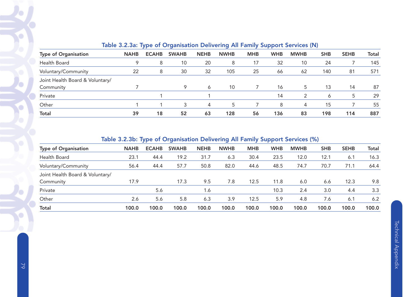| Table J.Z.Ja. Type of Organisation Delivering All Family Jupport Jervices (N) |             |              |              |             |             |            |            |             |            |             |              |  |  |
|-------------------------------------------------------------------------------|-------------|--------------|--------------|-------------|-------------|------------|------------|-------------|------------|-------------|--------------|--|--|
| <b>Type of Organisation</b>                                                   | <b>NAHB</b> | <b>ECAHB</b> | <b>SWAHB</b> | <b>NEHB</b> | <b>NWHB</b> | <b>MHB</b> | <b>WHB</b> | <b>MWHB</b> | <b>SHB</b> | <b>SEHB</b> | <b>Total</b> |  |  |
| Health Board                                                                  |             | 8            | 10           | 20          | 8           | 17         | 32         | 10          | 24         |             | 145          |  |  |
| Voluntary/Community                                                           | 22          | 8            | 30           | 32          | 105         | 25         | 66         | 62          | 140        | 81          | 571          |  |  |
| Joint Health Board & Voluntary/                                               |             |              |              |             |             |            |            |             |            |             |              |  |  |
| Community                                                                     |             |              | 9            | 6           | 10          |            | 16         | 5           | 13         | 14          | 87           |  |  |
| Private                                                                       |             |              |              |             |             |            | 14         |             | 6          | 5           | 29           |  |  |
| Other                                                                         |             |              |              | 4           | 5           |            | 8          | 4           | 15         |             | 55           |  |  |
| <b>Total</b>                                                                  | 39          | 18           | 52           | 63          | 128         | 56         | 136        | 83          | 198        | 114         | 887          |  |  |

# Table 3.2.3a: Type of Organisation Delivering All Family Support Services (N)

# Table 3.2.3b: Type of Organisation Delivering All Family Support Services (%)

| <b>NAHB</b> | <b>ECAHB</b> | <b>SWAHB</b> | <b>NEHB</b> | <b>NWHB</b> | <b>MHB</b> | <b>WHB</b> | <b>MWHB</b> | <b>SHB</b> | <b>SEHB</b> | Total |
|-------------|--------------|--------------|-------------|-------------|------------|------------|-------------|------------|-------------|-------|
| 23.1        | 44.4         | 19.2         | 31.7        | 6.3         | 30.4       | 23.5       | 12.0        | 12.1       | 6.1         | 16.3  |
| 56.4        | 44.4         | 57.7         | 50.8        | 82.0        | 44.6       | 48.5       | 74.7        | 70.7       | 71.1        | 64.4  |
|             |              |              |             |             |            |            |             |            |             |       |
| 17.9        |              | 17.3         | 9.5         | 7.8         | 12.5       | 11.8       | 6.0         | 6.6        | 12.3        | 9.8   |
|             | 5.6          |              | 1.6         |             |            | 10.3       | 2.4         | 3.0        | 4.4         | 3.3   |
| 2.6         | 5.6          | 5.8          | 6.3         | 3.9         | 12.5       | 5.9        | 4.8         | 7.6        | 6.1         | 6.2   |
| 100.0       | 100.0        | 100.0        | 100.0       | 100.0       | 100.0      | 100.0      | 100.0       | 100.0      | 100.0       | 100.0 |
|             |              |              |             |             |            |            |             |            |             |       |

 $\bullet$ 

O

G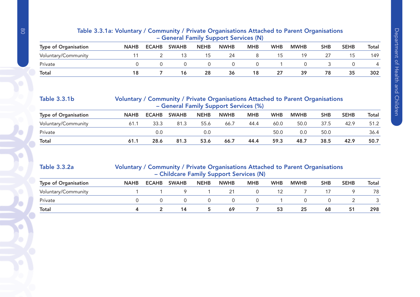| - General Family Support Services (N) |             |              |              |             |             |            |            |             |            |             |       |  |  |
|---------------------------------------|-------------|--------------|--------------|-------------|-------------|------------|------------|-------------|------------|-------------|-------|--|--|
| <b>Type of Organisation</b>           | <b>NAHB</b> | <b>ECAHB</b> | <b>SWAHB</b> | <b>NEHB</b> | <b>NWHB</b> | <b>MHB</b> | <b>WHB</b> | <b>MWHB</b> | <b>SHB</b> | <b>SEHB</b> | Total |  |  |
| Voluntary/Community                   |             |              | 13           | 15          | 24          |            | 15         | 19          |            | l 5         | 149   |  |  |
| Private                               |             |              |              |             |             | $\Omega$   |            |             |            |             | 4     |  |  |
| <b>Total</b>                          |             |              | 16           | 28          | 36          | 18         | 27         | 39          | 78         | 35          | 302   |  |  |

### Table 3.3.1a: Voluntary / Community / Private Organisations Attached to Parent Organisations – General Family Support Services (N)

| <b>Table 3.3.1b</b>         | Voluntary / Community / Private Organisations Attached to Parent Organisations<br>- General Family Support Services (%) |              |              |             |             |            |            |             |            |             |       |  |  |
|-----------------------------|-------------------------------------------------------------------------------------------------------------------------|--------------|--------------|-------------|-------------|------------|------------|-------------|------------|-------------|-------|--|--|
| <b>Type of Organisation</b> | <b>NAHB</b>                                                                                                             | <b>ECAHB</b> | <b>SWAHB</b> | <b>NEHB</b> | <b>NWHB</b> | <b>MHB</b> | <b>WHB</b> | <b>MWHB</b> | <b>SHB</b> | <b>SEHB</b> | Total |  |  |
| Voluntary/Community         | 61.1                                                                                                                    | 33.3         | 81.3         | 55.6        | 66.7        | 44.4       | 60.0       | 50.0        | 37.5       | 42.9        | 51.2  |  |  |
| Private                     |                                                                                                                         | 0.0          |              | 0.0         |             |            | 50.0       | 0.0         | 50.0       |             | 36.4  |  |  |
| <b>Total</b>                | 61.1                                                                                                                    | 28.6         | 81.3         | 53.6        | 66.7        | 44.4       | 59.3       | 48.7        | 38.5       | 42.9        | 50.7  |  |  |

#### Table 3.3.2a Voluntary / Community / Private Organisations Attached to Parent Organisations – Childcare Family Support Services (N)

| <b>Type of Organisation</b> | <b>NAHB</b> | <b>ECAHB</b> | <b>SWAHB</b> | <b>NEHB</b> | <b>NWHB</b> | <b>MHB</b> | <b>WHB</b> | <b>MWHB</b> | <b>SHB</b> | <b>SEHB</b> | Total |
|-----------------------------|-------------|--------------|--------------|-------------|-------------|------------|------------|-------------|------------|-------------|-------|
| Voluntary/Community         |             |              |              |             |             |            |            |             |            |             | 78    |
| Private                     |             |              |              |             |             |            |            |             |            |             |       |
| <b>Total</b>                |             |              | 14           |             | 69          |            | 53         | 25          | 68         | 51          | 298   |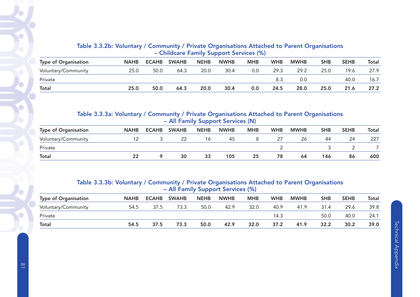| Table 3.3.2b: Voluntary / Community / Private Organisations Attached to Parent Organisations |
|----------------------------------------------------------------------------------------------|
| - Childcare Family Support Services (%)                                                      |

| <b>Type of Organisation</b> | <b>NAHB</b> | <b>ECAHB</b> | <b>SWAHB</b> | <b>NEHB</b> | <b>NWHB</b> | <b>MHB</b> | <b>WHB</b> | <b>MWHB</b> | <b>SHB</b> | <b>SEHB</b> | Total |
|-----------------------------|-------------|--------------|--------------|-------------|-------------|------------|------------|-------------|------------|-------------|-------|
| Voluntary/Community         | 25.0        | 50.0         | 64.3         | 20.0        | 30.4        | 0.0        | 29.3       | 29.2        | 25.0       | 19.6        | 27.9  |
| Private                     |             |              |              |             |             |            | 8.3        | 0.0         |            | 40.0        | 16.7  |
| <b>Total</b>                | 25.0        | 50.0         | 64.3         | 20.0        | 30.4        | 0.0        | 24.5       | 28.0        | 25.0       | 21.6        | 27.2  |

#### Table 3.3.3a: Voluntary / Community / Private Organisations Attached to Parent Organisations – All Family Support Services (N)

| <b>Type of Organisation</b> | <b>NAHB</b> | <b>ECAHB</b> | <b>SWAHB</b> | <b>NEHB</b> | <b>NWHB</b> | <b>MHB</b> | <b>WHB</b> | <b>MWHB</b> | <b>SHB</b> | <b>SEHB</b> | Total |
|-----------------------------|-------------|--------------|--------------|-------------|-------------|------------|------------|-------------|------------|-------------|-------|
| Voluntary/Community         |             |              |              | 16          | 45          |            |            | 26          | 44         | 24          | 227   |
| Private                     |             |              |              |             |             |            |            |             |            |             |       |
| <b>Total</b>                | 22          |              | 30           | 33          | 105         | 25         | 78         | 64          | 146        | 86          | 600   |

#### Table 3.3.3b: Voluntary / Community / Private Organisations Attached to Parent Organisations – All Family Support Services (%)

| <b>NAHB</b> | <b>ECAHB</b> | <b>SWAHB</b> | <b>NEHB</b> | <b>NWHB</b> | <b>MHB</b> | <b>WHB</b> | <b>MWHB</b> | <b>SHB</b> | <b>SEHB</b> | Total |
|-------------|--------------|--------------|-------------|-------------|------------|------------|-------------|------------|-------------|-------|
| 54.5        | 37.5         | 73.3         | 50.0        | 42.9        | 32.0       | 40.9       | 41.9        | 31.4       | 29.6        | 39.8  |
|             |              |              |             |             |            | 14.3       |             | 50.0       | 40.0        | 24.1  |
| 54.5        | 37.5         | 73.3         | 50.0        | 42.9        | 32.0       | 37.2       | 41.9        | 32.2       | 30.2        | 39.0  |
|             |              |              |             |             |            |            |             |            |             |       |

Ō

c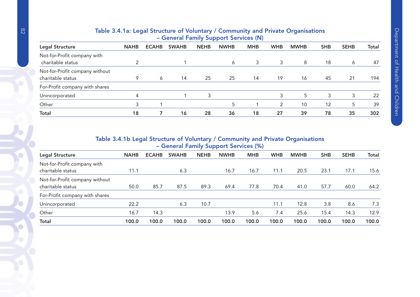| - General Family Support Services (N)               |             |              |              |             |             |            |            |             |            |             |       |  |  |
|-----------------------------------------------------|-------------|--------------|--------------|-------------|-------------|------------|------------|-------------|------------|-------------|-------|--|--|
| Legal Structure                                     | <b>NAHB</b> | <b>ECAHB</b> | <b>SWAHB</b> | <b>NEHB</b> | <b>NWHB</b> | <b>MHB</b> | <b>WHB</b> | <b>MWHB</b> | <b>SHB</b> | <b>SEHB</b> | Total |  |  |
| Not-for-Profit company with<br>charitable status    |             |              |              |             | 6           | 3          | 3          | 8           | 18         | 6           | 47    |  |  |
| Not-for-Profit company without<br>charitable status | 9           | 6            | 14           | 25          | 25          | 14         | 19         | 16          | 45         | 21          | 194   |  |  |
| For-Profit company with shares                      |             |              |              |             |             |            |            |             |            |             |       |  |  |
| Unincorporated                                      | 4           |              |              | 3           |             |            | 3          | 5           | 3          | 3           | 22    |  |  |
| Other                                               | 3           |              |              |             | 5           |            | 2          | 10          | 12         | 5           | 39    |  |  |
| <b>Total</b>                                        | 18          |              | 16           | 28          | 36          | 18         | 27         | 39          | 78         | 35          | 302   |  |  |

# Table 3.4.1a: Legal Structure of Voluntary / Community and Private Organisations

# Table 3.4.1b Legal Structure of Voluntary / Community and Private Organisations – General Family Support Services (%)

| Legal Structure                                     | <b>NAHB</b> | <b>ECAHB</b> | <b>SWAHB</b> | <b>NEHB</b> | <b>NWHB</b> | <b>MHB</b> | <b>WHB</b> | <b>MWHB</b> | <b>SHB</b> | <b>SEHB</b> | Total |
|-----------------------------------------------------|-------------|--------------|--------------|-------------|-------------|------------|------------|-------------|------------|-------------|-------|
| Not-for-Profit company with<br>charitable status    | 11.1        |              | 6.3          |             | 16.7        | 16.7       | 11.1       | 20.5        | 23.1       | 17.1        | 15.6  |
| Not-for-Profit company without<br>charitable status | 50.0        | 85.7         | 87.5         | 89.3        | 69.4        | 77.8       | 70.4       | 41.0        | 57.7       | 60.0        | 64.2  |
| For-Profit company with shares                      |             |              |              |             |             |            |            |             |            |             |       |
| Unincorporated                                      | 22.2        |              | 6.3          | 10.7        |             |            | 11.1       | 12.8        | 3.8        | 8.6         | 7.3   |
| Other                                               | 16.7        | 14.3         |              |             | 13.9        | 5.6        | 7.4        | 25.6        | 15.4       | 14.3        | 12.9  |
| <b>Total</b>                                        | 100.0       | 100.0        | 100.0        | 100.0       | 100.0       | 100.0      | 100.0      | 100.0       | 100.0      | 100.0       | 100.0 |

 $\bullet$ 

 $\bullet$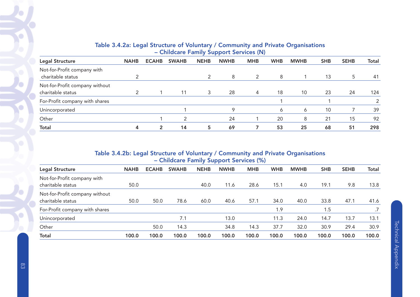|                                |             |                |              |               | .           |            |            |             |            |             |               |
|--------------------------------|-------------|----------------|--------------|---------------|-------------|------------|------------|-------------|------------|-------------|---------------|
| Legal Structure                | <b>NAHB</b> | <b>ECAHB</b>   | <b>SWAHB</b> | <b>NEHB</b>   | <b>NWHB</b> | <b>MHB</b> | <b>WHB</b> | <b>MWHB</b> | <b>SHB</b> | <b>SEHB</b> | Total         |
| Not-for-Profit company with    |             |                |              |               |             |            |            |             |            |             |               |
| charitable status              |             |                |              | $\mathcal{P}$ | 8           | 2          | 8          |             | 13         | 5           | 41            |
| Not-for-Profit company without |             |                |              |               |             |            |            |             |            |             |               |
| charitable status              | ◠           |                | 11           | 3             | 28          | 4          | 18         | 10          | 23         | 24          | 124           |
| For-Profit company with shares |             |                |              |               |             |            |            |             |            |             | $\mathcal{P}$ |
| Unincorporated                 |             |                |              |               | 9           |            | 6          | 6           | 10         |             | 39            |
| Other                          |             |                |              |               | 24          |            | 20         | 8           | 21         | 15          | 92            |
| <b>Total</b>                   | 4           | $\overline{2}$ | 14           | 5             | 69          |            | 53         | 25          | 68         | 51          | 298           |

# Table 3.4.2a: Legal Structure of Voluntary / Community and Private Organisations – Childcare Family Support Services (N)

# Table 3.4.2b: Legal Structure of Voluntary / Community and Private Organisations – Childcare Family Support Services (%)

| <b>Legal Structure</b>         | <b>NAHB</b> | <b>ECAHB</b> | <b>SWAHB</b> | <b>NEHB</b> | <b>NWHB</b> | <b>MHB</b> | <b>WHB</b> | <b>MWHB</b> | <b>SHB</b> | <b>SEHB</b> | <b>Total</b> |
|--------------------------------|-------------|--------------|--------------|-------------|-------------|------------|------------|-------------|------------|-------------|--------------|
| Not-for-Profit company with    |             |              |              |             |             |            |            |             |            |             |              |
| charitable status              | 50.0        |              |              | 40.0        | 11.6        | 28.6       | 15.1       | 4.0         | 19.1       | 9.8         | 13.8         |
| Not-for-Profit company without |             |              |              |             |             |            |            |             |            |             |              |
| charitable status              | 50.0        | 50.0         | 78.6         | 60.0        | 40.6        | 57.1       | 34.0       | 40.0        | 33.8       | 47.1        | 41.6         |
| For-Profit company with shares |             |              |              |             |             |            | 1.9        |             | 1.5        |             |              |
| Unincorporated                 |             |              | 7.1          |             | 13.0        |            | 11.3       | 24.0        | 14.7       | 13.7        | 13.1         |
| Other                          |             | 50.0         | 14.3         |             | 34.8        | 14.3       | 37.7       | 32.0        | 30.9       | 29.4        | 30.9         |
| <b>Total</b>                   | 100.0       | 100.0        | 100.0        | 100.0       | 100.0       | 100.0      | 100.0      | 100.0       | 100.0      | 100.0       | 100.0        |

 $\blacklozenge$ 

Ö

 $\bullet$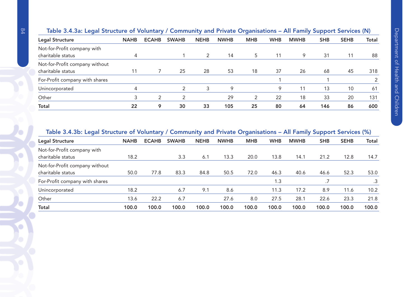|                                                     |             |              |              |             |             |            |            |             | . .        |             |                       |
|-----------------------------------------------------|-------------|--------------|--------------|-------------|-------------|------------|------------|-------------|------------|-------------|-----------------------|
| Legal Structure                                     | <b>NAHB</b> | <b>ECAHB</b> | <b>SWAHB</b> | <b>NEHB</b> | <b>NWHB</b> | <b>MHB</b> | <b>WHB</b> | <b>MWHB</b> | <b>SHB</b> | <b>SEHB</b> | Total                 |
| Not-for-Profit company with<br>charitable status    | 4           |              |              | 2           | 14          | 5          | 11         | 9           | 31         | 11          | 88                    |
| Not-for-Profit company without                      |             |              |              |             |             |            |            |             |            |             |                       |
| charitable status<br>For-Profit company with shares |             |              | 25           | 28          | 53          | 18         | 37         | 26          | 68         | 45          | 318<br>$\overline{2}$ |
| Unincorporated                                      | 4           |              | າ            | 3           | 9           |            | 9          | 11          | 13         | 10          | 61                    |
| Other                                               |             | 2            |              |             | 29          | 2          | 22         | 18          | 33         | 20          | 131                   |
| <b>Total</b>                                        | 22          | 9            | 30           | 33          | 105         | 25         | 80         | 64          | 146        | 86          | 600                   |
|                                                     |             |              |              |             |             |            |            |             |            |             |                       |

#### Table 3.4.3a: Legal Structure of Voluntary / Community and Private Organisations – All Family Support Services (N)

#### Table 3.4.3b: Legal Structure of Voluntary / Community and Private Organisations – All Family Support Services (%)

| -                              |             | -            |              | -           |             | -          |            | -           | . .        |             |              |
|--------------------------------|-------------|--------------|--------------|-------------|-------------|------------|------------|-------------|------------|-------------|--------------|
| Legal Structure                | <b>NAHB</b> | <b>ECAHB</b> | <b>SWAHB</b> | <b>NEHB</b> | <b>NWHB</b> | <b>MHB</b> | <b>WHB</b> | <b>MWHB</b> | <b>SHB</b> | <b>SEHB</b> | <b>Total</b> |
| Not-for-Profit company with    |             |              |              |             |             |            |            |             |            |             |              |
| charitable status              | 18.2        |              | 3.3          | 6.1         | 13.3        | 20.0       | 13.8       | 14.1        | 21.2       | 12.8        | 14.7         |
| Not-for-Profit company without |             |              |              |             |             |            |            |             |            |             |              |
| charitable status              | 50.0        | 77.8         | 83.3         | 84.8        | 50.5        | 72.0       | 46.3       | 40.6        | 46.6       | 52.3        | 53.0         |
| For-Profit company with shares |             |              |              |             |             |            | 1.3        |             |            |             |              |
| Unincorporated                 | 18.2        |              | 6.7          | 9.1         | 8.6         |            | 11.3       | 17.2        | 8.9        | 11.6        | 10.2         |
| Other                          | 13.6        | 22.2         | 6.7          |             | 27.6        | 8.0        | 27.5       | 28.1        | 22.6       | 23.3        | 21.8         |
| <b>Total</b>                   | 100.0       | 100.0        | 100.0        | 100.0       | 100.0       | 100.0      | 100.0      | 100.0       | 100.0      | 100.0       | 100.0        |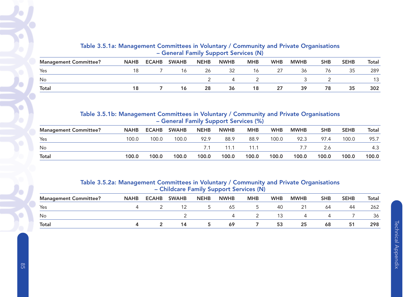| Table 3.5.1a: Management Committees in Voluntary / Community and Private Organisations |  |
|----------------------------------------------------------------------------------------|--|
| - General Family Support Services (N)                                                  |  |

| <b>Management Committee?</b> | <b>NAHB</b> | <b>ECAHB</b> | <b>SWAHB</b> | <b>NEHB</b> | <b>NWHB</b> | <b>MHB</b> | <b>WHB</b> | <b>MWHB</b> | SHB | <b>SEHB</b> | Total |
|------------------------------|-------------|--------------|--------------|-------------|-------------|------------|------------|-------------|-----|-------------|-------|
| Yes                          |             |              |              | 26          | 32          | 16         | رے         | 36          | 76  | 35          | 289   |
| No                           |             |              |              |             |             |            |            |             |     |             |       |
| Total                        |             |              |              | 28          | 36          | 18         | 27         | 39          | 78  | 35          | 302   |

#### Table 3.5.1b: Management Committees in Voluntary / Community and Private Organisations – General Family Support Services (%)

| <b>Management Committee?</b> | <b>NAHB</b> | <b>ECAHB</b> | <b>SWAHB</b> | <b>NEHB</b> | <b>NWHB</b> | <b>MHB</b> | <b>WHB</b> | <b>MWHB</b> | <b>SHB</b> | <b>SEHB</b> | Total |
|------------------------------|-------------|--------------|--------------|-------------|-------------|------------|------------|-------------|------------|-------------|-------|
| Yes                          | 100.0       | 100.0        | 100.0        | 92.9        | 88.9        | 88.9       | 100.0      | 92.3        | 97.4       | 100.0       | 95.7  |
| No                           |             |              |              |             | 11.1        | 11.1       |            |             |            |             | 4.3   |
| <b>Total</b>                 | 100.0       | 100.0        | 100.0        | 100.0       | 100.0       | 100.0      | 100.0      | 100.0       | 100.0      | 100.0       | 100.0 |

## Table 3.5.2a: Management Committees in Voluntary / Community and Private Organisations – Childcare Family Support Services (N)

|                              |             |              |              |             | __          |            |            |                |                |             |              |
|------------------------------|-------------|--------------|--------------|-------------|-------------|------------|------------|----------------|----------------|-------------|--------------|
| <b>Management Committee?</b> | <b>NAHB</b> | <b>ECAHB</b> | <b>SWAHB</b> | <b>NEHB</b> | <b>NWHB</b> | <b>MHB</b> | <b>WHB</b> | <b>MWHB</b>    | <b>SHB</b>     | <b>SEHB</b> | <b>Total</b> |
| Yes                          |             |              |              |             | 65          |            | 40         | 21             | 64             | 44          | 262          |
| No                           |             |              |              |             |             |            | 13         | $\overline{a}$ | $\overline{a}$ |             | 36           |
| <b>Total</b>                 |             |              | 14           | b.          | 69          |            | 53         | 25             | 68             | 51          | 298          |

Ō

o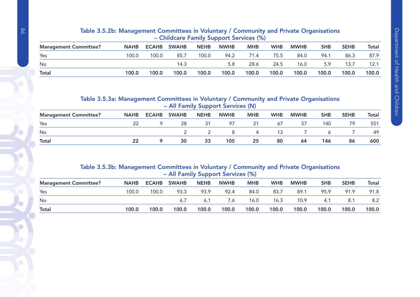|                              |             |       | $\sim$ Childcale Talling Support Services (70) |             |             |            |            |             |            |             |       |
|------------------------------|-------------|-------|------------------------------------------------|-------------|-------------|------------|------------|-------------|------------|-------------|-------|
| <b>Management Committee?</b> | <b>NAHB</b> |       | ECAHB SWAHB                                    | <b>NEHB</b> | <b>NWHB</b> | <b>MHB</b> | <b>WHB</b> | <b>MWHB</b> | <b>SHB</b> | <b>SEHB</b> | Total |
| Yes                          | 100.0       | 100.0 | 85.7                                           | 100.0       | 94.2        | 71.4       | 75.5       | 84.0        | 94.1       | 86.3        | 87.9  |
| <b>No</b>                    |             |       | 14.3                                           |             | 5.8         | 28.6       | 24.5       | 16.0        | 5.9        | 13.7        | 12.1  |
| <b>Total</b>                 | 100.0       | 100.0 | 100.0                                          | 100.0       | 100.0       | 100.0      | 100.0      | 100.0       | 100.0      | 100.0       | 100.0 |

#### Table 3.5.2b: Management Committees in Voluntary / Community and Private Organisations – Childcare Family Support Services (%)

# Table 3.5.3a: Management Committees in Voluntary / Community and Private Organisations – All Family Support Services (N)

| <b>Management Committee?</b> | <b>NAHB</b> | <b>ECAHB</b> | <b>SWAHB</b> | <b>NEHB</b> | <b>NWHB</b> | <b>MHB</b> | <b>WHB</b> | <b>MWHB</b> | <b>SHB</b> | <b>SEHB</b> | Total |
|------------------------------|-------------|--------------|--------------|-------------|-------------|------------|------------|-------------|------------|-------------|-------|
| Yes                          |             |              | 28           |             | 97          | 21         | 67         | 57          | 140        | 79          | 551   |
| No                           |             |              |              |             |             | 4          |            |             |            |             | -49   |
| Total                        |             |              | 30           | 33          | 105         | 25         | 80         | 64          | 146        | 86          | 600   |

# Table 3.5.3b: Management Committees in Voluntary / Community and Private Organisations – All Family Support Services (%)

| <b>Management Committee?</b> | <b>NAHB</b> | <b>ECAHB</b> | <b>SWAHB</b> | <b>NEHB</b> | <b>NWHB</b> | <b>MHB</b> | <b>WHB</b> | <b>MWHB</b> | <b>SHB</b> | <b>SEHB</b> | Total |
|------------------------------|-------------|--------------|--------------|-------------|-------------|------------|------------|-------------|------------|-------------|-------|
| Yes                          | 100.0       | 100.0        | 93.3         | 93.9        | 92.4        | 84.0       | 83.7       | 89.1        | 95.9       | 91.9        | 91.8  |
| No                           |             |              |              |             | 7.6         | 16.0       | 16.3       | 10.9        | 4.1        | 8.1         | 8.2   |
| <b>Total</b>                 | 100.0       | 100.0        | 100.0        | 100.0       | 100.0       | 100.0      | 100.0      | 100.0       | 100.0      | 100.0       | 100.0 |

Ó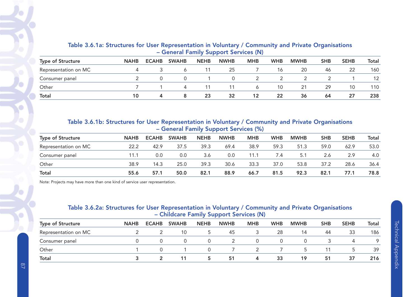| <b>Type of Structure</b> | <b>NAHB</b> | <b>ECAHB</b> | <b>SWAHB</b>     | <b>NEHB</b> | <b>NWHB</b> | <b>MHB</b> | <b>WHB</b> | <b>MWHB</b> | <b>SHB</b> | <b>SEHB</b> | Total |
|--------------------------|-------------|--------------|------------------|-------------|-------------|------------|------------|-------------|------------|-------------|-------|
| Representation on MC     |             |              | 6                |             | 25          |            | 16         | 20          | 46         | 22          | 160   |
| Consumer panel           |             |              | $\left( \right)$ |             |             |            | 2          |             |            |             | 12    |
| Other                    |             |              | $\overline{a}$   |             | 11          | 6          | 10         | -21         | 29         | 10          | 110   |
| <b>Total</b>             | 10          | 4            | 8                | 23          | 32          | 12         | 22         | 36          | 64         | 27          | 238   |

# Table 3.6.1a: Structures for User Representation in Voluntary / Community and Private Organisations – General Family Support Services (N)

Table 3.6.1b: Structures for User Representation in Voluntary / Community and Private Organisations – General Family Support Services (%)

| <b>Type of Structure</b> | <b>NAHB</b> | <b>ECAHB</b> | <b>SWAHB</b> | <b>NEHB</b> | <b>NWHB</b> | <b>MHB</b> | <b>WHB</b> | <b>MWHB</b> | <b>SHB</b> | <b>SEHB</b> | Total |
|--------------------------|-------------|--------------|--------------|-------------|-------------|------------|------------|-------------|------------|-------------|-------|
| Representation on MC     | 22.2        | 42.9         | 37.5         | 39.3        | 69.4        | 38.9       | 59.3       | 51.3        | 59.0       | 62.9        | 53.0  |
| Consumer panel           | 11.1        | 0.0          | 0.0          | 3.6         | 0.0         | 11.1       | 7.4        | 5.1         | 2.6        | 2.9         | 4.0   |
| Other                    | 38.9        | 14.3         | 25.0         | 39.3        | 30.6        | 33.3       | 37.0       | 53.8        | 37.2       | 28.6        | 36.4  |
| <b>Total</b>             | 55.6        | 57.1         | 50.0         | 82.1        | 88.9        | 66.7       | 81.5       | 92.3        | 82.1       | 77.1        | 78.8  |

Note: Projects may have more than one kind of service user representation.

# Table 3.6.2a: Structures for User Representation in Voluntary / Community and Private Organisations – Childcare Family Support Services (N)

| <b>Type of Structure</b> | <b>NAHB</b> | <b>ECAHB</b> | <b>SWAHB</b> | <b>NEHB</b> | <b>NWHB</b> | <b>MHB</b> | <b>WHB</b> | <b>MWHB</b>              | <b>SHB</b> | <b>SEHB</b> | Total   |
|--------------------------|-------------|--------------|--------------|-------------|-------------|------------|------------|--------------------------|------------|-------------|---------|
| Representation on MC     |             |              | 10           | C.          | 45          | 3.         | 28         | 14                       | 44         | 33          | 186     |
| Consumer panel           |             |              | $\Omega$     |             |             | $\Omega$   | $\Omega$   |                          |            |             | $\circ$ |
| Other                    |             |              |              |             |             |            |            | $\overline{\phantom{a}}$ |            |             | 39      |
| <b>Total</b>             |             |              |              | 5.          | 51          | 4          | 33         | 19                       | 51         | 37          | 216     |

**Technical Appendix** Technical Appendix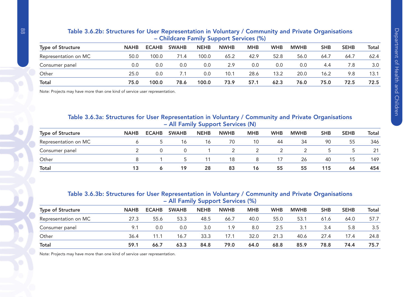| <b>Type of Structure</b> | <b>NAHB</b> | <b>ECAHB</b> | <b>SWAHB</b> | <b>NEHB</b> | <b>NWHB</b> | <b>MHB</b> | <b>WHB</b> | <b>MWHB</b> | <b>SHB</b> | <b>SEHB</b> | Total |
|--------------------------|-------------|--------------|--------------|-------------|-------------|------------|------------|-------------|------------|-------------|-------|
| Representation on MC     | 50.0        | 100.0        | 71.4         | 100.0       | 65.2        | 42.9       | 52.8       | 56.0        | 64.7       | 64.7        | 62.4  |
| Consumer panel           | 0.0         | 0.0          | 0.0          | 0.0         | 2.9         | 0.0        | 0.0        | 0.0         | 4.4        | 7.8         | 3.0   |
| Other                    | 25.0        | 0.0          | 7.1          | 0.0         | 10.1        | 28.6       | 13.2       | 20.0        | 16.2       | 9.8         | 13.1  |
| <b>Total</b>             | 75.0        | 100.0        | 78.6         | 100.0       | 73.9        | 57.1       | 62.3       | 76.0        | 75.0       | 72.5        | 72.5  |

#### Table 3.6.2b: Structures for User Representation in Voluntary / Community and Private Organisations – Childcare Family Support Services (%)

Note: Projects may have more than one kind of service user representation.

#### Table 3.6.3a: Structures for User Representation in Voluntary / Community and Private Organisations – All Family Support Services (N)

| <b>Type of Structure</b> | <b>NAHB</b> | <b>ECAHB</b> | <b>SWAHB</b> | <b>NEHB</b> | <b>NWHB</b> | <b>MHB</b> | <b>WHB</b> | <b>MWHB</b> | <b>SHB</b> | <b>SEHB</b> | Total |
|--------------------------|-------------|--------------|--------------|-------------|-------------|------------|------------|-------------|------------|-------------|-------|
| Representation on MC     |             |              | 16           | 16          | 70          | 10         | 44         | 34          | 90         | 55          | 346   |
| Consumer panel           |             |              |              |             |             |            |            |             |            |             |       |
| Other                    |             |              | $\sim$       |             | 18          | 8          | 17         | 26          | 40         | 15          | 149   |
| <b>Total</b>             |             |              | 19           | 28          | 83          | 16         | 55         | 55          | 115        | 64          | 454   |

## Table 3.6.3b: Structures for User Representation in Voluntary / Community and Private Organisations – All Family Support Services (%)

| <b>Type of Structure</b> | <b>NAHB</b> | <b>ECAHB</b> | <b>SWAHB</b> | <b>NEHB</b> | <b>NWHB</b> | <b>MHB</b> | <b>WHB</b> | <b>MWHB</b> | <b>SHB</b> | <b>SEHB</b> | Total |
|--------------------------|-------------|--------------|--------------|-------------|-------------|------------|------------|-------------|------------|-------------|-------|
| Representation on MC     | 27.3        | 55.6         | 53.3         | 48.5        | 66.7        | 40.0       | 55.0       | 53.1        | 61.6       | 64.0        | 57.7  |
| Consumer panel           | 9.1         | 0.0          | 0.0          | 3.0         | 1.9         | 8.0        | 2.5        | 3.1         | 3.4        | 5.8         | 3.5   |
| Other                    | 36.4        | 11.1         | 16.7         | 33.3        | 17.1        | 32.0       | 21.3       | 40.6        | 27.4       | 17.4        | 24.8  |
| <b>Total</b>             | 59.1        | 66.7         | 63.3         | 84.8        | 79.0        | 64.0       | 68.8       | 85.9        | 78.8       | 74.4        | 75.7  |

Note: Projects may have more than one kind of service user representation.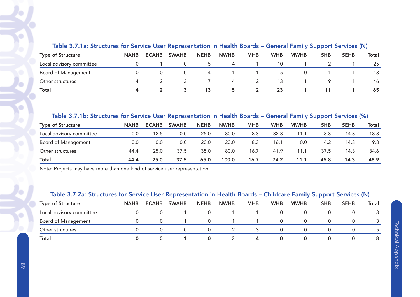| <u>tawis yn ffan ymaean sy fyr yst fias ysgi hopfosofitamen in ffoarm byaras y gofforaf i amny yappyrt yst fiaso (ff)</u> |             |              |              |             |             |            |            |             |            |             |       |
|---------------------------------------------------------------------------------------------------------------------------|-------------|--------------|--------------|-------------|-------------|------------|------------|-------------|------------|-------------|-------|
| <b>Type of Structure</b>                                                                                                  | <b>NAHB</b> | <b>ECAHB</b> | <b>SWAHB</b> | <b>NEHB</b> | <b>NWHB</b> | <b>MHB</b> | <b>WHB</b> | <b>MWHB</b> | <b>SHB</b> | <b>SEHB</b> | Total |
| Local advisory committee                                                                                                  |             |              |              |             |             |            | 10         |             |            |             | 25    |
| Board of Management                                                                                                       |             |              |              |             |             |            |            |             |            |             |       |
| Other structures                                                                                                          |             |              |              |             |             |            |            |             |            |             | 46    |
| Total                                                                                                                     |             |              |              |             |             |            | 23         |             |            |             | 65    |

#### Table 3.7.1a: Structures for Service User Representation in Health Boards – General Family Support Services (N)

#### Table 3.7.1b: Structures for Service User Representation in Health Boards – General Family Support Services (%)

| <b>Type of Structure</b> | <b>NAHB</b> | <b>ECAHB</b> | <b>SWAHB</b> | <b>NEHB</b> | <b>NWHB</b> | <b>MHB</b> | <b>WHB</b> | <b>MWHB</b> | <b>SHB</b> | <b>SEHB</b> | Total |
|--------------------------|-------------|--------------|--------------|-------------|-------------|------------|------------|-------------|------------|-------------|-------|
| Local advisory committee | 0.0         | 12.5         | 0.0          | 25.0        | 80.0        | 8.3        | 32.3       | 11.1        | 8.3        | 14.3        | 18.8  |
| Board of Management      | 0.0         | 0.0          | 0.0          | 20.0        | 20.0        | 8.3        | 16.1       | 0.0         | 4.2        | 14.3        | 9.8   |
| Other structures         | 44.4        | 25.0         | 37.5         | 35.0        | 80.0        | 16.7       | 41.9       | 11.1        | 37.5       | 14.3        | 34.6  |
| <b>Total</b>             | 44.4        | 25.0         | 37.5         | 65.0        | 100.0       | 16.7       | 74.2       | 11.1        | 45.8       | 14.3        | 48.9  |

Note: Projects may have more than one kind of service user representation

#### Table 3.7.2a: Structures for Service User Representation in Health Boards – Childcare Family Support Services (N)

| <b>Type of Structure</b> | <b>NAHB</b> | <b>ECAHB</b> | <b>SWAHB</b> | <b>NEHB</b> | <b>NWHB</b> | <b>MHB</b> | <b>WHB</b> | <b>MWHB</b> | <b>SHB</b> | <b>SEHB</b> | <b>Total</b> |
|--------------------------|-------------|--------------|--------------|-------------|-------------|------------|------------|-------------|------------|-------------|--------------|
| Local advisory committee |             |              |              |             |             |            |            |             |            |             |              |
| Board of Management      |             |              |              |             |             |            |            |             |            |             |              |
| Other structures         |             |              | 0            |             |             |            |            |             |            |             |              |
| <b>Total</b>             |             |              |              |             |             | 4          |            |             |            |             |              |

ō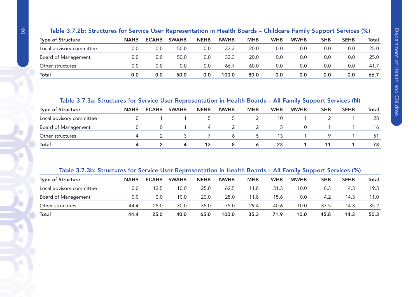| Table 3.7.2b: Structures for Service User Representation in Health Boards - Childcare Family Support Services (%) |
|-------------------------------------------------------------------------------------------------------------------|
|-------------------------------------------------------------------------------------------------------------------|

| <b>Type of Structure</b> | <b>NAHB</b> | <b>ECAHB</b> | <b>SWAHB</b> | <b>NEHB</b> | <b>NWHB</b> | <b>MHB</b> | <b>WHB</b> | <b>MWHB</b> | <b>SHB</b> | <b>SEHB</b> | Total |
|--------------------------|-------------|--------------|--------------|-------------|-------------|------------|------------|-------------|------------|-------------|-------|
| Local advisory committee | 0.0         | 0.0          | 50.0         | 0.0         | 33.3        | 20.0       | 0.0        | 0.0         | 0.0        | 0.0         | 25.0  |
| Board of Management      | 0.0         | 0.0          | 50.0         | 0.0         | 33.3        | 20.0       | 0.0        | 0.0         | 0.0        | 0.0         | 25.0  |
| Other structures         | 0.0         | 0.0          | 0.0          | 0.0         | 66.7        | 60.0       | 0.0        | 0.0         | 0.0        | 0.0         | 41.7  |
| <b>Total</b>             | 0.0         | 0.0          | 50.0         | 0.0         | 100.0       | 80.0       | 0.0        | 0.0         | 0.0        | 0.0         | 66.7  |

# Table 3.7.3a: Structures for Service User Representation in Health Boards – All Family Support Services (N)

| <b>Type of Structure</b>   | <b>NAHB</b> | <b>ECAHB</b> | <b>SWAHB</b> | <b>NEHB</b> | <b>NWHB</b>  | <b>MHB</b> | <b>WHB</b> | <b>MWHB</b> | <b>SHB</b> | <b>SEHB</b> | Total |
|----------------------------|-------------|--------------|--------------|-------------|--------------|------------|------------|-------------|------------|-------------|-------|
| Local advisory committee   |             |              |              |             |              |            | 10         |             |            |             | 28    |
| <b>Board of Management</b> |             |              |              |             |              |            |            |             |            |             | 16    |
| Other structures           |             |              |              |             | <sub>6</sub> |            | 13         |             |            |             | 51    |
| Total                      |             |              | $\mathbf{a}$ | 13          |              |            | 23         |             |            |             | 73    |

# Table 3.7.3b: Structures for Service User Representation in Health Boards – All Family Support Services (%)

| <b>Type of Structure</b> | <b>NAHB</b> | <b>ECAHB</b> | <b>SWAHB</b> | <b>NEHB</b> | <b>NWHB</b> | <b>MHB</b> | <b>WHB</b> | <b>MWHB</b> | <b>SHB</b> | <b>SEHB</b> | Total |
|--------------------------|-------------|--------------|--------------|-------------|-------------|------------|------------|-------------|------------|-------------|-------|
| Local advisory committee | 0.0         | 12.5         | 10.0         | 25.0        | 62.5        | 11.8       | 31.3       | 10.0        | 8.3        | 14.3        | 19.3  |
| Board of Management      | 0.0         | 0.0          | 10.0         | 20.0        | 25.0        | 11.8       | 15.6       | 0.0         | 4.2        | 14.3        | 11.0  |
| Other structures         | 44.4        | 25.0         | 30.0         | 35.0        | 75.0        | 29.4       | 40.6       | 10.0        | 37.5       | 14.3        | 35.2  |
| <b>Total</b>             | 44.4        | 25.0         | 40.0         | 65.0        | 100.0       | 35.3       | 71.9       | 10.0        | 45.8       | 14.3        | 50.3  |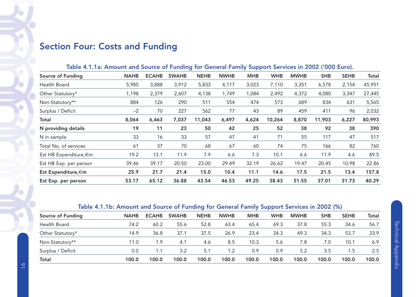# Section Four: Costs and Funding

| Table 4.1.1a: Amount and Source of Funding for General Family Support Services in 2002 ('000 Euro). |  |                            |  |            |            |          |  |
|-----------------------------------------------------------------------------------------------------|--|----------------------------|--|------------|------------|----------|--|
| $\sim$ of Eunding                                                                                   |  | NAHR ECAHR CWAHR NEHR NWHR |  | <b>MUR</b> | WILD MWILD | CHR CEHR |  |

| Source of Funding      | <b>NAHB</b> | <b>ECAHB</b> | <b>SWAHB</b> | <b>NEHB</b> | <b>NWHB</b> | <b>MHB</b> | <b>WHB</b> | <b>MWHB</b> | <b>SHB</b> | <b>SEHB</b> | Total  |
|------------------------|-------------|--------------|--------------|-------------|-------------|------------|------------|-------------|------------|-------------|--------|
| Health Board           | 5,985       | 3,888        | 3,912        | 5,833       | 4,117       | 3,023      | 7,110      | 3,351       | 6,578      | 2,154       | 45,951 |
| Other Statutory*       | 1,198       | 2,379        | 2,607        | 4,138       | 1,749       | 1,084      | 2,492      | 4,372       | 4,080      | 3,347       | 27,445 |
| Non-Statutory**        | 884         | 126          | 290          | 511         | 554         | 474        | 573        | 689         | 834        | 631         | 5,565  |
| Surplus / Deficit      | $-2$        | 70           | 227          | 562         | 77          | 43         | 89         | 459         | 411        | 96          | 2,032  |
| <b>Total</b>           | 8,064       | 6,463        | 7,037        | 11,043      | 6,497       | 4,624      | 10,264     | 8,870       | 11,903     | 6,227       | 80,993 |
| N providing details    | 19          | 11           | 23           | 50          | 42          | 25         | 52         | 38          | 92         | 38          | 390    |
| N in sample            | 33          | 16           | 33           | 57          | 47          | 41         | 71         | 55          | 117        | 47          | 517    |
| Total No. of services  | 61          | 37           | 70           | 68          | 67          | 60         | 74         | 75          | 166        | 82          | 760    |
| Est HB Expenditure, €m | 19.2        | 13.1         | 11.9         | 7.9         | 6.6         | 7.3        | 10.1       | 6.6         | 11.9       | 4.6         | 89.5   |
| Est HB Exp. per person | 39.46       | 39.17        | 20.50        | 23.00       | 29.49       | 32.19      | 26.62      | 19.47       | 20.45      | 10.98       | 22.86  |
| Est Expenditure, €m    | 25.9        | 21.7         | 21.4         | 15.0        | 10.4        | 11.1       | 14.6       | 17.5        | 21.5       | 13.4        | 157.8  |
| Est Exp. per person    | 53.17       | 65.12        | 36.88        | 43.54       | 46.53       | 49.25      | 38.43      | 51.55       | 37.01      | 31.73       | 40.29  |

# Table 4.1.1b: Amount and Source of Funding for General Family Support Services in 2002 (%)

| Source of Funding | <b>NAHB</b> | <b>ECAHB</b> | <b>SWAHB</b> | <b>NEHB</b> | <b>NWHB</b> | <b>MHB</b> | <b>WHB</b> | <b>MWHB</b> | <b>SHB</b> | <b>SEHB</b> | <b>Total</b> |
|-------------------|-------------|--------------|--------------|-------------|-------------|------------|------------|-------------|------------|-------------|--------------|
| Health Board      | 74.2        | 60.2         | 55.6         | 52.8        | 63.4        | 65.4       | 69.3       | 37.8        | 55.3       | 34.6        | 56.7         |
| Other Statutory*  | 14.9        | 36.8         | 37.1         | 37.5        | 26.9        | 23.4       | 24.3       | 49.3        | 34.3       | 53.7        | 33.9         |
| Non-Statutory**   | 11.0        | 1.9          | 4.1          | 4.6         | 8.5         | 10.3       | 5.6        | 7.8         | 7.0        | 10.1        | 6.9          |
| Surplus / Deficit | 0.0         | 1.1          | 3.2          | 5.1         | 1.2         | 0.9        | 0.9        | 5.2         | 3.5        | 1.5         | 2.5          |
| Total             | 100.0       | 100.0        | 100.0        | 100.0       | 100.0       | 100.0      | 100.0      | 100.0       | 100.0      | 100.0       | 100.0        |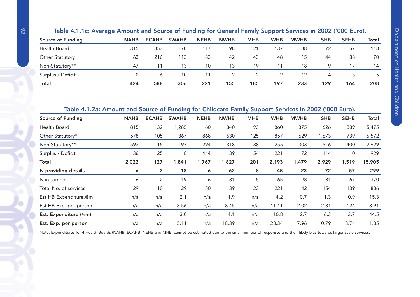| Table 4.1.1c: Average Amount and Source of Funding for General Family Support Services in 2002 ('000 Euro). |  |  |
|-------------------------------------------------------------------------------------------------------------|--|--|
|                                                                                                             |  |  |

| Source of Funding | <b>NAHB</b> | <b>ECAHB</b> | <b>SWAHB</b> | <b>NEHB</b> | <b>NWHB</b> | <b>MHB</b> | <b>WHB</b> | <b>MWHB</b> | <b>SHB</b> | <b>SEHB</b> | <b>Total</b> |
|-------------------|-------------|--------------|--------------|-------------|-------------|------------|------------|-------------|------------|-------------|--------------|
| Health Board      | 315         | 353          | 170          | 117         | 98          | 121        | 137        | 88          | 72         | 57          | 118          |
| Other Statutory*  | 63          | 216          | 113          | 83          | 42          | 43         | 48         | 115         | 44         | 88          | 70           |
| Non-Statutory**   | -47         | 11           | 13           | 10          | 13          | 19         |            | 18          |            |             | 14           |
| Surplus / Deficit |             | O            | 10           |             |             |            |            | 12          |            |             |              |
| <b>Total</b>      | 424         | 588          | 306          | 221         | 155         | 185        | 197        | 233         | 129        | 164         | 208          |

# Table 4.1.2a: Amount and Source of Funding for Childcare Family Support Services in 2002 ('000 Euro).

| Source of Funding           | <b>NAHB</b> | <b>ECAHB</b>   | <b>SWAHB</b> | <b>NEHB</b> | <b>NWHB</b> | <b>MHB</b> | <b>WHB</b> | <b>MWHB</b> | <b>SHB</b> | <b>SEHB</b> | Total  |
|-----------------------------|-------------|----------------|--------------|-------------|-------------|------------|------------|-------------|------------|-------------|--------|
| Health Board                | 815         | 32             | 1,285        | 160         | 840         | 93         | 860        | 375         | 626        | 389         | 5,475  |
| Other Statutory*            | 578         | 105            | 367          | 868         | 630         | 125        | 857        | 629         | 1,673      | 739         | 6,572  |
| Non-Statutory**             | 593         | 15             | 197          | 294         | 318         | 38         | 255        | 303         | 516        | 400         | 2,929  |
| Surplus / Deficit           | 36          | $-25$          | $-8$         | 444         | 39          | $-54$      | 221        | 172         | 114        | $-10$       | 929    |
| <b>Total</b>                | 2,022       | 127            | 1,841        | 1,767       | 1,827       | 201        | 2,193      | 1,479       | 2,929      | 1,519       | 15,905 |
| N providing details         | 6           | $\overline{2}$ | 18           | 6           | 62          | 8          | 45         | 23          | 72         | 57          | 299    |
| N in sample                 | 6           | 2              | 19           | 6           | 81          | 15         | 65         | 28          | 81         | 67          | 370    |
| Total No. of services       | 29          | 10             | 29           | 50          | 139         | 23         | 221        | 42          | 154        | 139         | 836    |
| Est HB Expenditure, €m      | n/a         | n/a            | 2.1          | n/a         | 1.9         | n/a        | 4.2        | 0.7         | 1.3        | 0.9         | 15.3   |
| Est HB Exp. per person      | n/a         | n/a            | 3.56         | n/a         | 8.45        | n/a        | 11.11      | 2.02        | 2.31       | 2.24        | 3.91   |
| Est. Expenditure $(\infty)$ | n/a         | n/a            | 3.0          | n/a         | 4.1         | n/a        | 10.8       | 2.7         | 6.3        | 3.7         | 44.5   |
| Est. Exp. per person        | n/a         | n/a            | 5.11         | n/a         | 18.39       | n/a        | 28.34      | 7.96        | 10.79      | 8.74        | 11.35  |
|                             |             |                |              |             |             |            |            |             |            |             |        |

Note: Expenditures for 4 Health Boards (NAHB, ECAHB, NEHB and MHB) cannot be estimated due to the small number of responses and their likely bias towards larger-scale services.

۰

 $\bullet$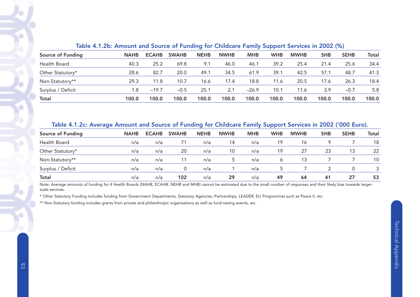| Source of Funding | <b>NAHB</b> | <b>ECAHB</b> | <b>SWAHB</b> | <b>NEHB</b> | <b>NWHB</b> | <b>MHB</b> | <b>WHB</b> | <b>MWHB</b> | <b>SHB</b> | <b>SEHB</b> | Total |
|-------------------|-------------|--------------|--------------|-------------|-------------|------------|------------|-------------|------------|-------------|-------|
| Health Board      | 40.3        | 25.2         | 69.8         | 9.1         | 46.0        | 46.1       | 39.2       | 25.4        | 21.4       | 25.6        | 34.4  |
| Other Statutory*  | 28.6        | 82.7         | 20.0         | 49.1        | 34.5        | 61.9       | 39.1       | 42.5        | 57.1       | 48.7        | 41.3  |
| Non-Statutory**   | 29.3        | 11.8         | 10.7         | 16.6        | 17.4        | 18.8       | 11.6       | 20.5        | 17.6       | 26.3        | 18.4  |
| Surplus / Deficit | 1.8         | $-19.7$      | $-0.5$       | 25.1        | 2.1         | $-26.9$    | 10.1       | 11.6        | 3.9        | $-0.7$      | 5.8   |
| <b>Total</b>      | 100.0       | 100.0        | 100.0        | 100.0       | 100.0       | 100.0      | 100.0      | 100.0       | 100.0      | 100.0       | 100.0 |
|                   |             |              |              |             |             |            |            |             |            |             |       |

#### Table 4.1.2b: Amount and Source of Funding for Childcare Family Support Services in 2002 (%)

# Table 4.1.2c: Average Amount and Source of Funding for Childcare Family Support Services in 2002 ('000 Euro).

| Source of Funding | <b>NAHB</b> | <b>ECAHB</b> | <b>SWAHB</b> | <b>NEHB</b> | <b>NWHB</b> | <b>MHB</b> | <b>WHB</b> | <b>MWHB</b> | <b>SHB</b> | <b>SEHB</b> | <b>Total</b>    |
|-------------------|-------------|--------------|--------------|-------------|-------------|------------|------------|-------------|------------|-------------|-----------------|
| Health Board      | n/a         | n/a          |              | n/a         | 14          | n/a        | 19         | 16          |            |             | 18              |
| Other Statutory*  | n/a         | n/a          | 20           | n/a         | 10          | n/a        | 19         | 27          | 23         | 13          | 22              |
| Non-Statutory**   | n/a         | n/a          |              | n/a         | 5.          | n/a        | 6          | 13          |            |             | 10 <sup>°</sup> |
| Surplus / Deficit | n/a         | n/a          |              | n/a         |             | n/a        |            |             |            |             | 3               |
| Total             | n/a         | n/a          | 102          | n/a         | 29          | n/a        | 49         | 64          | 41         | 27          | 53              |

Note: Average amounts of funding for 4 Health Boards (NAHB, ECAHB, NEHB and MHB) cannot be estimated due to the small number of responses and their likely bias towards largerscale services.

\* Other Statutory Funding includes funding from Government Departments, Statutory Agencies, Partnerships, LEADER, EU Programmes such as Peace II, etc.

\*\* Non-Statutory funding includes grants from private and philanthropic organisations as well as fund-raising events, etc.

 $\bullet$ 

とく

Ŀ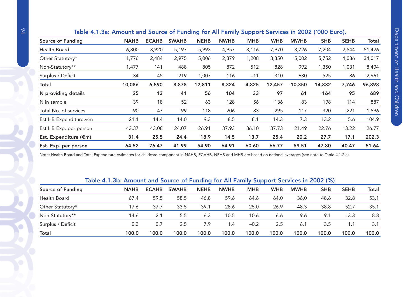| <b>NAHB</b>       | <b>ECAHB</b>                                                                                                                                                                                                    | <b>SWAHB</b> | <b>NEHB</b> | <b>NWHB</b> | <b>MHB</b> | <b>WHB</b> | <b>MWHB</b> | <b>SHB</b> | <b>SEHB</b> | Total                                                                                           |
|-------------------|-----------------------------------------------------------------------------------------------------------------------------------------------------------------------------------------------------------------|--------------|-------------|-------------|------------|------------|-------------|------------|-------------|-------------------------------------------------------------------------------------------------|
|                   | 3,920                                                                                                                                                                                                           | 5,197        | 5,993       | 4,957       | 3,116      | 7,970      | 3,726       | 7,204      | 2,544       | 51,426                                                                                          |
|                   | 2,484                                                                                                                                                                                                           | 2,975        | 5,006       | 2,379       | 1,208      | 3,350      | 5,002       | 5,752      | 4,086       | 34,017                                                                                          |
| 1,477             | 141                                                                                                                                                                                                             | 488          | 805         | 872         | 512        | 828        | 992         | 1,350      | 1,031       | 8,494                                                                                           |
|                   | 45                                                                                                                                                                                                              | 219          | 1,007       | 116         | $-11$      | 310        | 630         | 525        | 86          | 2,961                                                                                           |
|                   | 6,590                                                                                                                                                                                                           | 8,878        | 12,811      | 8,324       | 4,825      | 12,457     | 10,350      | 14,832     | 7,746       | 96,898                                                                                          |
|                   | 13                                                                                                                                                                                                              | 41           | 56          | 104         | 33         | 97         | 61          | 164        | 95          | 689                                                                                             |
| 39                | 18                                                                                                                                                                                                              | 52           | 63          | 128         | 56         | 136        | 83          | 198        | 114         | 887                                                                                             |
|                   | 47                                                                                                                                                                                                              | 99           | 118         | 206         | 83         | 295        | 117         | 320        | 221         | 1,596                                                                                           |
| 21.1              | 14.4                                                                                                                                                                                                            | 14.0         | 9.3         | 8.5         | 8.1        | 14.3       | 7.3         | 13.2       | 5.6         | 104.9                                                                                           |
| 43.37             | 43.08                                                                                                                                                                                                           | 24.07        | 26.91       | 37.93       | 36.10      | 37.73      | 21.49       | 22.76      | 13.22       | 26.77                                                                                           |
|                   | 25.5                                                                                                                                                                                                            | 24.4         | 18.9        | 14.5        | 13.7       | 25.4       | 20.2        | 27.7       | 17.1        | 202.3                                                                                           |
|                   | 76.47                                                                                                                                                                                                           | 41.99        | 54.90       | 64.91       | 60.60      | 66.77      | 59.51       | 47.80      | 40.47       | 51.64                                                                                           |
| Source of Funding | 6,800<br>1,776<br>34<br>10,086<br>25<br>N providing details<br>90<br>Total No. of services<br>Est HB Expenditure,€m<br>Est HB Exp. per person<br>31.4<br>Est. Expenditure (€m)<br>64.52<br>Est. Exp. per person |              |             |             |            |            |             |            |             | Table 4.1.3a: Amount and Source of Funding for All Family Support Services in 2002 ('000 Euro). |

# Table 4.1.3a: Amount and Source of Funding for All Family Support Services in 2002 ('000 Euro).

Note: Health Board and Total Expenditure estimates for childcare component in NAHB, ECAHB, NEHB and MHB are based on national averages (see note to Table 4.1.2.a).

# Table 4.1.3b: Amount and Source of Funding for All Family Support Services in 2002 (%)

|                   |             |              |              | $\sim$      |             |            |            |             |            |             |       |
|-------------------|-------------|--------------|--------------|-------------|-------------|------------|------------|-------------|------------|-------------|-------|
| Source of Funding | <b>NAHB</b> | <b>ECAHB</b> | <b>SWAHB</b> | <b>NEHB</b> | <b>NWHB</b> | <b>MHB</b> | <b>WHB</b> | <b>MWHB</b> | <b>SHB</b> | <b>SEHB</b> | Total |
| Health Board      | 67.4        | 59.5         | 58.5         | 46.8        | 59.6        | 64.6       | 64.0       | 36.0        | 48.6       | 32.8        | 53.1  |
| Other Statutory*  | 17.6        | 37.7         | 33.5         | 39.1        | 28.6        | 25.0       | 26.9       | 48.3        | 38.8       | 52.7        | 35.1  |
| Non-Statutory**   | 14.6        | 2.1          | 5.5          | 6.3         | 10.5        | 10.6       | 6.6        | 9.6         | 9.1        | 13.3        | 8.8   |
| Surplus / Deficit | 0.3         | 0.7          | 2.5          | 7.9         | l.4         | $-0.2$     | 2.5        | 6.1         | 3.5        | 1.1         | 3.1   |
| <b>Total</b>      | 100.0       | 100.0        | 100.0        | 100.0       | 100.0       | 100.0      | 100.0      | 100.0       | 100.0      | 100.0       | 100.0 |

 $\overline{C}$ 

 $\bullet$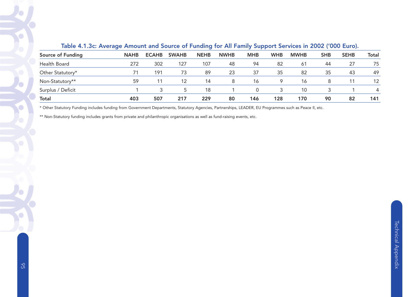| Source of Funding | <b>NAHB</b> | <b>ECAHB</b> | <b>SWAHB</b> | <b>NEHB</b> | <b>NWHB</b> | <b>MHB</b> | <b>WHB</b> | <b>MWHB</b> | <b>SHB</b> | <b>SEHB</b> | Total |
|-------------------|-------------|--------------|--------------|-------------|-------------|------------|------------|-------------|------------|-------------|-------|
| Health Board      | 272         | 302          | 127          | 107         | 48          | 94         | 82         | -61         | 44         | 27          | 75    |
| Other Statutory*  | 71          | 191          | 73           | 89          | 23          | 37         | 35         | 82          | 35         | 43          | 49    |
| Non-Statutory**   | 59          | 11           | 12           | 14          | 8           | 16         |            | 16          | 8          |             | 12    |
| Surplus / Deficit |             |              | 5.           | 18          |             |            |            | 10          |            |             | 4     |
| Total             | 403         | 507          | 217          | 229         | 80          | 146        | 128        | 170         | 90         | 82          | 141   |

# Table 4.1.3c: Average Amount and Source of Funding for All Family Support Services in 2002 ('000 Euro).

\* Other Statutory Funding includes funding from Government Departments, Statutory Agencies, Partnerships, LEADER, EU Programmes such as Peace II, etc.

\*\* Non-Statutory funding includes grants from private and philanthropic organisations as well as fund-raising events, etc.

 $\overline{\Omega}$ 

X

X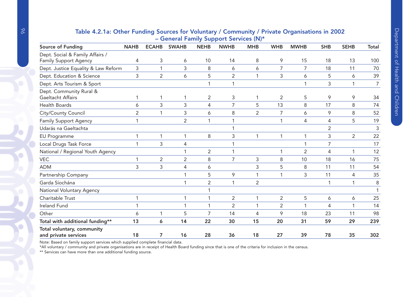|                                                    |                |                |                |                | – General Family Support Services (IV)* |                         |                |             |            |                |                |
|----------------------------------------------------|----------------|----------------|----------------|----------------|-----------------------------------------|-------------------------|----------------|-------------|------------|----------------|----------------|
| Source of Funding                                  | <b>NAHB</b>    | <b>ECAHB</b>   | <b>SWAHB</b>   | <b>NEHB</b>    | <b>NWHB</b>                             | <b>MHB</b>              | <b>WHB</b>     | <b>MWHB</b> | <b>SHB</b> | <b>SEHB</b>    | <b>Total</b>   |
| Dept. Social & Family Affairs /                    |                |                |                |                |                                         |                         |                |             |            |                |                |
| <b>Family Support Agency</b>                       | 4              | 3              | 6              | 10             | 14                                      | 8                       | 9              | 15          | 18         | 13             | 100            |
| Dept. Justice Equality & Law Reform                | 3              | 1              | 3              | 8              | 6                                       | 6                       | $\overline{7}$ | 7           | 18         | 11             | 70             |
| Dept. Education & Science                          | 3              | 2              | 6              | 5              | $\overline{2}$                          | 1                       | 3              | 6           | 5          | 6              | 39             |
| Dept. Arts Tourism & Sport                         |                |                |                |                | $\mathbf{1}$                            |                         |                | 1           | 3          | 1              | $\overline{7}$ |
| Dept. Community Rural &<br>Gaeltacht Affairs       |                | 1              | 1              | 2              | 3                                       |                         | 2              | 5           | 9          | 9              | 34             |
| <b>Health Boards</b>                               | 6              | 3              | 3              | 4              | 7                                       | 5                       | 13             | 8           | 17         | 8              | 74             |
| City/County Council                                | $\overline{2}$ |                | 3              | 6              | 8                                       | $\overline{2}$          | 7              | 6           | 9          | 8              | 52             |
| <b>Family Support Agency</b>                       |                |                | $\overline{2}$ | 1              |                                         |                         | 1              | 4           | 4          | 5              | 19             |
| Udarás na Gaeltachta                               |                |                |                |                |                                         |                         |                |             | 2          |                | 3              |
| <b>EU Programme</b>                                | 1              | 1              | 1              | 8              | 3                                       | 1                       | 1              | 1           | 3          | $\overline{2}$ | 22             |
| Local Drugs Task Force                             | 1              | 3              | 4              |                | 1                                       |                         |                | 1           | 7          |                | 17             |
| National / Regional Youth Agency                   |                |                | 1              | $\overline{2}$ | $\mathbf 1$                             |                         | 1              | 2           | 4          | 1              | 12             |
| <b>VEC</b>                                         |                | $\overline{2}$ | 2              | 8              | 7                                       | 3                       | 8              | 10          | 18         | 16             | 75             |
| <b>ADM</b>                                         | 3              | 3              | 4              | 6              |                                         | 3                       | 5              | 8           | 11         | 11             | 54             |
| Partnership Company                                |                |                | 1              | 5              | 9                                       | 1                       |                | 3           | 11         | 4              | 35             |
| Garda Síochána                                     |                |                | $\mathbf{1}$   | $\overline{2}$ | 1                                       | $\overline{2}$          |                |             | 1          | 1              | 8              |
| National Voluntary Agency                          |                |                |                |                |                                         |                         |                |             |            |                |                |
| Charitable Trust                                   |                |                | 1              | 1              | $\overline{2}$                          |                         | $\overline{2}$ | 5           | 6          | 6              | 25             |
| <b>Ireland Fund</b>                                |                |                | 1              | $\mathbf{1}$   | $\overline{2}$                          | $\mathbf{\overline{1}}$ | 2              | 1           | 4          |                | 14             |
| Other                                              | 6              | 1              | 5              | 7              | 14                                      | 4                       | 9              | 18          | 23         | 11             | 98             |
| Total with additional funding**                    | 13             | 6              | 14             | 22             | 30                                      | 15                      | 20             | 31          | 59         | 29             | 239            |
| Total voluntary, community<br>and private services | 18             | 7              | 16             | 28             | 36                                      | 18                      | 27             | 39          | 78         | 35             | 302            |

# Table 4.2.1a: Other Funding Sources for Voluntary / Community / Private Organisations in 2002 – General Family Support Services (N)\*

Note: Based on family support services which supplied complete financial data.

\*All voluntary / community and private organisations are in receipt of Health Board funding since that is one of the criteria for inclusion in the census.

\*\* Services can have more than one additional funding source.

Ö

O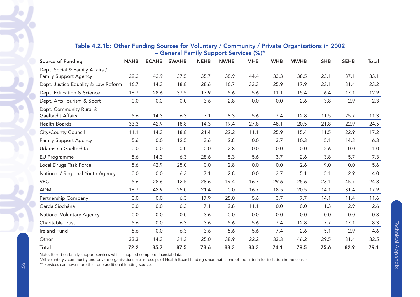|                                     |             |              | $S$ of $S$ and $S$ and $S$ and $S$ and $S$ are $S$ and $S$ and $S$ are $S$ and $S$ are $S$ and $S$ are $S$ and $S$ are $S$ and $S$ are $S$ and $S$ are $S$ and $S$ are $S$ are $S$ and $S$ are $S$ are $S$ and $S$ are $S$ ar |             |             |            |            |             |            |             |         |
|-------------------------------------|-------------|--------------|-------------------------------------------------------------------------------------------------------------------------------------------------------------------------------------------------------------------------------|-------------|-------------|------------|------------|-------------|------------|-------------|---------|
| Source of Funding                   | <b>NAHB</b> | <b>ECAHB</b> | <b>SWAHB</b>                                                                                                                                                                                                                  | <b>NEHB</b> | <b>NWHB</b> | <b>MHB</b> | <b>WHB</b> | <b>MWHB</b> | <b>SHB</b> | <b>SEHB</b> | Total   |
| Dept. Social & Family Affairs /     |             |              |                                                                                                                                                                                                                               |             |             |            |            |             |            |             |         |
| Family Support Agency               | 22.2        | 42.9         | 37.5                                                                                                                                                                                                                          | 35.7        | 38.9        | 44.4       | 33.3       | 38.5        | 23.1       | 37.1        | 33.1    |
| Dept. Justice Equality & Law Reform | 16.7        | 14.3         | 18.8                                                                                                                                                                                                                          | 28.6        | 16.7        | 33.3       | 25.9       | 17.9        | 23.1       | 31.4        | 23.2    |
| Dept. Education & Science           | 16.7        | 28.6         | 37.5                                                                                                                                                                                                                          | 17.9        | 5.6         | 5.6        | 11.1       | 15.4        | 6.4        | 17.1        | 12.9    |
| Dept. Arts Tourism & Sport          | 0.0         | 0.0          | $0.0\,$                                                                                                                                                                                                                       | 3.6         | 2.8         | 0.0        | 0.0        | 2.6         | 3.8        | 2.9         | 2.3     |
| Dept. Community Rural &             |             |              |                                                                                                                                                                                                                               |             |             |            |            |             |            |             |         |
| Gaeltacht Affairs                   | 5.6         | 14.3         | 6.3                                                                                                                                                                                                                           | 7.1         | 8.3         | 5.6        | 7.4        | 12.8        | 11.5       | 25.7        | 11.3    |
| Health Boards                       | 33.3        | 42.9         | 18.8                                                                                                                                                                                                                          | 14.3        | 19.4        | 27.8       | 48.1       | 20.5        | 21.8       | 22.9        | 24.5    |
| City/County Council                 | 11.1        | 14.3         | 18.8                                                                                                                                                                                                                          | 21.4        | 22.2        | 11.1       | 25.9       | 15.4        | 11.5       | 22.9        | 17.2    |
| <b>Family Support Agency</b>        | 5.6         | 0.0          | 12.5                                                                                                                                                                                                                          | 3.6         | 2.8         | 0.0        | 3.7        | 10.3        | 5.1        | 14.3        | 6.3     |
| Udarás na Gaeltachta                | 0.0         | 0.0          | 0.0                                                                                                                                                                                                                           | 0.0         | 2.8         | 0.0        | 0.0        | 0.0         | 2.6        | 0.0         | $1.0\,$ |
| EU Programme                        | 5.6         | 14.3         | 6.3                                                                                                                                                                                                                           | 28.6        | 8.3         | 5.6        | 3.7        | 2.6         | 3.8        | 5.7         | 7.3     |
| Local Drugs Task Force              | 5.6         | 42.9         | 25.0                                                                                                                                                                                                                          | 0.0         | 2.8         | 0.0        | 0.0        | 2.6         | 9.0        | 0.0         | 5.6     |
| National / Regional Youth Agency    | 0.0         | 0.0          | 6.3                                                                                                                                                                                                                           | 7.1         | 2.8         | 0.0        | 3.7        | 5.1         | 5.1        | 2.9         | 4.0     |
| <b>VEC</b>                          | 5.6         | 28.6         | 12.5                                                                                                                                                                                                                          | 28.6        | 19.4        | 16.7       | 29.6       | 25.6        | 23.1       | 45.7        | 24.8    |
| <b>ADM</b>                          | 16.7        | 42.9         | 25.0                                                                                                                                                                                                                          | 21.4        | 0.0         | 16.7       | 18.5       | 20.5        | 14.1       | 31.4        | 17.9    |
| Partnership Company                 | 0.0         | 0.0          | 6.3                                                                                                                                                                                                                           | 17.9        | 25.0        | 5.6        | 3.7        | 7.7         | 14.1       | 11.4        | 11.6    |
| Garda Síochána                      | 0.0         | 0.0          | 6.3                                                                                                                                                                                                                           | 7.1         | 2.8         | 11.1       | 0.0        | 0.0         | 1.3        | 2.9         | 2.6     |
| National Voluntary Agency           | 0.0         | 0.0          | 0.0                                                                                                                                                                                                                           | 3.6         | 0.0         | 0.0        | 0.0        | 0.0         | 0.0        | 0.0         | 0.3     |
| Charitable Trust                    | 5.6         | 0.0          | 6.3                                                                                                                                                                                                                           | 3.6         | 5.6         | 5.6        | 7.4        | 12.8        | 7.7        | 17.1        | 8.3     |
| Ireland Fund                        | 5.6         | 0.0          | 6.3                                                                                                                                                                                                                           | 3.6         | 5.6         | 5.6        | 7.4        | 2.6         | 5.1        | 2.9         | 4.6     |
| Other                               | 33.3        | 14.3         | 31.3                                                                                                                                                                                                                          | 25.0        | 38.9        | 22.2       | 33.3       | 46.2        | 29.5       | 31.4        | 32.5    |
| <b>Total</b>                        | 72.2        | 85.7         | 87.5                                                                                                                                                                                                                          | 78.6        | 83.3        | 83.3       | 74.1       | 79.5        | 75.6       | 82.9        | 79.1    |

#### Table 4.2.1b: Other Funding Sources for Voluntary / Community / Private Organisations in 2002 – General Family Support Services (%)\*

Note: Based on family support services which supplied complete financial data.

\*All voluntary / community and private organisations are in receipt of Health Board funding since that is one of the criteria for inclusion in the census.

\*\* Services can have more than one additional funding source.

 $\breve{\circ}$ 

Ö

 $\bullet$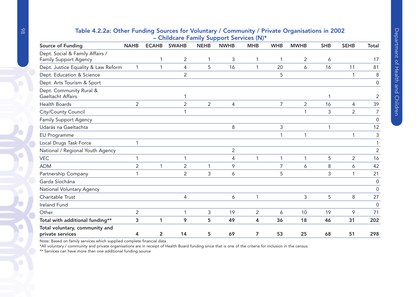# Table 4.2.2a: Other Funding Sources for Voluntary / Community / Private Organisations in 2002 – Childcare Family Support Services (N)\*

|                                                          | $S$ imacare i anni $\bm{y}$ support services (iv) |                |                |             |                |                |                |                |            |                |                     |  |  |
|----------------------------------------------------------|---------------------------------------------------|----------------|----------------|-------------|----------------|----------------|----------------|----------------|------------|----------------|---------------------|--|--|
| Source of Funding                                        | <b>NAHB</b>                                       | <b>ECAHB</b>   | <b>SWAHB</b>   | <b>NEHB</b> | <b>NWHB</b>    | <b>MHB</b>     | <b>WHB</b>     | <b>MWHB</b>    | <b>SHB</b> | <b>SEHB</b>    | <b>Total</b>        |  |  |
| Dept. Social & Family Affairs /<br>Family Support Agency |                                                   |                | $\overline{2}$ | 1           | 3              | 1              | 1              | $\overline{2}$ | 6          |                | 17                  |  |  |
| Dept. Justice Equality & Law Reform                      | $\mathbf{1}$                                      | 1              | 4              | 5           | 16             | 1              | 20             | 6              | 16         | 11             | 81                  |  |  |
|                                                          |                                                   |                | $\overline{2}$ |             |                |                |                |                |            |                |                     |  |  |
| Dept. Education & Science                                |                                                   |                |                |             |                |                | 5              |                |            |                | 8                   |  |  |
| Dept. Arts Tourism & Sport                               |                                                   |                |                |             |                |                |                |                |            |                | $\mathsf{O}\xspace$ |  |  |
| Dept. Community Rural &<br>Gaeltacht Affairs             |                                                   |                | 1              |             |                |                |                |                | 1          |                | 2                   |  |  |
| <b>Health Boards</b>                                     | $\overline{2}$                                    |                | $\overline{2}$ | 2           | $\overline{4}$ |                | $\overline{7}$ | 2              | 16         | 4              | 39                  |  |  |
| City/County Council                                      |                                                   |                | 1              |             |                |                |                | 1              | 3          | $\overline{2}$ | $\overline{7}$      |  |  |
| <b>Family Support Agency</b>                             |                                                   |                |                |             |                |                |                |                |            |                | 0                   |  |  |
| Udarás na Gaeltachta                                     |                                                   |                |                |             | 8              |                | 3              |                | 1          |                | 12                  |  |  |
| EU Programme                                             |                                                   |                |                |             |                |                | 1              | 1              |            |                | 3                   |  |  |
| Local Drugs Task Force                                   | 1                                                 |                |                |             |                |                |                |                |            |                |                     |  |  |
| National / Regional Youth Agency                         |                                                   |                |                |             | $\overline{2}$ |                |                |                |            |                | $\overline{2}$      |  |  |
| <b>VEC</b>                                               | 1                                                 |                | 1              |             | 4              | 1              |                | 1              | 5          | $\overline{2}$ | 16                  |  |  |
| <b>ADM</b>                                               | $\overline{2}$                                    | 1              | $\overline{2}$ | 1           | 9              |                | $\overline{7}$ | 6              | 8          | 6              | 42                  |  |  |
| Partnership Company                                      | 1                                                 |                | $\overline{2}$ | 3           | 6              |                | 5              |                | 3          |                | 21                  |  |  |
| Garda Síochána                                           |                                                   |                |                |             |                |                |                |                |            |                | $\mathbf 0$         |  |  |
| National Voluntary Agency                                |                                                   |                |                |             |                |                |                |                |            |                | $\Omega$            |  |  |
| Charitable Trust                                         |                                                   |                | 4              |             | 6              | 1              |                | 3              | 5          | 8              | 27                  |  |  |
| Ireland Fund                                             |                                                   |                |                |             |                |                |                |                |            |                | $\Omega$            |  |  |
| Other                                                    | $\overline{2}$                                    |                | 1              | 3           | 19             | $\overline{2}$ | 6              | 10             | 19         | 9              | 71                  |  |  |
| Total with additional funding**                          | 3                                                 | 1              | 9              | 5           | 49             | 4              | 36             | 18             | 46         | 31             | 202                 |  |  |
| Total voluntary, community and<br>private services       | 4                                                 | $\overline{2}$ | 14             | 5           | 69             | 7              | 53             | 25             | 68         | 51             | 298                 |  |  |

Note: Based on family services which supplied complete financial data.

\*All voluntary / community and private organisations are in receipt of Health Board funding since that is one of the criteria for inclusion in the census.

\*\* Services can have more than one additional funding source

 $\bullet$ 

Ó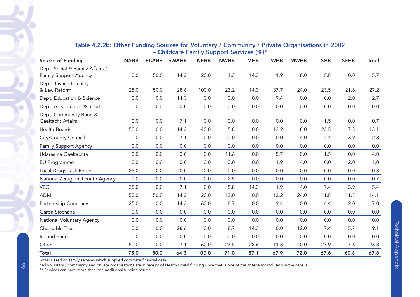| Source of Funding                | <b>NAHB</b> | <b>ECAHB</b> | <b>SWAHB</b> | <b>NEHB</b> | <b>NWHB</b> | <b>MHB</b> | <b>WHB</b> | <b>MWHB</b> | <b>SHB</b> | <b>SEHB</b> | Total   |
|----------------------------------|-------------|--------------|--------------|-------------|-------------|------------|------------|-------------|------------|-------------|---------|
| Dept. Social & Family Affairs /  |             |              |              |             |             |            |            |             |            |             |         |
| <b>Family Support Agency</b>     | 0.0         | 50.0         | 14.3         | 20.0        | 4.3         | 14.3       | 1.9        | 8.0         | 8.8        | 0.0         | 5.7     |
| Dept. Justice Equality           |             |              |              |             |             |            |            |             |            |             |         |
| & Law Reform                     | 25.0        | 50.0         | 28.6         | 100.0       | 23.2        | 14.3       | 37.7       | 24.0        | 23.5       | 21.6        | 27.2    |
| Dept. Education & Science        | 0.0         | 0.0          | 14.3         | 0.0         | 0.0         | 0.0        | 9.4        | 0.0         | 0.0        | 2.0         | 2.7     |
| Dept. Arts Tourism & Sport       | 0.0         | 0.0          | 0.0          | 0.0         | 0.0         | 0.0        | 0.0        | 0.0         | 0.0        | 0.0         | $0.0\,$ |
| Dept. Community Rural &          |             |              |              |             |             |            |            |             |            |             |         |
| Gaeltacht Affairs                | 0.0         | 0.0          | 7.1          | 0.0         | 0.0         | 0.0        | 0.0        | 0.0         | 1.5        | 0.0         | 0.7     |
| <b>Health Boards</b>             | 50.0        | 0.0          | 14.3         | 40.0        | 5.8         | 0.0        | 13.2       | 8.0         | 23.5       | 7.8         | 13.1    |
| City/County Council              | 0.0         | 0.0          | 7.1          | 0.0         | 0.0         | 0.0        | 0.0        | 4.0         | 4.4        | 3.9         | 2.3     |
| <b>Family Support Agency</b>     | 0.0         | 0.0          | 0.0          | 0.0         | 0.0         | 0.0        | 0.0        | 0.0         | 0.0        | 0.0         | 0.0     |
| Udarás na Gaeltachta             | 0.0         | 0.0          | 0.0          | 0.0         | 11.6        | 0.0        | 5.7        | 0.0         | 1.5        | 0.0         | 4.0     |
| EU Programme                     | 0.0         | 0.0          | 0.0          | 0.0         | 0.0         | 0.0        | 1.9        | 4.0         | 0.0        | 2.0         | $1.0\,$ |
| Local Drugs Task Force           | 25.0        | 0.0          | 0.0          | 0.0         | 0.0         | 0.0        | 0.0        | 0.0         | 0.0        | 0.0         | 0.3     |
| National / Regional Youth Agency | 0.0         | 0.0          | 0.0          | 0.0         | 2.9         | 0.0        | 0.0        | 0.0         | 0.0        | 0.0         | 0.7     |
| <b>VEC</b>                       | 25.0        | 0.0          | 7.1          | 0.0         | 5.8         | 14.3       | 1.9        | 4.0         | 7.4        | 3.9         | 5.4     |
| <b>ADM</b>                       | 50.0        | 50.0         | 14.3         | 20.0        | 13.0        | 0.0        | 13.2       | 24.0        | 11.8       | 11.8        | 14.1    |
| Partnership Company              | 25.0        | 0.0          | 14.3         | 60.0        | 8.7         | 0.0        | 9.4        | 0.0         | 4.4        | 2.0         | 7.0     |
| Garda Síochána                   | 0.0         | 0.0          | 0.0          | 0.0         | 0.0         | 0.0        | 0.0        | 0.0         | 0.0        | 0.0         | 0.0     |
| National Voluntary Agency        | 0.0         | 0.0          | 0.0          | 0.0         | 0.0         | 0.0        | 0.0        | 0.0         | 0.0        | 0.0         | 0.0     |
| Charitable Trust                 | 0.0         | 0.0          | 28.6         | 0.0         | 8.7         | 14.3       | 0.0        | 12.0        | 7.4        | 15.7        | 9.1     |
| <b>Ireland Fund</b>              | 0.0         | 0.0          | 0.0          | 0.0         | 0.0         | 0.0        | 0.0        | 0.0         | 0.0        | 0.0         | 0.0     |
| Other                            | 50.0        | 0.0          | 7.1          | 60.0        | 27.5        | 28.6       | 11.3       | 40.0        | 27.9       | 17.6        | 23.8    |
| <b>Total</b>                     | 75.0        | 50.0         | 64.3         | 100.0       | 71.0        | 57.1       | 67.9       | 72.0        | 67.6       | 60.8        | 67.8    |

# Table 4.2.2b: Other Funding Sources for Voluntary / Community / Private Organisations in 2002 – Childcare Family Support Services (%)\*

Note: Based on family services which supplied complete financial data.

\*All voluntary / community and private organisations are in receipt of Health Board funding since that is one of the criteria for inclusion in the census.

\*\* Services can have more than one additional funding source.

ō

٠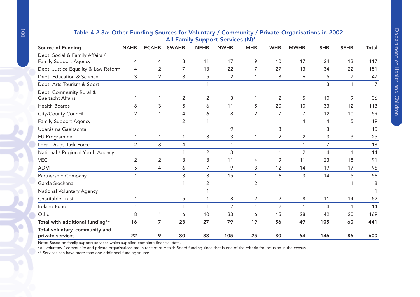|                                                    | $-$ An Tanniy Support Services (by |                |                |                |                |                |                |                |            |             |                |  |  |
|----------------------------------------------------|------------------------------------|----------------|----------------|----------------|----------------|----------------|----------------|----------------|------------|-------------|----------------|--|--|
| Source of Funding                                  | <b>NAHB</b>                        | <b>ECAHB</b>   | <b>SWAHB</b>   | <b>NEHB</b>    | <b>NWHB</b>    | <b>MHB</b>     | <b>WHB</b>     | <b>MWHB</b>    | <b>SHB</b> | <b>SEHB</b> | Total          |  |  |
| Dept. Social & Family Affairs /                    |                                    |                |                |                |                |                |                |                |            |             |                |  |  |
| Family Support Agency                              | 4                                  | 4              | 8              | 11             | 17             | 9              | 10             | 17             | 24         | 13          | 117            |  |  |
| Dept. Justice Equality & Law Reform                | 4                                  | $\overline{2}$ | $\overline{7}$ | 13             | 22             | $\overline{7}$ | 27             | 13             | 34         | 22          | 151            |  |  |
| Dept. Education & Science                          | 3                                  | $\overline{2}$ | 8              | 5              | $\overline{2}$ | $\overline{1}$ | 8              | 6              | 5          | 7           | 47             |  |  |
| Dept. Arts Tourism & Sport                         |                                    |                |                |                | $\mathbf{1}$   |                |                | 1              | 3          | 1           | $\overline{7}$ |  |  |
| Dept. Community Rural &<br>Gaeltacht Affairs       |                                    | 1              | $\overline{2}$ | $\overline{2}$ | 3              |                | 2              | 5              | 10         | 9           | 36             |  |  |
| <b>Health Boards</b>                               | 8                                  | 3              | 5              | 6              | 11             | 5              | 20             | 10             | 33         | 12          | 113            |  |  |
| City/County Council                                | 2                                  | 1              | 4              | 6              | 8              | $\overline{2}$ | $\overline{7}$ | $\overline{7}$ | 12         | 10          | 59             |  |  |
| <b>Family Support Agency</b>                       |                                    |                | $\overline{2}$ | 1              | $\mathbf 1$    |                | 1              | 4              | 4          | 5           | 19             |  |  |
| Udarás na Gaeltachta                               |                                    |                |                |                | 9              |                | 3              |                | 3          |             | 15             |  |  |
| <b>EU Programme</b>                                | 1                                  | 1              | 1              | 8              | 3              | -1             | $\overline{2}$ | $\overline{2}$ | 3          | 3           | 25             |  |  |
| Local Drugs Task Force                             | 2                                  | 3              | 4              |                | $\mathbf 1$    |                |                | 1              | 7          |             | 18             |  |  |
| National / Regional Youth Agency                   |                                    |                | 1              | $\overline{2}$ | 3              |                | 1              | $\overline{2}$ | 4          | 1           | 14             |  |  |
| <b>VEC</b>                                         | 2                                  | $\overline{2}$ | 3              | 8              | 11             | 4              | 9              | 11             | 23         | 18          | 91             |  |  |
| <b>ADM</b>                                         | 5                                  | $\overline{4}$ | 6              | 7              | 9              | 3              | 12             | 14             | 19         | 17          | 96             |  |  |
| Partnership Company                                |                                    |                | 3              | 8              | 15             |                | 6              | 3              | 14         | 5           | 56             |  |  |
| Garda Síochána                                     |                                    |                |                | $\overline{2}$ | $\mathbf{1}$   | $\overline{2}$ |                |                | 1          | 1           | 8              |  |  |
| National Voluntary Agency                          |                                    |                |                |                |                |                |                |                |            |             |                |  |  |
| Charitable Trust                                   |                                    |                | 5              |                | 8              | $\overline{2}$ | $\overline{2}$ | 8              | 11         | 14          | 52             |  |  |
| <b>Ireland Fund</b>                                |                                    |                |                | 1              | $\overline{2}$ | 1              | 2              | 1              | 4          | 1           | 14             |  |  |
| Other                                              | 8                                  | 1              | 6              | 10             | 33             | 6              | 15             | 28             | 42         | 20          | 169            |  |  |
| Total with additional funding**                    | 16                                 | 7              | 23             | 27             | 79             | 19             | 56             | 49             | 105        | 60          | 441            |  |  |
| Total voluntary, community and<br>private services | 22                                 | 9              | 30             | 33             | 105            | 25             | 80             | 64             | 146        | 86          | 600            |  |  |

# Table 4.2.3a: Other Funding Sources for Voluntary / Community / Private Organisations in 2002 – All Family Support Services (N)\*

Note: Based on family support services which supplied complete financial data.

\*All voluntary / community and private organisations are in receipt of Health Board funding since that is one of the criteria for inclusion in the census.

\*\* Services can have more than one additional funding source

 $\bullet$ 

O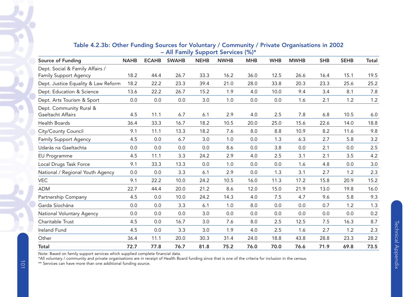| <b>Source of Funding</b>            | <b>NAHB</b> | <b>ECAHB</b> | <b>SWAHB</b> | <b>NEHB</b> | <b>NWHB</b> | <b>MHB</b> | <b>WHB</b> | <b>MWHB</b> | <b>SHB</b> | <b>SEHB</b> | Total |  |
|-------------------------------------|-------------|--------------|--------------|-------------|-------------|------------|------------|-------------|------------|-------------|-------|--|
| Dept. Social & Family Affairs /     |             |              |              |             |             |            |            |             |            |             |       |  |
| <b>Family Support Agency</b>        | 18.2        | 44.4         | 26.7         | 33.3        | 16.2        | 36.0       | 12.5       | 26.6        | 16.4       | 15.1        | 19.5  |  |
| Dept. Justice Equality & Law Reform | 18.2        | 22.2         | 23.3         | 39.4        | 21.0        | 28.0       | 33.8       | 20.3        | 23.3       | 25.6        | 25.2  |  |
| Dept. Education & Science           | 13.6        | 22.2         | 26.7         | 15.2        | 1.9         | 4.0        | 10.0       | 9.4         | 3.4        | 8.1         | 7.8   |  |
| Dept. Arts Tourism & Sport          | 0.0         | 0.0          | 0.0          | 3.0         | 1.0         | 0.0        | 0.0        | 1.6         | 2.1        | 1.2         | $1.2$ |  |
| Dept. Community Rural &             |             |              |              |             |             |            |            |             |            |             |       |  |
| Gaeltacht Affairs                   | 4.5         | 11.1         | 6.7          | 6.1         | 2.9         | 4.0        | 2.5        | 7.8         | 6.8        | 10.5        | 6.0   |  |
| Health Boards                       | 36.4        | 33.3         | 16.7         | 18.2        | 10.5        | 20.0       | 25.0       | 15.6        | 22.6       | 14.0        | 18.8  |  |
| City/County Council                 | 9.1         | 11.1         | 13.3         | 18.2        | 7.6         | 8.0        | 8.8        | 10.9        | 8.2        | 11.6        | 9.8   |  |
| <b>Family Support Agency</b>        | 4.5         | 0.0          | 6.7          | 3.0         | 1.0         | 0.0        | 1.3        | 6.3         | 2.7        | 5.8         | 3.2   |  |
| Udarás na Gaeltachta                | 0.0         | 0.0          | 0.0          | 0.0         | 8.6         | 0.0        | 3.8        | 0.0         | 2.1        | 0.0         | 2.5   |  |
| <b>EU Programme</b>                 | 4.5         | 11.1         | 3.3          | 24.2        | 2.9         | 4.0        | 2.5        | 3.1         | 2.1        | 3.5         | 4.2   |  |
| Local Drugs Task Force              | 9.1         | 33.3         | 13.3         | 0.0         | 1.0         | 0.0        | 0.0        | 1.6         | 4.8        | 0.0         | 3.0   |  |
| National / Regional Youth Agency    | 0.0         | 0.0          | 3.3          | 6.1         | 2.9         | 0.0        | 1.3        | 3.1         | 2.7        | 1.2         | 2.3   |  |
| <b>VEC</b>                          | 9.1         | 22.2         | 10.0         | 24.2        | 10.5        | 16.0       | 11.3       | 17.2        | 15.8       | 20.9        | 15.2  |  |
| <b>ADM</b>                          | 22.7        | 44.4         | 20.0         | 21.2        | 8.6         | 12.0       | 15.0       | 21.9        | 13.0       | 19.8        | 16.0  |  |
| Partnership Company                 | 4.5         | 0.0          | 10.0         | 24.2        | 14.3        | 4.0        | 7.5        | 4.7         | 9.6        | 5.8         | 9.3   |  |
| Garda Síochána                      | 0.0         | 0.0          | 3.3          | 6.1         | 1.0         | 8.0        | 0.0        | 0.0         | 0.7        | 1.2         | 1.3   |  |
| National Voluntary Agency           | 0.0         | 0.0          | 0.0          | 3.0         | 0.0         | 0.0        | 0.0        | 0.0         | 0.0        | 0.0         | 0.2   |  |
| Charitable Trust                    | 4.5         | 0.0          | 16.7         | 3.0         | 7.6         | 8.0        | 2.5        | 12.5        | 7.5        | 16.3        | 8.7   |  |
| Ireland Fund                        | 4.5         | 0.0          | 3.3          | 3.0         | 1.9         | 4.0        | 2.5        | 1.6         | 2.7        | 1.2         | 2.3   |  |
| Other                               | 36.4        | 11.1         | 20.0         | 30.3        | 31.4        | 24.0       | 18.8       | 43.8        | 28.8       | 23.3        | 28.2  |  |
| <b>Total</b>                        | 72.7        | 77.8         | 76.7         | 81.8        | 75.2        | 76.0       | 70.0       | 76.6        | 71.9       | 69.8        | 73.5  |  |

## Table 4.2.3b: Other Funding Sources for Voluntary / Community / Private Organisations in 2002 – All Family Support Services (%)\*

Note: Based on family support services which supplied complete financial data.

\*All voluntary / community and private organisations are in receipt of Health Board funding since that is one of the criteria for inclusion in the census.

\*\* Services can have more than one additional funding source.

Ó

Ö

G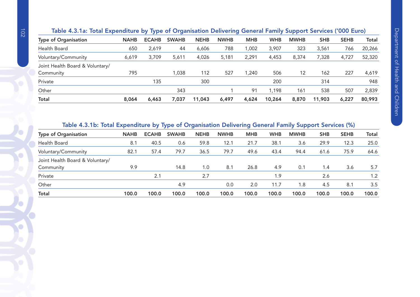| <b>Type of Organisation</b>     | <b>NAHB</b> | <b>ECAHB</b> | <b>SWAHB</b> | <b>NEHB</b> | <b>NWHB</b> | <b>MHB</b> | <b>WHB</b> | <b>MWHB</b> | <b>SHB</b> | <b>SEHB</b> | <b>Total</b> |
|---------------------------------|-------------|--------------|--------------|-------------|-------------|------------|------------|-------------|------------|-------------|--------------|
| Health Board                    | 650         | 2,619        | 44           | 6,606       | 788         | ,002       | 3,907      | 323         | 3,561      | 766         | 20,266       |
| Voluntary/Community             | 6,619       | 3,709        | 5,611        | 4,026       | 5,181       | 2,291      | 4,453      | 8,374       | 7,328      | 4,727       | 52,320       |
| Joint Health Board & Voluntary/ |             |              |              |             |             |            |            |             |            |             |              |
| Community                       | 795         |              | 1,038        | 112         | 527         | ,240       | 506        | 12          | 162        | 227         | 4,619        |
| Private                         |             | 135          |              | 300         |             |            | 200        |             | 314        |             | 948          |
| Other                           |             |              | 343          |             |             | 91         | 1,198      | 161         | 538        | 507         | 2,839        |
| <b>Total</b>                    | 8,064       | 6,463        | 7,037        | 11,043      | 6,497       | 4,624      | 10,264     | 8,870       | 11,903     | 6,227       | 80,993       |
|                                 |             |              |              |             |             |            |            |             |            |             |              |

# Table 4.3.1a: Total Expenditure by Type of Organisation Delivering General Family Support Services ('000 Euro)

# Table 4.3.1b: Total Expenditure by Type of Organisation Delivering General Family Support Services (%)

| <b>Type of Organisation</b>     | <b>NAHB</b> | <b>ECAHB</b> | <b>SWAHB</b> | <b>NEHB</b> | <b>NWHB</b> | <b>MHB</b> | <b>WHB</b> | <b>MWHB</b> | <b>SHB</b> | <b>SEHB</b> | <b>Total</b> |
|---------------------------------|-------------|--------------|--------------|-------------|-------------|------------|------------|-------------|------------|-------------|--------------|
| Health Board                    | 8.1         | 40.5         | 0.6          | 59.8        | 12.1        | 21.7       | 38.1       | 3.6         | 29.9       | 12.3        | 25.0         |
| Voluntary/Community             | 82.1        | 57.4         | 79.7         | 36.5        | 79.7        | 49.6       | 43.4       | 94.4        | 61.6       | 75.9        | 64.6         |
| Joint Health Board & Voluntary/ |             |              |              |             |             |            |            |             |            |             |              |
| Community                       | 9.9         |              | 14.8         | 1.0         | 8.1         | 26.8       | 4.9        | 0.1         | 1.4        | 3.6         | 5.7          |
| Private                         |             | 2.1          |              | 2.7         |             |            | 1.9        |             | 2.6        |             | 1.2          |
| Other                           |             |              | 4.9          |             | 0.0         | 2.0        | 11.7       | 1.8         | 4.5        | 8.1         | 3.5          |
| <b>Total</b>                    | 100.0       | 100.0        | 100.0        | 100.0       | 100.0       | 100.0      | 100.0      | 100.0       | 100.0      | 100.0       | 100.0        |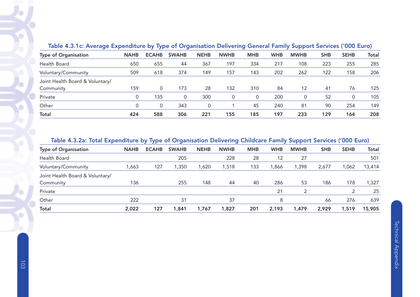| Table 4.5. IC. Average Experiencie by Type of Organisation Delivering General Family Support Services (1000 Euro) |             |              |              |             |             |            |            |             |            |             |              |
|-------------------------------------------------------------------------------------------------------------------|-------------|--------------|--------------|-------------|-------------|------------|------------|-------------|------------|-------------|--------------|
| <b>Type of Organisation</b>                                                                                       | <b>NAHB</b> | <b>ECAHB</b> | <b>SWAHB</b> | <b>NEHB</b> | <b>NWHB</b> | <b>MHB</b> | <b>WHB</b> | <b>MWHB</b> | <b>SHB</b> | <b>SEHB</b> | <b>Total</b> |
| Health Board                                                                                                      | 650         | 655          | 44           | 367         | 197         | 334        | 217        | 108         | 223        | 255         | 285          |
| Voluntary/Community                                                                                               | 509         | 618          | 374          | 149         | 157         | 143        | 202        | 262         | 122        | 158         | 206          |
| Joint Health Board & Voluntary/                                                                                   |             |              |              |             |             |            |            |             |            |             |              |
| Community                                                                                                         | 159         | 0            | 173          | 28          | 132         | 310        | 84         | 12          | 41         | 76          | 125          |
| Private                                                                                                           |             | 135          |              | 300         | 0           | 0          | 200        | 0           | 52         |             | 105          |
| Other                                                                                                             |             | 0            | 343          | 0           |             | 45         | 240        | 81          | 90         | 254         | 149          |
| <b>Total</b>                                                                                                      | 424         | 588          | 306          | 221         | 155         | 185        | 197        | 233         | 129        | 164         | 208          |

# Table 4.3.1c: Average Expenditure by Type of Organisation Delivering General Family Support Services ('000 Euro)

#### Table 4.3.2a: Total Expenditure by Type of Organisation Delivering Childcare Family Support Services ('000 Euro)

| <b>Type of Organisation</b>     | <b>NAHB</b> | <b>ECAHB</b> | <b>SWAHB</b> | <b>NEHB</b> | <b>NWHB</b> | <b>MHB</b> | <b>WHB</b> | <b>MWHB</b> | <b>SHB</b> | <b>SEHB</b> | <b>Total</b> |
|---------------------------------|-------------|--------------|--------------|-------------|-------------|------------|------------|-------------|------------|-------------|--------------|
| Health Board                    |             |              | 205          |             | 228         | 28         | 12         | 27          |            |             | 501          |
| Voluntary/Community             | ,663        | 127          | 1,350        | 1,620       | ,518        | 133        | ,866       | 1,398       | 2,677      | 1,062       | 13,414       |
| Joint Health Board & Voluntary/ |             |              |              |             |             |            |            |             |            |             |              |
| Community                       | 136         |              | 255          | 148         | 44          | 40         | 286        | 53          | 186        | 178         | 1,327        |
| Private                         |             |              |              |             |             |            | 21         | 2           |            |             | 25           |
| Other                           | 222         |              | 31           |             | 37          |            | 8          |             | 66         | 276         | 639          |
| <b>Total</b>                    | 2,022       | 127          | 1,841        | 1,767       | 1,827       | 201        | 2,193      | 1,479       | 2,929      | 1,519       | 15,905       |
|                                 |             |              |              |             |             |            |            |             |            |             |              |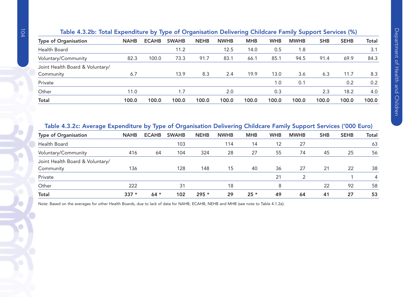| Table 4.3.2b: Total Expenditure by Type of Organisation Delivering Childcare Family Support Services (%) |  |                                                  |  |  |  |  |
|----------------------------------------------------------------------------------------------------------|--|--------------------------------------------------|--|--|--|--|
| of Organication                                                                                          |  | NAHR FCAHR SWAHR NFHR NWHR MHR WHR MWHR SHR SFHR |  |  |  |  |

| <b>NAHB</b> | <b>ECAHB</b> | <b>SWAHB</b> | <b>NEHB</b> | <b>NWHB</b> | <b>MHB</b> | <b>WHB</b> | <b>MWHB</b> | <b>SHB</b> | <b>SEHB</b> | Total |
|-------------|--------------|--------------|-------------|-------------|------------|------------|-------------|------------|-------------|-------|
|             |              | 11.2         |             | 12.5        | 14.0       | 0.5        | 1.8         |            |             | 3.1   |
| 82.3        | 100.0        | 73.3         | 91.7        | 83.1        | 66.1       | 85.1       | 94.5        | 91.4       | 69.9        | 84.3  |
|             |              |              |             |             |            |            |             |            |             |       |
| 6.7         |              | 13.9         | 8.3         | 2.4         | 19.9       | 13.0       | 3.6         | 6.3        | 11.7        | 8.3   |
|             |              |              |             |             |            | 1.0        | 0.1         |            | 0.2         | 0.2   |
| 11.0        |              | 1.7          |             | 2.0         |            | 0.3        |             | 2.3        | 18.2        | 4.0   |
| 100.0       | 100.0        | 100.0        | 100.0       | 100.0       | 100.0      | 100.0      | 100.0       | 100.0      | 100.0       | 100.0 |
|             |              |              |             |             |            |            |             |            |             |       |

# Table 4.3.2c: Average Expenditure by Type of Organisation Delivering Childcare Family Support Services ('000 Euro)

| <b>Type of Organisation</b>     | <b>NAHB</b> | <b>ECAHB</b> | <b>SWAHB</b> | <b>NEHB</b> | <b>NWHB</b> | <b>MHB</b> | <b>WHB</b> | <b>MWHB</b> | <b>SHB</b> | <b>SEHB</b> | Total |
|---------------------------------|-------------|--------------|--------------|-------------|-------------|------------|------------|-------------|------------|-------------|-------|
|                                 |             |              |              |             |             |            |            |             |            |             |       |
| Health Board                    |             |              | 103          |             | 114         | 14         | 12         | 27          |            |             | 63    |
| Voluntary/Community             | 416         | 64           | 104          | 324         | 28          | 27         | 55         | 74          | 45         | 25          | 56    |
| Joint Health Board & Voluntary/ |             |              |              |             |             |            |            |             |            |             |       |
| Community                       | 136         |              | 128          | 148         | 15          | 40         | 36         | 27          | 21         | 22          | 38    |
| Private                         |             |              |              |             |             |            | 21         |             |            |             | 4     |
| Other                           | 222         |              | 31           |             | 18          |            | 8          |             | 22         | 92          | 58    |
| <b>Total</b>                    | $337 *$     | $64 *$       | 102          | $295 *$     | 29          | $25 *$     | 49         | 64          | 41         | 27          | 53    |

Note: Based on the averages for other Health Boards, due to lack of data for NAHB, ECAHB, NEHB and MHB (see note to Table 4.1.2a).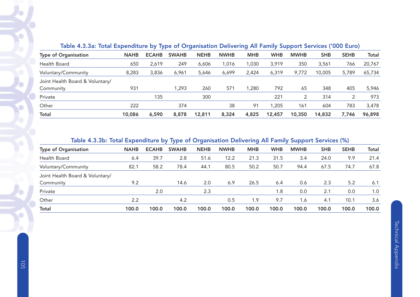| iable 4.3.3a. Total Experientine by Type of Organisation Delivering All Family Support Services (1000 Euro) |             |              |              |             |             |            |            |             |            |             |        |  |  |
|-------------------------------------------------------------------------------------------------------------|-------------|--------------|--------------|-------------|-------------|------------|------------|-------------|------------|-------------|--------|--|--|
| <b>Type of Organisation</b>                                                                                 | <b>NAHB</b> | <b>ECAHB</b> | <b>SWAHB</b> | <b>NEHB</b> | <b>NWHB</b> | <b>MHB</b> | <b>WHB</b> | <b>MWHB</b> | <b>SHB</b> | <b>SEHB</b> | Total  |  |  |
| Health Board                                                                                                | 650         | 2,619        | 249          | 6,606       | 1.016       | 1,030      | 3,919      | 350         | 3,561      | 766         | 20,767 |  |  |
| Voluntary/Community                                                                                         | 8,283       | 3,836        | 6,961        | 5,646       | 6,699       | 2,424      | 6,319      | 9,772       | 10,005     | 5,789       | 65,734 |  |  |
| Joint Health Board & Voluntary/                                                                             |             |              |              |             |             |            |            |             |            |             |        |  |  |
| Community                                                                                                   | 931         |              | 1,293        | 260         | 571         | 1,280      | 792        | 65          | 348        | 405         | 5,946  |  |  |
| Private                                                                                                     |             | 135          |              | 300         |             |            | 221        | 2           | 314        |             | 973    |  |  |
| Other                                                                                                       | 222         |              | 374          |             | 38          | 91         | 1,205      | 161         | 604        | 783         | 3,478  |  |  |
| <b>Total</b>                                                                                                | 10,086      | 6,590        | 8,878        | 12,811      | 8,324       | 4,825      | 12,457     | 10,350      | 14,832     | 7,746       | 96,898 |  |  |

# Table 4.3.3a: Total Expenditure by Type of Organisation Delivering All Family Support Services ('000 Euro)

#### Table 4.3.3b: Total Expenditure by Type of Organisation Delivering All Family Support Services (%)

| <b>Type of Organisation</b>     |             |              |              |             |             |            |            |             |            |             |              |
|---------------------------------|-------------|--------------|--------------|-------------|-------------|------------|------------|-------------|------------|-------------|--------------|
|                                 | <b>NAHB</b> | <b>ECAHB</b> | <b>SWAHB</b> | <b>NEHB</b> | <b>NWHB</b> | <b>MHB</b> | <b>WHB</b> | <b>MWHB</b> | <b>SHB</b> | <b>SEHB</b> | <b>Total</b> |
| Health Board                    | 6.4         | 39.7         | 2.8          | 51.6        | 12.2        | 21.3       | 31.5       | 3.4         | 24.0       | 9.9         | 21.4         |
| Voluntary/Community             | 82.1        | 58.2         | 78.4         | 44.1        | 80.5        | 50.2       | 50.7       | 94.4        | 67.5       | 74.7        | 67.8         |
| Joint Health Board & Voluntary/ |             |              |              |             |             |            |            |             |            |             |              |
| Community                       | 9.2         |              | 14.6         | 2.0         | 6.9         | 26.5       | 6.4        | 0.6         | 2.3        | 5.2         | 6.1          |
| Private                         |             | 2.0          |              | 2.3         |             |            | 1.8        | 0.0         | 2.1        | 0.0         | 1.0          |
| Other                           | 2.2         |              | 4.2          |             | 0.5         | 1.9        | 9.7        | 6.ا         | 4.1        | 10.1        | 3.6          |
| <b>Total</b>                    | 100.0       | 100.0        | 100.0        | 100.0       | 100.0       | 100.0      | 100.0      | 100.0       | 100.0      | 100.0       | 100.0        |
|                                 |             |              |              |             |             |            |            |             |            |             |              |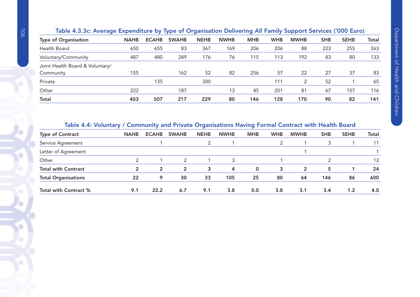|                                 | $\sim$ $\sim$ $\sim$ $\sim$ $\sim$ $\sim$ $\sim$ $\sim$ |              | $- - - - - -$ |             |             |            |            |             |            |             |              |
|---------------------------------|---------------------------------------------------------|--------------|---------------|-------------|-------------|------------|------------|-------------|------------|-------------|--------------|
| <b>Type of Organisation</b>     | <b>NAHB</b>                                             | <b>ECAHB</b> | <b>SWAHB</b>  | <b>NEHB</b> | <b>NWHB</b> | <b>MHB</b> | <b>WHB</b> | <b>MWHB</b> | <b>SHB</b> | <b>SEHB</b> | <b>Total</b> |
| Health Board                    | 650                                                     | 655          | 83            | 367         | 169         | 206        | 206        | 88          | 223        | 255         | 263          |
| Voluntary/Community             | 487                                                     | 480          | 249           | 176         | 76          | 115        | 113        | 192         | 83         | 80          | 133          |
| Joint Health Board & Voluntary/ |                                                         |              |               |             |             |            |            |             |            |             |              |
| Community                       | 155                                                     |              | 162           | 52          | 82          | 256        | 57         | 22          | 27         | 37          | 83           |
| Private                         |                                                         | 135          |               | 300         |             |            | 111        | 2           | 52         |             | 65           |
| Other                           | 222                                                     |              | 187           |             | 13          | 45         | 201        | 81          | 67         | 157         | 116          |
| <b>Total</b>                    | 403                                                     | 507          | 217           | 229         | 80          | 146        | 128        | 170         | 90         | 82          | 141          |
|                                 |                                                         |              |               |             |             |            |            |             |            |             |              |

# Table 4.3.3c: Average Expenditure by Type of Organisation Delivering All Family Support Services ('000 Euro)

### Table 4.4: Voluntary / Community and Private Organisations Having Formal Contract with Health Board

| <b>Type of Contract</b>    | <b>NAHB</b> | <b>ECAHB</b>   | <b>SWAHB</b>   | <b>NEHB</b> | <b>NWHB</b> | <b>MHB</b> | <b>WHB</b> | <b>MWHB</b> | <b>SHB</b> | <b>SEHB</b> | <b>Total</b> |
|----------------------------|-------------|----------------|----------------|-------------|-------------|------------|------------|-------------|------------|-------------|--------------|
| Service Agreement          |             |                |                |             |             |            |            |             |            |             |              |
| Letter of Agreement        |             |                |                |             |             |            |            |             |            |             |              |
| Other                      |             |                |                |             |             |            |            |             |            |             | 12           |
| <b>Total with Contract</b> | 2           | $\overline{2}$ | $\overline{2}$ | 3           | 4           | 0          | 3          | 2           | 5          |             | 24           |
| <b>Total Organisations</b> | 22          | 9              | 30             | 33          | 105         | 25         | 80         | 64          | 146        | 86          | 600          |
| Total with Contract %      | 9.1         | 22.2           | 6.7            | 9.1         | 3.8         | 0.0        | 3.8        | 3.1         | 3.4        | 1.2         | 4.0          |

O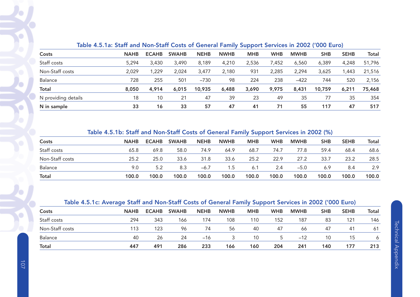|                     |             |              |              |             |             | $-$ - $ -$ |            |             |            |             |        |
|---------------------|-------------|--------------|--------------|-------------|-------------|------------|------------|-------------|------------|-------------|--------|
| Costs               | <b>NAHB</b> | <b>ECAHB</b> | <b>SWAHB</b> | <b>NEHB</b> | <b>NWHB</b> | <b>MHB</b> | <b>WHB</b> | <b>MWHB</b> | <b>SHB</b> | <b>SEHB</b> | Total  |
| Staff costs         | 5,294       | 3,430        | 3,490        | 8,189       | 4,210       | 2,536      | 7,452      | 6,560       | 6,389      | 4,248       | 51,796 |
| Non-Staff costs     | 2,029       | ,229         | 2,024        | 3,477       | 2,180       | 931        | 2,285      | 2,294       | 3,625      | ,443        | 21,516 |
| Balance             | 728         | 255          | 501          | $-730$      | 98          | 224        | 238        | $-422$      | 744        | 520         | 2,156  |
| <b>Total</b>        | 8,050       | 4,914        | 6,015        | 10,935      | 6,488       | 3,690      | 9,975      | 8,431       | 10,759     | 6,211       | 75,468 |
| N providing details | 18          | 10           | 21           | 47          | 39          | 23         | 49         | 35          | 77         | 35          | 354    |
| N in sample         | 33          | 16           | 33           | 57          | 47          | 41         | 71         | 55          | 117        | 47          | 517    |

# Table 4.5.1a: Staff and Non-Staff Costs of General Family Support Services in 2002 ('000 Euro)

# Table 4.5.1b: Staff and Non-Staff Costs of General Family Support Services in 2002 (%)

| Costs           | <b>NAHB</b> | <b>ECAHB</b> | <b>SWAHB</b> | <b>NEHB</b> | <b>NWHB</b> | <b>MHB</b> | <b>WHB</b> | <b>MWHB</b> | <b>SHB</b> | <b>SEHB</b> | Total |
|-----------------|-------------|--------------|--------------|-------------|-------------|------------|------------|-------------|------------|-------------|-------|
| Staff costs     | 65.8        | 69.8         | 58.0         | 74.9        | 64.9        | 68.7       | 74.7       | 77.8        | 59.4       | 68.4        | 68.6  |
| Non-Staff costs | 25.2        | 25.0         | 33.6         | 31.8        | 33.6        | 25.2       | 22.9       | 27.2        | 33.7       | 23.2        | 28.5  |
| <b>Balance</b>  | 9.0         | 5.2          | 8.3          | $-6.7$      | 1.5         | 6.1        | 2.4        | $-5.0$      | 6.9        | 8.4         | 2.9   |
| <b>Total</b>    | 100.0       | 100.0        | 100.0        | 100.0       | 100.0       | 100.0      | 100.0      | 100.0       | 100.0      | 100.0       | 100.0 |

# Table 4.5.1c: Average Staff and Non-Staff Costs of General Family Support Services in 2002 ('000 Euro)

| Costs           | <b>NAHB</b> | <b>ECAHB</b> | <b>SWAHB</b> | <b>NEHB</b> | <b>NWHB</b> | <b>MHB</b> | <b>WHB</b> | <b>MWHB</b> | <b>SHB</b> | <b>SEHB</b> | Total |
|-----------------|-------------|--------------|--------------|-------------|-------------|------------|------------|-------------|------------|-------------|-------|
| Staff costs     | 294         | 343          | 166          | 174         | 108         | 110        | 152        | 187         | 83         | 121         | 146   |
| Non-Staff costs | 113         | 123          | 96           | 74          | 56          | 40         | 47         | 66          | 47         | 41          | -61   |
| <b>Balance</b>  | 40          | 26           | 24           | $-16$       |             | 10         | 5.         | $-12$       | 10         | 15          |       |
| <b>Total</b>    | 447         | 491          | 286          | 233         | 166         | 160        | 204        | 241         | 140        | 177         | 213   |

 $\bigcirc$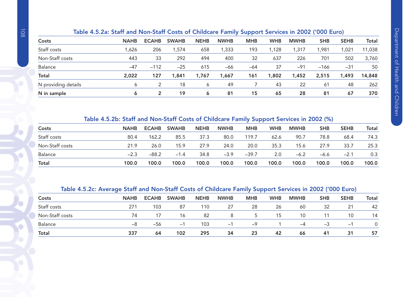# Table 4.5.2a: Staff and Non-Staff Costs of Childcare Family Support Services in 2002 ('000 Euro)

|                     |             |              |              |             |             | --         |            |             |            |             |              |
|---------------------|-------------|--------------|--------------|-------------|-------------|------------|------------|-------------|------------|-------------|--------------|
| Costs               | <b>NAHB</b> | <b>ECAHB</b> | <b>SWAHB</b> | <b>NEHB</b> | <b>NWHB</b> | <b>MHB</b> | <b>WHB</b> | <b>MWHB</b> | <b>SHB</b> | <b>SEHB</b> | <b>Total</b> |
| Staff costs         | ,626        | 206          | ,574         | 658         | ,333        | 193        | 1,128      | 317,        | ,981       | 1,021       | 11,038       |
| Non-Staff costs     | 443         | 33           | 292          | 494         | 400         | 32         | 637        | 226         | 701        | 502         | 3,760        |
| Balance             | $-47$       | $-112$       | $-25$        | 615         | -66         | -64        | 37         | $-91$       | $-166$     | $-31$       | 50           |
| <b>Total</b>        | 2,022       | 127          | 1,841        | 1,767       | 1,667       | 161        | 1,802      | 1,452       | 2,515      | 1,493       | 14,848       |
| N providing details | 6           |              | 18           | Ô           | 49          |            | 43         | 22          | 61         | 48          | 262          |
| N in sample         | 6           |              | 19           | 6           | 81          | 15         | 65         | 28          | 81         | 67          | 370          |

### Table 4.5.2b: Staff and Non-Staff Costs of Childcare Family Support Services in 2002 (%)

| Costs           | <b>NAHB</b> | <b>ECAHB</b> | <b>SWAHB</b> | <b>NEHB</b> | <b>NWHB</b> | <b>MHB</b> | <b>WHB</b> | <b>MWHB</b> | <b>SHB</b> | <b>SEHB</b> | Total |
|-----------------|-------------|--------------|--------------|-------------|-------------|------------|------------|-------------|------------|-------------|-------|
| Staff costs     | 80.4        | 162.2        | 85.5         | 37.3        | 80.0        | 119.7      | 62.6       | 90.7        | 78.8       | 68.4        | 74.3  |
| Non-Staff costs | 21.9        | 26.0         | 15.9         | 27.9        | 24.0        | 20.0       | 35.3       | 15.6        | 27.9       | 33.7        | 25.3  |
| Balance         | $-2.3$      | $-88.2$      | $-1.4$       | 34.8        | $-3.9$      | $-39.7$    | 2.0        | $-6.2$      | -6.6       | $-2.1$      | 0.3   |
| <b>Total</b>    | 100.0       | 100.0        | 100.0        | 100.0       | 100.0       | 100.0      | 100.0      | 100.0       | 100.0      | 100.0       | 100.0 |

# Table 4.5.2c: Average Staff and Non-Staff Costs of Childcare Family Support Services in 2002 ('000 Euro)

|                 | -           |              |              |             |             |            | --         |             |            |             |       |
|-----------------|-------------|--------------|--------------|-------------|-------------|------------|------------|-------------|------------|-------------|-------|
| Costs           | <b>NAHB</b> | <b>ECAHB</b> | <b>SWAHB</b> | <b>NEHB</b> | <b>NWHB</b> | <b>MHB</b> | <b>WHB</b> | <b>MWHB</b> | <b>SHB</b> | <b>SEHB</b> | Total |
| Staff costs     | 271         | 103          | -87          | 110         | 27          | 28         | 26         | 60          | 32         | 21          | 42    |
| Non-Staff costs | 74          |              | 16           | 82          | 8           | $5 -$      | 15         | 10          | 11         | 10          | 14    |
| <b>Balance</b>  | -8          | $-56$        | $-1$         | 103         | $-1$        | $-9$       |            | $-4$        | -3         | $-$         |       |
| <b>Total</b>    | 337         | 64           | 102          | 295         | 34          | 23         | 42         | 66          | 41         | 31          | 57    |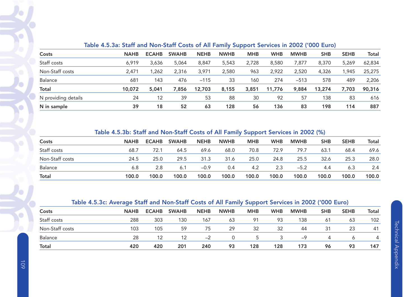| Costs               | <b>NAHB</b> | <b>ECAHB</b> | <b>SWAHB</b> | <b>NEHB</b> | <b>NWHB</b> | <b>MHB</b> | <b>WHB</b> | <b>MWHB</b> | <b>SHB</b> | <b>SEHB</b> | Total  |
|---------------------|-------------|--------------|--------------|-------------|-------------|------------|------------|-------------|------------|-------------|--------|
| Staff costs         | 6,919       | 3,636        | 5,064        | 8,847       | 5,543       | 2,728      | 8,580      | 7,877       | 8,370      | 5,269       | 62,834 |
| Non-Staff costs     | 2,471       | 262, ا       | 2,316        | 3,971       | 2,580       | 963        | 2,922      | 2,520       | 4,326      | ,945        | 25,275 |
| Balance             | 681         | 143          | 476          | $-115$      | 33          | 160        | 274        | $-513$      | 578        | 489         | 2,206  |
| Total               | 10,072      | 5,041        | 7,856        | 12,703      | 8,155       | 3,851      | 11,776     | 9,884       | 13,274     | 7,703       | 90,316 |
| N providing details | 24          | 12           | 39           | 53          | 88          | 30         | 92         | 57          | 138        | 83          | 616    |
| N in sample         | 39          | 18           | 52           | 63          | 128         | 56         | 136        | 83          | 198        | 114         | 887    |

# Table 4.5.3a: Staff and Non-Staff Costs of All Family Support Services in 2002 ('000 Euro)

# Table 4.5.3b: Staff and Non-Staff Costs of All Family Support Services in 2002 (%)

| Costs           | <b>NAHB</b> | <b>ECAHB</b> | <b>SWAHB</b> | <b>NEHB</b> | <b>NWHB</b> | <b>MHB</b> | <b>WHB</b> | <b>MWHB</b> | <b>SHB</b> | <b>SEHB</b> | Total |
|-----------------|-------------|--------------|--------------|-------------|-------------|------------|------------|-------------|------------|-------------|-------|
| Staff costs     | 68.7        | 72.1         | 64.5         | 69.6        | 68.0        | 70.8       | 72.9       | 79.7        | 63.1       | 68.4        | 69.6  |
| Non-Staff costs | 24.5        | 25.0         | 29.5         | 31.3        | 31.6        | 25.0       | 24.8       | 25.5        | 32.6       | 25.3        | 28.0  |
| Balance         | 6.8         | 2.8          | 6.1          | $-0.9$      | 0.4         | 4.2        | 2.3        | $-5.2$      | 4.4        | 6.3         | 2.4   |
| <b>Total</b>    | 100.0       | 100.0        | 100.0        | 100.0       | 100.0       | 100.0      | 100.0      | 100.0       | 100.0      | 100.0       | 100.0 |

# Table 4.5.3c: Average Staff and Non-Staff Costs of All Family Support Services in 2002 ('000 Euro)

| Costs           | <b>NAHB</b> | <b>ECAHB</b> | <b>SWAHB</b> | <b>NEHB</b> | <b>NWHB</b> | <b>MHB</b>    | <b>WHB</b> | <b>MWHB</b> | <b>SHB</b> | <b>SEHB</b> | Total |
|-----------------|-------------|--------------|--------------|-------------|-------------|---------------|------------|-------------|------------|-------------|-------|
| Staff costs     | 288         | 303          | 130          | 167         | 63          | 91            | 93         | 138         | 61         | 63          | 102   |
| Non-Staff costs | 103         | 105          | 59           | 75          | 29          | 32            | 32         | 44          | 31         | 23          | 41    |
| Balance         | 28          | 12           | 12           | $-2$        |             | $\mathcal{D}$ | ર          | $-9$        | 4          |             | 4     |
| <b>Total</b>    | 420         | 420          | 201          | 240         | 93          | 128           | 128        | 173         | 96         | 93          | 147   |

G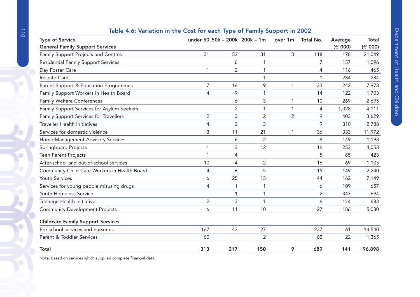| <b>Type of Service</b>                       |                |                | under 50 50k - 200k 200k - 1m | over 1m        | Total No. | Average     | <b>Total</b> |
|----------------------------------------------|----------------|----------------|-------------------------------|----------------|-----------|-------------|--------------|
| <b>General Family Support Services</b>       |                |                |                               |                |           | $(\in 000)$ | $(\in 000)$  |
| <b>Family Support Projects and Centres</b>   | 31             | 53             | 31                            | 3              | 118       | 178         | 21,049       |
| <b>Residential Family Support Services</b>   |                | 6              | 1                             |                | 7         | 157         | 1,096        |
| Day Foster Care                              | 1              | $\overline{2}$ | 1                             |                | 4         | 116         | 465          |
| <b>Respite Care</b>                          |                |                | 1                             |                | 1         | 284         | 284          |
| Parent Support & Education Programmes        | 7              | 16             | 9                             | 1              | 33        | 242         | 7,973        |
| Family Support Workers in Health Board       | 4              | 9              |                               |                | 14        | 122         | 1,703        |
| <b>Family Welfare Conferences</b>            |                | 6              | 3                             | 1              | 10        | 269         | 2,695        |
| Family Support Services for Asylum Seekers   |                | 2              |                               |                | 4         | 1,028       | 4,111        |
| Family Support Services for Travellers       | $\overline{2}$ | 3              | $\overline{2}$                | $\overline{2}$ | 9         | 403         | 3,629        |
| <b>Traveller Health Initiatives</b>          | 4              | $\overline{2}$ | 3                             |                | 9         | 310         | 2,788        |
| Services for domestic violence               | 3              | 11             | 21                            | 1              | 36        | 333         | 11,972       |
| Home Management Advisory Services            |                | 6              | $\overline{2}$                |                | 8         | 149         | 1,193        |
| Springboard Projects                         | 1              | 3              | 12                            |                | 16        | 253         | 4,053        |
| <b>Teen Parent Projects</b>                  | 1              | 4              |                               |                | 5         | 85          | 423          |
| After-school and out-of-school services      | 10             | 4              | $\overline{2}$                |                | 16        | 69          | 1,105        |
| Community Child Care Workers in Health Board | 4              | 6              | 5                             |                | 15        | 149         | 2,240        |
| Youth Services                               | 6              | 25             | 13                            |                | 44        | 162         | 7,149        |
| Services for young people misusing drugs     | 4              | 1              |                               |                | 6         | 109         | 657          |
| Youth Homeless Service                       |                | $\mathbf{1}$   | 1                             |                | 2         | 347         | 694          |
| Teenage Health Initiative                    | $\overline{2}$ | 3              | 1                             |                | 6         | 114         | 683          |
| <b>Community Development Projects</b>        | 6              | 11             | 10                            |                | 27        | 186         | 5,030        |
| <b>Childcare Family Support Services</b>     |                |                |                               |                |           |             |              |
| Pre-school services and nurseries            | 167            | 43             | 27                            |                | 237       | 61          | 14,540       |
| Parent & Toddler Services                    | 60             |                | $\overline{2}$                |                | 62        | 22          | 1,365        |
| Total                                        | 313            | 217            | 150                           | 9              | 689       | 141         | 96,898       |

# Table 4.6: Variation in the Cost for each Type of Family Support in 2002

Note: Based on services which supplied complete financial data.

 $\bullet$ 

Ö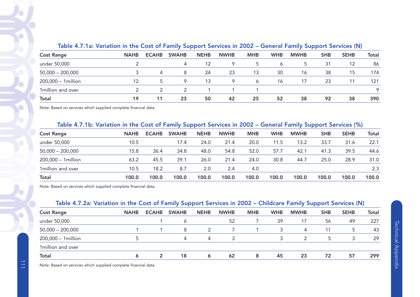|                     |             |                |              |             |             |            | ____.        |              |            |             |       |
|---------------------|-------------|----------------|--------------|-------------|-------------|------------|--------------|--------------|------------|-------------|-------|
| <b>Cost Range</b>   | <b>NAHB</b> | <b>ECAHB</b>   | <b>SWAHB</b> | <b>NEHB</b> | <b>NWHB</b> | <b>MHB</b> | <b>WHB</b>   | <b>MWHB</b>  | <b>SHB</b> | <b>SEHB</b> | Total |
| under 50,000        |             |                | 4            | 12          | 9           | C.         | <sub>6</sub> | <sub>5</sub> | 31         | 12          | 86    |
| $50,000 - 200,000$  |             | $\overline{4}$ | 8            | 24          | 23          | 13         | 30           | 16           | 38         | 15          | 174   |
| 200,000 - 1 million | 12          | 5.             | Q            | 13          | 9           | 6          | 16           | 17           | 23         |             | 121   |
| 1 million and over  |             |                |              |             |             |            |              |              |            |             | Q     |
| Total               | 19          | 11             | 23           | 50          | 42          | 25         | 52           | 38           | 92         | 38          | 390   |

#### Table 4.7.1a: Variation in the Cost of Family Support Services in 2002 – General Family Support Services (N)

Note: Based on services which supplied complete financial data.

### Table 4.7.1b: Variation in the Cost of Family Support Services in 2002 – General Family Support Services (%)

| <b>Cost Range</b>   | <b>NAHB</b> | <b>ECAHB</b> | <b>SWAHB</b> | <b>NEHB</b> | <b>NWHB</b> | <b>MHB</b> | <b>WHB</b> | <b>MWHB</b> | <b>SHB</b> | <b>SEHB</b> | Total |
|---------------------|-------------|--------------|--------------|-------------|-------------|------------|------------|-------------|------------|-------------|-------|
| under 50,000        | 10.5        |              | 17.4         | 24.0        | 21.4        | 20.0       | 11.5       | 13.2        | 33.7       | 31.6        | 22.1  |
| $50,000 - 200,000$  | 15.8        | 36.4         | 34.8         | 48.0        | 54.8        | 52.0       | 57.7       | 42.1        | 41.3       | 39.5        | 44.6  |
| 200,000 - 1 million | 63.2        | 45.5         | 39.1         | 26.0        | 21.4        | 24.0       | 30.8       | 44.7        | 25.0       | 28.9        | 31.0  |
| 1 million and over  | 10.5        | 18.2         | 8.7          | 2.0         | 2.4         | 4.0        |            |             |            |             | 2.3   |
| Total               | 100.0       | 100.0        | 100.0        | 100.0       | 100.0       | 100.0      | 100.0      | 100.0       | 100.0      | 100.0       | 100.0 |

Note: Based on services which supplied complete financial data.

### Table 4.7.2a: Variation in the Cost of Family Support Services in 2002 – Childcare Family Support Services (N)

|                     |             |              | .            |             |             |            |            | $\sim$      | .          |             |              |
|---------------------|-------------|--------------|--------------|-------------|-------------|------------|------------|-------------|------------|-------------|--------------|
| <b>Cost Range</b>   | <b>NAHB</b> | <b>ECAHB</b> | <b>SWAHB</b> | <b>NEHB</b> | <b>NWHB</b> | <b>MHB</b> | <b>WHB</b> | <b>MWHB</b> | <b>SHB</b> | <b>SEHB</b> | <b>Total</b> |
| under 50,000        |             |              | Ō            |             | 52          |            | 39         | 17          | 56         | 49          | 227          |
| $50,000 - 200,000$  |             |              | 8            |             |             |            | 3          | 4           |            | Ь           | 43           |
| 200,000 - 1 million |             |              | 4            | 4           |             |            |            | っ           |            |             | 29           |
| 1million and over   |             |              |              |             |             |            |            |             |            |             |              |
| Total               |             | 2            | 18           | 6           | 62          | 8          | 45         | 23          | 72         | 57          | 299          |

Note: Based on services which supplied complete financial data.

♡

 $\overline{a}$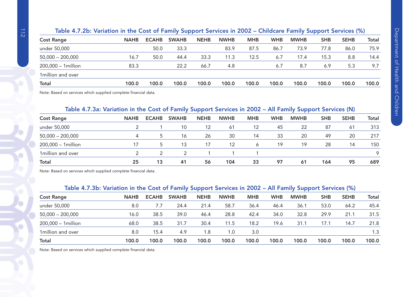| Table 4.7.2b: Variation in the Cost of Family Support Services in 2002 - Childcare Family Support Services (%) |  |  |
|----------------------------------------------------------------------------------------------------------------|--|--|
|                                                                                                                |  |  |

| <b>Cost Range</b>   | <b>NAHB</b> | <b>ECAHB</b> | <b>SWAHB</b> | <b>NEHB</b> | <b>NWHB</b> | <b>MHB</b> | <b>WHB</b> | <b>MWHB</b> | <b>SHB</b> | <b>SEHB</b> | <b>Total</b> |
|---------------------|-------------|--------------|--------------|-------------|-------------|------------|------------|-------------|------------|-------------|--------------|
| under 50,000        |             | 50.0         | 33.3         |             | 83.9        | 87.5       | 86.7       | 73.9        | 77.8       | 86.0        | 75.9         |
| $50,000 - 200,000$  | 16.7        | 50.0         | 44.4         | 33.3        | 11.3        | 12.5       | 6.7        | 17.4        | 15.3       | 8.8         | 14.4         |
| 200,000 - 1 million | 83.3        |              | 22.2         | 66.7        | 4.8         |            | 6.7        | 8.7         | 6.9        | 5.3         | 9.7          |
| 1 million and over  |             |              |              |             |             |            |            |             |            |             |              |
| <b>Total</b>        | 100.0       | 100.0        | 100.0        | 100.0       | 100.0       | 100.0      | 100.0      | 100.0       | 100.0      | 100.0       | 100.0        |
|                     |             |              |              |             |             |            |            |             |            |             |              |

Note: Based on services which supplied complete financial data.

# Table 4.7.3a: Variation in the Cost of Family Support Services in 2002 – All Family Support Services (N)

| <b>Cost Range</b>   | <b>NAHB</b> | <b>ECAHB</b>  | <b>SWAHB</b> | <b>NEHB</b> | <b>NWHB</b> | <b>MHB</b> | <b>WHB</b> | <b>MWHB</b> | <b>SHB</b> | <b>SEHB</b> | Total   |
|---------------------|-------------|---------------|--------------|-------------|-------------|------------|------------|-------------|------------|-------------|---------|
| under 50,000        |             |               | 10           | 12          | -61         | 12         | 45         | 22          | 87         | 61          | 313     |
| $50,000 - 200,000$  | 4           | $\mathcal{D}$ | 16           | 26          | 30          | 14         | 33         | 20          | 49         | 20          | 217     |
| 200,000 - 1 million |             | $\mathcal{D}$ | 13           | 17          | 12          | Ô          | 19         | 19          | 28         | 14          | 150     |
| 1million and over   |             |               |              |             |             |            |            |             |            |             | $\circ$ |
| <b>Total</b>        | 25          | 13            | 41           | 56          | 104         | 33         | 97         | 61          | 164        | 95          | 689     |

Note: Based on services which supplied complete financial data.

#### Table 4.7.3b: Variation in the Cost of Family Support Services in 2002 – All Family Support Services (%)

| <b>Cost Range</b>   | <b>NAHB</b> | <b>ECAHB</b> | <b>SWAHB</b> | <b>NEHB</b> | <b>NWHB</b> | <b>MHB</b> | <b>WHB</b> | <b>MWHB</b> | <b>SHB</b> | <b>SEHB</b> | Total |
|---------------------|-------------|--------------|--------------|-------------|-------------|------------|------------|-------------|------------|-------------|-------|
| under 50,000        | 8.0         | 7.7          | 24.4         | 21.4        | 58.7        | 36.4       | 46.4       | 36.1        | 53.0       | 64.2        | 45.4  |
| $50,000 - 200,000$  | 16.0        | 38.5         | 39.0         | 46.4        | 28.8        | 42.4       | 34.0       | 32.8        | 29.9       | 21.1        | 31.5  |
| 200,000 - 1 million | 68.0        | 38.5         | 31.7         | 30.4        | 11.5        | 18.2       | 19.6       | 31.1        | 17.1       | 14.7        | 21.8  |
| 1 million and over  | 8.0         | 15.4         | 4.9          | 1.8         | 1.0         | 3.0        |            |             |            |             | 1.3   |
| Total               | 100.0       | 100.0        | 100.0        | 100.0       | 100.0       | 100.0      | 100.0      | 100.0       | 100.0      | 100.0       | 100.0 |
|                     |             |              |              |             |             |            |            |             |            |             |       |

Note: Based on services which supplied complete financial data.

Ó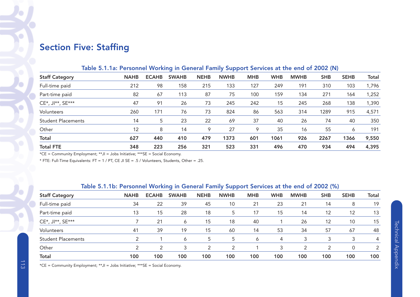# Section Five: Staffing

### Table 5.1.1a: Personnel Working in General Family Support Services at the end of 2002 (N)

| <b>Staff Category</b>     | <b>NAHB</b> | <b>ECAHB</b> | <b>SWAHB</b> | <b>NEHB</b> | <b>NWHB</b> | <b>MHB</b> | <b>WHB</b> | <b>MWHB</b> | <b>SHB</b> | <b>SEHB</b> | <b>Total</b> |
|---------------------------|-------------|--------------|--------------|-------------|-------------|------------|------------|-------------|------------|-------------|--------------|
| Full-time paid            | 212         | 98           | 158          | 215         | 133         | 127        | 249        | 191         | 310        | 103         | 1,796        |
| Part-time paid            | 82          | 67           | 113          | 87          | 75          | 100        | 159        | 134         | 271        | 164         | 1,252        |
| CE*, JI**, SE***          | 47          | 91           | 26           | 73          | 245         | 242        | 15         | 245         | 268        | 138         | 1,390        |
| Volunteers                | 260         | 171          | 76           | 73          | 824         | 86         | 563        | 314         | 1289       | 915         | 4,571        |
| <b>Student Placements</b> | 14          | 5            | 23           | 22          | 69          | 37         | 40         | 26          | 74         | 40          | 350          |
| Other                     | 12          | 8            | 14           | 9           | 27          | 9          | 35         | 16          | 55         | 6           | 191          |
| Total                     | 627         | 440          | 410          | 479         | 1373        | 601        | 1061       | 926         | 2267       | 1366        | 9,550        |
| <b>Total FTE</b>          | 348         | 223          | 256          | 321         | 523         | 331        | 496        | 470         | 934        | 494         | 4,395        |

\*CE = Community Employment; \*\*JI = Jobs Initiative; \*\*\*SE = Social Economy.

\* FTE: Full-Time Equivalents: FT = 1 / PT, CE JI SE = .5 / Volunteers, Students, Other = .25.

### Table 5.1.1b: Personnel Working in General Family Support Services at the end of 2002 (%)

| <b>Staff Category</b>     | <b>NAHB</b>   | <b>ECAHB</b> | <b>SWAHB</b> | <b>NEHB</b> | <b>NWHB</b> | <b>MHB</b> | <b>WHB</b> | <b>MWHB</b> | <b>SHB</b> | <b>SEHB</b> | Total          |
|---------------------------|---------------|--------------|--------------|-------------|-------------|------------|------------|-------------|------------|-------------|----------------|
| Full-time paid            | 34            | 22           | 39           | 45          | 10          | 21         | 23         | 21          | 14         | 8           | 19             |
| Part-time paid            | 13            | 15           | 28           | 18          | 5           | 17         | 15         | 14          | 12         | 12          | 13             |
| CE*, JI**, SE***          |               | 21           | 6            | 15          | 18          | 40         |            | 26          | 12         | 10          | 15             |
| Volunteers                | 41            | 39           | 19           | 15          | 60          | 14         | 53         | 34          | 57         | 67          | 48             |
| <b>Student Placements</b> | C             |              | 6            | 5           | 5           | O          | 4          | 3           |            |             | 4              |
| Other                     | $\mathcal{D}$ | 2            | 3            | 2           | 2           |            | 3          | 2           | 2          | 0           | $\mathfrak{p}$ |
| <b>Total</b>              | 100           | 100          | 100          | 100         | 100         | 100        | 100        | 100         | 100        | 100         | 100            |

\*CE = Community Employment; \*\*JI = Jobs Initiative; \*\*\*SE = Social Economy.

 $\bullet$ 

Y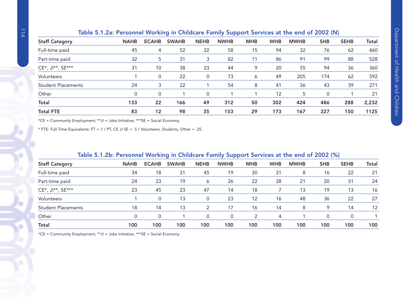|                           | Table 5.1.2a: Personnel Working in Childcare Family Support Services at the end of 2002 (N) |              |              |             |             |            |            |             |            |             |              |
|---------------------------|---------------------------------------------------------------------------------------------|--------------|--------------|-------------|-------------|------------|------------|-------------|------------|-------------|--------------|
| <b>Staff Category</b>     | <b>NAHB</b>                                                                                 | <b>ECAHB</b> | <b>SWAHB</b> | <b>NEHB</b> | <b>NWHB</b> | <b>MHB</b> | <b>WHB</b> | <b>MWHB</b> | <b>SHB</b> | <b>SEHB</b> | <b>Total</b> |
| Full-time paid            | 45                                                                                          | 4            | 52           | 22          | 58          | 15         | 94         | 32          | 76         | 62          | 460          |
| Part-time paid            | 32                                                                                          | 5            | 31           | 3           | 82          | 11         | 86         | 91          | 99         | 88          | 528          |
| CE*, JI**, SE***          | 31                                                                                          | 10           | 38           | 23          | 44          | 9          | 20         | 55          | 94         | 36          | 360          |
| Volunteers                |                                                                                             | 0            | 22           | 0           | 73          | 6          | 49         | 205         | 174        | 62          | 592          |
| <b>Student Placements</b> | 24                                                                                          | 3            | 22           |             | 54          | 8          | 41         | 36          | 43         | 39          | 271          |
| Other                     | 0                                                                                           | 0            |              | 0           |             |            | 12         | 5           | 0          |             | 21           |
| Total                     | 133                                                                                         | 22           | 166          | 49          | 312         | 50         | 302        | 424         | 486        | 288         | 2,232        |
| <b>Total FTE</b>          | 83                                                                                          | 12           | 98           | 35          | 153         | 29         | 173        | 167         | 227        | 150         | 1125         |

\*CE = Community Employment; \*\*JI = Jobs Initiative; \*\*\*SE = Social Economy.

\* FTE: Full-Time Equivalents: FT = 1 / PT, CE JI SE = .5 / Volunteers, Students, Other = .25.

|                           | Table 5.1.2D: Personnel Working in Unildcare Family Support Services at the end of 2002 (%) |              |              |             |             |            |            |             |            |             |       |
|---------------------------|---------------------------------------------------------------------------------------------|--------------|--------------|-------------|-------------|------------|------------|-------------|------------|-------------|-------|
| <b>Staff Category</b>     | <b>NAHB</b>                                                                                 | <b>ECAHB</b> | <b>SWAHB</b> | <b>NEHB</b> | <b>NWHB</b> | <b>MHB</b> | <b>WHB</b> | <b>MWHB</b> | <b>SHB</b> | <b>SEHB</b> | Total |
| Full-time paid            | 34                                                                                          | 18           | 31           | 45          | 19          | 30         | 31         | 8           | 16         | 22          | 21    |
| Part-time paid            | 24                                                                                          | 23           | 19           | 6           | 26          | 22         | 28         | 21          | 20         | 31          | 24    |
| CE*, JI**, SE***          | 23                                                                                          | 45           | 23           | 47          | 14          | 18         |            | 13          | 19         | 13          | 16    |
| Volunteers                |                                                                                             | 0            | 13           | $\Omega$    | 23          | 12         | 16         | 48          | 36         | 22          | 27    |
| <b>Student Placements</b> | 18                                                                                          | 14           | 13           | 2           | 17          | 16         | 14         | 8           | 9          | 14          | 12    |
| Other                     | 0                                                                                           | $\Omega$     |              | $\Omega$    | 0           |            | 4          |             | $\Omega$   |             |       |
| Total                     | 100                                                                                         | 100          | 100          | 100         | 100         | 100        | 100        | 100         | 100        | 100         | 100   |

# Table 5.1.2b: Personnel Working in Childcare Family Support Services at the end of 2002 (%)

\*CE = Community Employment; \*\*JI = Jobs Initiative; \*\*\*SE = Social Economy.

Ŷ.

 $\bigcirc$ J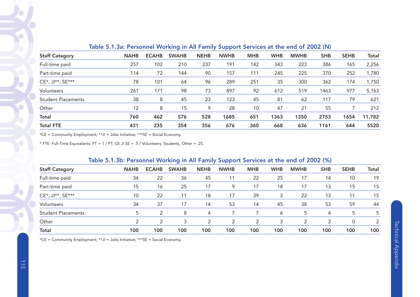|                           |             |              | -            |             | -<br>.      |            |            |             |            |             |              |
|---------------------------|-------------|--------------|--------------|-------------|-------------|------------|------------|-------------|------------|-------------|--------------|
| <b>Staff Category</b>     | <b>NAHB</b> | <b>ECAHB</b> | <b>SWAHB</b> | <b>NEHB</b> | <b>NWHB</b> | <b>MHB</b> | <b>WHB</b> | <b>MWHB</b> | <b>SHB</b> | <b>SEHB</b> | <b>Total</b> |
| Full-time paid            | 257         | 102          | 210          | 237         | 191         | 142        | 343        | 223         | 386        | 165         | 2,256        |
| Part-time paid            | 114         | 72           | 144          | 90          | 157         | 111        | 245        | 225         | 370        | 252         | 1,780        |
| CE*, JI**, SE***          | 78          | 101          | 64           | 96          | 289         | 251        | 35         | 300         | 362        | 174         | 1,750        |
| Volunteers                | 261         | 171          | 98           | 73          | 897         | 92         | 612        | 519         | 1463       | 977         | 5,163        |
| <b>Student Placements</b> | 38          | 8            | 45           | 23          | 123         | 45         | 81         | 62          | 117        | 79          | 621          |
| Other                     | 12          | 8            | 15           | 9           | 28          | 10         | 47         | 21          | 55         |             | 212          |
| <b>Total</b>              | 760         | 462          | 576          | 528         | 1685        | 651        | 1363       | 1350        | 2753       | 1654        | 11,782       |
| <b>Total FTE</b>          | 431         | 235          | 354          | 356         | 676         | 360        | 668        | 636         | 1161       | 644         | 5520         |

# Table 5.1.3a: Personnel Working in All Family Support Services at the end of 2002 (N)

\*CE = Community Employment; \*\*JI = Jobs Initiative; \*\*\*SE = Social Economy.

\* FTE: Full-Time Equivalents: FT = 1 / PT, CE JI SE = .5 / Volunteers, Students, Other = .25.

# Table 5.1.3b: Personnel Working in All Family Support Services at the end of 2002 (%)

|                           |             | -<br>-<br>.  |              |             |             |            |            |             |            |             |              |  |  |  |
|---------------------------|-------------|--------------|--------------|-------------|-------------|------------|------------|-------------|------------|-------------|--------------|--|--|--|
| <b>Staff Category</b>     | <b>NAHB</b> | <b>ECAHB</b> | <b>SWAHB</b> | <b>NEHB</b> | <b>NWHB</b> | <b>MHB</b> | <b>WHB</b> | <b>MWHB</b> | <b>SHB</b> | <b>SEHB</b> | <b>Total</b> |  |  |  |
| Full-time paid            | 34          | 22           | 36           | 45          | 11          | 22         | 25         | 17          | 14         | 10          | 19           |  |  |  |
| Part-time paid            | 15          | 16           | 25           | 17          | 9           | 17         | 18         | 17          | 13         | 15          | 15           |  |  |  |
| CE*, JI**, SE***          | 10          | 22           | 11           | 18          | 17          | 39         |            | 22          | 13         | 11          | 15           |  |  |  |
| Volunteers                | 34          | 37           | 17           | 14          | 53          | 14         | 45         | 38          | 53         | 59          | 44           |  |  |  |
| <b>Student Placements</b> |             | 2            | 8            | 4           |             |            | 6          | 5           | 4          | 5           | 5            |  |  |  |
| Other                     | ◠           |              |              |             | っ           |            |            | っ           | っ          | 0           |              |  |  |  |
| Total                     | 100         | 100          | 100          | 100         | 100         | 100        | 100        | 100         | 100        | 100         | 100          |  |  |  |

\*CE = Community Employment; \*\*JI = Jobs Initiative; \*\*\*SE = Social Economy.

Ò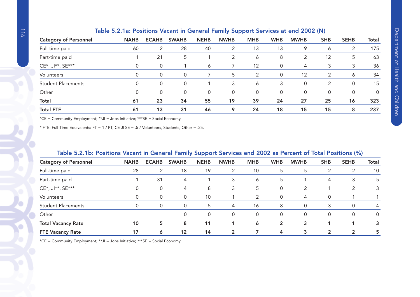|                              | .           |              |              |             |                |             |            |             |            |             |              |
|------------------------------|-------------|--------------|--------------|-------------|----------------|-------------|------------|-------------|------------|-------------|--------------|
| <b>Category of Personnel</b> | <b>NAHB</b> | <b>ECAHB</b> | <b>SWAHB</b> | <b>NEHB</b> | <b>NWHB</b>    | <b>MHB</b>  | <b>WHB</b> | <b>MWHB</b> | <b>SHB</b> | <b>SEHB</b> | <b>Total</b> |
| Full-time paid               | 60          | 2            | 28           | 40          | 2              | 13          | 13         | 9           | 6          | 2           | 175          |
| Part-time paid               |             | 21           | 5            |             | $\overline{2}$ | 6           | 8          | 2           | 12         | 5           | 63           |
| CE*, JI**, SE***             | $\Omega$    | 0            |              | 6           |                | 12          | 0          | 4           | 3          | 3           | 36           |
| Volunteers                   | 0           | 0            | 0            |             | 5              | 2           | 0          | 12          | 2          | 6           | 34           |
| <b>Student Placements</b>    | 0           | 0            | $\Omega$     |             | 3              | 6           | 3          | 0           | 2          |             | 15           |
| Other                        |             | 0            |              | 0           | 0              | $\mathbf 0$ | 0          | 0           | 0          |             | 0            |
| <b>Total</b>                 | 61          | 23           | 34           | 55          | 19             | 39          | 24         | 27          | 25         | 16          | 323          |
| <b>Total FTE</b>             | 61          | 13           | 31           | 46          | 9              | 24          | 18         | 15          | 15         | 8           | 237          |
|                              |             |              |              |             |                |             |            |             |            |             |              |

### Table 5.2.1a: Positions Vacant in General Family Support Services at end 2002 (N)

\*CE = Community Employment; \*\*JI = Jobs Initiative; \*\*\*SE = Social Economy.

\* FTE: Full-Time Equivalents: FT = 1 / PT, CE JI SE = .5 / Volunteers, Students, Other = .25.

# Table 5.2.1b: Positions Vacant in General Family Support Services end 2002 as Percent of Total Positions (%)

|                              |             |              |              | -<br>. .    |                |               |            |               |              |              |          |
|------------------------------|-------------|--------------|--------------|-------------|----------------|---------------|------------|---------------|--------------|--------------|----------|
| <b>Category of Personnel</b> | <b>NAHB</b> | <b>ECAHB</b> | <b>SWAHB</b> | <b>NEHB</b> | <b>NWHB</b>    | <b>MHB</b>    | <b>WHB</b> | <b>MWHB</b>   | <b>SHB</b>   | <b>SEHB</b>  | Total    |
| Full-time paid               | 28          | 2            | 18           | 19          | 2              | 10            | 5          | 5             | 2            |              | 10       |
| Part-time paid               |             | 31           | 4            |             | 3              | 6             | 5          |               | 4            | 3            | 5        |
| CE*, JI**, SE***             |             | 0            | 4            | 8           | 3              | 5             | 0          | $\mathcal{P}$ |              | 2            | 3        |
| Volunteers                   |             | 0            | 0            | 10          |                | $\mathcal{P}$ | $\Omega$   | 4             | $\Omega$     |              |          |
| <b>Student Placements</b>    |             | 0            | 0            | 5           | 4              | 16            | 8          | 0             | 3            |              | 4        |
| Other                        |             |              | 0            | $\Omega$    | 0              | $\mathbf{0}$  | 0          | 0             | 0            |              | $\Omega$ |
| <b>Total Vacancy Rate</b>    | 10          | 5            | 8            | 11          |                | 6             | 2          | 3             |              |              | 3        |
| <b>FTE Vacancy Rate</b>      | 17          | 6            | 12           | 14          | $\overline{2}$ |               | 4          | 3             | $\mathbf{2}$ | $\mathbf{2}$ | 5        |

\*CE = Community Employment; \*\*JI = Jobs Initiative; \*\*\*SE = Social Economy.

O

C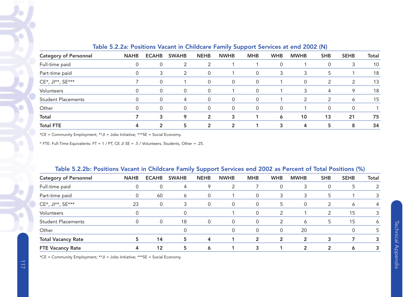|                              |             |                | -<br>.       |                |                |            |            |             |                |             |              |  |
|------------------------------|-------------|----------------|--------------|----------------|----------------|------------|------------|-------------|----------------|-------------|--------------|--|
| <b>Category of Personnel</b> | <b>NAHB</b> | <b>ECAHB</b>   | <b>SWAHB</b> | <b>NEHB</b>    | <b>NWHB</b>    | <b>MHB</b> | <b>WHB</b> | <b>MWHB</b> | <b>SHB</b>     | <b>SEHB</b> | <b>Total</b> |  |
| Full-time paid               | 0           | 0              | 2            |                |                |            | 0          |             | 0              | 3           | 10           |  |
| Part-time paid               | 0           | 3              | 2            | $\Omega$       |                | 0          | 3          | 3           | 5              |             | 18           |  |
| CE*, JI**, SE***             |             | 0              |              | $\Omega$       | 0              | $\Omega$   |            | 0           |                | 2           | 13           |  |
| Volunteers                   | $\Omega$    | $\Omega$       | $\mathbf{0}$ | $\Omega$       |                | $\Omega$   |            | 3           | 4              | 9           | 18           |  |
| <b>Student Placements</b>    | $\Omega$    | $\Omega$       | 4            | $\Omega$       | 0              | $\Omega$   |            | 2           | $\mathfrak{p}$ | 6           | 15           |  |
| Other                        | 0           | $\Omega$       | $\Omega$     | $\Omega$       | $\mathbf 0$    |            | $\Omega$   |             | $\Omega$       |             |              |  |
| <b>Total</b>                 |             | 3              | 9            | 2              | 3              |            | 6          | 10          | 13             | 21          | 75           |  |
| <b>Total FTE</b>             | 4           | $\overline{2}$ | 5            | $\overline{2}$ | $\overline{2}$ |            | 3          | 4           | 5              | 8           | 34           |  |

## Table 5.2.2a: Positions Vacant in Childcare Family Support Services at end 2002 (N)

\*CE = Community Employment; \*\*JI = Jobs Initiative; \*\*\*SE = Social Economy.

\* FTE: Full-Time Equivalents: FT = 1 / PT, CE JI SE = .5 / Volunteers, Students, Other = .25.

| Table J.Z.ZD. I OSITIONS VACANT IN CHIRCATE FAMILY JUPPOLE JEFVICES ENG ZOOZ AS FEICENE OF TOTAL FOSITIONS (70) |             |                   |              |             |             |                |               |                |            |             |              |  |  |
|-----------------------------------------------------------------------------------------------------------------|-------------|-------------------|--------------|-------------|-------------|----------------|---------------|----------------|------------|-------------|--------------|--|--|
| <b>Category of Personnel</b>                                                                                    | <b>NAHB</b> | <b>ECAHB</b>      | <b>SWAHB</b> | <b>NEHB</b> | <b>NWHB</b> | <b>MHB</b>     | <b>WHB</b>    | <b>MWHB</b>    | <b>SHB</b> | <b>SEHB</b> | <b>Total</b> |  |  |
| Full-time paid                                                                                                  |             |                   | 4            |             | 2           |                |               | 3              |            | 5           |              |  |  |
| Part-time paid                                                                                                  | 0           | 60                | 6            | $\Omega$    |             | $\mathbf{0}$   |               | 3              |            |             |              |  |  |
| CE*, JI**, SE***                                                                                                | 23          | 0                 | 3            | $\Omega$    | 0           | $\mathbf{0}$   | 5             | 0              | 2          | Ô           | 4            |  |  |
| Volunteers                                                                                                      |             |                   |              |             |             | $\mathbf{0}$   | っ             |                |            | 15          |              |  |  |
| <b>Student Placements</b>                                                                                       | 0           | 0                 | 18           | $\Omega$    | 0           | $\Omega$       | $\mathcal{P}$ | 6              | 5          | 15          | 6            |  |  |
| Other                                                                                                           |             |                   |              |             | 0           | $\Omega$       | 0             | 20             |            | 0           |              |  |  |
| <b>Total Vacancy Rate</b>                                                                                       | 5           | 14                | 5            | 4           |             | $\overline{2}$ |               | 2              | 3          |             |              |  |  |
| <b>FTE Vacancy Rate</b>                                                                                         |             | $12 \overline{ }$ | 5            | $\circ$     |             | 3              |               | $\overline{2}$ |            | Ô           |              |  |  |

#### Table 5.2.2b: Positions Vacant in Childcare Family Support Services end 2002 as Percent of Total Positions (%)

\*CE = Community Employment; \*\*JI = Jobs Initiative; \*\*\*SE = Social Economy.

 $\bullet$ 

Ó

G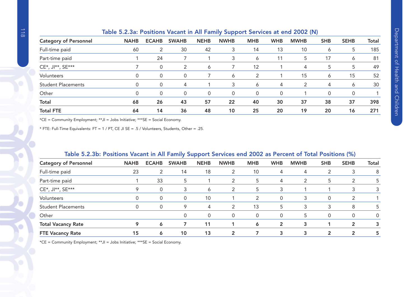| rapid billioan ribbitions vacant in him ranning bapport borvices at ona lool (iv) |             |              |               |             |             |            |            |             |            |             |              |
|-----------------------------------------------------------------------------------|-------------|--------------|---------------|-------------|-------------|------------|------------|-------------|------------|-------------|--------------|
| <b>Category of Personnel</b>                                                      | <b>NAHB</b> | <b>ECAHB</b> | <b>SWAHB</b>  | <b>NEHB</b> | <b>NWHB</b> | <b>MHB</b> | <b>WHB</b> | <b>MWHB</b> | <b>SHB</b> | <b>SEHB</b> | <b>Total</b> |
| Full-time paid                                                                    | 60          | 2            | 30            | 42          | 3           | 14         | 13         | 10          | 6          | 5           | 185          |
| Part-time paid                                                                    |             | 24           |               |             | 3           | 6          | 11         | 5           | 17         | 6           | 81           |
| CE*, JI**, SE***                                                                  |             | 0            | $\mathcal{P}$ | 6           |             | 12         |            | 4           | 5          | 5           | 49           |
| Volunteers                                                                        |             | 0            |               |             | 6           | 2          |            | 15          | 6          | 15          | 52           |
| <b>Student Placements</b>                                                         |             | 0            | 4             |             | 3           | 6          | 4          | 2           | 4          | 6           | 30           |
| Other                                                                             |             | 0            |               | 0           | 0           | $\Omega$   | 0          |             |            |             |              |
| <b>Total</b>                                                                      | 68          | 26           | 43            | 57          | 22          | 40         | 30         | 37          | 38         | 37          | 398          |
| <b>Total FTE</b>                                                                  | 64          | 14           | 36            | 48          | 10          | 25         | 20         | 19          | 20         | 16          | 271          |
|                                                                                   |             |              |               |             |             |            |            |             |            |             |              |

### Table 5.2.3a: Positions Vacant in All Family Support Services at end 2002 (N)

\*CE = Community Employment; \*\*JI = Jobs Initiative; \*\*\*SE = Social Economy.

\* FTE: Full-Time Equivalents: FT = 1 / PT, CE JI SE = .5 / Volunteers, Students, Other = .25.

# Table 5.2.3b: Positions Vacant in All Family Support Services end 2002 as Percent of Total Positions (%)

|                              |             |              | -            | . .         |              |               |                |             |               |                |          |
|------------------------------|-------------|--------------|--------------|-------------|--------------|---------------|----------------|-------------|---------------|----------------|----------|
| <b>Category of Personnel</b> | <b>NAHB</b> | <b>ECAHB</b> | <b>SWAHB</b> | <b>NEHB</b> | <b>NWHB</b>  | <b>MHB</b>    | <b>WHB</b>     | <b>MWHB</b> | <b>SHB</b>    | <b>SEHB</b>    | Total    |
| Full-time paid               | 23          | 2            | 14           | 18          | 2            | 10            | 4              | 4           |               | 3              | 8        |
| Part-time paid               |             | 33           | 5            |             | 2            | 5             | 4              | 2           | 5             |                | 5        |
| CE*, JI**, SE***             |             | $\mathbf 0$  | 3            | 6           | 2            | 5             | 3              |             |               |                | 3        |
| Volunteers                   |             | $\mathbf 0$  | 0            | 10          |              | $\mathcal{L}$ | $\Omega$       | 3           | $\Omega$      | っ              |          |
| <b>Student Placements</b>    |             | 0            | 9            | 4           | 2            | 13            | 5              | 3           | 3             | 8              | 5        |
| Other                        |             |              | 0            | 0           | 0            | $\Omega$      | 0              | 5           | 0             |                | $\Omega$ |
| <b>Total Vacancy Rate</b>    |             | 6            |              | 11          |              | 6             | $\overline{2}$ | 3           |               | $\mathbf{2}$   | 3        |
| <b>FTE Vacancy Rate</b>      | 15          | 6            | 10           | 13          | $\mathbf{2}$ |               | 3              | 3           | $\mathfrak z$ | $\mathfrak{p}$ | 5        |

\*CE = Community Employment; \*\*JI = Jobs Initiative; \*\*\*SE = Social Economy.

 $\mathbf C$ 

Ó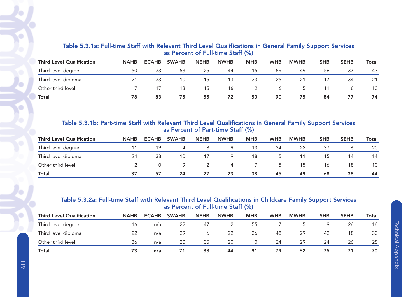|                                  | <u>US I CICCIIL OI I UII LIIIC OLUII (707</u> |              |              |             |             |            |            |             |            |             |       |  |  |  |  |
|----------------------------------|-----------------------------------------------|--------------|--------------|-------------|-------------|------------|------------|-------------|------------|-------------|-------|--|--|--|--|
| <b>Third Level Qualification</b> | <b>NAHB</b>                                   | <b>ECAHB</b> | <b>SWAHB</b> | <b>NEHB</b> | <b>NWHB</b> | <b>MHB</b> | <b>WHB</b> | <b>MWHB</b> | <b>SHB</b> | <b>SEHB</b> | Total |  |  |  |  |
| Third level degree               | 50                                            | 33           | 53           | 25          | 44          | 15         | 59         | 49          | 56         | 37          | 43    |  |  |  |  |
| Third level diploma              |                                               | 33           | 10           | 15          | 13          | 33         | 25         | 21          |            | 34          | 21    |  |  |  |  |
| Other third level                |                                               | 17           | 13           | 15          | 16          |            |            |             |            |             | 10    |  |  |  |  |
| <b>Total</b>                     | 78                                            | 83           | 75           | 55          | 72          | 50         | 90         | 75          | 84         | 77          | 74    |  |  |  |  |

# Table 5.3.1a: Full-time Staff with Relevant Third Level Qualifications in General Family Support Services as Percent of Full-time Staff (%)

Table 5.3.1b: Part-time Staff with Relevant Third Level Qualifications in General Family Support Services as Percent of Part-time Staff (%)

| <b>Third Level Qualification</b> | <b>NAHB</b> | <b>ECAHB</b> | <b>SWAHB</b> | <b>NEHB</b> | <b>NWHB</b> | <b>MHB</b> | <b>WHB</b> | <b>MWHB</b> | <b>SHB</b> | <b>SEHB</b> | Total |
|----------------------------------|-------------|--------------|--------------|-------------|-------------|------------|------------|-------------|------------|-------------|-------|
| Third level degree               |             | 19           | 4            | 8           | $\mathsf Q$ | 13         | 34         | 22          | 37         | O           | 20    |
| Third level diploma              | 24          | 38           | 10           | 17.         | 9           | 18         | C.         |             | 15         | 14          | 14    |
| Other third level                |             |              | -9           |             | 4           |            | $5 -$      | 15          | 16         | 18          | 10    |
| <b>Total</b>                     | 37          | 57           | 24           | 27          | 23          | 38         | 45         | 49          | 68         | 38          | 44    |

# Table 5.3.2a: Full-time Staff with Relevant Third Level Qualifications in Childcare Family Support Services as Percent of Full-time Staff (%)

| <b>Third Level Qualification</b> | <b>NAHB</b> | <b>ECAHB</b> | <b>SWAHB</b> | <b>NEHB</b> | <b>NWHB</b> | <b>MHB</b>       | <b>WHB</b> | <b>MWHB</b> | <b>SHB</b> | <b>SEHB</b> | Total |
|----------------------------------|-------------|--------------|--------------|-------------|-------------|------------------|------------|-------------|------------|-------------|-------|
| Third level degree               |             | n/a          | 22           | 47          |             | 55               |            |             |            | 26          | 16    |
| Third level diploma              |             | n/a          | 29           |             | 22          | 36               | 48         | -29         | 42         | 18          | 30    |
| Other third level                | 36          | n/a          | 20           | 35          | 20          | $\left( \right)$ | 24         | 29          | 24         | 26          | 25    |
| Total                            | 73          | n/a          | 71           | 88          | 44          | 91               | 79         | 62          | 75         | 71          | 70    |

 $\bigodot$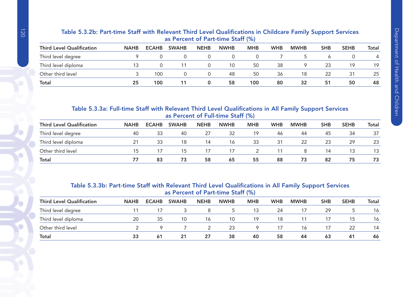## Table 5.3.2b: Part-time Staff with Relevant Third Level Qualifications in Childcare Family Support Services as Percent of Part-time Staff (%)

| <b>Third Level Qualification</b> | <b>NAHB</b> | <b>ECAHB</b> | <b>SWAHB</b> | <b>NEHB</b> | <b>NWHB</b> | <b>MHB</b> | <b>WHB</b> | <b>MWHB</b> | <b>SHB</b> | <b>SEHB</b> | Total |
|----------------------------------|-------------|--------------|--------------|-------------|-------------|------------|------------|-------------|------------|-------------|-------|
| Third level degree               |             |              |              |             |             |            |            |             |            |             | 4     |
| Third level diploma              |             |              |              |             | 10          | 50         | 38         | O.          | 23         | 19          | 19    |
| Other third level                |             | 100          |              |             | 48          | 50         | 36         | 18          | 22         | 31          | 25    |
| <b>Total</b>                     | 25          | 100          |              |             | 58          | 100        | 80         | 32          | 51         | 50          | 48    |

# Table 5.3.3a: Full-time Staff with Relevant Third Level Qualifications in All Family Support Services as Percent of Full-time Staff (%)

| <b>Third Level Qualification</b> | <b>NAHB</b> | <b>ECAHB</b> | <b>SWAHB</b> | <b>NEHB</b> | <b>NWHB</b> | <b>MHB</b> | <b>WHB</b> | <b>MWHB</b> | SHB | <b>SEHB</b> | Total |
|----------------------------------|-------------|--------------|--------------|-------------|-------------|------------|------------|-------------|-----|-------------|-------|
| Third level degree               | 40          | 33           | -40          | 27          | 32          | 19         | 46         | 44          | 45  | 34          | 37    |
| Third level diploma              |             | 33           | 18           | 14          | 16          | 33         | 31         | 22          | 23  | 29          | 23    |
| Other third level                |             |              | 15           |             | 17          |            |            |             | 14  | 13          |       |
| <b>Total</b>                     |             | 83           | 73           | 58          | 65          | 55         | 88         | 73          | 82  | 75          | 73    |

### Table 5.3.3b: Part-time Staff with Relevant Third Level Qualifications in All Family Support Services as Percent of Part-time Staff (%)

| <b>Third Level Qualification</b> | <b>NAHB</b> | <b>ECAHB</b> | <b>SWAHB</b> | <b>NEHB</b> | <b>NWHB</b> | <b>MHB</b> | <b>WHB</b> | <b>MWHB</b> | <b>SHB</b> | <b>SEHB</b> | <b>Total</b> |
|----------------------------------|-------------|--------------|--------------|-------------|-------------|------------|------------|-------------|------------|-------------|--------------|
| Third level degree               |             |              |              |             | C.          | 13         | 24         |             | 29         |             | 16           |
| Third level diploma              | 20          | 35           | 10           | 16          | 10          | 19         | 18         |             |            | 15          | 16           |
| Other third level                |             |              |              |             | 23          |            | 17         | 16          | 17         | 22          | 14           |
| Total                            | 33          | 61           | 21           | 27          | 38          | 40         | 58         | 44          | 63         | 41          | 46           |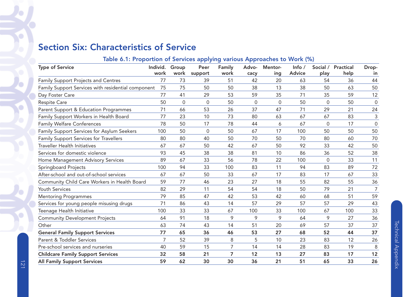# Section Six: Characteristics of Service

# Table 6.1: Proportion of Services applying various Approaches to Work (%)

| <b>Type of Service</b>                             | Individ.<br>work | Group<br>work | Peer<br>support | Family<br>work | Advo-<br>cacy | <b>Mentor-</b><br>ing | Info $/$<br><b>Advice</b> | Social /<br>play | <b>Practical</b><br>help | Drop-<br>in    |
|----------------------------------------------------|------------------|---------------|-----------------|----------------|---------------|-----------------------|---------------------------|------------------|--------------------------|----------------|
| Family Support Projects and Centres                | 77               | 73            | 39              | 51             | 42            | 20                    | 63                        | 54               | 36                       | 44             |
| Family Support Services with residential component | 75               | 75            | 50              | 50             | 38            | 13                    | 38                        | 50               | 63                       | 50             |
| Day Foster Care                                    | 77               | 41            | 29              | 53             | 59            | 35                    | 71                        | 35               | 59                       | 12             |
| Respite Care                                       | 50               | 0             | 0               | 50             | 0             | 0                     | 50                        | 0                | 50                       | $\overline{0}$ |
| Parent Support & Education Programmes              | 71               | 66            | 53              | 26             | 37            | 47                    | 71                        | 29               | 21                       | 24             |
| Family Support Workers in Health Board             | 77               | 23            | 10              | 73             | 80            | 63                    | 67                        | 67               | 83                       | 3              |
| <b>Family Welfare Conferences</b>                  | 78               | 50            | 17              | 78             | 44            | 6                     | 67                        | $\mathbf{0}$     | 17                       | $\overline{0}$ |
| Family Support Services for Asylum Seekers         | 100              | 50            | $\Omega$        | 50             | 67            | 17                    | 100                       | 50               | 50                       | 50             |
| Family Support Services for Travellers             | 80               | 80            | 40              | 50             | 70            | 50                    | 70                        | 80               | 60                       | 70             |
| <b>Traveller Health Initiatives</b>                | 67               | 67            | 50              | 42             | 67            | 50                    | 92                        | 33               | 42                       | 50             |
| Services for domestic violence                     | 93               | 45            | 38              | 38             | 81            | 10                    | 86                        | 36               | 52                       | 38             |
| Home Management Advisory Services                  | 89               | 67            | 33              | 56             | 78            | 22                    | 100                       | $\Omega$         | 33                       | 11             |
| Springboard Projects                               | 100              | 94            | 33              | 100            | 83            | 11                    | 94                        | 83               | 89                       | 72             |
| After-school and out-of-school services            | 67               | 67            | 50              | 33             | 67            | 17                    | 83                        | 17               | 67                       | 33             |
| Community Child Care Workers in Health Board       | 59               | 77            | 46              | 23             | 27            | 18                    | 55                        | 82               | 55                       | 36             |
| <b>Youth Services</b>                              | 82               | 29            | 11              | 54             | 54            | 18                    | 50                        | 79               | 21                       | 7              |
| <b>Mentoring Programmes</b>                        | 79               | 85            | 47              | 42             | 53            | 42                    | 60                        | 68               | 51                       | 59             |
| Services for young people misusing drugs           | 71               | 86            | 43              | 14             | 57            | 29                    | 57                        | 57               | 29                       | 43             |
| Teenage Health Initiative                          | 100              | 33            | 33              | 67             | 100           | 33                    | 100                       | 67               | 100                      | 33             |
| <b>Community Development Projects</b>              | 64               | 91            | 18              | 9              | 9             | 9                     | 64                        | 9                | 27                       | 36             |
| Other                                              | 63               | 74            | 43              | 14             | 51            | 20                    | 69                        | 57               | 37                       | 37             |
| <b>General Family Support Services</b>             | 77               | 65            | 36              | 46             | 53            | 27                    | 68                        | 52               | 44                       | 37             |
| Parent & Toddler Services                          | 7                | 52            | 39              | 8              | 5             | 10                    | 23                        | 83               | 12                       | 26             |
| Pre-school services and nurseries                  | 40               | 59            | 15              | 7              | 14            | 14                    | 28                        | 83               | 19                       | $\,8\,$        |
| <b>Childcare Family Support Services</b>           | 32               | 58            | 21              | 7              | 12            | 13                    | 27                        | 83               | 17                       | 12             |
| <b>All Family Support Services</b>                 | 59               | 62            | 30              | 30             | 36            | 21                    | 51                        | 65               | 33                       | 26             |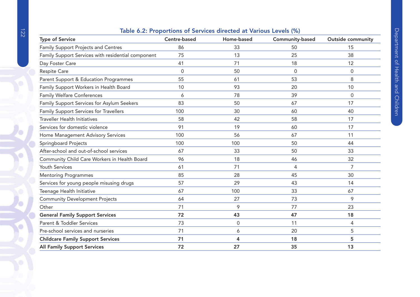# Table 6.2: Proportions of Services directed at Various Levels (%)

| <b>Type of Service</b>                             | Centre-based | Home-based          | Community-based | <b>Outside community</b> |
|----------------------------------------------------|--------------|---------------------|-----------------|--------------------------|
| Family Support Projects and Centres                | 86           | 33                  | 50              | 15                       |
| Family Support Services with residential component | 75           | 13                  | 25              | 38                       |
| Day Foster Care                                    | 41           | 71                  | 18              | 12                       |
| Respite Care                                       | $\mathbf 0$  | 50                  | $\mathbf 0$     | $\mathbf 0$              |
| Parent Support & Education Programmes              | 55           | 61                  | 53              | 8                        |
| Family Support Workers in Health Board             | 10           | 93                  | 20              | 10                       |
| <b>Family Welfare Conferences</b>                  | 6            | 78                  | 39              | $\Omega$                 |
| Family Support Services for Asylum Seekers         | 83           | 50                  | 67              | 17                       |
| Family Support Services for Travellers             | 100          | 30                  | 60              | 40                       |
| <b>Traveller Health Initiatives</b>                | 58           | 42                  | 58              | 17                       |
| Services for domestic violence                     | 91           | 19                  | 60              | 17                       |
| Home Management Advisory Services                  | 100          | 56                  | 67              | 11                       |
| Springboard Projects                               | 100          | 100                 | 50              | 44                       |
| After-school and out-of-school services            | 67           | 33                  | 50              | 33                       |
| Community Child Care Workers in Health Board       | 96           | 18                  | 46              | 32                       |
| Youth Services                                     | 61           | 71                  | 4               | 7                        |
| <b>Mentoring Programmes</b>                        | 85           | 28                  | 45              | 30                       |
| Services for young people misusing drugs           | 57           | 29                  | 43              | 14                       |
| Teenage Health Initiative                          | 67           | 100                 | 33              | 67                       |
| <b>Community Development Projects</b>              | 64           | 27                  | 73              | 9                        |
| Other                                              | 71           | 9                   | 77              | 23                       |
| <b>General Family Support Services</b>             | 72           | 43                  | 47              | 18                       |
| Parent & Toddler Services                          | 73           | $\mathsf{O}\xspace$ | 11              | 4                        |
| Pre-school services and nurseries                  | 71           | 6                   | 20              | 5                        |
| <b>Childcare Family Support Services</b>           | 71           | $\boldsymbol{4}$    | 18              | 5                        |
| <b>All Family Support Services</b>                 | 72           | 27                  | 35              | 13                       |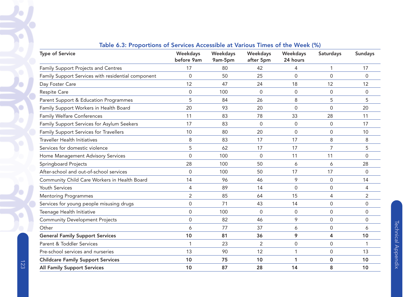| <b>Type of Service</b>                             | <b>Weekdays</b><br>before 9am | Weekdays      | Weekdays        | <b>Weekdays</b> | Saturdays      | <b>Sundays</b> |
|----------------------------------------------------|-------------------------------|---------------|-----------------|-----------------|----------------|----------------|
|                                                    | 17                            | 9am-5pm<br>80 | after 5pm<br>42 | 24 hours        | 1              | 17             |
| Family Support Projects and Centres                |                               |               |                 | 4               |                |                |
| Family Support Services with residential component | $\Omega$                      | 50            | 25              | 0               | $\Omega$       | $\mathbf{0}$   |
| Day Foster Care                                    | 12                            | 47            | 24              | 18              | 12             | 12             |
| Respite Care                                       | $\mathbf 0$                   | 100           | $\mathbf 0$     | $\mathbf 0$     | 0              | 0              |
| Parent Support & Education Programmes              | 5                             | 84            | 26              | 8               | 5              | 5              |
| Family Support Workers in Health Board             | 20                            | 93            | 20              | 0               | 0              | 20             |
| <b>Family Welfare Conferences</b>                  | 11                            | 83            | 78              | 33              | 28             | 11             |
| Family Support Services for Asylum Seekers         | 17                            | 83            | $\Omega$        | 0               | 0              | 17             |
| Family Support Services for Travellers             | 10                            | 80            | 20              | $\mathbf 0$     | 0              | 10             |
| <b>Traveller Health Initiatives</b>                | 8                             | 83            | 17              | 17              | 8              | 8              |
| Services for domestic violence                     | 5                             | 62            | 17              | 17              | $\overline{7}$ | 5              |
| Home Management Advisory Services                  | $\mathbf 0$                   | 100           | $\Omega$        | 11              | 11             | 0              |
| Springboard Projects                               | 28                            | 100           | 50              | 6               | 6              | 28             |
| After-school and out-of-school services            | $\Omega$                      | 100           | 50              | 17              | 17             | $\mathbf{0}$   |
| Community Child Care Workers in Health Board       | 14                            | 96            | 46              | 9               | 0              | 14             |
| Youth Services                                     | 4                             | 89            | 14              | $\mathbf 0$     | 0              | 4              |
| <b>Mentoring Programmes</b>                        | 2                             | 85            | 64              | 15              | 4              | $\overline{2}$ |
| Services for young people misusing drugs           | 0                             | 71            | 43              | 14              | 0              | 0              |
| Teenage Health Initiative                          | $\mathbf 0$                   | 100           | $\Omega$        | $\mathbf 0$     | 0              | 0              |
| <b>Community Development Projects</b>              | $\mathbf 0$                   | 82            | 46              | 9               | 0              | 0              |
| Other                                              | 6                             | 77            | 37              | 6               | 0              | 6              |
| <b>General Family Support Services</b>             | 10                            | 81            | 36              | 9               | 4              | 10             |
| Parent & Toddler Services                          | 1                             | 23            | 2               | $\mathbf 0$     | 0              | $\mathbf 1$    |
| Pre-school services and nurseries                  | 13                            | 90            | 12              | $\mathbf{1}$    | 0              | 13             |
| <b>Childcare Family Support Services</b>           | 10                            | 75            | 10              | 1               | 0              | 10             |
| <b>All Family Support Services</b>                 | 10                            | 87            | 28              | 14              | 8              | 10             |

# Table 6.3: Proportions of Services Accessible at Various Times of the Week (%)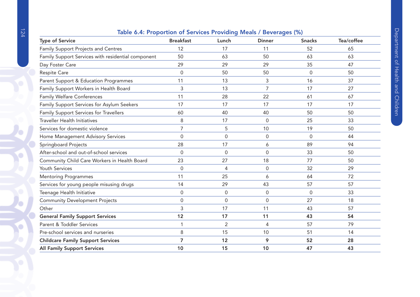# Table 6.4: Proportion of Services Providing Meals / Beverages (%)

| <b>Type of Service</b>                             | <b>Breakfast</b> | Lunch       | <b>Dinner</b>  | <b>Snacks</b> | Tea/coffee |
|----------------------------------------------------|------------------|-------------|----------------|---------------|------------|
| Family Support Projects and Centres                | 12               | 17          | 11             | 52            | 65         |
| Family Support Services with residential component | 50               | 63          | 50             | 63            | 63         |
| Day Foster Care                                    | 29               | 29          | 29             | 35            | 47         |
| Respite Care                                       | $\Omega$         | 50          | 50             | $\mathbf{0}$  | 50         |
| Parent Support & Education Programmes              | 11               | 13          | 3              | 16            | 37         |
| Family Support Workers in Health Board             | 3                | 13          | $\overline{7}$ | 17            | 27         |
| <b>Family Welfare Conferences</b>                  | 11               | 28          | 22             | 61            | 67         |
| Family Support Services for Asylum Seekers         | 17               | 17          | 17             | 17            | 17         |
| Family Support Services for Travellers             | 60               | 40          | 40             | 50            | 50         |
| <b>Traveller Health Initiatives</b>                | 8                | 17          | $\Omega$       | 25            | 33         |
| Services for domestic violence                     | $\overline{7}$   | 5           | 10             | 19            | 50         |
| Home Management Advisory Services                  | $\Omega$         | $\mathbf 0$ | 0              | $\Omega$      | 44         |
| Springboard Projects                               | 28               | 17          | 6              | 89            | 94         |
| After-school and out-of-school services            | $\Omega$         | $\mathbf 0$ | $\mathsf 0$    | 33            | 50         |
| Community Child Care Workers in Health Board       | 23               | 27          | 18             | 77            | 50         |
| <b>Youth Services</b>                              | 0                | 4           | $\mathsf 0$    | 32            | 29         |
| <b>Mentoring Programmes</b>                        | 11               | 25          | 6              | 64            | 72         |
| Services for young people misusing drugs           | 14               | 29          | 43             | 57            | 57         |
| Teenage Health Initiative                          | $\Omega$         | 0           | 0              | $\mathbf{0}$  | 33         |
| <b>Community Development Projects</b>              | 0                | $\mathbf 0$ | $\mathsf 0$    | 27            | 18         |
| Other                                              | 3                | 17          | 11             | 43            | 57         |
| <b>General Family Support Services</b>             | 12               | 17          | 11             | 43            | 54         |
| Parent & Toddler Services                          |                  | 2           | 4              | 57            | 79         |
| Pre-school services and nurseries                  | 8                | 15          | 10             | 51            | 14         |
| <b>Childcare Family Support Services</b>           | 7                | 12          | 9              | 52            | 28         |
| <b>All Family Support Services</b>                 | 10               | 15          | 10             | 47            | 43         |

C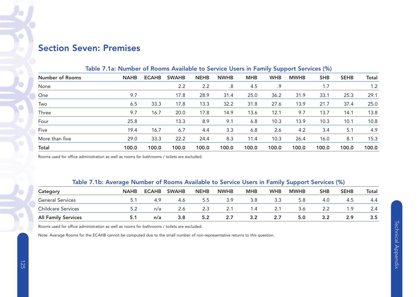# Section Seven: Premises

|                        | <b>TODIO 7 FTOF FUNTINGLY TO ITO ATTENTION TO OUT FIGURE WAS THE MITTITY WARRANT OUT FIGURE (TV)</b> |              |              |             |             |            |            |             |            |             |       |  |  |
|------------------------|------------------------------------------------------------------------------------------------------|--------------|--------------|-------------|-------------|------------|------------|-------------|------------|-------------|-------|--|--|
| <b>Number of Rooms</b> | <b>NAHB</b>                                                                                          | <b>ECAHB</b> | <b>SWAHB</b> | <b>NEHB</b> | <b>NWHB</b> | <b>MHB</b> | <b>WHB</b> | <b>MWHB</b> | <b>SHB</b> | <b>SEHB</b> | Total |  |  |
| None                   |                                                                                                      |              | 2.2          | 2.2         | .8          | 4.5        | .9         |             | 1.7        |             | 1.2   |  |  |
| One                    | 9.7                                                                                                  |              | 17.8         | 28.9        | 31.4        | 25.0       | 36.2       | 31.9        | 33.1       | 25.3        | 29.1  |  |  |
| Two                    | 6.5                                                                                                  | 33.3         | 17.8         | 13.3        | 32.2        | 31.8       | 27.6       | 13.9        | 21.7       | 37.4        | 25.0  |  |  |
| Three                  | 9.7                                                                                                  | 16.7         | 20.0         | 17.8        | 14.9        | 13.6       | 12.1       | 9.7         | 13.7       | 14.1        | 13.8  |  |  |
| Four                   | 25.8                                                                                                 |              | 13.3         | 8.9         | 9.1         | 6.8        | 10.3       | 13.9        | 10.3       | 10.1        | 10.8  |  |  |
| Five                   | 19.4                                                                                                 | 16.7         | 6.7          | 4.4         | 3.3         | 6.8        | 2.6        | 4.2         | 3.4        | 5.1         | 4.9   |  |  |
| More than five         | 29.0                                                                                                 | 33.3         | 22.2         | 24.4        | 8.3         | 11.4       | 10.3       | 26.4        | 16.0       | 8.1         | 15.3  |  |  |
| <b>Total</b>           | 100.0                                                                                                | 100.0        | 100.0        | 100.0       | 100.0       | 100.0      | 100.0      | 100.0       | 100.0      | 100.0       | 100.0 |  |  |

# Table 7.1a: Number of Rooms Available to Service Users in Family Support Services (%)

Rooms used for office administration as well as rooms for bathrooms / toilets are excluded.

## Table 7.1b: Average Number of Rooms Available to Service Users in Family Support Services (%)

| Category                   | <b>NAHB</b> | <b>ECAHB</b> | <b>SWAHB</b> | <b>NEHB</b> | <b>NWHB</b> | MHB       | <b>WHB</b> | <b>MWHB</b> | <b>SHB</b> | <b>SEHB</b> | Total |  |  |
|----------------------------|-------------|--------------|--------------|-------------|-------------|-----------|------------|-------------|------------|-------------|-------|--|--|
| <b>General Services</b>    |             | 4.9          | 4.6          | 5.5         | 3.9         | 3.8       | 3.3        | 5.8         | 4.0        | 4.5         | 4.4   |  |  |
| <b>Childcare Services</b>  |             | n/a          | 2.6          |             | 2.1         | $\cdot$ 4 | -2.T       | 3.6         |            | - 9         | 2.4   |  |  |
| <b>All Family Services</b> |             | n/a          | 3.8          |             | 2.7         |           | 2.7        | 5.0         |            | 2.9         | 3.5   |  |  |

Rooms used for office administration as well as rooms for bathrooms / toilets are excluded.

Note: Average Rooms for the ECAHB cannot be computed due to the small number of non-representative returns to this question.

v.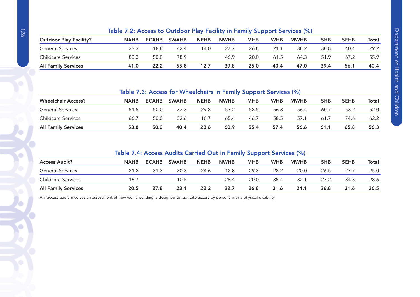|                               | Table 7.2: Access to Outdoor Play Facility in Family Support Services (%) |              |              |             |             |            |            |             |            |             |       |
|-------------------------------|---------------------------------------------------------------------------|--------------|--------------|-------------|-------------|------------|------------|-------------|------------|-------------|-------|
| <b>Outdoor Play Facility?</b> | <b>NAHB</b>                                                               | <b>ECAHB</b> | <b>SWAHB</b> | <b>NEHB</b> | <b>NWHB</b> | <b>MHB</b> | <b>WHB</b> | <b>MWHB</b> | <b>SHB</b> | <b>SEHB</b> | Total |
| <b>General Services</b>       | 33.3                                                                      | 18.8         | 42.4         | 14.0        | 27.7        | 26.8       | 21.1       | 38.2        | 30.8       | 40.4        | 29.2  |
| <b>Childcare Services</b>     | 83.3                                                                      | 50.0         | 78.9         |             | 46.9        | 20.0       | 61.5       | 64.3        | 51.9       | 67.2        | 55.9  |
| <b>All Family Services</b>    | 41.0                                                                      | 22.2         | 55.8         | 12.7        | 39.8        | 25.0       | 40.4       | 47.0        | 39.4       | 56.1        | 40.4  |

Table 7.3: Access for Wheelchairs in Family Support Services (%)

| <b>Wheelchair Access?</b>  | <b>NAHB</b> | <b>ECAHB</b> | <b>SWAHB</b> | <b>NEHB</b> | <b>NWHB</b> | мнв  | <b>WHB</b> | <b>MWHB</b> | SHB  | <b>SEHB</b> | Total |
|----------------------------|-------------|--------------|--------------|-------------|-------------|------|------------|-------------|------|-------------|-------|
| <b>General Services</b>    | 51.5        | 50.0         | 33.3         | 29.8        | 53.2        | 58.5 | 56.3       | 56.4        | 60.7 | 53.2        | 52.0  |
| <b>Childcare Services</b>  | 66.7        | 50.0         | 52.6         | 16          | 65.4        | 46.7 | 58.5       | 57.1        | 61.7 | 74.6        | 62.2  |
| <b>All Family Services</b> | 53.8        | 50.0         | 40.4         | 28.6        | 60.9        | 55.4 | 57.4       | 56.6        | 61.1 | 65.8        | 56.3  |

# Table 7.4: Access Audits Carried Out in Family Support Services (%)

| <b>Access Audit?</b>       | <b>NAHB</b> | <b>ECAHB</b> | <b>SWAHB</b> | <b>NEHB</b> | <b>NWHB</b> | MHB  | <b>WHB</b> | <b>MWHB</b> | SHB  | <b>SEHB</b> | Total |  |
|----------------------------|-------------|--------------|--------------|-------------|-------------|------|------------|-------------|------|-------------|-------|--|
| <b>General Services</b>    | 21.2        | 31.3         | 30.3         | 24.6        | 12.8        | 29.3 | 28.2       | 20.0        | 26.5 | 27.7        | 25.0  |  |
| <b>Childcare Services</b>  | 16.7        |              | 10.5         |             | 28.4        | 20.0 | 35.4       | 32.1        | 27.2 | 34.3        | 28.6  |  |
| <b>All Family Services</b> | 20.5        | 27.8         | 23.1         | 22.2        | 22.7        | 26.8 | 31.6       | 24.1        | 26.8 | 31.6        | 26.5  |  |

An 'access audit' involves an assessment of how well a building is designed to facilitate access by persons with a physical disability.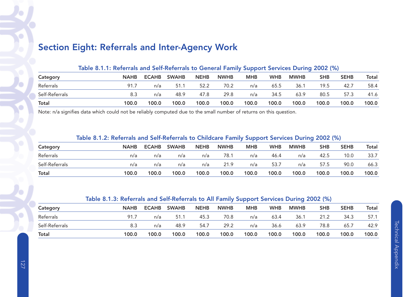# Section Eight: Referrals and Inter-Agency Work

| Table 8.1.1: Referrals and Self-Referrals to General Family Support Services During 2002 (%) |             |              |              |             |             |            |            |             |            |             |       |  |
|----------------------------------------------------------------------------------------------|-------------|--------------|--------------|-------------|-------------|------------|------------|-------------|------------|-------------|-------|--|
| Category                                                                                     | <b>NAHB</b> | <b>ECAHB</b> | <b>SWAHB</b> | <b>NEHB</b> | <b>NWHB</b> | <b>MHB</b> | <b>WHB</b> | <b>MWHB</b> | <b>SHB</b> | <b>SEHB</b> | Total |  |
| Referrals                                                                                    | 91.7        | n/a          | 51.1         | 52.2        | 70.2        | n/a        | 65.5       | 36.1        | 19.5       | 42.7        | 58.4  |  |
| Self-Referrals                                                                               | 8.3         | n/a          | 48.9         | 47.8        | 29.8        | n/a        | 34.5       | 63.9        | 80.5       | 57.3        | 41.6  |  |
| Total                                                                                        | 100.0       | 100.0        | 100.0        | 100.0       | 100.0       | 100.0      | 100.0      | 100.0       | 100.0      | 100.0       | 100.0 |  |

Note: n/a signifies data which could not be reliably computed due to the small number of returns on this question.

# Table 8.1.2: Referrals and Self-Referrals to Childcare Family Support Services During 2002 (%)

| Category       | <b>NAHB</b> | <b>ECAHB</b> | <b>SWAHB</b> | <b>NEHB</b> | <b>NWHB</b> | МНВ   | <b>WHB</b> | <b>MWHB</b> | SHB   | <b>SEHB</b> | Total |
|----------------|-------------|--------------|--------------|-------------|-------------|-------|------------|-------------|-------|-------------|-------|
| Referrals      | n/a         | n/a          | n/a          | n/a         | 78.         | n/a   | 46.4       | n/a         | 42.5  | 10.0        | 33.7  |
| Self-Referrals | n/a         | n/a          | n/a          | n/a         | 21.9        | n/a   | 53.7       | n/a         | 57.5  | 90.0        | 66.3  |
| Total          | 100.0       | 100.0        | 100.0        | 100.0       | 100.0       | 100.0 | 100.0      | 100.0       | 100.0 | 100.0       | 100.0 |

# Table 8.1.3: Referrals and Self-Referrals to All Family Support Services During 2002 (%)

| Category       | <b>NAHB</b> | <b>ECAHB</b> | <b>SWAHB</b> | <b>NEHB</b> | <b>NWHB</b> | <b>MHB</b> | <b>WHB</b> | <b>MWHB</b> | <b>SHB</b> | <b>SEHB</b> | Total |
|----------------|-------------|--------------|--------------|-------------|-------------|------------|------------|-------------|------------|-------------|-------|
| Referrals      | 91.         | n/a          | 51.7         | 45.3        | 70.8        | n/a        | 63.4       | 36.1        | 21.2       | 34.3        | 57.1  |
| Self-Referrals | 8.3         | n/a          | 48.9         | 54.7        | 29.2        | n/a        | 36.6       | 63.9        | 78.8       | 65.7        | 42.9  |
| <b>Total</b>   | 100.0       | 100.0        | 100.0        | 100.0       | 100.0       | 100.0      | 100.0      | 100.0       | 100.0      | 100.0       | 100.0 |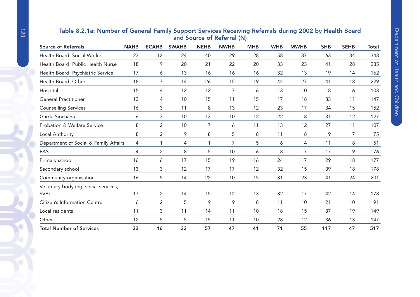|    | <b>ECAHB</b>                                         | <b>SWAHB</b> | <b>NEHB</b>  | <b>NWHB</b> | <b>MHB</b> | <b>WHB</b>                 | <b>MWHB</b>    | <b>SHB</b> | <b>SEHB</b> | <b>Total</b>                                                                                           |
|----|------------------------------------------------------|--------------|--------------|-------------|------------|----------------------------|----------------|------------|-------------|--------------------------------------------------------------------------------------------------------|
| 23 | 12                                                   | 24           | 40           | 29          | 28         | 58                         | 37             | 63         | 34          | 348                                                                                                    |
| 18 | 9                                                    | 20           | 21           | 22          | 20         | 33                         | 23             | 41         | 28          | 235                                                                                                    |
| 17 | 6                                                    | 13           | 16           | 16          | 16         | 32                         | 13             | 19         | 14          | 162                                                                                                    |
| 18 | 7                                                    | 14           | 26           | 15          | 19         | 44                         | 27             | 41         | 18          | 229                                                                                                    |
| 15 | 4                                                    | 12           | 12           | 7           | 6          | 13                         | 10             | 18         | 6           | 103                                                                                                    |
| 13 | 4                                                    | 10           | 15           | 11          | 15         | 17                         | 18             | 33         | 11          | 147                                                                                                    |
| 16 | 3                                                    | 11           | 8            | 13          | 12         | 23                         | 17             | 34         | 15          | 152                                                                                                    |
| 6  | 3                                                    | 10           | 13           | 10          | 12         | 22                         | 8              | 31         | 12          | 127                                                                                                    |
| 8  | $\overline{2}$                                       | 10           | 7            | 6           | 11         | 13                         | 12             | 27         | 11          | 107                                                                                                    |
| 8  | 2                                                    | 9            | 8            | 5           | 8          | 11                         | 8              | 9          | 7           | 75                                                                                                     |
| 4  | 1                                                    | 4            | $\mathbf{1}$ | 7           | 5          | 6                          | 4              | 11         | 8           | 51                                                                                                     |
| 4  | $\overline{2}$                                       | 8            | 5            | 10          | 6          | 8                          | $\overline{7}$ | 17         | 9           | 76                                                                                                     |
| 16 | 6                                                    | 17           | 15           | 19          | 16         | 24                         | 17             | 29         | 18          | 177                                                                                                    |
| 13 | 3                                                    | 12           | 17           | 17          | 12         | 32                         | 15             | 39         | 18          | 178                                                                                                    |
| 16 | 5                                                    | 14           | 22           | 10          | 15         | 31                         | 23             | 41         | 24          | 201                                                                                                    |
| 17 | $\overline{2}$                                       | 14           | 15           | 12          | 13         | 32                         | 17             | 42         | 14          | 178                                                                                                    |
| 6  | 2                                                    | 5            | 9            | 9           | 8          | 11                         | 10             | 21         | 10          | 91                                                                                                     |
| 11 | 3                                                    | 11           | 14           | 11          | 10         | 18                         | 15             | 37         | 19          | 149                                                                                                    |
| 12 | 5                                                    | 5            | 15           | 11          | 10         | 28                         | 12             | 36         | 13          | 147                                                                                                    |
| 33 | 16                                                   | 33           | 57           | 47          | 41         | 71                         | 55             | 117        | 47          | 517                                                                                                    |
|    | <b>NAHB</b><br>Department of Social & Family Affairs |              |              |             |            | and Source of Referral (N) |                |            |             | rapid U.E. full full local of General Fulling Support Services Receiving Referrals author Sould Dout a |

# Table 8.2.1a: Number of General Family Support Services Receiving Referrals during 2002 by Health Board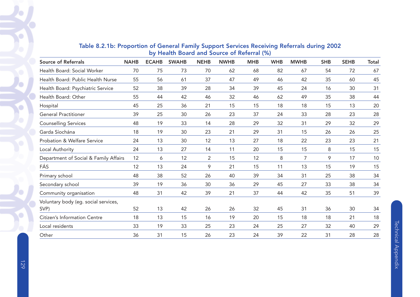| <b>Source of Referrals</b>            | <b>NAHB</b> | <b>ECAHB</b> | <b>SWAHB</b> | <b>NEHB</b>    | <b>NWHB</b> | <b>MHB</b> | <b>WHB</b> | <b>MWHB</b>    | <b>SHB</b> | <b>SEHB</b> | Total |
|---------------------------------------|-------------|--------------|--------------|----------------|-------------|------------|------------|----------------|------------|-------------|-------|
| Health Board: Social Worker           | 70          | 75           | 73           | 70             | 62          | 68         | 82         | 67             | 54         | 72          | 67    |
| Health Board: Public Health Nurse     | 55          | 56           | 61           | 37             | 47          | 49         | 46         | 42             | 35         | 60          | 45    |
| Health Board: Psychiatric Service     | 52          | 38           | 39           | 28             | 34          | 39         | 45         | 24             | 16         | 30          | 31    |
| Health Board: Other                   | 55          | 44           | 42           | 46             | 32          | 46         | 62         | 49             | 35         | 38          | 44    |
| Hospital                              | 45          | 25           | 36           | 21             | 15          | 15         | 18         | 18             | 15         | 13          | 20    |
| <b>General Practitioner</b>           | 39          | 25           | 30           | 26             | 23          | 37         | 24         | 33             | 28         | 23          | 28    |
| <b>Counselling Services</b>           | 48          | 19           | 33           | 14             | 28          | 29         | 32         | 31             | 29         | 32          | 29    |
| Garda Síochána                        | 18          | 19           | 30           | 23             | 21          | 29         | 31         | 15             | 26         | 26          | 25    |
| Probation & Welfare Service           | 24          | 13           | 30           | 12             | 13          | 27         | 18         | 22             | 23         | 23          | 21    |
| Local Authority                       | 24          | 13           | 27           | 14             | 11          | 20         | 15         | 15             | 8          | 15          | 15    |
| Department of Social & Family Affairs | 12          | 6            | 12           | $\overline{2}$ | 15          | 12         | 8          | $\overline{7}$ | 9          | 17          | 10    |
| FÁS                                   | 12          | 13           | 24           | 9              | 21          | 15         | 11         | 13             | 15         | 19          | 15    |
| Primary school                        | 48          | 38           | 52           | 26             | 40          | 39         | 34         | 31             | 25         | 38          | 34    |
| Secondary school                      | 39          | 19           | 36           | 30             | 36          | 29         | 45         | 27             | 33         | 38          | 34    |
| Community organisation                | 48          | 31           | 42           | 39             | 21          | 37         | 44         | 42             | 35         | 51          | 39    |
| Voluntary body (eg. social services,  |             |              |              |                |             |            |            |                |            |             |       |
| SVP)                                  | 52          | 13           | 42           | 26             | 26          | 32         | 45         | 31             | 36         | 30          | 34    |
| Citizen's Information Centre          | 18          | 13           | 15           | 16             | 19          | 20         | 15         | 18             | 18         | 21          | 18    |
| Local residents                       | 33          | 19           | 33           | 25             | 23          | 24         | 25         | 27             | 32         | 40          | 29    |
| Other                                 | 36          | 31           | 15           | 26             | 23          | 24         | 39         | 22             | 31         | 28          | 28    |

# Table 8.2.1b: Proportion of General Family Support Services Receiving Referrals during 2002 by Health Board and Source of Referral (%)

Ō

Ò

٠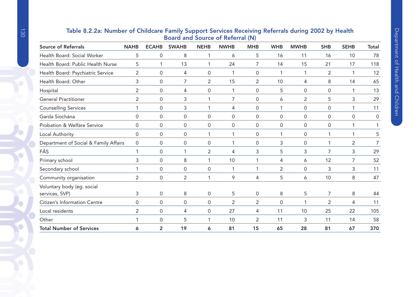| <b>Board and Source of Referral (N)</b>      |             |                     |                |                |             |                |                     |                |                |             |                |  |
|----------------------------------------------|-------------|---------------------|----------------|----------------|-------------|----------------|---------------------|----------------|----------------|-------------|----------------|--|
| <b>Source of Referrals</b>                   | <b>NAHB</b> | <b>ECAHB</b>        | <b>SWAHB</b>   | <b>NEHB</b>    | <b>NWHB</b> | <b>MHB</b>     | <b>WHB</b>          | <b>MWHB</b>    | <b>SHB</b>     | <b>SEHB</b> | <b>Total</b>   |  |
| Health Board: Social Worker                  | 5           | $\mathsf{O}\xspace$ | 8              | 1              | 6           | 5              | 16                  | 11             | 16             | 10          | 78             |  |
| Health Board: Public Health Nurse            | 5           | 1                   | 13             | 1              | 24          | 7              | 14                  | 15             | 21             | 17          | 118            |  |
| Health Board: Psychiatric Service            | 2           | $\mathbf 0$         | 4              | $\mathbf 0$    | 1           | 0              |                     | 1              | 2              |             | 12             |  |
| Health Board: Other                          | 3           | $\mathbf 0$         | 7              | $\overline{2}$ | 15          | $\overline{2}$ | 10                  | 4              | 8              | 14          | 65             |  |
| Hospital                                     | 2           | $\Omega$            | 4              | $\mathbf{0}$   | 1           | 0              | 5                   | $\mathbf{0}$   | $\Omega$       | 1           | 13             |  |
| <b>General Practitioner</b>                  | 2           | $\mathbf 0$         | 3              | 1              | 7           | $\mathbf 0$    | 6                   | $\overline{2}$ | 5              | 3           | 29             |  |
| <b>Counselling Services</b>                  |             | 0                   | 3              | 1              | 4           | 0              | 1                   | 0              | 0              |             | 11             |  |
| Garda Síochána                               | 0           | $\mathbf 0$         | $\mathsf{O}$   | 0              | 0           | 0              | 0                   | 0              | 0              | 0           | $\mathbf 0$    |  |
| Probation & Welfare Service                  | 0           | $\mathbf 0$         | $\mathbf 0$    | $\mathbf 0$    | $\mathbf 0$ | $\mathbf 0$    | $\mathsf{O}\xspace$ | $\mathbf 0$    | 0              | 1           | 1              |  |
| Local Authority                              | 0           | 0                   | 0              | 1              | 1           | 0              |                     | 0              |                |             | 5              |  |
| Department of Social & Family Affairs        | 0           | $\mathbf 0$         | 0              | 0              | 1           | 0              | 3                   | 0              |                | 2           | $\overline{7}$ |  |
| FÁS                                          | 1           | $\mathbf{0}$        | $\mathbf 1$    | 2              | 4           | 3              | 5                   | 3              | 7              | 3           | 29             |  |
| Primary school                               | 3           | $\mathbf 0$         | 8              | 1              | 10          | 1              | 4                   | 6              | 12             | 7           | 52             |  |
| Secondary school                             |             | $\overline{0}$      | $\mathbf 0$    | $\mathbf 0$    | 1           | 1              | $\overline{2}$      | $\mathbf 0$    | 3              | 3           | 11             |  |
| Community organisation                       | 2           | $\mathbf 0$         | $\overline{2}$ | 1              | 9           | 4              | 5                   | 6              | 10             | 8           | 47             |  |
| Voluntary body (eg. social<br>services, SVP) | 3           | $\mathsf{O}\xspace$ | 8              | $\mathbf 0$    | 5           | 0              | 8                   | 5              | $\overline{7}$ | 8           | 44             |  |
| Citizen's Information Centre                 | 0           | $\mathbf{0}$        | $\Omega$       | 0              | 2           | 2              | 0                   | 1              | 2              | 4           | 11             |  |
|                                              |             |                     |                |                |             |                |                     |                |                |             |                |  |
| Local residents                              | 2           | $\mathbf 0$         | 4              | 0              | 27          | 4              | 11                  | 10             | 25             | 22          | 105            |  |
| Other                                        |             | $\mathsf{O}\xspace$ | 5              | 1              | 10          | $\overline{2}$ | 11                  | 3              | 11             | 14          | 58             |  |
| <b>Total Number of Services</b>              | 6           | $\overline{2}$      | 19             | 6              | 81          | 15             | 65                  | 28             | 81             | 67          | 370            |  |

# Table 8.2.2a: Number of Childcare Family Support Services Receiving Referrals during 2002 by Health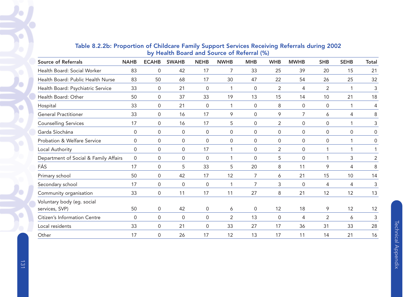| <b>Source of Referrals</b>            | <b>NAHB</b> | <b>ECAHB</b>        | <b>SWAHB</b> | <b>NEHB</b>         | <b>NWHB</b>         | <b>MHB</b>          | <b>WHB</b>     | <b>MWHB</b> | <b>SHB</b>     | <b>SEHB</b> | <b>Total</b>   |
|---------------------------------------|-------------|---------------------|--------------|---------------------|---------------------|---------------------|----------------|-------------|----------------|-------------|----------------|
| Health Board: Social Worker           | 83          | $\mathbf 0$         | 42           | 17                  | $\overline{7}$      | 33                  | 25             | 39          | 20             | 15          | 21             |
| Health Board: Public Health Nurse     | 83          | 50                  | 68           | 17                  | 30                  | 47                  | 22             | 54          | 26             | 25          | 32             |
| Health Board: Psychiatric Service     | 33          | $\mathbf 0$         | 21           | $\mathbf 0$         | 1                   | 0                   | $\overline{2}$ | 4           | $\overline{2}$ | 1           | 3              |
| Health Board: Other                   | 50          | $\mathbf{0}$        | 37           | 33                  | 19                  | 13                  | 15             | 14          | 10             | 21          | 18             |
| Hospital                              | 33          | $\mathbf 0$         | 21           | $\mathsf 0$         | $\mathbf{1}$        | $\mathbf 0$         | 8              | 0           | 0              | 1           | 4              |
| <b>General Practitioner</b>           | 33          | $\overline{0}$      | 16           | 17                  | 9                   | $\mathbf 0$         | 9              | 7           | 6              | 4           | 8              |
| <b>Counselling Services</b>           | 17          | 0                   | 16           | 17                  | 5                   | 0                   | 2              | 0           | 0              | $\mathbf 1$ | 3              |
| Garda Síochána                        | 0           | $\mathbf 0$         | $\mathbf 0$  | $\mathsf{O}\xspace$ | $\mathsf{O}\xspace$ | $\mathbf 0$         | 0              | 0           | 0              | $\mathbf 0$ | 0              |
| Probation & Welfare Service           | $\Omega$    | $\mathbf{0}$        | $\Omega$     | $\mathbf{0}$        | $\Omega$            | $\Omega$            | 0              | 0           | $\Omega$       | 1           | 0              |
| Local Authority                       | 0           | $\mathbf 0$         | $\mathbf 0$  | 17                  | $\mathbf 1$         | $\mathsf{O}\xspace$ | $\overline{2}$ | 0           |                | 1           |                |
| Department of Social & Family Affairs | 0           | $\mathbf 0$         | 0            | 0                   | 1                   | 0                   | 5              | 0           | 1              | 3           | $\overline{2}$ |
| FÁS                                   | 17          | $\mathbf{0}$        | 5            | 33                  | 5                   | 20                  | 8              | 11          | 9              | 4           | 8              |
| Primary school                        | 50          | $\mathbf 0$         | 42           | 17                  | 12                  | 7                   | 6              | 21          | 15             | 10          | 14             |
| Secondary school                      | 17          | $\mathsf{O}$        | 0            | 0                   | $\mathbf 1$         | 7                   | 3              | 0           | 4              | 4           | 3              |
| Community organisation                | 33          | $\mathsf{O}\xspace$ | 11           | 17                  | 11                  | 27                  | 8              | 21          | 12             | 12          | 13             |
| Voluntary body (eg. social            |             |                     |              |                     |                     |                     |                |             |                |             |                |
| services, SVP)                        | 50          | 0                   | 42           | $\mathsf 0$         | 6                   | 0                   | 12             | 18          | 9              | 12          | 12             |
| Citizen's Information Centre          | $\mathbf 0$ | $\mathbf 0$         | $\mathbf 0$  | $\mathbf 0$         | $\overline{2}$      | 13                  | $\mathbf 0$    | 4           | $\overline{2}$ | 6           | $\mathfrak{Z}$ |
| Local residents                       | 33          | 0                   | 21           | 0                   | 33                  | 27                  | 17             | 36          | 31             | 33          | 28             |
| Other                                 | 17          | $\mathbf 0$         | 26           | 17                  | 12                  | 13                  | 17             | 11          | 14             | 21          | 16             |

# Table 8.2.2b: Proportion of Childcare Family Support Services Receiving Referrals during 2002 by Health Board and Source of Referral (%)

 $\bullet$ 

Ó

O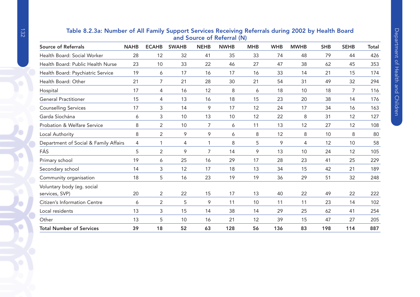|                                       |             |                |              |             | and Source of Referral (N) |            |            |             |            |             |       |
|---------------------------------------|-------------|----------------|--------------|-------------|----------------------------|------------|------------|-------------|------------|-------------|-------|
| <b>Source of Referrals</b>            | <b>NAHB</b> | <b>ECAHB</b>   | <b>SWAHB</b> | <b>NEHB</b> | <b>NWHB</b>                | <b>MHB</b> | <b>WHB</b> | <b>MWHB</b> | <b>SHB</b> | <b>SEHB</b> | Total |
| Health Board: Social Worker           | 28          | 12             | 32           | 41          | 35                         | 33         | 74         | 48          | 79         | 44          | 426   |
| Health Board: Public Health Nurse     | 23          | 10             | 33           | 22          | 46                         | 27         | 47         | 38          | 62         | 45          | 353   |
| Health Board: Psychiatric Service     | 19          | 6              | 17           | 16          | 17                         | 16         | 33         | 14          | 21         | 15          | 174   |
| Health Board: Other                   | 21          | 7              | 21           | 28          | 30                         | 21         | 54         | 31          | 49         | 32          | 294   |
| Hospital                              | 17          | 4              | 16           | 12          | 8                          | 6          | 18         | 10          | 18         | 7           | 116   |
| <b>General Practitioner</b>           | 15          | 4              | 13           | 16          | 18                         | 15         | 23         | 20          | 38         | 14          | 176   |
| <b>Counselling Services</b>           | 17          | 3              | 14           | 9           | 17                         | 12         | 24         | 17          | 34         | 16          | 163   |
| Garda Síochána                        | 6           | 3              | 10           | 13          | 10                         | 12         | 22         | 8           | 31         | 12          | 127   |
| Probation & Welfare Service           | 8           | $\overline{2}$ | 10           | 7           | 6                          | 11         | 13         | 12          | 27         | 12          | 108   |
| Local Authority                       | 8           | $\overline{2}$ | 9            | 9           | 6                          | 8          | 12         | 8           | 10         | 8           | 80    |
| Department of Social & Family Affairs | 4           | 1              | 4            | 1           | 8                          | 5          | 9          | 4           | 12         | 10          | 58    |
| FÁS                                   | 5           | $\overline{2}$ | 9            | 7           | 14                         | 9          | 13         | 10          | 24         | 12          | 105   |
| Primary school                        | 19          | 6              | 25           | 16          | 29                         | 17         | 28         | 23          | 41         | 25          | 229   |
| Secondary school                      | 14          | 3              | 12           | 17          | 18                         | 13         | 34         | 15          | 42         | 21          | 189   |
| Community organisation                | 18          | 5              | 16           | 23          | 19                         | 19         | 36         | 29          | 51         | 32          | 248   |
| Voluntary body (eg. social            |             |                |              |             |                            |            |            |             |            |             |       |
| services, SVP)                        | 20          | $\overline{2}$ | 22           | 15          | 17                         | 13         | 40         | 22          | 49         | 22          | 222   |
| <b>Citizen's Information Centre</b>   | 6           | $\overline{2}$ | 5            | 9           | 11                         | 10         | 11         | 11          | 23         | 14          | 102   |
| Local residents                       | 13          | 3              | 15           | 14          | 38                         | 14         | 29         | 25          | 62         | 41          | 254   |
| Other                                 | 13          | 5              | 10           | 16          | 21                         | 12         | 39         | 15          | 47         | 27          | 205   |
| <b>Total Number of Services</b>       | 39          | 18             | 52           | 63          | 128                        | 56         | 136        | 83          | 198        | 114         | 887   |
|                                       |             |                |              |             |                            |            |            |             |            |             |       |

# Table 8.2.3a: Number of All Family Support Services Receiving Referrals during 2002 by Health Board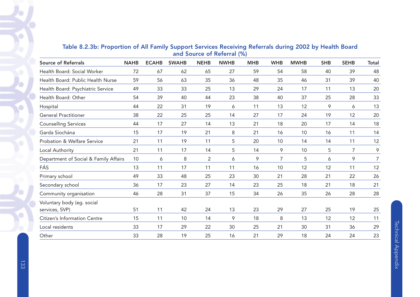| <b>Source of Referrals</b>                   | <b>NAHB</b> | <b>ECAHB</b> | <b>SWAHB</b> | <b>NEHB</b>    | <b>NWHB</b> | <b>MHB</b> | <b>WHB</b>     | <b>MWHB</b> | <b>SHB</b> | <b>SEHB</b>    | <b>Total</b> |
|----------------------------------------------|-------------|--------------|--------------|----------------|-------------|------------|----------------|-------------|------------|----------------|--------------|
| Health Board: Social Worker                  | 72          | 67           | 62           | 65             | 27          | 59         | 54             | 58          | 40         | 39             | 48           |
| Health Board: Public Health Nurse            | 59          | 56           | 63           | 35             | 36          | 48         | 35             | 46          | 31         | 39             | 40           |
| Health Board: Psychiatric Service            | 49          | 33           | 33           | 25             | 13          | 29         | 24             | 17          | 11         | 13             | 20           |
| Health Board: Other                          | 54          | 39           | 40           | 44             | 23          | 38         | 40             | 37          | 25         | 28             | 33           |
| Hospital                                     | 44          | 22           | 31           | 19             | 6           | 11         | 13             | 12          | 9          | 6              | 13           |
| <b>General Practitioner</b>                  | 38          | 22           | 25           | 25             | 14          | 27         | 17             | 24          | 19         | 12             | 20           |
| <b>Counselling Services</b>                  | 44          | 17           | 27           | 14             | 13          | 21         | 18             | 20          | 17         | 14             | 18           |
| Garda Síochána                               | 15          | 17           | 19           | 21             | 8           | 21         | 16             | 10          | 16         | 11             | 14           |
| Probation & Welfare Service                  | 21          | 11           | 19           | 11             | 5           | 20         | 10             | 14          | 14         | 11             | 12           |
| Local Authority                              | 21          | 11           | 17           | 14             | 5           | 14         | 9              | 10          | 5          | $\overline{7}$ | 9            |
| Department of Social & Family Affairs        | 10          | 6            | 8            | $\overline{2}$ | 6           | 9          | $\overline{7}$ | 5           | 6          | 9              | 7            |
| FÁS                                          | 13          | 11           | 17           | 11             | 11          | 16         | 10             | 12          | 12         | 11             | 12           |
| Primary school                               | 49          | 33           | 48           | 25             | 23          | 30         | 21             | 28          | 21         | 22             | 26           |
| Secondary school                             | 36          | 17           | 23           | 27             | 14          | 23         | 25             | 18          | 21         | 18             | 21           |
| Community organisation                       | 46          | 28           | 31           | 37             | 15          | 34         | 26             | 35          | 26         | 28             | 28           |
| Voluntary body (eg. social<br>services, SVP) | 51          | 11           | 42           | 24             | 13          | 23         | 29             | 27          | 25         | 19             | 25           |
| Citizen's Information Centre                 | 15          | 11           | 10           | 14             | 9           | 18         | 8              | 13          | 12         | 12             | 11           |
| Local residents                              | 33          | 17           | 29           | 22             | 30          | 25         | 21             | 30          | 31         | 36             | 29           |
| Other                                        | 33          | 28           | 19           | 25             | 16          | 21         | 29             | 18          | 24         | 24             | 23           |

# Table 8.2.3b: Proportion of All Family Support Services Receiving Referrals during 2002 by Health Board and Source of Referral (%)

 $\bullet$ 

Ò

٠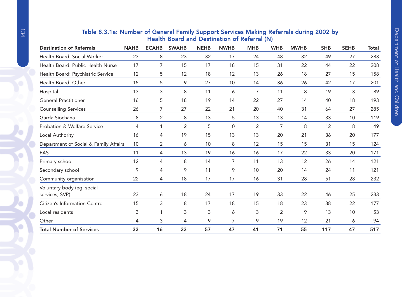|                                        |             |              | <b>Health Doard and Destination of Referral (N)</b> |             |                |            |                |             |            |             |              |
|----------------------------------------|-------------|--------------|-----------------------------------------------------|-------------|----------------|------------|----------------|-------------|------------|-------------|--------------|
| <b>Destination of Referrals</b>        | <b>NAHB</b> | <b>ECAHB</b> | <b>SWAHB</b>                                        | <b>NEHB</b> | <b>NWHB</b>    | <b>MHB</b> | <b>WHB</b>     | <b>MWHB</b> | <b>SHB</b> | <b>SEHB</b> | <b>Total</b> |
| Health Board: Social Worker            | 23          | 8            | 23                                                  | 32          | 17             | 24         | 48             | 32          | 49         | 27          | 283          |
| Health Board: Public Health Nurse      | 17          | 7            | 15                                                  | 17          | 18             | 15         | 31             | 22          | 44         | 22          | 208          |
| Health Board: Psychiatric Service      | 12          | 5            | 12                                                  | 18          | 12             | 13         | 26             | 18          | 27         | 15          | 158          |
| Health Board: Other                    | 15          | 5            | 9                                                   | 27          | 10             | 14         | 36             | 26          | 42         | 17          | 201          |
| Hospital                               | 13          | 3            | 8                                                   | 11          | 6              | 7          | 11             | 8           | 19         | 3           | 89           |
| <b>General Practitioner</b>            | 16          | 5            | 18                                                  | 19          | 14             | 22         | 27             | 14          | 40         | 18          | 193          |
| <b>Counselling Services</b>            | 26          | 7            | 27                                                  | 22          | 21             | 20         | 40             | 31          | 64         | 27          | 285          |
| Garda Síochána                         | 8           | 2            | 8                                                   | 13          | 5              | 13         | 13             | 14          | 33         | 10          | 119          |
| <b>Probation &amp; Welfare Service</b> | 4           | 1            | $\overline{2}$                                      | 5           | 0              | 2          | 7              | 8           | 12         | 8           | 49           |
| Local Authority                        | 16          | 4            | 19                                                  | 15          | 13             | 13         | 20             | 21          | 36         | 20          | 177          |
| Department of Social & Family Affairs  | 10          | 2            | 6                                                   | 10          | 8              | 12         | 15             | 15          | 31         | 15          | 124          |
| FÁS                                    | 11          | 4            | 13                                                  | 19          | 16             | 16         | 17             | 22          | 33         | 20          | 171          |
| Primary school                         | 12          | 4            | 8                                                   | 14          | $\overline{7}$ | 11         | 13             | 12          | 26         | 14          | 121          |
| Secondary school                       | 9           | 4            | 9                                                   | 11          | 9              | 10         | 20             | 14          | 24         | 11          | 121          |
| Community organisation                 | 22          | 4            | 18                                                  | 17          | 17             | 16         | 31             | 28          | 51         | 28          | 232          |
| Voluntary body (eg. social             |             |              |                                                     |             |                |            |                |             |            |             |              |
| services, SVP)                         | 23          | 6            | 18                                                  | 24          | 17             | 19         | 33             | 22          | 46         | 25          | 233          |
| Citizen's Information Centre           | 15          | 3            | 8                                                   | 17          | 18             | 15         | 18             | 23          | 38         | 22          | 177          |
| Local residents                        | 3           | 1            | 3                                                   | 3           | 6              | 3          | $\overline{2}$ | 9           | 13         | 10          | 53           |
| Other                                  | 4           | 3            | 4                                                   | 9           | $\overline{7}$ | 9          | 19             | 12          | 21         | 6           | 94           |
| <b>Total Number of Services</b>        | 33          | 16           | 33                                                  | 57          | 47             | 41         | 71             | 55          | 117        | 47          | 517          |

# Table 8.3.1a: Number of General Family Support Services Making Referrals during 2002 by Health Board and Destination of Referral (N)

Ö

Ō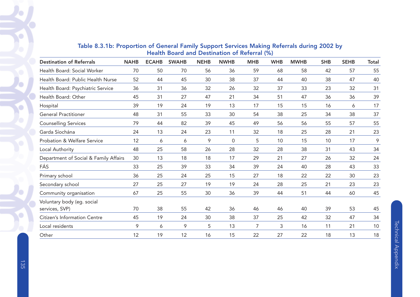| <b>Destination of Referrals</b>              | <b>NAHB</b> | <b>ECAHB</b> | <b>SWAHB</b> | <b>NEHB</b> | <b>NWHB</b> | <b>MHB</b>     | <b>WHB</b> | <b>MWHB</b> | <b>SHB</b> | <b>SEHB</b> | Total |
|----------------------------------------------|-------------|--------------|--------------|-------------|-------------|----------------|------------|-------------|------------|-------------|-------|
| Health Board: Social Worker                  | 70          | 50           | 70           | 56          | 36          | 59             | 68         | 58          | 42         | 57          | 55    |
| Health Board: Public Health Nurse            | 52          | 44           | 45           | 30          | 38          | 37             | 44         | 40          | 38         | 47          | 40    |
| Health Board: Psychiatric Service            | 36          | 31           | 36           | 32          | 26          | 32             | 37         | 33          | 23         | 32          | 31    |
| Health Board: Other                          | 45          | 31           | 27           | 47          | 21          | 34             | 51         | 47          | 36         | 36          | 39    |
| Hospital                                     | 39          | 19           | 24           | 19          | 13          | 17             | 15         | 15          | 16         | 6           | 17    |
| <b>General Practitioner</b>                  | 48          | 31           | 55           | 33          | 30          | 54             | 38         | 25          | 34         | 38          | 37    |
| <b>Counselling Services</b>                  | 79          | 44           | 82           | 39          | 45          | 49             | 56         | 56          | 55         | 57          | 55    |
| Garda Síochána                               | 24          | 13           | 24           | 23          | 11          | 32             | 18         | 25          | 28         | 21          | 23    |
| Probation & Welfare Service                  | 12          | 6            | 6            | 9           | $\mathbf 0$ | 5              | 10         | 15          | 10         | 17          | 9     |
| Local Authority                              | 48          | 25           | 58           | 26          | 28          | 32             | 28         | 38          | 31         | 43          | 34    |
| Department of Social & Family Affairs        | 30          | 13           | 18           | 18          | 17          | 29             | 21         | 27          | 26         | 32          | 24    |
| FÁS                                          | 33          | 25           | 39           | 33          | 34          | 39             | 24         | 40          | 28         | 43          | 33    |
| Primary school                               | 36          | 25           | 24           | 25          | 15          | 27             | 18         | 22          | 22         | 30          | 23    |
| Secondary school                             | 27          | 25           | 27           | 19          | 19          | 24             | 28         | 25          | 21         | 23          | 23    |
| Community organisation                       | 67          | 25           | 55           | 30          | 36          | 39             | 44         | 51          | 44         | 60          | 45    |
| Voluntary body (eg. social<br>services, SVP) | 70          | 38           | 55           | 42          | 36          | 46             | 46         | 40          | 39         | 53          | 45    |
| Citizen's Information Centre                 | 45          | 19           | 24           | 30          | 38          | 37             | 25         | 42          | 32         | 47          | 34    |
| Local residents                              | 9           | 6            | 9            | 5           | 13          | $\overline{7}$ | 3          | 16          | 11         | 21          | 10    |
| Other                                        | 12          | 19           | 12           | 16          | 15          | 22             | 27         | 22          | 18         | 13          | 18    |

# Table 8.3.1b: Proportion of General Family Support Services Making Referrals during 2002 by Health Board and Destination of Referral (%)

Ō

٠

o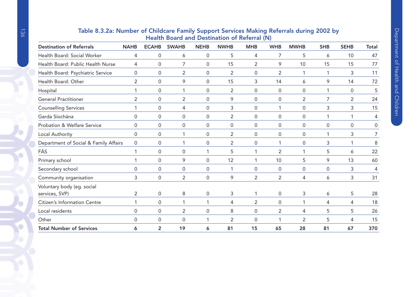| <b>Health Board and Destination of Referral (N)</b> |                |                     |                     |             |                |                  |                     |                     |            |                     |       |  |
|-----------------------------------------------------|----------------|---------------------|---------------------|-------------|----------------|------------------|---------------------|---------------------|------------|---------------------|-------|--|
| <b>Destination of Referrals</b>                     | <b>NAHB</b>    | <b>ECAHB</b>        | <b>SWAHB</b>        | <b>NEHB</b> | <b>NWHB</b>    | <b>MHB</b>       | <b>WHB</b>          | <b>MWHB</b>         | <b>SHB</b> | <b>SEHB</b>         | Total |  |
| Health Board: Social Worker                         | 4              | $\mathsf{O}\xspace$ | 6                   | 0           | 5              | 4                | 7                   | 5                   | 6          | 10                  | 47    |  |
| Health Board: Public Health Nurse                   | 4              | $\mathbf 0$         | 7                   | 0           | 15             | $\overline{2}$   | 9                   | 10                  | 15         | 15                  | 77    |  |
| Health Board: Psychiatric Service                   | 0              | $\mathsf{O}\xspace$ | $\overline{2}$      | 0           | $\overline{2}$ | $\boldsymbol{0}$ | $\overline{2}$      | 1                   | 1          | 3                   | 11    |  |
| Health Board: Other                                 | 2              | 0                   | 9                   | 0           | 15             | 3                | 14                  | 6                   | 9          | 14                  | 72    |  |
| Hospital                                            |                | $\mathbf 0$         | 1                   | 0           | $\overline{2}$ | $\mathbf 0$      | $\mathbf 0$         | $\mathsf{O}\xspace$ | 1          | $\mathsf{O}\xspace$ | 5     |  |
| <b>General Practitioner</b>                         | $\overline{2}$ | $\mathsf{O}\xspace$ | $\overline{2}$      | 0           | 9              | 0                | 0                   | $\overline{2}$      | 7          | $\overline{2}$      | 24    |  |
| <b>Counselling Services</b>                         |                | 0                   | 4                   | 0           | 3              | $\Omega$         | 1                   | 0                   | 3          | 3                   | 15    |  |
| Garda Síochána                                      | 0              | $\mathsf{O}\xspace$ | 0                   | 0           | $\overline{2}$ | 0                | $\mathbf 0$         | $\mathsf{O}\xspace$ |            | -1                  | 4     |  |
| Probation & Welfare Service                         | 0              | $\mathsf{O}\xspace$ | 0                   | 0           | 0              | 0                | 0                   | 0                   | 0          | 0                   | 0     |  |
| Local Authority                                     | 0              | 0                   |                     | 0           | $\overline{2}$ | 0                | $\mathsf 0$         | 0                   |            | 3                   | 7     |  |
| Department of Social & Family Affairs               | 0              | 0                   |                     | 0           | $\overline{2}$ | $\Omega$         | -1                  | 0                   | 3          | -1                  | 8     |  |
| FÁS                                                 | 1              | $\mathsf{O}\xspace$ | 0                   |             | 5              | 1                | $\overline{2}$      | 1                   | 5          | 6                   | 22    |  |
| Primary school                                      |                | $\mathbf 0$         | 9                   | 0           | 12             | 1                | 10                  | 5                   | 9          | 13                  | 60    |  |
| Secondary school                                    | 0              | 0                   | $\Omega$            | $\Omega$    | 1              | $\Omega$         | $\mathbf 0$         | 0                   | $\Omega$   | 3                   | 4     |  |
| Community organisation                              | 3              | $\mathbf 0$         | $\overline{2}$      | 0           | 9              | $\overline{2}$   | $\overline{2}$      | 4                   | 6          | 3                   | 31    |  |
| Voluntary body (eg. social                          |                |                     |                     |             |                |                  |                     |                     |            |                     |       |  |
| services, SVP)                                      | $\overline{2}$ | $\mathbf 0$         | 8                   | 0           | 3              | 1                | $\mathsf{O}\xspace$ | 3                   | 6          | 5                   | 28    |  |
| Citizen's Information Centre                        |                | 0                   |                     |             | 4              | $\overline{2}$   | 0                   | 1                   | 4          | 4                   | 18    |  |
| Local residents                                     | $\Omega$       | $\mathbf 0$         | 2                   | $\Omega$    | 8              | $\overline{0}$   | $\overline{2}$      | 4                   | 5          | 5                   | 26    |  |
| Other                                               | 0              | $\mathbf 0$         | $\mathsf{O}\xspace$ |             | 2              | 0                | -1                  | 2                   | 5          | 4                   | 15    |  |
| <b>Total Number of Services</b>                     | 6              | 2                   | 19                  | 6           | 81             | 15               | 65                  | 28                  | 81         | 67                  | 370   |  |

# Table 8.3.2a: Number of Childcare Family Support Services Making Referrals during 2002 by Health Board and Destination of Referral (N)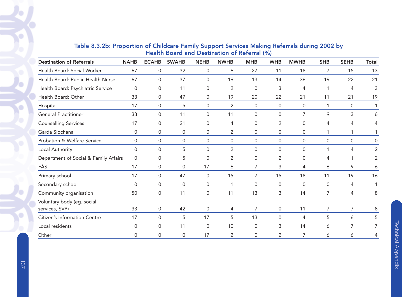| <b>Destination of Referrals</b>              | <b>NAHB</b> | <b>ECAHB</b>        | <b>SWAHB</b>        | <b>NEHB</b>         | <b>NWHB</b>    | <b>MHB</b>          | <b>WHB</b>  | <b>MWHB</b> | <b>SHB</b> | <b>SEHB</b>  | <b>Total</b>   |
|----------------------------------------------|-------------|---------------------|---------------------|---------------------|----------------|---------------------|-------------|-------------|------------|--------------|----------------|
| Health Board: Social Worker                  | 67          | $\mathsf{O}\xspace$ | 32                  | $\mathsf{O}\xspace$ | 6              | 27                  | 11          | 18          | 7          | 15           | 13             |
| Health Board: Public Health Nurse            | 67          | $\overline{0}$      | 37                  | 0                   | 19             | 13                  | 14          | 36          | 19         | 22           | 21             |
| Health Board: Psychiatric Service            | $\mathbf 0$ | $\mathbf 0$         | 11                  | 0                   | $\overline{2}$ | $\mathbf 0$         | 3           | 4           | 1          | 4            | 3              |
| Health Board: Other                          | 33          | $\mathbf{0}$        | 47                  | $\Omega$            | 19             | 20                  | 22          | 21          | 11         | 21           | 19             |
| Hospital                                     | 17          | $\mathbf 0$         | 5                   | 0                   | $\overline{2}$ | $\mathsf 0$         | 0           | 0           | 1          | 0            |                |
| <b>General Practitioner</b>                  | 33          | 0                   | 11                  | 0                   | 11             | 0                   | 0           | 7           | 9          | 3            | 6              |
| <b>Counselling Services</b>                  | 17          | 0                   | 21                  | 0                   | 4              | 0                   | 2           | 0           | 4          | 4            | 4              |
| Garda Síochána                               | $\Omega$    | 0                   | 0                   | 0                   | $\overline{2}$ | 0                   | 0           | 0           | 1          | 1            |                |
| Probation & Welfare Service                  | $\Omega$    | $\mathbf{0}$        | $\Omega$            | $\Omega$            | $\mathbf{0}$   | $\Omega$            | $\Omega$    | 0           | $\Omega$   | $\mathbf{0}$ | $\Omega$       |
| Local Authority                              | $\mathbf 0$ | $\mathbf 0$         | 5                   | $\mathsf{O}\xspace$ | $\overline{2}$ | $\mathsf{O}\xspace$ | 0           | 0           |            | 4            | $\overline{2}$ |
| Department of Social & Family Affairs        | $\Omega$    | 0                   | 5                   | $\Omega$            | $\overline{2}$ | 0                   | 2           | 0           | 4          | 1            | $\overline{2}$ |
| FÁS                                          | 17          | $\mathbf 0$         | $\Omega$            | 17                  | 6              | 7                   | 3           | 4           | 6          | 9            | 6              |
| Primary school                               | 17          | 0                   | 47                  | 0                   | 15             | 7                   | 15          | 18          | 11         | 19           | 16             |
| Secondary school                             | $\Omega$    | $\mathbf 0$         | $\mathsf{O}\xspace$ | $\mathsf 0$         | 1              | 0                   | 0           | 0           | 0          | 4            |                |
| Community organisation                       | 50          | $\mathbf 0$         | 11                  | $\mathbf 0$         | 11             | 13                  | 3           | 14          | 7          | 4            | 8              |
| Voluntary body (eg. social<br>services, SVP) | 33          | 0                   | 42                  | 0                   | 4              | 7                   | 0           | 11          | 7          | 7            | 8              |
| Citizen's Information Centre                 | 17          | $\mathbf 0$         | 5                   | 17                  | 5              | 13                  | $\mathsf 0$ | 4           | 5          | 6            | 5              |
| Local residents                              | $\Omega$    | 0                   | 11                  | 0                   | 10             | 0                   | 3           | 14          | 6          | 7            |                |
| Other                                        | 0           | $\mathbf 0$         | 0                   | 17                  | $\overline{2}$ | 0                   | 2           | 7           | 6          | 6            | 4              |

# Table 8.3.2b: Proportion of Childcare Family Support Services Making Referrals during 2002 by Health Board and Destination of Referral (%)

 $\bullet$ 

٠

c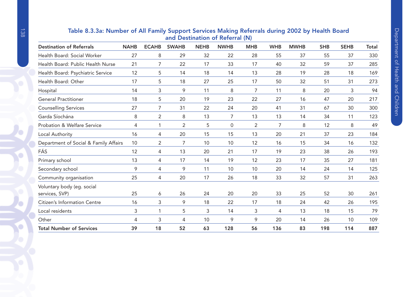| and Destination of Referral (N)<br><b>Destination of Referrals</b> |                |              |             |              |            |            |             |            |             |       |  |
|--------------------------------------------------------------------|----------------|--------------|-------------|--------------|------------|------------|-------------|------------|-------------|-------|--|
| <b>NAHB</b>                                                        | <b>ECAHB</b>   | <b>SWAHB</b> | <b>NEHB</b> | <b>NWHB</b>  | <b>MHB</b> | <b>WHB</b> | <b>MWHB</b> | <b>SHB</b> | <b>SEHB</b> | Total |  |
| 27                                                                 | 8              | 29           | 32          | 22           | 28         | 55         | 37          | 55         | 37          | 330   |  |
| 21                                                                 | 7              | 22           | 17          | 33           | 17         | 40         | 32          | 59         | 37          | 285   |  |
| 12                                                                 | 5              | 14           | 18          | 14           | 13         | 28         | 19          | 28         | 18          | 169   |  |
| 17                                                                 | 5              | 18           | 27          | 25           | 17         | 50         | 32          | 51         | 31          | 273   |  |
| 14                                                                 | 3              | 9            | 11          | 8            | 7          | 11         | 8           | 20         | 3           | 94    |  |
| 18                                                                 | 5              | 20           | 19          | 23           | 22         | 27         | 16          | 47         | 20          | 217   |  |
| 27                                                                 | 7              | 31           | 22          | 24           | 20         | 41         | 31          | 67         | 30          | 300   |  |
| 8                                                                  | $\overline{2}$ | 8            | 13          | 7            | 13         | 13         | 14          | 34         | 11          | 123   |  |
| 4                                                                  | $\mathbf 1$    | 2            | 5           | $\mathbf{0}$ | 2          | 7          | 8           | 12         | 8           | 49    |  |
| 16                                                                 | 4              | 20           | 15          | 15           | 13         | 20         | 21          | 37         | 23          | 184   |  |
| Department of Social & Family Affairs<br>10                        | $\overline{2}$ | 7            | 10          | 10           | 12         | 16         | 15          | 34         | 16          | 132   |  |
| 12                                                                 | 4              | 13           | 20          | 21           | 17         | 19         | 23          | 38         | 26          | 193   |  |
| 13                                                                 | 4              | 17           | 14          | 19           | 12         | 23         | 17          | 35         | 27          | 181   |  |
| 9                                                                  | 4              | 9            | 11          | 10           | 10         | 20         | 14          | 24         | 14          | 125   |  |
| 25                                                                 | 4              | 20           | 17          | 26           | 18         | 33         | 32          | 57         | 31          | 263   |  |
| 25                                                                 | 6              | 26           | 24          | 20           | 20         | 33         | 25          | 52         | 30          | 261   |  |
| 16                                                                 | 3              | 9            | 18          | 22           | 17         | 18         | 24          | 42         | 26          | 195   |  |
| 3                                                                  | -1             | 5            | 3           | 14           | 3          | 4          | 13          | 18         | 15          | 79    |  |
| 4                                                                  | 3              | 4            | 10          | 9            | 9          | 20         | 14          | 26         | 10          | 109   |  |
| 39                                                                 | 18             | 52           | 63          | 128          | 56         | 136        | 83          | 198        | 114         | 887   |  |
|                                                                    |                |              |             |              |            |            |             |            |             |       |  |

# Table 8.3.3a: Number of All Family Support Services Making Referrals during 2002 by Health Board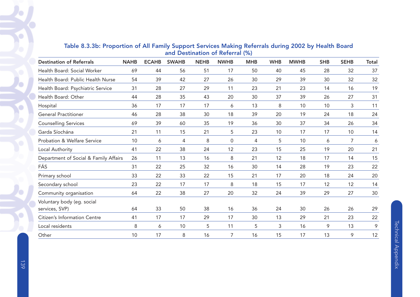| <b>Destination of Referrals</b>              | <b>NAHB</b> | <b>ECAHB</b> | <b>SWAHB</b> | <b>NEHB</b> | <b>NWHB</b> | <b>MHB</b> | <b>WHB</b> | <b>MWHB</b> | <b>SHB</b> | <b>SEHB</b> | <b>Total</b> |
|----------------------------------------------|-------------|--------------|--------------|-------------|-------------|------------|------------|-------------|------------|-------------|--------------|
| Health Board: Social Worker                  | 69          | 44           | 56           | 51          | 17          | 50         | 40         | 45          | 28         | 32          | 37           |
| Health Board: Public Health Nurse            | 54          | 39           | 42           | 27          | 26          | 30         | 29         | 39          | 30         | 32          | 32           |
| Health Board: Psychiatric Service            | 31          | 28           | 27           | 29          | 11          | 23         | 21         | 23          | 14         | 16          | 19           |
| Health Board: Other                          | 44          | 28           | 35           | 43          | 20          | 30         | 37         | 39          | 26         | 27          | 31           |
| Hospital                                     | 36          | 17           | 17           | 17          | 6           | 13         | 8          | 10          | 10         | 3           | 11           |
| <b>General Practitioner</b>                  | 46          | 28           | 38           | 30          | 18          | 39         | 20         | 19          | 24         | 18          | 24           |
| <b>Counselling Services</b>                  | 69          | 39           | 60           | 35          | 19          | 36         | 30         | 37          | 34         | 26          | 34           |
| Garda Síochána                               | 21          | 11           | 15           | 21          | 5           | 23         | 10         | 17          | 17         | 10          | 14           |
| Probation & Welfare Service                  | 10          | 6            | 4            | 8           | 0           | 4          | 5          | 10          | 6          | 7           | 6            |
| Local Authority                              | 41          | 22           | 38           | 24          | 12          | 23         | 15         | 25          | 19         | 20          | 21           |
| Department of Social & Family Affairs        | 26          | 11           | 13           | 16          | 8           | 21         | 12         | 18          | 17         | 14          | 15           |
| FÁS                                          | 31          | 22           | 25           | 32          | 16          | 30         | 14         | 28          | 19         | 23          | 22           |
| Primary school                               | 33          | 22           | 33           | 22          | 15          | 21         | 17         | 20          | 18         | 24          | 20           |
| Secondary school                             | 23          | 22           | 17           | 17          | 8           | 18         | 15         | 17          | 12         | 12          | 14           |
| Community organisation                       | 64          | 22           | 38           | 27          | 20          | 32         | 24         | 39          | 29         | 27          | 30           |
| Voluntary body (eg. social<br>services, SVP) | 64          | 33           | 50           | 38          | 16          | 36         | 24         | 30          | 26         | 26          | 29           |
| Citizen's Information Centre                 | 41          | 17           | 17           | 29          | 17          | 30         | 13         | 29          | 21         | 23          | 22           |
| Local residents                              | 8           | 6            | 10           | 5           | 11          | 5          | 3          | 16          | 9          | 13          | 9            |
| Other                                        | 10          | 17           | 8            | 16          | 7           | 16         | 15         | 17          | 13         | 9           | 12           |

# Table 8.3.3b: Proportion of All Family Support Services Making Referrals during 2002 by Health Board and Destination of Referral (%)

 $\bullet$ 

Ó

٠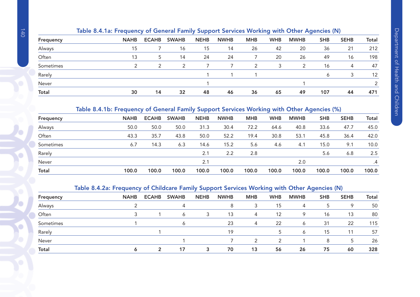| Frequency | <b>NAHB</b> | <b>ECAHB</b>  | <b>SWAHB</b> | <b>NEHB</b> | <b>NWHB</b> | <b>MHB</b> | <b>WHB</b> | <b>MWHB</b> | <b>SHB</b>   | <b>SEHB</b> | <b>Total</b> |
|-----------|-------------|---------------|--------------|-------------|-------------|------------|------------|-------------|--------------|-------------|--------------|
| Always    | 15          |               | 16           | 15          | 14          | 26         | 42         | 20          | 36           | 21          | 212          |
| Often     | 13          | 5             | 14           | 24          | 24          |            | 20         | 26          | 49           | 16          | 198          |
| Sometimes |             | $\mathcal{D}$ | 2            |             |             |            | 3          | 2           | 16           | 4           | 47           |
| Rarely    |             |               |              |             |             |            |            |             | <sub>6</sub> |             | 12           |
| Never     |             |               |              |             |             |            |            |             |              |             |              |
| Total     | 30          | 14            | 32           | 48          | 46          | 36         | 65         | 49          | 107          | 44          | 471          |

# Table 8.4.1b: Frequency of General Family Support Services Working with Other Agencies (%)

| Frequency    | <b>NAHB</b> | <b>ECAHB</b> | <b>SWAHB</b> | <b>NEHB</b> | <b>NWHB</b> | <b>MHB</b> | <b>WHB</b> | <b>MWHB</b> | <b>SHB</b> | <b>SEHB</b> | <b>Total</b> |
|--------------|-------------|--------------|--------------|-------------|-------------|------------|------------|-------------|------------|-------------|--------------|
| Always       | 50.0        | 50.0         | 50.0         | 31.3        | 30.4        | 72.2       | 64.6       | 40.8        | 33.6       | 47.7        | 45.0         |
| Often        | 43.3        | 35.7         | 43.8         | 50.0        | 52.2        | 19.4       | 30.8       | 53.1        | 45.8       | 36.4        | 42.0         |
| Sometimes    | 6.7         | 14.3         | 6.3          | 14.6        | 15.2        | 5.6        | 4.6        | 4.1         | 15.0       | 9.1         | 10.0         |
| Rarely       |             |              |              | 2.1         | 2.2         | 2.8        |            |             | 5.6        | 6.8         | 2.5          |
| Never        |             |              |              | 2.1         |             |            |            | 2.0         |            |             | .4           |
| <b>Total</b> | 100.0       | 100.0        | 100.0        | 100.0       | 100.0       | 100.0      | 100.0      | 100.0       | 100.0      | 100.0       | 100.0        |

# Table 8.4.2a: Frequency of Childcare Family Support Services Working with Other Agencies (N)

| Frequency    | <b>NAHB</b> | <b>ECAHB</b> | <b>SWAHB</b> | <b>NEHB</b> | <b>NWHB</b> | <b>MHB</b> | <b>WHB</b> | <b>MWHB</b> | <b>SHB</b> | <b>SEHB</b> | <b>Total</b> |
|--------------|-------------|--------------|--------------|-------------|-------------|------------|------------|-------------|------------|-------------|--------------|
| Always       |             |              | 4            |             | 8           | 3          | 15         | 4           | 5          | Q           | 50           |
| Often        |             |              | 6            | 3           | 13          | 4          | 12         | 9           | 16         | 13          | 80           |
| Sometimes    |             |              | 6            |             | 23          | 4          | 22         | 6           | 31         | 22          | 115          |
| Rarely       |             |              |              |             | 19          |            |            | 6           | 15         | 11          | 57           |
| Never        |             |              |              |             |             | っ          | っ          |             | 8          |             | 26           |
| <b>Total</b> |             | ີ            | 17           | 3           | 70          | 13         | 56         | 26          | 75         | 60          | 328          |
|              |             |              |              |             |             |            |            |             |            |             |              |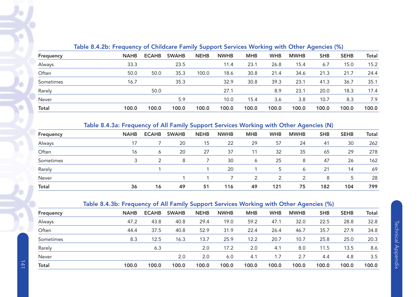| Frequency    |             | . .<br>-<br>- |              |             |             |            |            |             |            |             |              |
|--------------|-------------|---------------|--------------|-------------|-------------|------------|------------|-------------|------------|-------------|--------------|
|              | <b>NAHB</b> | <b>ECAHB</b>  | <b>SWAHB</b> | <b>NEHB</b> | <b>NWHB</b> | <b>MHB</b> | <b>WHB</b> | <b>MWHB</b> | <b>SHB</b> | <b>SEHB</b> | <b>Total</b> |
| Always       | 33.3        |               | 23.5         |             | 11.4        | 23.1       | 26.8       | 15.4        | 6.7        | 15.0        | 15.2         |
| Often        | 50.0        | 50.0          | 35.3         | 100.0       | 18.6        | 30.8       | 21.4       | 34.6        | 21.3       | 21.7        | 24.4         |
| Sometimes    | 16.7        |               | 35.3         |             | 32.9        | 30.8       | 39.3       | 23.1        | 41.3       | 36.7        | 35.1         |
| Rarely       |             | 50.0          |              |             | 27.1        |            | 8.9        | 23.1        | 20.0       | 18.3        | 17.4         |
| Never        |             |               | 5.9          |             | 10.0        | 15.4       | 3.6        | 3.8         | 10.7       | 8.3         | 7.9          |
| <b>Total</b> | 100.0       | 100.0         | 100.0        | 100.0       | 100.0       | 100.0      | 100.0      | 100.0       | 100.0      | 100.0       | 100.0        |
|              |             |               |              |             |             |            |            |             |            |             |              |

# Table 8.4.2b: Frequency of Childcare Family Support Services Working with Other Agencies (%)

# Table 8.4.3a: Frequency of All Family Support Services Working with Other Agencies (N)

| Frequency | <b>NAHB</b> | <b>ECAHB</b> | <b>SWAHB</b> | <b>NEHB</b> | <b>NWHB</b> | <b>MHB</b>   | <b>WHB</b>    | <b>MWHB</b> | <b>SHB</b> | <b>SEHB</b> | <b>Total</b> |
|-----------|-------------|--------------|--------------|-------------|-------------|--------------|---------------|-------------|------------|-------------|--------------|
| Always    |             |              | 20           | 15          | 22          | 29           | 57            | 24          | 41         | 30          | 262          |
| Often     | 16          | 6            | 20           | 27          | 37          | 11           | 32            | 35          | 65         | 29          | 278          |
| Sometimes | っ           |              | 8            |             | 30          | <sub>6</sub> | 25            | 8           | 47         | 26          | 162          |
| Rarely    |             |              |              |             | 20          |              | 5             | Ô           | 21         | 14          | 69           |
| Never     |             |              |              |             |             |              | $\mathcal{P}$ | っ           | 8          | 5           | 28           |
| Total     | 36          | 16           | 49           | 51          | 116         | 49           | 121           | 75          | 182        | 104         | 799          |

# Table 8.4.3b: Frequency of All Family Support Services Working with Other Agencies (%)

|              |             |              |              | . .         |             | -          |            | -           |            |             |       |  |  |
|--------------|-------------|--------------|--------------|-------------|-------------|------------|------------|-------------|------------|-------------|-------|--|--|
| Frequency    | <b>NAHB</b> | <b>ECAHB</b> | <b>SWAHB</b> | <b>NEHB</b> | <b>NWHB</b> | <b>MHB</b> | <b>WHB</b> | <b>MWHB</b> | <b>SHB</b> | <b>SEHB</b> | Total |  |  |
| Always       | 47.2        | 43.8         | 40.8         | 29.4        | 19.0        | 59.2       | 47.1       | 32.0        | 22.5       | 28.8        | 32.8  |  |  |
| Often        | 44.4        | 37.5         | 40.8         | 52.9        | 31.9        | 22.4       | 26.4       | 46.7        | 35.7       | 27.9        | 34.8  |  |  |
| Sometimes    | 8.3         | 12.5         | 16.3         | 13.7        | 25.9        | 12.2       | 20.7       | 10.7        | 25.8       | 25.0        | 20.3  |  |  |
| Rarely       |             | 6.3          |              | 2.0         | 17.2        | 2.0        | 4.1        | 8.0         | 11.5       | 13.5        | 8.6   |  |  |
| Never        |             |              | 2.0          | 2.0         | 6.0         | 4.1        | 1.7        | 2.7         | 4.4        | 4.8         | 3.5   |  |  |
| <b>Total</b> | 100.0       | 100.0        | 100.0        | 100.0       | 100.0       | 100.0      | 100.0      | 100.0       | 100.0      | 100.0       | 100.0 |  |  |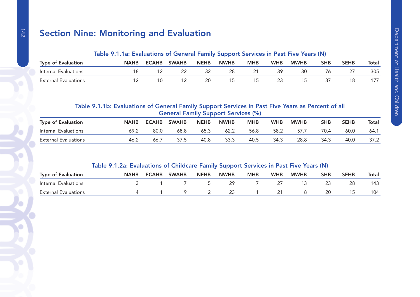# Section Nine: Monitoring and Evaluation

# Table 9.1.1a: Evaluations of General Family Support Services in Past Five Years (N)

| <b>Type of Evaluation</b>   | <b>NAHB</b> | <b>ECAHB</b> | <b>SWAHB</b> | <b>NEHB</b> | <b>NWHB</b> | мнв | <b>WHB</b> | <b>MWHB</b> | SHB | <b>SEHB</b> | <b>Total</b> |
|-----------------------------|-------------|--------------|--------------|-------------|-------------|-----|------------|-------------|-----|-------------|--------------|
| Internal Evaluations        |             |              |              |             |             |     |            |             |     |             | 305          |
| <b>External Evaluations</b> |             |              |              |             |             |     |            |             |     |             |              |

# Table 9.1.1b: Evaluations of General Family Support Services in Past Five Years as Percent of all General Family Support Services (%)

| <b>Type of Evaluation</b>   | <b>NAHB</b> | <b>ECAHB</b> | <b>SWAHB</b> | <b>NEHB</b> | <b>NWHB</b> | мнв  | <b>WHB</b> | <b>MWHB</b> | SHB  | <b>SEHB</b> | Total |
|-----------------------------|-------------|--------------|--------------|-------------|-------------|------|------------|-------------|------|-------------|-------|
| Internal Evaluations        | 69.2        | 80(          | 68.8         | 65.3        | 62.2        | 56.8 | 58.2       | 57.7        | 70.4 | 60.0        | 64.7  |
| <b>External Evaluations</b> | ے.46        | 66.          |              | 40.8        | 33.3        | 40.5 | 34.3       | 28.8        | 34.3 | 40.0        |       |

## Table 9.1.2a: Evaluations of Childcare Family Support Services in Past Five Years (N)

| <b>Type of Evaluation</b> | <b>NAHB</b> | <b>ECAHB</b> | <b>SWAHB</b> | <b>NEHB</b> | <b>NWHB</b> | MHE | <b>WHB</b> | <b>MWHB</b> | <b>SHB</b> | <b>SEHB</b> | <b>Total</b> |
|---------------------------|-------------|--------------|--------------|-------------|-------------|-----|------------|-------------|------------|-------------|--------------|
| Internal Evaluations      |             |              |              |             |             |     |            |             |            |             | 143          |
| External Evaluations      |             |              |              |             |             |     |            |             |            |             | 104          |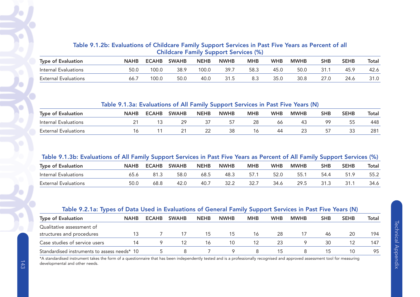# Table 9.1.2b: Evaluations of Childcare Family Support Services in Past Five Years as Percent of all Childcare Family Support Services (%)

| <b>Type of Evaluation</b>   | <b>NAHB</b> | <b>ECAHB</b> | <b>SWAHB</b> | <b>NEHB</b> | <b>NWHB</b> | <b>MHB</b> | <b>WHB</b> | <b>MWHB</b> | SHB | <b>SEHB</b> | Total |
|-----------------------------|-------------|--------------|--------------|-------------|-------------|------------|------------|-------------|-----|-------------|-------|
| Internal Evaluations        | 50.0        | 100.0        | 38.9         | 100.0       | 39.7        | 58.3       | 45.0       | 50.0        |     | 45.9        | 42.6  |
| <b>External Evaluations</b> | 66          | 00.0         | 50.0         | 40.0        |             |            | 35.0       | 30.8        |     | 24.6        |       |

#### Table 9.1.3a: Evaluations of All Family Support Services in Past Five Years (N)

| <b>Type of Evaluation</b>   | <b>NAHB</b> | <b>ECAHB</b> | <b>SWAHB</b> | <b>NEHB</b> | <b>NWHB</b> | MHB | <b>WHB</b> | <b>MWHB</b> | <b>SHB</b> | <b>SEHB</b>  | <b>Total</b> |
|-----------------------------|-------------|--------------|--------------|-------------|-------------|-----|------------|-------------|------------|--------------|--------------|
| Internal Evaluations        |             |              |              |             |             | 28  | oo         | -43         | QG         |              | 448          |
| <b>External Evaluations</b> |             |              |              |             | 38          |     | 44         | 23          |            | $\sim$<br>ںں | 281          |

#### Table 9.1.3b: Evaluations of All Family Support Services in Past Five Years as Percent of All Family Support Services (%)

| <b>Type of Evaluation</b> | <b>NAHB</b> | <b>ECAHB</b> | <b>SWAHB</b> | <b>NEHB</b> | <b>NWHB</b> | MHB | <b>WHB</b> | <b>MWHB</b> | SHB  | <b>SEHB</b> | Total |
|---------------------------|-------------|--------------|--------------|-------------|-------------|-----|------------|-------------|------|-------------|-------|
| Internal Evaluations      |             | 81.3         | 58.0         | 68.5        | 48.3        |     | 52 C       | 55.         | 54 Z | 51.9        | 55.2  |
| Evaluations<br>External   | 50.C        | 68.8         | 42.0         | 40.7        | 32.2        |     | 34.6       | 29.5        |      | 31.1        | 34.6  |

# Table 9.2.1a: Types of Data Used in Evaluations of General Family Support Services in Past Five Years (N)

| <b>Type of Evaluation</b>                    | <b>NAHB</b> | <b>ECAHB</b> | <b>SWAHB</b> | <b>NEHB</b> | <b>NWHB</b> | <b>MHB</b> | <b>WHB</b> | <b>MWHB</b> | <b>SHB</b> | <b>SEHB</b> | Total |
|----------------------------------------------|-------------|--------------|--------------|-------------|-------------|------------|------------|-------------|------------|-------------|-------|
| Qualitative assessment of                    |             |              |              |             |             |            |            |             |            |             |       |
| structures and procedures                    | 13          |              |              | 15          | 15          | 16         | 28         |             | 46         | 20          | 194   |
| Case studies of service users                |             |              |              | 16          | 10          |            | 23         |             | 30         |             | 147   |
| Standardised instruments to assess needs* 10 |             |              |              |             |             |            |            |             |            |             | 95    |

\*A standardised instrument takes the form of a questionnaire that has been independently tested and is a professionally recognised and approved assessment tool for measuring developmental and other needs.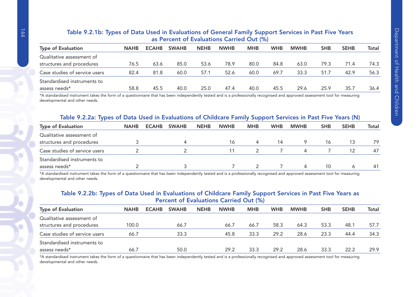#### Table 9.2.1b: Types of Data Used in Evaluations of General Family Support Services in Past Five Years as Percent of Evaluations Carried Out (%) Type of Evaluation NAHB ECAHB SWAHB NEHB NWHB MHB WHB MWHB SHB SEHB Total Qualitative assessment ofstructures and procedures 76.5 63.6 85.0 53.6 78.9 80.0 84.8 63.0 79.3 71.4 74.3 Case studies of service users  $82.4$   $81.8$   $60.0$   $57.1$   $52.6$   $60.0$   $69.7$   $33.3$   $51.7$   $42.9$ 56.3 Standardised instruments toassess needs\* 58.8 45.5 40.0 25.0 47.4 40.0 45.5 29.6 25.9 35.7 36.436.4

\*A standardised instrument takes the form of a questionnaire that has been independently tested and is a professionally recognised and approved assessment tool for measuring developmental and other needs.

#### Table 9.2.2a: Types of Data Used in Evaluations of Childcare Family Support Services in Past Five Years (N)

| <b>Type of Evaluation</b>     | <b>NAHB</b> | <b>ECAHB</b> | <b>SWAHB</b> | <b>NEHB</b> | <b>NWHB</b> | <b>MHB</b> | <b>WHB</b> | <b>MWHB</b> | <b>SHB</b> | <b>SEHB</b> | Total |
|-------------------------------|-------------|--------------|--------------|-------------|-------------|------------|------------|-------------|------------|-------------|-------|
| Qualitative assessment of     |             |              |              |             |             |            |            |             |            |             |       |
| structures and procedures     |             |              |              |             | 16          |            | 14         |             | 16         | 13          | 79    |
| Case studies of service users |             |              |              |             |             |            |            |             |            | 12          | 47    |
| Standardised instruments to   |             |              |              |             |             |            |            |             |            |             |       |
| assess needs*                 |             |              |              |             |             |            |            |             | 10         |             | 41    |

\*A standardised instrument takes the form of a questionnaire that has been independently tested and is a professionally recognised and approved assessment tool for measuring developmental and other needs.

#### Table 9.2.2b: Types of Data Used in Evaluations of Childcare Family Support Services in Past Five Years as Percent of Evaluations Carried Out (%)

| <b>Type of Evaluation</b>     | <b>NAHB</b> | <b>ECAHB</b><br><b>SWAHB</b> |      | <b>NEHB</b> | <b>NWHB</b> | <b>MHB</b> | <b>WHB</b> | <b>MWHB</b> | <b>SHB</b> | <b>SEHB</b> | <b>Total</b> |
|-------------------------------|-------------|------------------------------|------|-------------|-------------|------------|------------|-------------|------------|-------------|--------------|
| Qualitative assessment of     |             |                              |      |             |             |            |            |             |            |             |              |
| structures and procedures     | 100.0       |                              | 66.7 |             | 66.7        | 66.7       | 58.3       | 64.3        | 53.3       | 48.1        | 57.7         |
| Case studies of service users | 66.7        |                              | 33.3 |             | 45.8        | 33.3       | 29.2       | 28.6        | 23.3       | 44.4        | 34.3         |
| Standardised instruments to   |             |                              |      |             |             |            |            |             |            |             |              |
| assess needs*                 | 66.7        |                              | 50.0 |             | 29.2        | 33.3       | 29.2       | 28.6        | 33.3       | 22.2        | 29.9         |

\*A standardised instrument takes the form of a questionnaire that has been independently tested and is a professionally recognised and approved assessment tool for measuring developmental and other needs.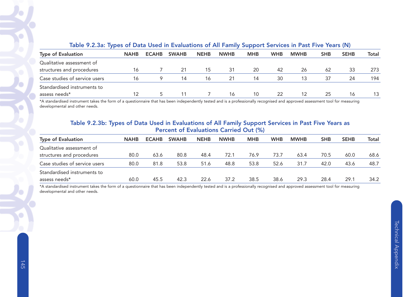| Table 9.2.5a: Types of Data Used in Evaluations of All Family Support Services in Fast Five Tears (N) |             |              |              |             |             |            |            |             |            |             |       |  |  |
|-------------------------------------------------------------------------------------------------------|-------------|--------------|--------------|-------------|-------------|------------|------------|-------------|------------|-------------|-------|--|--|
| <b>Type of Evaluation</b>                                                                             | <b>NAHB</b> | <b>ECAHB</b> | <b>SWAHB</b> | <b>NEHB</b> | <b>NWHB</b> | <b>MHB</b> | <b>WHB</b> | <b>MWHB</b> | <b>SHB</b> | <b>SEHB</b> | Total |  |  |
| Qualitative assessment of                                                                             |             |              |              |             |             |            |            |             |            |             |       |  |  |
| structures and procedures                                                                             | 16          |              | -21          | 15          | 31          | 20         | 42         | 26          | 62         | 33          | 273   |  |  |
| Case studies of service users                                                                         | 16          | 9            | 14           | 16          | 21          | 14         | 30         | 13          | 37         | 24          | 194   |  |  |
| Standardised instruments to                                                                           |             |              |              |             |             |            |            |             |            |             |       |  |  |
| assess needs*                                                                                         |             |              | 11           |             | 16          | 10         | 22         | 12          | 25         | 16          | 13    |  |  |

#### Table 9.2.3a: Types of Data Used in Evaluations of All Family Support Services in Past Five Years (N)

\*A standardised instrument takes the form of a questionnaire that has been independently tested and is a professionally recognised and approved assessment tool for measuring developmental and other needs.

#### Table 9.2.3b: Types of Data Used in Evaluations of All Family Support Services in Past Five Years as Percent of Evaluations Carried Out (%)

| <b>Type of Evaluation</b>     | <b>NAHB</b> | <b>ECAHB</b> | <b>SWAHB</b> | <b>NEHB</b> | <b>NWHB</b> | <b>MHB</b> | <b>WHB</b> | <b>MWHB</b> | <b>SHB</b> | <b>SEHB</b> | Total |
|-------------------------------|-------------|--------------|--------------|-------------|-------------|------------|------------|-------------|------------|-------------|-------|
| Qualitative assessment of     |             |              |              |             |             |            |            |             |            |             |       |
| structures and procedures     | 80.0        | 63.6         | 80.8         | 48.4        | 72.1        | 76.9       | 73.7       | 63.4        | 70.5       | 60.0        | 68.6  |
| Case studies of service users | 80.0        | 81.8         | 53.8         | 51.6        | 48.8        | 53.8       | 52.6       | 31.7        | 42.0       | 43.6        | 48.7  |
| Standardised instruments to   |             |              |              |             |             |            |            |             |            |             |       |
| assess needs*                 | 60.0        | 45.5         | 42.3         | 22.6        | 37.2        | 38.5       | 38.6       | 29.3        | 28.4       | 29.1        | 34.2  |

\*A standardised instrument takes the form of a questionnaire that has been independently tested and is a professionally recognised and approved assessment tool for measuring developmental and other needs.

Technical Appendix

**Technical Appendix** 

 $\bigcirc$ 

G

P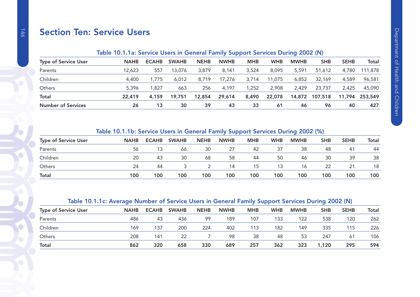# Section Ten: Service Users

## Table 10.1.1a: Service Users in General Family Support Services During 2002 (N)

| <b>NAHB</b> | <b>ECAHB</b> | <b>SWAHB</b> | <b>NEHB</b> | <b>NWHB</b> | <b>MHB</b> | <b>WHB</b> | <b>MWHB</b> | <b>SHB</b> | <b>SEHB</b> | Total   |
|-------------|--------------|--------------|-------------|-------------|------------|------------|-------------|------------|-------------|---------|
| 12,623      | 557          | 13.076       | 3,879       | 8,141       | 3,524      | 8,095      | 5,591       | 51,612     | 4,780       | 111,878 |
| 4,400       | .775         | 6,012        | 8.719       | 17.276      | 3.714      | 11,075     | 6,852       | 32,169     | 4,589       | 96,581  |
| 5,396       | .827         | 663          | 256         | 4,197       | 1.252      | 2,908      | 2,429       | 23,737     | 2.425       | 45,090  |
| 22,419      | 4,159        | 19,751       | 12,854      | 29,614      | 8,490      | 22,078     |             | 107,518    | 11,794      | 253,549 |
| 26          | 13           | 30           | 39          | 43          | 33         | -61        | 46          | 96         | 40          | 427     |
|             |              |              |             |             |            |            |             |            | 14,872      |         |

#### Table 10.1.1b: Service Users in General Family Support Services During 2002 (%)

| <b>Type of Service User</b> | <b>NAHB</b> | <b>ECAHB</b> | <b>SWAHB</b> | <b>NEHB</b> | <b>NWHB</b> | <b>MHB</b> | <b>WHB</b> | <b>MWHB</b> | <b>SHB</b> | <b>SEHB</b> | <b>Total</b> |
|-----------------------------|-------------|--------------|--------------|-------------|-------------|------------|------------|-------------|------------|-------------|--------------|
| Parents                     | 56          | 13           | 66           | 30          | 27          | 42         | 37         | 38          | 48         | 41          | -44          |
| Children                    | 20          | 43           | 30           | 68          | 58          | 44         | 50         | 46          | 30         | 39          | 38           |
| Others                      | 24          | 44           |              |             | 14          | 15         | 13         | 16          | 22         | 21          | 18           |
| <b>Total</b>                | 100         | 100          | 100          | 100         | 100         | 100        | 100        | 100         | 100        | 100         | 100          |

# Table 10.1.1c: Average Number of Service Users in General Family Support Services During 2002 (N)

|                             |             |              |              |             |             | --         |            |             |            |             |       |  |
|-----------------------------|-------------|--------------|--------------|-------------|-------------|------------|------------|-------------|------------|-------------|-------|--|
| <b>Type of Service User</b> | <b>NAHB</b> | <b>ECAHB</b> | <b>SWAHB</b> | <b>NEHB</b> | <b>NWHB</b> | <b>MHB</b> | <b>WHB</b> | <b>MWHB</b> | <b>SHB</b> | <b>SEHB</b> | Total |  |
| Parents                     | 486         | 43           | 436          | 99          | 189         | 107        | 133        | 122         | 538        | 120         | 262   |  |
| Children                    | 169         | 137          | 200          | 224         | 402         | 113        | 182        | 149         | 335        | 115         | 226   |  |
| Others                      | 208         | 141          | 22           |             | 98          | 38         | 48         | 53          | 247        | 61          | 106   |  |
| <b>Total</b>                | 862         | 320          | 658          | 330         | 689         | 257        | 362        | 323         | 1,120      | 295         | 594   |  |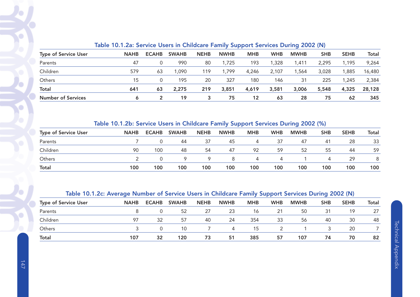|                             | TODIO TOTTLESS OUTSIDO OUGLU INTOINIQUE CHINEY UMPPULL UUI SIDUU D'ANNING EUVE (19) |              |              |             |             |            |            |             |            |             |              |
|-----------------------------|-------------------------------------------------------------------------------------|--------------|--------------|-------------|-------------|------------|------------|-------------|------------|-------------|--------------|
| <b>Type of Service User</b> | <b>NAHB</b>                                                                         | <b>ECAHB</b> | <b>SWAHB</b> | <b>NEHB</b> | <b>NWHB</b> | <b>MHB</b> | <b>WHB</b> | <b>MWHB</b> | <b>SHB</b> | <b>SEHB</b> | <b>Total</b> |
| Parents                     | 47                                                                                  |              | 990          | 80          | ,725        | 193        | 1,328      | 1,411       | 2,295      | 1,195       | 9,264        |
| Children                    | 579                                                                                 | 63           | 090          | 119         | ,799        | 4,246      | 2,107      | ,564        | 3,028      | 1,885       | 16,480       |
| Others                      | 15                                                                                  |              | 195          | 20          | 327         | 180        | 146        | 31          | 225        | 1,245       | 2,384        |
| <b>Total</b>                | 641                                                                                 | 63           | 2,275        | 219         | 3,851       | 4,619      | 3,581      | 3,006       | 5,548      | 4,325       | 28,128       |
| <b>Number of Services</b>   |                                                                                     |              | 19           | 3           | 75          | 12         | 63         | 28          | 75         | 62          | 345          |
|                             |                                                                                     |              |              |             |             |            |            |             |            |             |              |

# Table 10.1.2a: Service Users in Childcare Family Support Services During 2002 (N)

# Table 10.1.2b: Service Users in Childcare Family Support Services During 2002 (%)

| <b>Type of Service User</b> | <b>NAHB</b> | <b>ECAHB</b> | <b>SWAHB</b> | <b>NEHB</b> | <b>NWHB</b> | <b>MHB</b>     | <b>WHB</b> | <b>MWHB</b> | <b>SHB</b> | <b>SEHB</b> | Total |
|-----------------------------|-------------|--------------|--------------|-------------|-------------|----------------|------------|-------------|------------|-------------|-------|
| Parents                     |             |              | 44           | 37          | 45          | 4              | 37         | 47          | 41         | 28          | 33    |
| Children                    | 90          | 100          | 48           | 54          | 47          | 92             | 59         | 52          | 55         | 44          | 59    |
| Others                      |             |              | Q            |             | 8           | $\overline{4}$ | $\Delta$   |             | 4          | 29          | 8     |
| <b>Total</b>                | 100         | 100          | 100          | 100         | 100         | 100            | 100        | 100         | 100        | 100         | 100   |

# Table 10.1.2c: Average Number of Service Users in Childcare Family Support Services During 2002 (N)

| <b>Type of Service User</b> | <b>NAHB</b> | <b>ECAHB</b> | <b>SWAHB</b> | <b>NEHB</b> | <b>NWHB</b> | <b>MHB</b> | <b>WHB</b> | <b>MWHB</b> | <b>SHB</b> | <b>SEHB</b> | Total |
|-----------------------------|-------------|--------------|--------------|-------------|-------------|------------|------------|-------------|------------|-------------|-------|
| Parents                     |             | O            | 52           | 27          | 23          | 16         | 21         | 50          | 31         | 19          | 27    |
| Children                    | 97          | 32           | 57           | 40          | 24          | 354        | 33         | 56          | 40         | 30          | 48    |
| Others                      |             |              | 10           |             | 4           | 15         |            |             |            | 20          |       |
| <b>Total</b>                | 107         | 32           | 120          | 73          | 51          | 385        | 57         | 107         | 74         | 70          | 82    |

 $\bullet$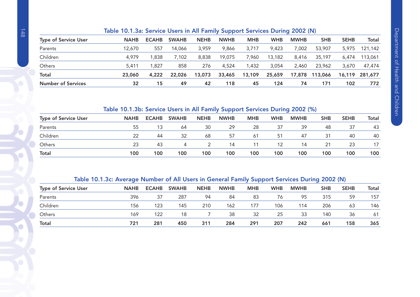|                             | Table 10.1.3a: Service Users in All Family Support Services During 2002 (N) |              |              |             |             |            |            |             |            |             |         |  |  |
|-----------------------------|-----------------------------------------------------------------------------|--------------|--------------|-------------|-------------|------------|------------|-------------|------------|-------------|---------|--|--|
| <b>Type of Service User</b> | <b>NAHB</b>                                                                 | <b>ECAHB</b> | <b>SWAHB</b> | <b>NEHB</b> | <b>NWHB</b> | <b>MHB</b> | <b>WHB</b> | <b>MWHB</b> | <b>SHB</b> | <b>SEHB</b> | Total   |  |  |
| Parents                     | 12.670                                                                      | 557          | 14.066       | 3.959       | 9.866       | 3.717      | 9.423      | 7.002       | 53,907     | 5,975       | 121,142 |  |  |
| Children                    | 4.979                                                                       | 1.838        | 7.102        | 8.838       | 19.075      | 7.960      | 13.182     | 8.416       | 35,197     | 6.474       | 113,061 |  |  |
| Others                      | 5.411                                                                       | 1,827        | 858          | 276         | 4,524       | 1,432      | 3.054      | 2.460       | 23,962     | 3,670       | 47,474  |  |  |
| Total                       | 23,060                                                                      | 4,222        | 22,026       | 13,073      | 33,465      | 13,109     | 25,659     | 17,878      | 113,066    | 16,119      | 281,677 |  |  |
| <b>Number of Services</b>   | 32                                                                          | 15           | 49           | 42          | 118         | 45         | 124        | 74          | 171        | 102         | 772     |  |  |

# Table 10.1.3b: Service Users in All Family Support Services During 2002 (%)

|                             |             |              |              |             | ---         |            |            |             |     |             |       |
|-----------------------------|-------------|--------------|--------------|-------------|-------------|------------|------------|-------------|-----|-------------|-------|
| <b>Type of Service User</b> | <b>NAHB</b> | <b>ECAHB</b> | <b>SWAHB</b> | <b>NEHB</b> | <b>NWHB</b> | <b>MHB</b> | <b>WHB</b> | <b>MWHB</b> | SHB | <b>SEHB</b> | Total |
| Parents                     | 55          | 13           | 64           | 30          | 29          | 28         | 37         | 39          | 48  | 37          | 43    |
| Children                    | 22          | 44           | 32           | 68          | 57          | -61        | 51         | 47          | 31  | 40          | 40    |
| Others                      | 23          | 43           | 4            |             | 14          | 11         | 12         | 14          | 21  | 23          | 17    |
| <b>Total</b>                | 100         | 100          | 100          | 100         | 100         | 100        | 100        | 100         | 100 | 100         | 100   |

#### Table 10.1.3c: Average Number of All Users in General Family Support Services During 2002 (N)

| <b>Type of Service User</b> | <b>NAHB</b> | <b>ECAHB</b> | <b>SWAHB</b> | <b>NEHB</b> | <b>NWHB</b> | <b>MHB</b> | <b>WHB</b> | <b>MWHB</b> | <b>SHB</b> | <b>SEHB</b> | Total |
|-----------------------------|-------------|--------------|--------------|-------------|-------------|------------|------------|-------------|------------|-------------|-------|
| Parents                     | 396         | 37           | 287          | 94          | 84          | 83         | 76         | 95          | 315        | 59          | 157   |
| Children                    | 156         | 123          | 145          | 210         | 162         | 177        | 106        | 114         | 206        | 63          | 146   |
| Others                      | 169         | 122          | 18           |             | 38          | 32         | 25         | 33          | 140        | 36          | 61    |
| Total                       | 721         | 281          | 450          | 311         | 284         | 291        | 207        | 242         | 661        | 158         | 365   |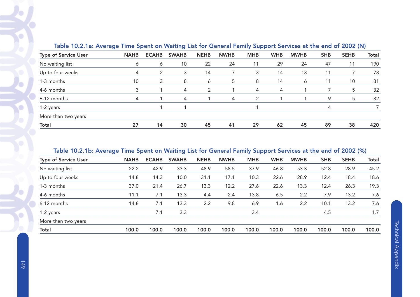| Table TV.2. Tal Average Time Spent on Walting ESC for General Family Support Services at the end of 2002 (14) |             |              |              |             |             |            |            |             |            |             |              |  |  |
|---------------------------------------------------------------------------------------------------------------|-------------|--------------|--------------|-------------|-------------|------------|------------|-------------|------------|-------------|--------------|--|--|
| <b>Type of Service User</b>                                                                                   | <b>NAHB</b> | <b>ECAHB</b> | <b>SWAHB</b> | <b>NEHB</b> | <b>NWHB</b> | <b>MHB</b> | <b>WHB</b> | <b>MWHB</b> | <b>SHB</b> | <b>SEHB</b> | <b>Total</b> |  |  |
| No waiting list                                                                                               | 6           | 6            | 10           | 22          | 24          | 11         | 29         | 24          | 47         | 11          | 190          |  |  |
| Up to four weeks                                                                                              | 4           | 2            | 3            | 14          |             | 3          | 14         | 13          | 11         |             | 78           |  |  |
| 1-3 months                                                                                                    | 10          | 3            | 8            | 6           | 5           | 8          | 14         | 6           | 11         | 10          | 81           |  |  |
| 4-6 months                                                                                                    | 3           |              | 4            | 2           |             | 4          | 4          |             |            | 5.          | 32           |  |  |
| 6-12 months                                                                                                   | 4           |              | 4            |             | 4           | 2          |            |             | 9          | 5           | 32           |  |  |
| 1-2 years                                                                                                     |             |              |              |             |             |            |            |             | 4          |             |              |  |  |
| More than two years                                                                                           |             |              |              |             |             |            |            |             |            |             |              |  |  |
| Total                                                                                                         | 27          | 14           | 30           | 45          | 41          | 29         | 62         | 45          | 89         | 38          | 420          |  |  |

#### Table 10.2.1a: Average Time Spent on Waiting List for General Family Support Services at the end of 2002 (N)

#### Table 10.2.1b: Average Time Spent on Waiting List for General Family Support Services at the end of 2002 (%)

| <b>Type of Service User</b> | <b>NAHB</b> | <b>ECAHB</b> | <b>SWAHB</b> | <b>NEHB</b> | <b>NWHB</b> | <b>MHB</b> | <b>WHB</b> | <b>MWHB</b> | <b>SHB</b> | <b>SEHB</b> | Total |
|-----------------------------|-------------|--------------|--------------|-------------|-------------|------------|------------|-------------|------------|-------------|-------|
| No waiting list             | 22.2        | 42.9         | 33.3         | 48.9        | 58.5        | 37.9       | 46.8       | 53.3        | 52.8       | 28.9        | 45.2  |
| Up to four weeks            | 14.8        | 14.3         | 10.0         | 31.1        | 17.1        | 10.3       | 22.6       | 28.9        | 12.4       | 18.4        | 18.6  |
| 1-3 months                  | 37.0        | 21.4         | 26.7         | 13.3        | 12.2        | 27.6       | 22.6       | 13.3        | 12.4       | 26.3        | 19.3  |
| 4-6 months                  | 11.1        | 7.1          | 13.3         | 4.4         | 2.4         | 13.8       | 6.5        | 2.2         | 7.9        | 13.2        | 7.6   |
| 6-12 months                 | 14.8        | 7.1          | 13.3         | 2.2         | 9.8         | 6.9        | 1.6        | 2.2         | 10.1       | 13.2        | 7.6   |
| 1-2 years                   |             | 7.1          | 3.3          |             |             | 3.4        |            |             | 4.5        |             | 1.7   |
| More than two years         |             |              |              |             |             |            |            |             |            |             |       |
| <b>Total</b>                | 100.0       | 100.0        | 100.0        | 100.0       | 100.0       | 100.0      | 100.0      | 100.0       | 100.0      | 100.0       | 100.0 |
|                             |             |              |              |             |             |            |            |             |            |             |       |

 $\bullet$ 

٠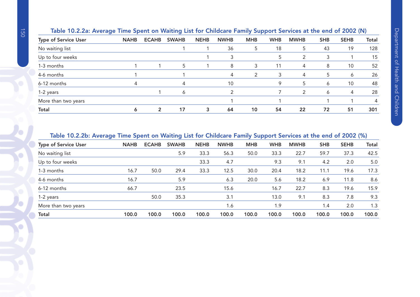| Table TU.2.2d. Average Time Spent on Walting List for Childcare Family Support Services at the end of 2002 (N) |             |              |              |             |             |            |            |             |              |             |              |
|----------------------------------------------------------------------------------------------------------------|-------------|--------------|--------------|-------------|-------------|------------|------------|-------------|--------------|-------------|--------------|
| <b>Type of Service User</b>                                                                                    | <b>NAHB</b> | <b>ECAHB</b> | <b>SWAHB</b> | <b>NEHB</b> | <b>NWHB</b> | <b>MHB</b> | <b>WHB</b> | <b>MWHB</b> | <b>SHB</b>   | <b>SEHB</b> | <b>Total</b> |
| No waiting list                                                                                                |             |              |              |             | 36          | 5          | 18         | 5           | 43           | 19          | 128          |
| Up to four weeks                                                                                               |             |              |              |             | 3           |            | 5          | 2           | 3            |             | 15           |
| 1-3 months                                                                                                     |             |              | 5            |             | 8           | 3          | 11         | 4           | 8            | 10          | 52           |
| 4-6 months                                                                                                     |             |              |              |             | 4           | 2          | 3          | 4           | 5            | 6           | 26           |
| 6-12 months                                                                                                    | 4           |              |              |             | 10          |            | 9          | 5           | <sup>6</sup> | 10          | 48           |
| 1-2 years                                                                                                      |             |              | <sup>6</sup> |             |             |            |            | 2           | <sup>6</sup> | 4           | 28           |
| More than two years                                                                                            |             |              |              |             |             |            |            |             |              |             | 4            |
| <b>Total</b>                                                                                                   | Ô           | 2            | 17           | 3           | 64          | 10         | 54         | 22          | 72           | 51          | 301          |
|                                                                                                                |             |              |              |             |             |            |            |             |              |             |              |

# Table 10.2.2a: Average Time Spent on Waiting List for Childcare Family Support Services at the end of 2002 (N)

#### Table 10.2.2b: Average Time Spent on Waiting List for Childcare Family Support Services at the end of 2002 (%)

| <b>Type of Service User</b> | <b>NAHB</b> | <b>ECAHB</b> | <b>SWAHB</b> | <b>NEHB</b> | <b>NWHB</b> | <b>MHB</b> | <b>WHB</b> | <b>MWHB</b> | <b>SHB</b> | <b>SEHB</b> | <b>Total</b> |
|-----------------------------|-------------|--------------|--------------|-------------|-------------|------------|------------|-------------|------------|-------------|--------------|
| No waiting list             |             |              | 5.9          | 33.3        | 56.3        | 50.0       | 33.3       | 22.7        | 59.7       | 37.3        | 42.5         |
| Up to four weeks            |             |              |              | 33.3        | 4.7         |            | 9.3        | 9.1         | 4.2        | 2.0         | 5.0          |
| 1-3 months                  | 16.7        | 50.0         | 29.4         | 33.3        | 12.5        | 30.0       | 20.4       | 18.2        | 11.1       | 19.6        | 17.3         |
| 4-6 months                  | 16.7        |              | 5.9          |             | 6.3         | 20.0       | 5.6        | 18.2        | 6.9        | 11.8        | 8.6          |
| 6-12 months                 | 66.7        |              | 23.5         |             | 15.6        |            | 16.7       | 22.7        | 8.3        | 19.6        | 15.9         |
| 1-2 years                   |             | 50.0         | 35.3         |             | 3.1         |            | 13.0       | 9.1         | 8.3        | 7.8         | 9.3          |
| More than two years         |             |              |              |             | 1.6         |            | 1.9        |             | 1.4        | 2.0         | 1.3          |
| <b>Total</b>                | 100.0       | 100.0        | 100.0        | 100.0       | 100.0       | 100.0      | 100.0      | 100.0       | 100.0      | 100.0       | 100.0        |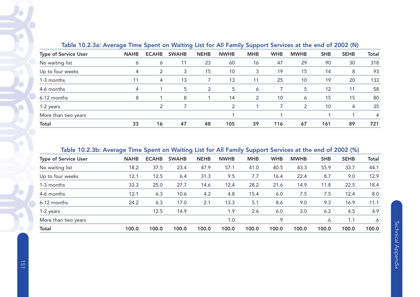| Table TU.2.3a: Average Time Spent on Walting List for All Family Support Services at the end of 2002 (IV) |             |              |              |             |             |            |            |             |            |             |       |
|-----------------------------------------------------------------------------------------------------------|-------------|--------------|--------------|-------------|-------------|------------|------------|-------------|------------|-------------|-------|
| <b>Type of Service User</b>                                                                               | <b>NAHB</b> | <b>ECAHB</b> | <b>SWAHB</b> | <b>NEHB</b> | <b>NWHB</b> | <b>MHB</b> | <b>WHB</b> | <b>MWHB</b> | <b>SHB</b> | <b>SEHB</b> | Total |
| No waiting list                                                                                           | 6           | 6            | 11           | 23          | 60          | 16         | 47         | 29          | 90         | 30          | 318   |
| Up to four weeks                                                                                          | 4           | 2            | 3            | 15          | 10          | 3          | 19         | 15          | 14         | 8           | 93    |
| 1-3 months                                                                                                |             | 4            | 13           |             | 13          | 11         | 25         | 10          | 19         | 20          | 133   |
| 4-6 months                                                                                                | 4           |              | 5            | 2           | 5           | 6          |            | 5           | 12         | 11          | 58    |
| 6-12 months                                                                                               | 8           |              | 8            |             | 14          | 2          | 10         | 6           | 15         | 15          | 80    |
| 1-2 years                                                                                                 |             |              |              |             | 2           |            |            | 2           | 10         | 4           | 35    |
| More than two years                                                                                       |             |              |              |             |             |            |            |             |            |             | 4     |
| <b>Total</b>                                                                                              | 33          | 16           | 47           | 48          | 105         | 39         | 116        | 67          | 161        | 89          | 721   |

# Table 10.2.3a: Average Time Spent on Waiting List for All Family Support Services at the end of 2002 (N)

# Table 10.2.3b: Average Time Spent on Waiting List for All Family Support Services at the end of 2002 (%)

| <b>Type of Service User</b> | <b>NAHB</b> | <b>ECAHB</b> | <b>SWAHB</b> | <b>NEHB</b> | <b>NWHB</b> | <b>MHB</b> | <b>WHB</b> | <b>MWHB</b> | <b>SHB</b> | <b>SEHB</b> | <b>Total</b> |
|-----------------------------|-------------|--------------|--------------|-------------|-------------|------------|------------|-------------|------------|-------------|--------------|
| No waiting list             | 18.2        | 37.5         | 23.4         | 47.9        | 57.1        | 41.0       | 40.5       | 43.3        | 55.9       | 33.7        | 44.1         |
| Up to four weeks            | 12.1        | 12.5         | 6.4          | 31.3        | 9.5         | 7.7        | 16.4       | 22.4        | 8.7        | 9.0         | 12.9         |
| 1-3 months                  | 33.3        | 25.0         | 27.7         | 14.6        | 12.4        | 28.2       | 21.6       | 14.9        | 11.8       | 22.5        | 18.4         |
| 4-6 months                  | 12.1        | 6.3          | 10.6         | 4.2         | 4.8         | 15.4       | 6.0        | 7.5         | 7.5        | 12.4        | 8.0          |
| 6-12 months                 | 24.2        | 6.3          | 17.0         | 2.1         | 13.3        | 5.1        | 8.6        | 9.0         | 9.3        | 16.9        | 11.1         |
| 1-2 years                   |             | 12.5         | 14.9         |             | 1.9         | 2.6        | 6.0        | 3.0         | 6.2        | 4.5         | 4.9          |
| More than two years         |             |              |              |             | 1.0         |            | .9         |             | .6         | 1.1         | .6           |
| Total                       | 100.0       | 100.0        | 100.0        | 100.0       | 100.0       | 100.0      | 100.0      | 100.0       | 100.0      | 100.0       | 100.0        |

ō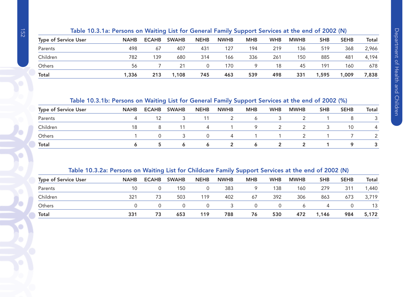|                             | TODIO TV.0. TOI CIDOTIS ON TRONGING LISE TOT QUINTON FORMITY SUPPORT SUPPORTS ON THUS UND ON LOVE (IT) |              |              |             |             |            |            |             |            |             |              |  |  |  |
|-----------------------------|--------------------------------------------------------------------------------------------------------|--------------|--------------|-------------|-------------|------------|------------|-------------|------------|-------------|--------------|--|--|--|
| <b>Type of Service User</b> | <b>NAHB</b>                                                                                            | <b>ECAHB</b> | <b>SWAHB</b> | <b>NEHB</b> | <b>NWHB</b> | <b>MHB</b> | <b>WHB</b> | <b>MWHB</b> | <b>SHB</b> | <b>SEHB</b> | <b>Total</b> |  |  |  |
| Parents                     | 498                                                                                                    | 67           | 407          | 431         | 127         | 194        | 219        | 136         | 519        | 368         | 2,966        |  |  |  |
| Children                    | 782                                                                                                    | 139          | 680          | 314         | 166         | 336        | 261        | 150         | 885        | 481         | 4,194        |  |  |  |
| Others                      | 56                                                                                                     |              | 21           |             | 170         | Q          | 18         | 45          | 191        | 160         | 678          |  |  |  |
| <b>Total</b>                | 1,336                                                                                                  | 213          | ,108         | 745         | 463         | 539        | 498        | 331         | 1,595      | 1,009       | 7,838        |  |  |  |

#### Table 10.3.1a: Persons on Waiting List for General Family Support Services at the end of 2002 (N)

## Table 10.3.1b: Persons on Waiting List for General Family Support Services at the end of 2002 (%)

| <b>Type of Service User</b> | <b>NAHB</b> | <b>ECAHB</b> | <b>SWAHB</b> | <b>NEHB</b> | <b>NWHB</b> | <b>MHB</b> | <b>WHB</b> | <b>MWHB</b> | <b>SHB</b> | <b>SEHB</b> | Total |
|-----------------------------|-------------|--------------|--------------|-------------|-------------|------------|------------|-------------|------------|-------------|-------|
| Parents                     |             |              |              | 11          |             | 6          |            |             |            |             |       |
| Children                    | 18          | 8            |              | 4           |             | Q          |            |             |            | 10          | 4     |
| Others                      |             |              |              | $\Omega$    | 4           |            |            |             |            |             |       |
| Total                       |             |              | <sup>6</sup> | <b>b</b>    | 2           | <b>b</b>   |            |             |            |             |       |

#### Table 10.3.2a: Persons on Waiting List for Childcare Family Support Services at the end of 2002 (N)

| <b>Type of Service User</b> | <b>NAHB</b> | <b>ECAHB</b> | <b>SWAHB</b> | <b>NEHB</b> | <b>NWHB</b> | <b>MHB</b> | <b>WHB</b> | <b>MWHB</b> | <b>SHB</b> | <b>SEHB</b> | Total |
|-----------------------------|-------------|--------------|--------------|-------------|-------------|------------|------------|-------------|------------|-------------|-------|
| Parents                     | 10          |              | 150          |             | 383         | 9          | 138        | 160         | 279        | 311         | 1,440 |
| Children                    | 321         | 73           | 503          | 119         | 402         | 67         | 392        | 306         | 863        | 673         | 3,719 |
| Others                      |             |              |              |             |             | $\Omega$   | 0          | Ô           | 4          |             |       |
| <b>Total</b>                | 331         | 73           | 653          | 119         | 788         | 76         | 530        | 472         | 1,146      | 984         | 5,172 |

Ō

O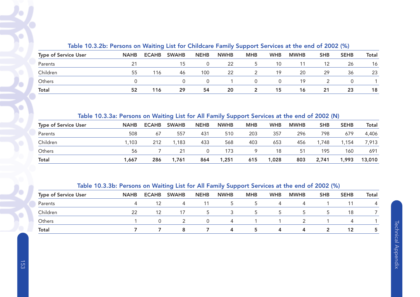| Table TV.O.ED. I GISONS ON WAILING LISE TOP CHINCENET ANIMY Support Services at the end of EOOE (70) |             |              |              |             |             |            |            |             |            |             |       |
|------------------------------------------------------------------------------------------------------|-------------|--------------|--------------|-------------|-------------|------------|------------|-------------|------------|-------------|-------|
| <b>Type of Service User</b>                                                                          | <b>NAHB</b> | <b>ECAHB</b> | <b>SWAHB</b> | <b>NEHB</b> | <b>NWHB</b> | <b>MHB</b> | <b>WHB</b> | <b>MWHB</b> | <b>SHB</b> | <b>SEHB</b> | Total |
| Parents                                                                                              |             |              |              |             | -22         |            | 10         |             |            | 26          | 16    |
| Children                                                                                             | 55          | 116          | 46           | 100         | 22          |            | 19         | 20          | 29         | 36          | 23    |
| Others                                                                                               |             |              |              |             |             |            |            | 19          |            |             |       |
| <b>Total</b>                                                                                         | 52          | 116          | 29           | 54          | 20          |            | 15         | 16          | 21         | 23          | 18    |

#### Table 10.3.2b: Persons on Waiting List for Childcare Family Support Services at the end of 2002 (%)

#### Table 10.3.3a: Persons on Waiting List for All Family Support Services at the end of 2002 (N)

| <b>Type of Service User</b> | <b>NAHB</b> | <b>ECAHB</b> | <b>SWAHB</b> | <b>NEHB</b> | <b>NWHB</b> | <b>MHB</b> | <b>WHB</b> | <b>MWHB</b> | <b>SHB</b> | <b>SEHB</b> | Total  |
|-----------------------------|-------------|--------------|--------------|-------------|-------------|------------|------------|-------------|------------|-------------|--------|
| Parents                     | 508         | 67           | 557          | 431         | 510         | 203        | 357        | 296         | 798        | 679         | 4,406  |
| Children                    | .103        | 212          | 1,183        | 433         | 568         | 403        | 653        | 456         | .748       | 1,154       | 7,913  |
| <b>Others</b>               | 56          |              | 21           | 0           | 173         | 9          | 18         | 51          | 195        | 160         | 691    |
| <b>Total</b>                | 1.667       | 286          | 1,761        | 864         | 1,251       | 615        | 1,028      | 803         | 2,741      | 1,993       | 13,010 |

#### Table 10.3.3b: Persons on Waiting List for All Family Support Services at the end of 2002 (%)

| <b>Type of Service User</b> | <b>NAHB</b> | <b>ECAHB</b> | <b>SWAHB</b> | <b>NEHB</b> | <b>NWHB</b>    | <b>MHB</b> | <b>WHB</b>   | <b>MWHB</b> | <b>SHB</b>  | <b>SEHB</b>    | Total |
|-----------------------------|-------------|--------------|--------------|-------------|----------------|------------|--------------|-------------|-------------|----------------|-------|
| Parents                     | $\Delta$    |              | 4            |             | $5^{\circ}$    | $5 -$      | 4            | 4           |             |                | 4     |
| Children                    | 22          | 12           | 17           | $\mathbf b$ | 3              | 5.         | $\mathbf{p}$ | $\mathbf b$ | $5^{\circ}$ | 18             |       |
| Others                      |             | 0            |              | $\Omega$    | $\overline{a}$ |            |              |             |             | $\overline{a}$ |       |
| <b>Total</b>                |             |              | 8            |             | 4              | 5.         |              | 4           |             | 12             |       |

 $\mathbf{r}$ 

v.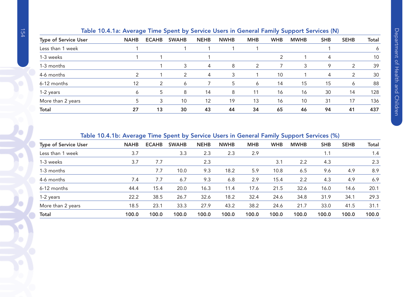|                      | rapid Terminal Average Three spent by Service Obers in Centrum runniy support Services (iv) |               |              |             |             |            |            |             |            |             |              |
|----------------------|---------------------------------------------------------------------------------------------|---------------|--------------|-------------|-------------|------------|------------|-------------|------------|-------------|--------------|
| Type of Service User | <b>NAHB</b>                                                                                 | <b>ECAHB</b>  | <b>SWAHB</b> | <b>NEHB</b> | <b>NWHB</b> | <b>MHB</b> | <b>WHB</b> | <b>MWHB</b> | <b>SHB</b> | <b>SEHB</b> | <b>Total</b> |
| Less than 1 week     |                                                                                             |               |              |             |             |            |            |             |            |             | 6            |
| 1-3 weeks            |                                                                                             |               |              |             |             |            | 2          |             | $\Delta$   |             | 10           |
| 1-3 months           |                                                                                             |               | 3            | 4           | 8           | 2          |            | 3           | 9          | 2           | 39           |
| 4-6 months           | 2                                                                                           |               | 2            | 4           | 3           |            | 10         |             | 4          | 2           | 30           |
| 6-12 months          | 12                                                                                          | $\mathcal{P}$ | 6            |             | 5           | 6          | 14         | 15          | 15         | 6           | 88           |
| 1-2 years            | 6                                                                                           | 5             | 8            | 14          | 8           | 11         | 16         | 16          | 30         | 14          | 128          |
| More than 2 years    |                                                                                             | 3             | 10           | 12          | 19          | 13         | 16         | 10          | 31         | 17          | 136          |
| Total                | 27                                                                                          | 13            | 30           | 43          | 44          | 34         | 65         | 46          | 94         | 41          | 437          |
|                      |                                                                                             |               |              |             |             |            |            |             |            |             |              |

#### Table 10.4.1a: Average Time Spent by Service Users in General Family Support Services (N)

#### Table 10.4.1b: Average Time Spent by Service Users in General Family Support Services (%)

| <b>Type of Service User</b> | <b>NAHB</b> | <b>ECAHB</b> | <b>SWAHB</b> | <b>NEHB</b> | <b>NWHB</b> | <b>MHB</b> | <b>WHB</b> | <u>in the property of the second second</u><br><b>MWHB</b> | <b>SHB</b> | <b>SEHB</b> | Total |
|-----------------------------|-------------|--------------|--------------|-------------|-------------|------------|------------|------------------------------------------------------------|------------|-------------|-------|
|                             |             |              |              |             |             |            |            |                                                            |            |             |       |
| Less than 1 week            | 3.7         |              | 3.3          | 2.3         | 2.3         | 2.9        |            |                                                            | 1.1        |             | 1.4   |
| 1-3 weeks                   | 3.7         | 7.7          |              | 2.3         |             |            | 3.1        | 2.2                                                        | 4.3        |             | 2.3   |
| 1-3 months                  |             | 7.7          | 10.0         | 9.3         | 18.2        | 5.9        | 10.8       | 6.5                                                        | 9.6        | 4.9         | 8.9   |
| 4-6 months                  | 7.4         | 7.7          | 6.7          | 9.3         | 6.8         | 2.9        | 15.4       | 2.2                                                        | 4.3        | 4.9         | 6.9   |
| 6-12 months                 | 44.4        | 15.4         | 20.0         | 16.3        | 11.4        | 17.6       | 21.5       | 32.6                                                       | 16.0       | 14.6        | 20.1  |
| 1-2 years                   | 22.2        | 38.5         | 26.7         | 32.6        | 18.2        | 32.4       | 24.6       | 34.8                                                       | 31.9       | 34.1        | 29.3  |
| More than 2 years           | 18.5        | 23.1         | 33.3         | 27.9        | 43.2        | 38.2       | 24.6       | 21.7                                                       | 33.0       | 41.5        | 31.1  |
| <b>Total</b>                | 100.0       | 100.0        | 100.0        | 100.0       | 100.0       | 100.0      | 100.0      | 100.0                                                      | 100.0      | 100.0       | 100.0 |

O

 $\bullet$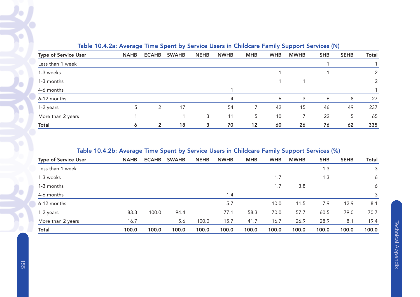|                             | <u>_</u>    |              |              |             |             |            |            | . .         |            | . .         |              |
|-----------------------------|-------------|--------------|--------------|-------------|-------------|------------|------------|-------------|------------|-------------|--------------|
| <b>Type of Service User</b> | <b>NAHB</b> | <b>ECAHB</b> | <b>SWAHB</b> | <b>NEHB</b> | <b>NWHB</b> | <b>MHB</b> | <b>WHB</b> | <b>MWHB</b> | <b>SHB</b> | <b>SEHB</b> | <b>Total</b> |
| Less than 1 week            |             |              |              |             |             |            |            |             |            |             |              |
| 1-3 weeks                   |             |              |              |             |             |            |            |             |            |             |              |
| 1-3 months                  |             |              |              |             |             |            |            |             |            |             |              |
| 4-6 months                  |             |              |              |             |             |            |            |             |            |             |              |
| 6-12 months                 |             |              |              |             | 4           |            | 6          | 3           | 6          | 8           | 27           |
| 1-2 years                   | 5           | 2            | 17           |             | 54          |            | 42         | 15          | 46         | 49          | 237          |
| More than 2 years           |             |              |              | 3           | 11          | 5          | 10         |             | 22         | 5           | 65           |
| <b>Total</b>                | 6           | 2            | 18           | 3           | 70          | 12         | 60         | 26          | 76         | 62          | 335          |

## Table 10.4.2a: Average Time Spent by Service Users in Childcare Family Support Services (N)

## Table 10.4.2b: Average Time Spent by Service Users in Childcare Family Support Services (%)

| <b>Type of Service User</b> | <b>NAHB</b> | <b>ECAHB</b> | <b>SWAHB</b> | <b>NEHB</b> | <b>NWHB</b> | <b>MHB</b> | <b>WHB</b> | <b>MWHB</b> | <b>SHB</b> | <b>SEHB</b> | <b>Total</b> |
|-----------------------------|-------------|--------------|--------------|-------------|-------------|------------|------------|-------------|------------|-------------|--------------|
| Less than 1 week            |             |              |              |             |             |            |            |             | 1.3        |             | .3           |
| 1-3 weeks                   |             |              |              |             |             |            | 1.7        |             | 1.3        |             | .6           |
| 1-3 months                  |             |              |              |             |             |            | 1.7        | 3.8         |            |             | .6           |
| 4-6 months                  |             |              |              |             | 1.4         |            |            |             |            |             | .3           |
| 6-12 months                 |             |              |              |             | 5.7         |            | 10.0       | 11.5        | 7.9        | 12.9        | 8.1          |
| 1-2 years                   | 83.3        | 100.0        | 94.4         |             | 77.1        | 58.3       | 70.0       | 57.7        | 60.5       | 79.0        | 70.7         |
| More than 2 years           | 16.7        |              | 5.6          | 100.0       | 15.7        | 41.7       | 16.7       | 26.9        | 28.9       | 8.1         | 19.4         |
| Total                       | 100.0       | 100.0        | 100.0        | 100.0       | 100.0       | 100.0      | 100.0      | 100.0       | 100.0      | 100.0       | 100.0        |
|                             |             |              |              |             |             |            |            |             |            |             |              |

ö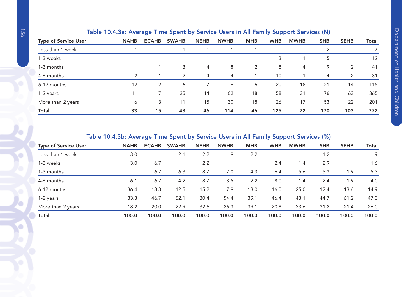|                             | lable TV. F. Ja. Average Time Spent by Service Osers in Air Family Support Services (N) |              |              |             |             |            |            |             |            |             |       |
|-----------------------------|-----------------------------------------------------------------------------------------|--------------|--------------|-------------|-------------|------------|------------|-------------|------------|-------------|-------|
| <b>Type of Service User</b> | <b>NAHB</b>                                                                             | <b>ECAHB</b> | <b>SWAHB</b> | <b>NEHB</b> | <b>NWHB</b> | <b>MHB</b> | <b>WHB</b> | <b>MWHB</b> | <b>SHB</b> | <b>SEHB</b> | Total |
| Less than 1 week            |                                                                                         |              |              |             |             |            |            |             |            |             |       |
| 1-3 weeks                   |                                                                                         |              |              |             |             |            |            |             | 5          |             | 12    |
| 1-3 months                  |                                                                                         |              |              | 4           | 8           | 2          | 8          | 4           | Q          | 2           | 41    |
| 4-6 months                  | 2                                                                                       |              | 2            | 4           | 4           |            | 10         |             | 4          | 2           | 31    |
| 6-12 months                 | 12                                                                                      | 2            | 6            |             | 9           | 6          | 20         | 18          | 21         | 14          | 115   |
| 1-2 years                   |                                                                                         |              | 25           | 14          | 62          | 18         | 58         | 31          | 76         | 63          | 365   |
| More than 2 years           | Ô                                                                                       | 3            | 11           | 15          | 30          | 18         | 26         | 17          | 53         | 22          | 201   |
| <b>Total</b>                | 33                                                                                      | 15           | 48           | 46          | 114         | 46         | 125        | 72          | 170        | 103         | 772   |

# Table 10.4.3a: Average Time Spent by Service Users in All Family Support Services (N)

#### Table 10.4.3b: Average Time Spent by Service Users in All Family Support Services (%)

|                             |             | ۔            |              |             |             |            | -<br>. .   |             |            |             |       |
|-----------------------------|-------------|--------------|--------------|-------------|-------------|------------|------------|-------------|------------|-------------|-------|
| <b>Type of Service User</b> | <b>NAHB</b> | <b>ECAHB</b> | <b>SWAHB</b> | <b>NEHB</b> | <b>NWHB</b> | <b>MHB</b> | <b>WHB</b> | <b>MWHB</b> | <b>SHB</b> | <b>SEHB</b> | Total |
| Less than 1 week            | 3.0         |              | 2.1          | 2.2         | .9          | 2.2        |            |             | 1.2        |             | .9    |
| 1-3 weeks                   | 3.0         | 6.7          |              | 2.2         |             |            | 2.4        | 1.4         | 2.9        |             | 1.6   |
| 1-3 months                  |             | 6.7          | 6.3          | 8.7         | 7.0         | 4.3        | 6.4        | 5.6         | 5.3        | 1.9         | 5.3   |
| 4-6 months                  | 6.1         | 6.7          | 4.2          | 8.7         | 3.5         | 2.2        | 8.0        | 1.4         | 2.4        | 1.9         | 4.0   |
| 6-12 months                 | 36.4        | 13.3         | 12.5         | 15.2        | 7.9         | 13.0       | 16.0       | 25.0        | 12.4       | 13.6        | 14.9  |
| 1-2 years                   | 33.3        | 46.7         | 52.1         | 30.4        | 54.4        | 39.1       | 46.4       | 43.1        | 44.7       | 61.2        | 47.3  |
| More than 2 years           | 18.2        | 20.0         | 22.9         | 32.6        | 26.3        | 39.1       | 20.8       | 23.6        | 31.2       | 21.4        | 26.0  |
| <b>Total</b>                | 100.0       | 100.0        | 100.0        | 100.0       | 100.0       | 100.0      | 100.0      | 100.0       | 100.0      | 100.0       | 100.0 |

O

O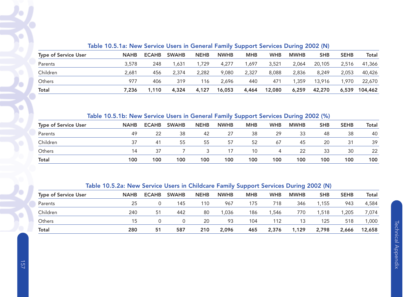|                             | $10000$ . The contract solution speciality supports and the solution setting $\pm \sqrt{2}$ |              |              |             |             |            |            |             |            |             |              |
|-----------------------------|---------------------------------------------------------------------------------------------|--------------|--------------|-------------|-------------|------------|------------|-------------|------------|-------------|--------------|
| <b>Type of Service User</b> | <b>NAHB</b>                                                                                 | <b>ECAHB</b> | <b>SWAHB</b> | <b>NEHB</b> | <b>NWHB</b> | <b>MHB</b> | <b>WHB</b> | <b>MWHB</b> | <b>SHB</b> | <b>SEHB</b> | <b>Total</b> |
| Parents                     | 3,578                                                                                       | 248          | 1.631        | 1,729       | 4,277       | ,697       | 3,521      | 2.064       | 20,105     | 2.516       | 41,366       |
| Children                    | 2.681                                                                                       | 456          | 2,374        | 2,282       | 9,080       | 2,327      | 8,088      | 2,836       | 8.249      | 2,053       | 40,426       |
| Others                      | 977                                                                                         | 406          | 319          | 116         | 2.696       | 440        | 471        | .359        | 13,916     | 1,970       | 22,670       |
| Total                       | 7.236                                                                                       | .110         | 4,324        | 4.127       | 16,053      | 4,464      | 12,080     | 6,259       | 42,270     | 6,539       | 104,462      |

#### Table 10.5.1a: New Service Users in General Family Support Services During 2002 (N)

# Table 10.5.1b: New Service Users in General Family Support Services During 2002 (%)

| <b>Type of Service User</b> | <b>NAHB</b> | <b>ECAHB</b> | <b>SWAHB</b> | <b>NEHB</b> | <b>NWHB</b> | <b>MHB</b> | <b>WHB</b> | <b>MWHB</b> | <b>SHB</b> | <b>SEHB</b> | <b>Total</b> |
|-----------------------------|-------------|--------------|--------------|-------------|-------------|------------|------------|-------------|------------|-------------|--------------|
| Parents                     | 49          | 22           | 38           | 42          | 27          | 38         | 29         | 33          | 48         | 38          | 40           |
| Children                    | 37          | 41           | 55           | 55          | 57          | 52         | 67         | 45          | 20         | 31          | 39           |
| Others                      | 14          | 37           |              |             | 17          | 10         | 4          | 22          | 33         | 30          | 22           |
| Total                       | 100         | 100          | 100          | 100         | 100         | 100        | 100        | 100         | 100        | 100         | 100          |

## Table 10.5.2a: New Service Users in Childcare Family Support Services During 2002 (N)

| <b>Type of Service User</b> | <b>NAHB</b> | <b>ECAHB</b> | <b>SWAHB</b> | <b>NEHB</b> | <b>NWHB</b> | <b>MHB</b> | <b>WHB</b> | <b>MWHB</b> | <b>SHB</b> | <b>SEHB</b> | <b>Total</b> |
|-----------------------------|-------------|--------------|--------------|-------------|-------------|------------|------------|-------------|------------|-------------|--------------|
| Parents                     | 25          |              | 145          | 110         | 967         | 175        | 718        | 346         | .155       | 943         | 4,584        |
| Children                    | 240         | 51           | 442          | 80          | 1.036       | 186        | 1.546      | 770         | .518       | 1,205       | 7,074        |
| Others                      | 15          |              | 0            | 20          | 93          | 104        | 112        | 13          | 125        | 518         | 1,000        |
| <b>Total</b>                | 280         | 51           | 587          | 210         | 2,096       | 465        | 2,376      | 1,129       | 2,798      | 2,666       | 12,658       |

G

G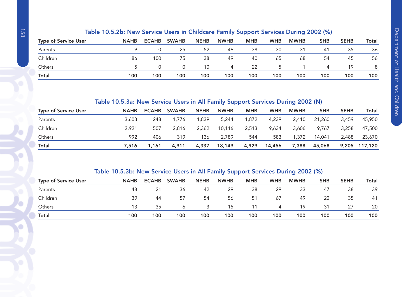|                             | <u>ROME TOWN. HEW JEFVICE OSED IN CHILDCALE FAMILY JUPPOLE JEFVICES DURING ZOOZ (70)</u> |              |              |             |             |            |            |             |            |             |       |
|-----------------------------|------------------------------------------------------------------------------------------|--------------|--------------|-------------|-------------|------------|------------|-------------|------------|-------------|-------|
| <b>Type of Service User</b> | <b>NAHB</b>                                                                              | <b>ECAHB</b> | <b>SWAHB</b> | <b>NEHB</b> | <b>NWHB</b> | <b>MHB</b> | <b>WHB</b> | <b>MWHB</b> | <b>SHB</b> | <b>SEHB</b> | Total |
| Parents                     |                                                                                          |              | 25           | 52          | 46          | 38         | 30         | 31          | 41         | 35          | 36    |
| Children                    | 86                                                                                       | 100          | 75           | 38          | 49          | 40         | 65         | 68          | -54        | 45          | 56    |
| Others                      |                                                                                          |              | $\Omega$     | 10          | 4           | 22         |            |             |            | 19          |       |
| <b>Total</b>                | 100                                                                                      | 100          | 100          | 100         | 100         | 100        | 100        | 100         | 100        | 100         | 100   |

# Table 10.5.2b: New Service Users in Childcare Family Support Services During 2002 (%)

#### Table 10.5.3a: New Service Users in All Family Support Services During 2002 (N)

| <b>Type of Service User</b> | <b>NAHB</b> | <b>ECAHB</b> | <b>SWAHB</b> | <b>NEHB</b> | <b>NWHB</b> | <b>MHB</b> | <b>WHB</b> | <b>MWHB</b> | <b>SHB</b> | <b>SEHB</b> | Total         |
|-----------------------------|-------------|--------------|--------------|-------------|-------------|------------|------------|-------------|------------|-------------|---------------|
| Parents                     | 3,603       | 248          | 1.776        | .839        | 5,244       | 1.872      | 4,239      | 2,410       | 21,260     | 3.459       | 45,950        |
| Children                    | 2.921       | 507          | 2,816        | 2,362       | 10.116      | 2,513      | 9.634      | 3,606       | 9.767      | 3,258       | 47,500        |
| Others                      | 992         | 406          | 319          | 136         | 2.789       | 544        | 583        | .372        | 14,041     | 2,488       | 23,670        |
| <b>Total</b>                | 7.516       | 1,161        | 4,911        | 4,337       | 18,149      | 4,929      | 14,456     | 7,388       | 45,068     |             | 9,205 117,120 |

# Table 10.5.3b: New Service Users in All Family Support Services During 2002 (%)

| <b>Type of Service User</b> | <b>NAHB</b> | <b>ECAHB</b> | <b>SWAHB</b> | <b>NEHB</b> | <b>NWHB</b> | <b>MHB</b> | <b>WHB</b> | <b>MWHB</b> | <b>SHB</b> | <b>SEHB</b> | Total |
|-----------------------------|-------------|--------------|--------------|-------------|-------------|------------|------------|-------------|------------|-------------|-------|
| Parents                     | 48          | 21           | 36           | 42          | 29          | 38         | 29         | 33          | 47         | 38          | 39    |
| Children                    | 39          | 44           | 57           | 54          | 56          | 51         | 67         | 49          | 22         | 35          | -41   |
| Others                      | 13          | 35           |              |             | 15          | 11         |            | 19          | 31         | 27          | 20    |
| Total                       | 100         | 100          | 100          | 100         | 100         | 100        | 100        | 100         | 100        | 100         | 100   |

O

Ō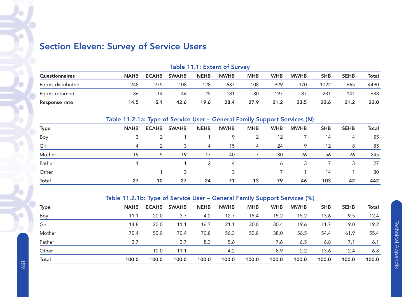# Section Eleven: Survey of Service Users

|                       | <b>Table 11.1: Extent of Survey</b> |              |              |             |             |            |            |             |            |             |       |  |  |
|-----------------------|-------------------------------------|--------------|--------------|-------------|-------------|------------|------------|-------------|------------|-------------|-------|--|--|
| <b>Questionnaires</b> | <b>NAHB</b>                         | <b>ECAHB</b> | <b>SWAHB</b> | <b>NEHB</b> | <b>NWHB</b> | <b>MHB</b> | <b>WHB</b> | <b>MWHB</b> | <b>SHB</b> | <b>SEHB</b> | Total |  |  |
| Forms distributed     | 248                                 | 275          | 108          | 128         | 637         | 108        | 929        | 370         | 1022       | 665         | 4490  |  |  |
| Forms returned        | 36                                  | 14           | 46           | 25          | 181         | 30         | 197        | -87         | 231        | 141         | 988   |  |  |
| Response rate         | 14.5                                | 5.1          | 42.6         | 19.6        | 28.4        | 27.9       | 21.2       | 23.5        | 22.6       | 21.2        | 22.0  |  |  |

# Table 11.2.1a: Type of Service User – General Family Support Services (N)

| <b>Type</b>  | <b>NAHB</b> | <b>ECAHB</b>  | <b>SWAHB</b> | <b>NEHB</b> | <b>NWHB</b> | <b>MHB</b> | <b>WHB</b> | <b>MWHB</b> | <b>SHB</b> | <b>SEHB</b> | Total |
|--------------|-------------|---------------|--------------|-------------|-------------|------------|------------|-------------|------------|-------------|-------|
| Boy          |             | 2             |              |             | 9           | 2          | 12         |             | 14         | 4           | 55    |
| Girl         |             | $\mathcal{P}$ | 3            | 4           | 15          | 4          | 24         | 9           | 12         | 8           | 85    |
| Mother       | 19          | 5             | 19           | 17          | 40          |            | 30         | -26         | 56         | 26          | 245   |
| Father       |             |               |              | 2           | 4           |            |            |             |            |             | 27    |
| Other        |             |               |              |             |             |            |            |             | 14         |             | 30    |
| <b>Total</b> | 27          | 10            | 27           | 24          | 71          | 13         | 79         | 46          | 103        | 42          | 442   |

# Table 11.2.1b: Type of Service User – General Family Support Services (%)

| <b>Type</b>  | <b>NAHB</b> | <b>ECAHB</b> | <b>SWAHB</b> | <b>NEHB</b> | <b>NWHB</b> | <b>MHB</b> | <b>WHB</b> | <b>MWHB</b> | <b>SHB</b> | <b>SEHB</b> | Total |
|--------------|-------------|--------------|--------------|-------------|-------------|------------|------------|-------------|------------|-------------|-------|
| Boy          | 11.1        | 20.0         | 3.7          | 4.2         | 12.7        | 15.4       | 15.2       | 15.2        | 13.6       | 9.5         | 12.4  |
| Girl         | 14.8        | 20.0         | 11.1         | 16.7        | 21.1        | 30.8       | 30.4       | 19.6        | 11.7       | 19.0        | 19.2  |
| Mother       | 70.4        | 50.0         | 70.4         | 70.8        | 56.3        | 53.8       | 38.0       | 56.5        | 54.4       | 61.9        | 55.4  |
| Father       | 3.7         |              | 3.7          | 8.3         | 5.6         |            | 7.6        | 6.5         | 6.8        | 7.1         | 6.1   |
| Other        |             | 10.0         | 11.1         |             | 4.2         |            | 8.9        | 2.2         | 13.6       | 2.4         | 6.8   |
| <b>Total</b> | 100.0       | 100.0        | 100.0        | 100.0       | 100.0       | 100.0      | 100.0      | 100.0       | 100.0      | 100.0       | 100.0 |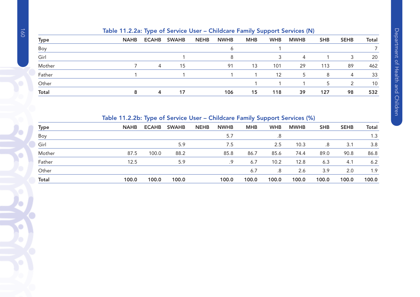|             | Table 11.2.2a: Type of Service User – Childcare Family Support Services (N) |                |              |             |             |            |            |             |            |             |              |  |  |
|-------------|-----------------------------------------------------------------------------|----------------|--------------|-------------|-------------|------------|------------|-------------|------------|-------------|--------------|--|--|
| <b>Type</b> | <b>NAHB</b>                                                                 | <b>ECAHB</b>   | <b>SWAHB</b> | <b>NEHB</b> | <b>NWHB</b> | <b>MHB</b> | <b>WHB</b> | <b>MWHB</b> | <b>SHB</b> | <b>SEHB</b> | <b>Total</b> |  |  |
| Boy         |                                                                             |                |              |             | Ô           |            |            |             |            |             |              |  |  |
| Girl        |                                                                             |                |              |             | 8           |            |            | 4           |            | 3           | 20           |  |  |
| Mother      |                                                                             | $\overline{4}$ | 15           |             | 91          | 13         | 101        | 29          | 113        | 89          | 462          |  |  |
| Father      |                                                                             |                |              |             |             |            | 12         | 5           | 8          | 4           | 33           |  |  |
| Other       |                                                                             |                |              |             |             |            |            |             | 5          | 2           | 10           |  |  |
| Total       |                                                                             | 4              |              |             | 106         | 15         | 118        | 39          | 127        | 98          | 532          |  |  |

# Table 11.2.2b: Type of Service User – Childcare Family Support Services (%)

| <b>Type</b>  | <b>NAHB</b> | <b>ECAHB</b> | <b>SWAHB</b> | <b>NEHB</b> | <b>NWHB</b> | <b>MHB</b> | <b>WHB</b> | <b>MWHB</b> | <b>SHB</b> | <b>SEHB</b> | <b>Total</b> |
|--------------|-------------|--------------|--------------|-------------|-------------|------------|------------|-------------|------------|-------------|--------------|
| Boy          |             |              |              |             | 5.7         |            | .8         |             |            |             | 1.3          |
| Girl         |             |              | 5.9          |             | 7.5         |            | 2.5        | 10.3        | .8         | 3.1         | 3.8          |
| Mother       | 87.5        | 100.0        | 88.2         |             | 85.8        | 86.7       | 85.6       | 74.4        | 89.0       | 90.8        | 86.8         |
| Father       | 12.5        |              | 5.9          |             | .9          | 6.7        | 10.2       | 12.8        | 6.3        | 4.1         | 6.2          |
| Other        |             |              |              |             |             | 6.7        | .8         | 2.6         | 3.9        | 2.0         | 1.9          |
| <b>Total</b> | 100.0       | 100.0        | 100.0        |             | 100.0       | 100.0      | 100.0      | 100.0       | 100.0      | 100.0       | 100.0        |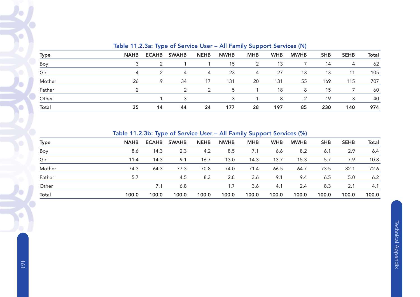|              |             | $10000 + 100000 + 100000 + 100000000$ |               |             |             |            | $\cdots$ . The contract of $\mathbb{Z}$ is the property of $\mathbb{Z}$ . The contract of $\mathbb{Z}$ |               |            |             |       |
|--------------|-------------|---------------------------------------|---------------|-------------|-------------|------------|--------------------------------------------------------------------------------------------------------|---------------|------------|-------------|-------|
| <b>Type</b>  | <b>NAHB</b> | <b>ECAHB</b>                          | <b>SWAHB</b>  | <b>NEHB</b> | <b>NWHB</b> | <b>MHB</b> | <b>WHB</b>                                                                                             | <b>MWHB</b>   | <b>SHB</b> | <b>SEHB</b> | Total |
| Boy          |             | 2                                     |               |             | 15          | 2          | 13                                                                                                     |               | 14         | 4           | 62    |
| Girl         |             | 2                                     | 4             | 4           | 23          | 4          | 27                                                                                                     | 13            | 13         | 11          | 105   |
| Mother       | 26          | 9                                     | 34            | 17          | 131         | 20         | 131                                                                                                    | 55            | 169        | 115         | 707   |
| Father       |             |                                       | $\mathcal{P}$ |             | 5           |            | 18                                                                                                     | 8             | 15         |             | 60    |
| Other        |             |                                       | 3             |             | 3           |            | 8                                                                                                      | $\mathcal{P}$ | 19         | 3           | 40    |
| <b>Total</b> | 35          | 14                                    | 44            | 24          | 177         | 28         | 197                                                                                                    | 85            | 230        | 140         | 974   |

# Table 11.2.3a: Type of Service User – All Family Support Services (N)

Table 11.2.3b: Type of Service User – All Family Support Services (%)

|              |             | . .          |              |             |             | .          |            |             |            |             |              |
|--------------|-------------|--------------|--------------|-------------|-------------|------------|------------|-------------|------------|-------------|--------------|
| <b>Type</b>  | <b>NAHB</b> | <b>ECAHB</b> | <b>SWAHB</b> | <b>NEHB</b> | <b>NWHB</b> | <b>MHB</b> | <b>WHB</b> | <b>MWHB</b> | <b>SHB</b> | <b>SEHB</b> | <b>Total</b> |
| Boy          | 8.6         | 14.3         | 2.3          | 4.2         | 8.5         | 7.1        | 6.6        | 8.2         | 6.1        | 2.9         | 6.4          |
| Girl         | 11.4        | 14.3         | 9.1          | 16.7        | 13.0        | 14.3       | 13.7       | 15.3        | 5.7        | 7.9         | 10.8         |
| Mother       | 74.3        | 64.3         | 77.3         | 70.8        | 74.0        | 71.4       | 66.5       | 64.7        | 73.5       | 82.1        | 72.6         |
| Father       | 5.7         |              | 4.5          | 8.3         | 2.8         | 3.6        | 9.1        | 9.4         | 6.5        | 5.0         | 6.2          |
| Other        |             | 7.1          | 6.8          |             | 1.7         | 3.6        | 4.1        | 2.4         | 8.3        | 2.1         | 4.1          |
| <b>Total</b> | 100.0       | 100.0        | 100.0        | 100.0       | 100.0       | 100.0      | 100.0      | 100.0       | 100.0      | 100.0       | 100.0        |

 $\bullet$ 

O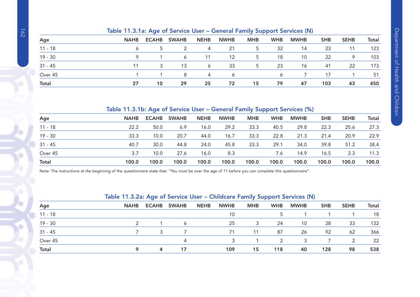|              | $\frac{1}{2}$ |              |              |             |             |            |            |             |            |             |       |
|--------------|---------------|--------------|--------------|-------------|-------------|------------|------------|-------------|------------|-------------|-------|
| Age          | <b>NAHB</b>   | <b>ECAHB</b> | <b>SWAHB</b> | <b>NEHB</b> | <b>NWHB</b> | <b>MHB</b> | <b>WHB</b> | <b>MWHB</b> | <b>SHB</b> | <b>SEHB</b> | Total |
| $11 - 18$    |               |              |              | 4           | 21          | 5.         | 32         | 14          | 23         |             | 123   |
| $19 - 30$    |               |              | 6            | 11          | 12          | 5.         | 18         | 10          | 22         | 9           | 103   |
| $31 - 45$    | 11            |              | 13           | 6           | 33          | 5          | 23         | 16          | 41         | 22          | 173   |
| Over 45      |               |              | 8            | 4           | 6           |            |            |             | 17         |             | 51    |
| <b>Total</b> | 27            | 10           | 29           | 25          | 72          | 15         | 79         | 47          | 103        | 43          | 450   |

#### Table 11.3.1a: Age of Service User – General Family Support Services (N)

# Table 11.3.1b: Age of Service User – General Family Support Services (%)

| Age          | <b>NAHB</b> | <b>ECAHB</b> | <b>SWAHB</b> | <b>NEHB</b> | <b>NWHB</b> | <b>MHB</b> | <b>WHB</b> | <b>MWHB</b> | <b>SHB</b> | <b>SEHB</b> | <b>Total</b> |
|--------------|-------------|--------------|--------------|-------------|-------------|------------|------------|-------------|------------|-------------|--------------|
| $11 - 18$    | 22.2        | 50.0         | 6.9          | 16.0        | 29.2        | 33.3       | 40.5       | 29.8        | 22.3       | 25.6        | 27.3         |
| $19 - 30$    | 33.3        | 10.0         | 20.7         | 44.0        | 16.7        | 33.3       | 22.8       | 21.3        | 21.4       | 20.9        | 22.9         |
| $31 - 45$    | 40.7        | 30.0         | 44.8         | 24.0        | 45.8        | 33.3       | 29.1       | 34.0        | 39.8       | 51.2        | 38.4         |
| Over 45      | 3.7         | 10.0         | 27.6         | 16.0        | 8.3         |            | 7.6        | 14.9        | 16.5       | 2.3         | 11.3         |
| <b>Total</b> | 100.0       | 100.0        | 100.0        | 100.0       | 100.0       | 100.0      | 100.0      | 100.0       | 100.0      | 100.0       | 100.0        |

Note: The instructions at the beginning of the questionnaire state that: "You must be over the age of 11 before you can complete this questionnaire".

# Table 11.3.2a: Age of Service User – Childcare Family Support Services (N)

| Age          | <b>NAHB</b> | <b>ECAHB</b> | <b>SWAHB</b> | <b>NEHB</b> | <b>NWHB</b> | <b>MHB</b> | <b>WHB</b> | <b>MWHB</b> | <b>SHB</b> | <b>SEHB</b>   | <b>Total</b> |
|--------------|-------------|--------------|--------------|-------------|-------------|------------|------------|-------------|------------|---------------|--------------|
| $11 - 18$    |             |              |              |             | 10          |            |            |             |            |               | 18           |
| $19 - 30$    |             |              | 6            |             | 25          | 3          | 24         | 10          | 28         | 33            | 132          |
| $31 - 45$    |             |              |              |             | 71          | 11         | 87         | 26          | 92         | 62            | 366          |
| Over 45      |             |              |              |             |             |            | っ          | 3           |            | $\mathcal{P}$ | 22           |
| <b>Total</b> |             | 4            | 17           |             | 109         | 15         | 118        | 40          | 128        | 98            | 538          |

Ŷ.

O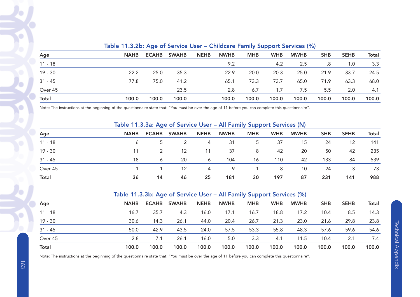| Age          | <b>NAHB</b> | <b>ECAHB</b> | <b>SWAHB</b> | <b>NEHB</b> | <b>NWHB</b> | <b>MHB</b> | <b>WHB</b> | <b>MWHB</b> | <b>SHB</b> | <b>SEHB</b> | <b>Total</b> |  |  |  |
|--------------|-------------|--------------|--------------|-------------|-------------|------------|------------|-------------|------------|-------------|--------------|--|--|--|
| $11 - 18$    |             |              |              |             | 9.2         |            | 4.2        | 2.5         | .8         | 1.0         | 3.3          |  |  |  |
| $19 - 30$    | 22.2        | 25.0         | 35.3         |             | 22.9        | 20.0       | 20.3       | 25.0        | 21.9       | 33.7        | 24.5         |  |  |  |
| $31 - 45$    | 77.8        | 75.0         | 41.2         |             | 65.1        | 73.3       | 73.7       | 65.0        | 71.9       | 63.3        | 68.0         |  |  |  |
| Over 45      |             |              | 23.5         |             | 2.8         | 6.7        | 1.7        | 7.5         | 5.5        | 2.0         | 4.1          |  |  |  |
| <b>Total</b> | 100.0       | 100.0        | 100.0        |             | 100.0       | 100.0      | 100.0      | 100.0       | 100.0      | 100.0       | 100.0        |  |  |  |

#### Table 11.3.2b: Age of Service User – Childcare Family Support Services (%)

Note: The instructions at the beginning of the questionnaire state that: "You must be over the age of 11 before you can complete this questionnaire".

# Table 11.3.3a: Age of Service User – All Family Support Services (N)

| Age          | <b>NAHB</b> | <b>ECAHB</b> | <b>SWAHB</b> | <b>NEHB</b> | <b>NWHB</b> | <b>MHB</b>     | <b>WHB</b> | <b>MWHB</b> | <b>SHB</b> | <b>SEHB</b> | <b>Total</b> |
|--------------|-------------|--------------|--------------|-------------|-------------|----------------|------------|-------------|------------|-------------|--------------|
| $11 - 18$    |             |              |              | 4           | 31          | 5 <sup>1</sup> | 37         | 15          | 24         | 12          | 141          |
| $19 - 30$    |             |              | 12           | 11          | 37          | 8              | 42         | 20          | 50         | 42          | 235          |
| $31 - 45$    | 18          | 6            | 20           | 6           | 104         | 16             | 110        | 42          | 133        | 84          | 539          |
| Over 45      |             |              | 12           | 4           | Q           |                | 8          | 10          | 24         |             | 73           |
| <b>Total</b> | 36          | 14           | 46           | 25          | 181         | 30             | 197        | 87          | 231        | 141         | 988          |

#### Table 11.3.3b: Age of Service User – All Family Support Services (%)

| Age          | <b>NAHB</b> | <b>ECAHB</b> | <b>SWAHB</b> | <b>NEHB</b> | <b>NWHB</b> | <b>MHB</b> | <b>WHB</b> | <b>MWHB</b> | <b>SHB</b> | <b>SEHB</b> | <b>Total</b> |
|--------------|-------------|--------------|--------------|-------------|-------------|------------|------------|-------------|------------|-------------|--------------|
| $11 - 18$    | 16.7        | 35.7         | 4.3          | 16.0        | 17.1        | 16.7       | 18.8       | 17.2        | 10.4       | 8.5         | 14.3         |
| $19 - 30$    | 30.6        | 14.3         | 26.1         | 44.0        | 20.4        | 26.7       | 21.3       | 23.0        | 21.6       | 29.8        | 23.8         |
| $31 - 45$    | 50.0        | 42.9         | 43.5         | 24.0        | 57.5        | 53.3       | 55.8       | 48.3        | 57.6       | 59.6        | 54.6         |
| Over 45      | 2.8         | 7.1          | 26.1         | 16.0        | 5.0         | 3.3        | 4.1        | 11.5        | 10.4       | 2.1         | 7.4          |
| <b>Total</b> | 100.0       | 100.0        | 100.0        | 100.0       | 100.0       | 100.0      | 100.0      | 100.0       | 100.0      | 100.0       | 100.0        |

Note: The instructions at the beginning of the questionnaire state that: "You must be over the age of 11 before you can complete this questionnaire".

 $\bigcirc$ 

Ö

P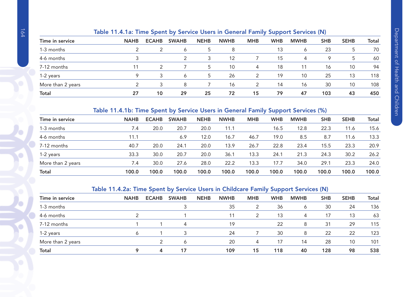# Table 11.4.1a: Time Spent by Service Users in General Family Support Services (N)

|                   |             |              |              |             |             |            | --         |             |            |             |              |
|-------------------|-------------|--------------|--------------|-------------|-------------|------------|------------|-------------|------------|-------------|--------------|
| Time in service   | <b>NAHB</b> | <b>ECAHB</b> | <b>SWAHB</b> | <b>NEHB</b> | <b>NWHB</b> | <b>MHB</b> | <b>WHB</b> | <b>MWHB</b> | <b>SHB</b> | <b>SEHB</b> | <b>Total</b> |
| 1-3 months        |             |              | 6            |             | 8           |            | 13         | Ô           | 23         |             | 70           |
| 4-6 months        |             |              | 2            | 3           | 12          |            | 15         | 4           | 9          | 5           | 60           |
| 7-12 months       |             |              |              | 5           | 10          | 4          | 18         |             | 16         | 10          | 94           |
| 1-2 years         | о           |              | 6            |             | 26          |            | 19         | 10          | 25         | 13          | 118          |
| More than 2 years |             |              | 8            |             | 16          |            | 14         | 16          | 30         | 10          | 108          |
| <b>Total</b>      | 27          | 10           | 29           | 25          | 72          | 15         | 79         | 47          | 103        | 43          | 450          |

# Table 11.4.1b: Time Spent by Service Users in General Family Support Services (%)

| Time in service   | <b>NAHB</b> | <b>ECAHB</b> | <b>SWAHB</b> | <b>NEHB</b> | <b>NWHB</b> | <b>MHB</b> | <b>WHB</b> | <b>MWHB</b> | <b>SHB</b> | <b>SEHB</b> | <b>Total</b> |
|-------------------|-------------|--------------|--------------|-------------|-------------|------------|------------|-------------|------------|-------------|--------------|
| 1-3 months        | 7.4         | 20.0         | 20.7         | 20.0        | 11.1        |            | 16.5       | 12.8        | 22.3       | 11.6        | 15.6         |
| 4-6 months        | 11.1        |              | 6.9          | 12.0        | 16.7        | 46.7       | 19.0       | 8.5         | 8.7        | 11.6        | 13.3         |
| 7-12 months       | 40.7        | 20.0         | 24.1         | 20.0        | 13.9        | 26.7       | 22.8       | 23.4        | 15.5       | 23.3        | 20.9         |
| 1-2 years         | 33.3        | 30.0         | 20.7         | 20.0        | 36.1        | 13.3       | 24.1       | 21.3        | 24.3       | 30.2        | 26.2         |
| More than 2 years | 7.4         | 30.0         | 27.6         | 28.0        | 22.2        | 13.3       | 17.7       | 34.0        | 29.1       | 23.3        | 24.0         |
| <b>Total</b>      | 100.0       | 100.0        | 100.0        | 100.0       | 100.0       | 100.0      | 100.0      | 100.0       | 100.0      | 100.0       | 100.0        |

# Table 11.4.2a: Time Spent by Service Users in Childcare Family Support Services (N)

|                   |             |              | -            |             |             |               | -<br>.     |             |            |             |              |
|-------------------|-------------|--------------|--------------|-------------|-------------|---------------|------------|-------------|------------|-------------|--------------|
| Time in service   | <b>NAHB</b> | <b>ECAHB</b> | <b>SWAHB</b> | <b>NEHB</b> | <b>NWHB</b> | <b>MHB</b>    | <b>WHB</b> | <b>MWHB</b> | <b>SHB</b> | <b>SEHB</b> | <b>Total</b> |
| 1-3 months        |             |              |              |             | 35          |               | 36         | Ô           | 30         | 24          | 136          |
| 4-6 months        |             |              |              |             | 11          | $\mathcal{P}$ | 13         | 4           | 17         | 13          | 63           |
| 7-12 months       |             |              |              |             | 19          |               | 22         | 8           | 31         | 29          | 115          |
| 1-2 years         |             |              | 3            |             | 24          |               | 30         | 8           | 22         | 22          | 123          |
| More than 2 years |             |              | Ô            |             | 20          | 4             | 17         | 14          | 28         | 10          | 101          |
| <b>Total</b>      |             | 4            | 17           |             | 109         | 15            | 118        | 40          | 128        | 98          | 538          |
|                   |             |              |              |             |             |               |            |             |            |             |              |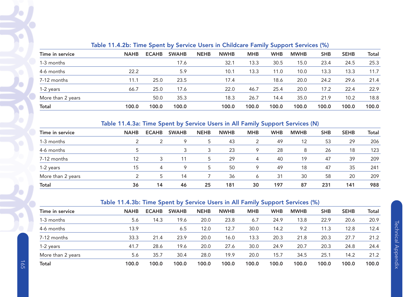| <b>NAHB</b> | <b>ECAHB</b> | <b>SWAHB</b> | <b>NEHB</b> | <b>NWHB</b> | <b>MHB</b> |            |             |            |             |              |
|-------------|--------------|--------------|-------------|-------------|------------|------------|-------------|------------|-------------|--------------|
|             |              |              |             |             |            | <b>WHB</b> | <b>MWHB</b> | <b>SHB</b> | <b>SEHB</b> | <b>Total</b> |
|             |              | 17.6         |             | 32.1        | 13.3       | 30.5       | 15.0        | 23.4       | 24.5        | 25.3         |
| 22.2        |              | 5.9          |             | 10.1        | 13.3       | 11.0       | 10.0        | 13.3       | 13.3        | 11.7         |
| 11.1        | 25.0         | 23.5         |             | 17.4        |            | 18.6       | 20.0        | 24.2       | 29.6        | 21.4         |
| 66.7        | 25.0         | 17.6         |             | 22.0        | 46.7       | 25.4       | 20.0        | 17.2       | 22.4        | 22.9         |
|             | 50.0         | 35.3         |             | 18.3        | 26.7       | 14.4       | 35.0        | 21.9       | 10.2        | 18.8         |
| 100.0       | 100.0        | 100.0        |             | 100.0       | 100.0      | 100.0      | 100.0       | 100.0      | 100.0       | 100.0        |
|             |              |              |             |             |            |            |             |            |             |              |

# Table 11.4.2b: Time Spent by Service Users in Childcare Family Support Services (%)

#### Table 11.4.3a: Time Spent by Service Users in All Family Support Services (N)

| Time in service   | <b>NAHB</b> | <b>ECAHB</b> | <b>SWAHB</b> | <b>NEHB</b> | <b>NWHB</b> | <b>MHB</b> | <b>WHB</b> | <b>MWHB</b> | <b>SHB</b> | <b>SEHB</b> | Total |
|-------------------|-------------|--------------|--------------|-------------|-------------|------------|------------|-------------|------------|-------------|-------|
| 1-3 months        | っ           |              | 9            | 5           | 43          |            | 49         | 12          | 53         | 29          | 206   |
| 4-6 months        |             |              |              |             | 23          | 9          | 28         | 8           | 26         | 18          | 123   |
| 7-12 months       | 12          |              |              |             | 29          | 4          | 40         | 19          | 47         | 39          | 209   |
| 1-2 years         | 15          | 4            | 9            | 5           | 50          | 9          | 49         | 18          | 47         | 35          | 241   |
| More than 2 years |             | 5            | 14           |             | 36          | 6          | 31         | 30          | 58         | 20          | 209   |
| <b>Total</b>      | 36          | 14           | 46           | 25          | 181         | 30         | 197        | 87          | 231        | 141         | 988   |

#### Table 11.4.3b: Time Spent by Service Users in All Family Support Services (%)

| Time in service   | <b>NAHB</b> | <b>ECAHB</b> | <b>SWAHB</b> | <b>NEHB</b> | <b>NWHB</b> | <b>MHB</b> | <b>WHB</b> | <b>MWHB</b> | <b>SHB</b> | <b>SEHB</b> | Total |
|-------------------|-------------|--------------|--------------|-------------|-------------|------------|------------|-------------|------------|-------------|-------|
| 1-3 months        | 5.6         | 14.3         | 19.6         | 20.0        | 23.8        | 6.7        | 24.9       | 13.8        | 22.9       | 20.6        | 20.9  |
| 4-6 months        | 13.9        |              | 6.5          | 12.0        | 12.7        | 30.0       | 14.2       | 9.2         | 11.3       | 12.8        | 12.4  |
| 7-12 months       | 33.3        | 21.4         | 23.9         | 20.0        | 16.0        | 13.3       | 20.3       | 21.8        | 20.3       | 27.7        | 21.2  |
| 1-2 years         | 41.7        | 28.6         | 19.6         | 20.0        | 27.6        | 30.0       | 24.9       | 20.7        | 20.3       | 24.8        | 24.4  |
| More than 2 years | 5.6         | 35.7         | 30.4         | 28.0        | 19.9        | 20.0       | 15.7       | 34.5        | 25.1       | 14.2        | 21.2  |
| <b>Total</b>      | 100.0       | 100.0        | 100.0        | 100.0       | 100.0       | 100.0      | 100.0      | 100.0       | 100.0      | 100.0       | 100.0 |

 $\blacklozenge$ 

£

 $\mathbf C$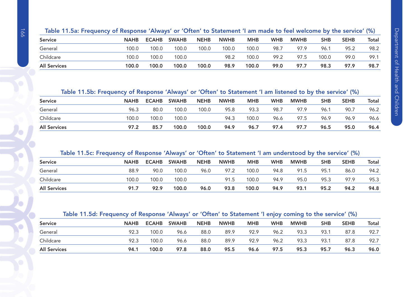| Table 11.5a: Frequency of Response 'Always' or 'Often' to Statement 'I am made to feel welcome by the service' (%) |  |  |
|--------------------------------------------------------------------------------------------------------------------|--|--|
|                                                                                                                    |  |  |

| <b>Service</b>      | <b>NAHB</b> | <b>ECAHB</b> | <b>SWAHB</b> | <b>NEHB</b> | <b>NWHB</b> | <b>MHB</b> | <b>WHB</b> | <b>MWHB</b> | <b>SHB</b> | <b>SEHB</b> | Total |
|---------------------|-------------|--------------|--------------|-------------|-------------|------------|------------|-------------|------------|-------------|-------|
| General             | 100.0       | 100.0        | 100.0        | 100.0       | 100.0       | 100.0      | 98.7       | 97.9        | 96.1       | 95.2        | 98.2  |
| Childcare           | 100.0       | 100.0        | 100.0        |             | 98.2        | 100.0      | 99.2       | 97.5        | 100.0      | 99.0        | 99.1  |
| <b>All Services</b> | 100.0       | 100.0        | 100.0        | 100.0       | 98.9        | 100.0      | 99.0       | 97.7        | 98.3       | 97.9        | 98.7  |

Table 11.5b: Frequency of Response 'Always' or 'Often' to Statement 'I am listened to by the service' (%)

| <b>Service</b>      | <b>NAHB</b> | <b>ECAHB</b> | <b>SWAHB</b> | <b>NEHB</b> | <b>NWHB</b> | <b>MHB</b> | <b>WHB</b> | <b>MWHB</b> | SHB  | <b>SEHB</b> | Total |
|---------------------|-------------|--------------|--------------|-------------|-------------|------------|------------|-------------|------|-------------|-------|
| General             | 96.3        | 80.0         | 100.0        | 100.0       | 95.8        | 93.3       | 98.7       | 97.9        | 96.1 | 90.7        | 96.2  |
| Childcare           | 100.0       | 100.0        | 100.0        |             | 94.3        | 100.0      | 96.6       | 97.5        | 96.9 | 96.9        | 96.6  |
| <b>All Services</b> | 97.2        | 85.7         | 100.0        | 100.0       | 94.9        | 96.7       | 97.4       | 97.7        | 96.5 | 95.0        | 96.4  |

# Table 11.5c: Frequency of Response 'Always' or 'Often' to Statement 'I am understood by the service' (%)

| <b>Service</b>      | <b>NAHB</b> | <b>ECAHB</b> | <b>SWAHB</b> | <b>NEHB</b> | <b>NWHB</b> | <b>MHB</b> | <b>WHB</b> | <b>MWHB</b> | <b>SHB</b> | <b>SEHB</b> | <b>Total</b> |
|---------------------|-------------|--------------|--------------|-------------|-------------|------------|------------|-------------|------------|-------------|--------------|
| General             | 88.9        | 90.0         | 100.0        | 96.0        | 97.2        | 100.0      | 94.8       | 91.5        | 95.1       | 86.0        | 94.2         |
| Childcare           | 100.0       | 100.0        | 100.0        |             | 91.5        | 100.0      | 94.9       | 95.0        | 95.3       | 97.9        | 95.3         |
| <b>All Services</b> | 91.7        | 92.9         | 100.0        | 96.0        | 93.8        | 100.0      | 94.9       | 93.1        | 95.2       | 94.2        | 94.8         |

#### Table 11.5d: Frequency of Response 'Always' or 'Often' to Statement 'I enjoy coming to the service' (%)

| <b>Service</b>      | <b>NAHB</b> | <b>ECAHB</b> | <b>SWAHB</b> | <b>NEHB</b> | <b>NWHB</b> | <b>MHB</b> | <b>WHB</b> | <b>MWHB</b> | <b>SHB</b> | <b>SEHB</b> | <b>Total</b> |
|---------------------|-------------|--------------|--------------|-------------|-------------|------------|------------|-------------|------------|-------------|--------------|
| General             | 92.3        | 100.0        | 96.6         | 88.0        | 89.9        | 92.9       | 96.2       | 93.3        | 93.1       | 87.8        | 92.7         |
| Childcare           | 92.3        | 100.0        | 96.6         | 88.0        | 89.9        | 92.9       | 96.2       | 93.3        | 93.1       | 87.8        | 92.7         |
| <b>All Services</b> | 94.1        | 100.0        | 97.8         | 88.0        | 95.5        | 96.6       | 97.5       | 95.3        | 95.7       | 96.3        | 96.0         |

Ó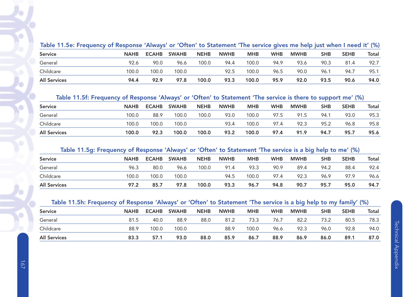| Table 11.5e: Frequency of Response 'Always' or 'Often' to Statement 'The service gives me help just when I need it' (%) |             |       |              |             |             |            |            |             |            |             |       |
|-------------------------------------------------------------------------------------------------------------------------|-------------|-------|--------------|-------------|-------------|------------|------------|-------------|------------|-------------|-------|
| <b>Service</b>                                                                                                          | <b>NAHB</b> | ECAHB | <b>SWAHB</b> | <b>NEHB</b> | <b>NWHB</b> | <b>MHB</b> | <b>WHB</b> | <b>MWHB</b> | <b>SHB</b> | <b>SEHB</b> | Total |
| General                                                                                                                 | 92.6        | 90.0  | 96.6         | 100.0       | 94.4        | 100.0      | 94.9       | 93.6        | 90.3       | 81.4        | 92.7  |
| Childcare                                                                                                               | 100.0       | 100.0 | 100.0        |             | 92.5        | 100.0      | 96.5       | 90.0        | 96.1       | 94.7        | 95.1  |
| <b>All Services</b>                                                                                                     | 94.4        | 92.9  | 97.8         | 100.0       | 93.3        | 100.0      | 95.9       | 92.0        | 93.5       | 90.6        | 94.0  |

#### Table 11.5f: Frequency of Response 'Always' or 'Often' to Statement 'The service is there to support me' (%)

| <b>Service</b>      | <b>NAHB</b> | <b>ECAHB</b> | <b>SWAHB</b> | <b>NEHB</b> | <b>NWHB</b> | <b>MHB</b> | <b>WHB</b> | <b>MWHB</b> | <b>SHB</b> | <b>SEHB</b> | Total |
|---------------------|-------------|--------------|--------------|-------------|-------------|------------|------------|-------------|------------|-------------|-------|
| General             | 100.0       | 88.9         | 100.0        | 100.0       | 93.0        | 100.0      | 97.5       | 91.5        | 94.1       | 93.0        | 95.3  |
| Childcare           | 100.0       | 100.0        | 100.0        |             | 93.4        | 100.0      | 97.4       | 92.3        | 95.2       | 96.8        | 95.8  |
| <b>All Services</b> | 100.0       | 92.3         | 100.0        | 100.0       | 93.2        | 100.0      | 97.4       | 91.9        | 94.7       | 95.7        | 95.6  |

# Table 11.5g: Frequency of Response 'Always' or 'Often' to Statement 'The service is a big help to me' (%)

| <b>Service</b>      | <b>NAHB</b> | <b>ECAHB</b> | <b>SWAHB</b> | <b>NEHB</b> | <b>NWHB</b> | <b>MHB</b> | <b>WHB</b> | <b>MWHB</b> | SHB  | <b>SEHB</b> | Total |
|---------------------|-------------|--------------|--------------|-------------|-------------|------------|------------|-------------|------|-------------|-------|
| General             | 96.3        | 80.0         | 96.6         | 100.0       | 91.4        | 93.3       | 90.9       | 89.4        | 94.2 | 88.4        | 92.4  |
| Childcare           | 100.0       | 100.0        | 100.0        |             | 94.5        | 100.0      | 97.4       | 92.3        | 96.9 | 97.9        | 96.6  |
| <b>All Services</b> | 97.2        | 85.7         | 97.8         | 100.0       | 93.3        | 96.7       | 94.8       | 90.7        | 95.7 | 95.0        | 94.7  |

# Table 11.5h: Frequency of Response 'Always' or 'Often' to Statement 'The service is a big help to my family' (%)

| <b>Service</b>      | <b>NAHB</b> | <b>ECAHB</b> | <b>SWAHB</b> | <b>NEHB</b> | <b>NWHB</b> | <b>MHB</b> | <b>WHB</b> | <b>MWHB</b> | <b>SHB</b> | <b>SEHB</b> | <b>Total</b> |
|---------------------|-------------|--------------|--------------|-------------|-------------|------------|------------|-------------|------------|-------------|--------------|
| General             | 81.5        | 40.0         | 88.9         | 88.0        | 81.2        | 73.3       | 76.7       | 82.2        | 73.2       | 80.5        | 78.3         |
| Childcare           | 88.9        | 100.0        | 100.0        |             | 88.9        | 100.0      | 96.6       | 92.3        | 96.0       | 92.8        | 94.0         |
| <b>All Services</b> | 83.3        | 57.1         | 93.0         | 88.0        | 85.9        | 86.7       | 88.9       | 86.9        | 86.0       | 89.1        | 87.0         |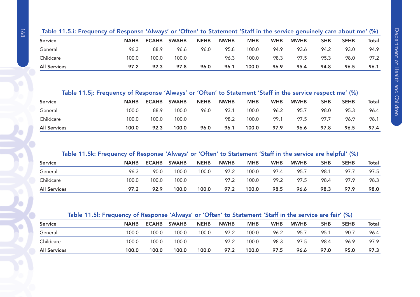| Table 11.5.i: Frequency of Response 'Always' or 'Often' to Statement 'Staff in the service genuinely care about me' (%) |  |  |
|-------------------------------------------------------------------------------------------------------------------------|--|--|
|                                                                                                                         |  |  |

| <b>Service</b>      | <b>NAHB</b> | <b>ECAHB</b> | <b>SWAHB</b> | <b>NEHB</b> | <b>NWHB</b> | <b>MHB</b> | <b>WHB</b> | <b>MWHB</b> | <b>SHB</b> | <b>SEHB</b> | Total |
|---------------------|-------------|--------------|--------------|-------------|-------------|------------|------------|-------------|------------|-------------|-------|
| General             | 96.3        | 88.9         | 96.6         | 96.0        | 95.8        | 100.0      | 94.9       | 93.6        | 94.2       | 93.0        | 94.9  |
| Childcare           | 100.0       | 100.0        | 100.0        |             | 96.3        | 100.0      | 98.3       | 97.5        | 95.3       | 98.0        | 97.2  |
| <b>All Services</b> | 97.2        | 92.3         | 97.8         | 96.0        | 96.1        | 100.0      | 96.9       | 95.4        | 94.8       | 96.5        | 96.1  |

# Table 11.5j: Frequency of Response 'Always' or 'Often' to Statement 'Staff in the service respect me' (%)

| <b>Service</b>      | <b>NAHB</b> | <b>ECAHB</b> | <b>SWAHB</b> | <b>NEHB</b> | <b>NWHB</b> | <b>MHB</b> | <b>WHB</b> | <b>MWHB</b> | <b>SHB</b> | <b>SEHB</b> | Total |
|---------------------|-------------|--------------|--------------|-------------|-------------|------------|------------|-------------|------------|-------------|-------|
| General             | 100.0       | 88.9         | 100.0        | 96.0        | 93.1        | 100.0      | 96.2       | 95.7        | 98.0       | 95.3        | 96.4  |
| Childcare           | 100.0       | 100.0        | 100.0        |             | 98.2        | 100.0      | 99.1       | 97.5        | 97.7       | 96.9        | 98.1  |
| <b>All Services</b> | 100.0       | 92.3         | 100.0        | 96.0        | 96.1        | 100.0      | 97.9       | 96.6        | 97.8       | 96.5        | 97.4  |

# Table 11.5k: Frequency of Response 'Always' or 'Often' to Statement 'Staff in the service are helpful' (%)

| <b>Service</b>      | <b>NAHB</b> | <b>ECAHB</b> | <b>SWAHB</b> | <b>NEHB</b> | <b>NWHB</b> | <b>MHB</b> | <b>WHB</b> | <b>MWHB</b> | <b>SHB</b> | <b>SEHB</b> | <b>Total</b> |
|---------------------|-------------|--------------|--------------|-------------|-------------|------------|------------|-------------|------------|-------------|--------------|
| General             | 96.3        | 90.0         | 100.0        | 100.0       | 97.2        | 100.0      | 97.4       | 95.7        | 98.1       | 97.7        | 97.5         |
| Childcare           | 100.0       | 100.0        | 100.0        |             | 97.2        | 100.0      | 99.2       | 97.5        | 98.4       | 97.9        | 98.3         |
| <b>All Services</b> | 97.2        | 92.9         | 100.0        | 100.0       | 97.2        | 100.0      | 98.5       | 96.6        | 98.3       | 97.9        | 98.0         |

#### Table 11.5l: Frequency of Response 'Always' or 'Often' to Statement 'Staff in the service are fair' (%)

| <b>Service</b>      | <b>NAHB</b> | <b>ECAHB</b> | <b>SWAHB</b> | <b>NEHB</b> | <b>NWHB</b> | <b>MHB</b> | <b>WHB</b> | <b>MWHB</b> | <b>SHB</b> | <b>SEHB</b> | Total |
|---------------------|-------------|--------------|--------------|-------------|-------------|------------|------------|-------------|------------|-------------|-------|
| General             | 100.0       | 100.0        | 100.0        | 100.0       | 97.2        | 100.0      | 96.2       | 95.7        | 95.        | 90.7        | 96.4  |
| Childcare           | 100.0       | 100.0        | 100.0        |             | 97.2        | 100.0      | 98.3       | 97.5        | 98.4       | 96.9        | 97.9  |
| <b>All Services</b> | 100.0       | 100.0        | 100.0        | 100.0       | 97.2        | 100.0      | 97.5       | 96.6        | 97.0       | 95.0        | 97.3  |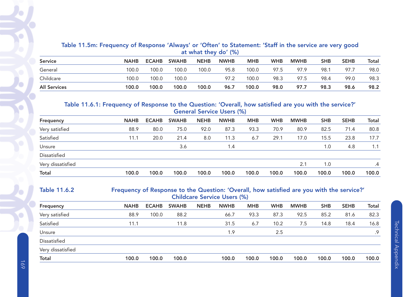# Table 11.5m: Frequency of Response 'Always' or 'Often' to Statement: 'Staff in the service are very good at what they do' (%)

| <b>Service</b>      | <b>NAHB</b> | <b>ECAHB</b> | <b>SWAHB</b> | <b>NEHB</b> | <b>NWHB</b> | <b>MHB</b> | <b>WHB</b> | <b>MWHB</b> | <b>SHB</b> | <b>SEHB</b> | Total |
|---------------------|-------------|--------------|--------------|-------------|-------------|------------|------------|-------------|------------|-------------|-------|
| General             | 00.0        | 100.0        | 100.0        | 100.0       | 95.8        | 100.0      | 97.5       | 97.9        | 98.1       | 97.7        | 98.0  |
| Childcare           | 00.0        | 100.0        | 100.0        |             | 97.2        | 100.0      | 98.3       | 97.5        | 98.4       | 99.0        | 98.3  |
| <b>All Services</b> | 100.0       | 100.0        | 100.0        | 100.0       | 96.7        | 100.0      | 98.0       | 97.7        | 98.3       | 98.6        | 98.2  |

#### Table 11.6.1: Frequency of Response to the Question: 'Overall, how satisfied are you with the service?' General Service Users (%)

| Frequency         | <b>NAHB</b> | <b>ECAHB</b> | <b>SWAHB</b> | <b>NEHB</b> | <b>NWHB</b> | <b>MHB</b> | <b>WHB</b> | <b>MWHB</b> | <b>SHB</b>       | <b>SEHB</b> | <b>Total</b> |
|-------------------|-------------|--------------|--------------|-------------|-------------|------------|------------|-------------|------------------|-------------|--------------|
| Very satisfied    | 88.9        | 80.0         | 75.0         | 92.0        | 87.3        | 93.3       | 70.9       | 80.9        | 82.5             | 71.4        | 80.8         |
| Satisfied         | 11.1        | 20.0         | 21.4         | 8.0         | 11.3        | 6.7        | 29.1       | 17.0        | 15.5             | 23.8        | 17.7         |
| Unsure            |             |              | 3.6          |             | 1.4         |            |            |             | $\overline{0}$ . | 4.8         | 1.1          |
| Dissatisfied      |             |              |              |             |             |            |            |             |                  |             |              |
| Very dissatisfied |             |              |              |             |             |            |            | 2.1         | 1.0              |             | .4           |
| Total             | 100.0       | 100.0        | 100.0        | 100.0       | 100.0       | 100.0      | 100.0      | 100.0       | 100.0            | 100.0       | 100.0        |

#### Table 11.6.2 Frequency of Response to the Question: 'Overall, how satisfied are you with the service?' Childcare Service Users (%)

| <b>NAHB</b> | <b>ECAHB</b> | <b>SWAHB</b> | <b>NEHB</b> | <b>NWHB</b> | <b>MHB</b> | <b>WHB</b> | <b>MWHB</b> | <b>SHB</b> | <b>SEHB</b> | <b>Total</b> |
|-------------|--------------|--------------|-------------|-------------|------------|------------|-------------|------------|-------------|--------------|
| 88.9        | 100.0        | 88.2         |             | 66.7        | 93.3       | 87.3       | 92.5        | 85.2       | 81.6        | 82.3         |
| 11.1        |              | 11.8         |             | 31.5        | 6.7        | 10.2       | 7.5         | 14.8       | 18.4        | 16.8         |
|             |              |              |             | 1.9         |            | 2.5        |             |            |             | .9           |
|             |              |              |             |             |            |            |             |            |             |              |
|             |              |              |             |             |            |            |             |            |             |              |
| 100.0       | 100.0        | 100.0        |             | 100.0       | 100.0      | 100.0      | 100.0       | 100.0      | 100.0       | 100.0        |
|             |              |              |             |             |            |            |             |            |             |              |

Ó

Ö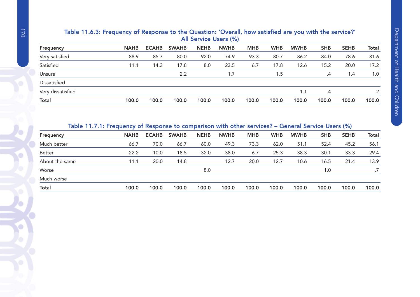# Table 11.6.3: Frequency of Response to the Question: 'Overall, how satisfied are you with the service?' All Service Users (%) Frequency NAHB ECAHB SWAHB NEHB NWHB MHB WHB MWHB SHB SEHB Total

| <b>Total</b>      | 100.0 | 100.0 | 100.0 | 100.0 | 100.0 | 100.0 | 100.0 | 100.0 | 100.0 | 100.0 | 100.0 |
|-------------------|-------|-------|-------|-------|-------|-------|-------|-------|-------|-------|-------|
| Very dissatisfied |       |       |       |       |       |       |       | 1.1   | .4    |       | .2    |
| Dissatisfied      |       |       |       |       |       |       |       |       |       |       |       |
| Unsure            |       |       | 2.2   |       | 1.7   |       | 1.5   |       | .4    | 1.4   | 1.0   |
| Satisfied         | 11.1  | 14.3  | 17.8  | 8.0   | 23.5  | 6.7   | 17.8  | 12.6  | 15.2  | 20.0  | 17.2  |
| Very satisfied    | 88.9  | 85.7  | 80.0  | 92.0  | 74.9  | 93.3  | 80.7  | 86.2  | 84.0  | 78.6  | 81.6  |

#### Table 11.7.1: Frequency of Response to comparison with other services? – General Service Users (%)

| <b>NAHB</b> | <b>ECAHB</b> | <b>SWAHB</b> | <b>NEHB</b> | <b>NWHB</b> | <b>MHB</b> | <b>WHB</b> | <b>MWHB</b> | <b>SHB</b> | <b>SEHB</b> | <b>Total</b> |
|-------------|--------------|--------------|-------------|-------------|------------|------------|-------------|------------|-------------|--------------|
| 66.7        | 70.0         | 66.7         | 60.0        | 49.3        | 73.3       | 62.0       | 51.1        | 52.4       | 45.2        | 56.1         |
| 22.2        | 10.0         | 18.5         | 32.0        | 38.0        | 6.7        | 25.3       | 38.3        | 30.1       | 33.3        | 29.4         |
| 11.1        | 20.0         | 14.8         |             | 12.7        | 20.0       | 12.7       | 10.6        | 16.5       | 21.4        | 13.9         |
|             |              |              | 8.0         |             |            |            |             | 1.0        |             |              |
|             |              |              |             |             |            |            |             |            |             |              |
| 100.0       | 100.0        | 100.0        | 100.0       | 100.0       | 100.0      | 100.0      | 100.0       | 100.0      | 100.0       | 100.0        |
|             |              |              |             |             |            |            |             |            |             |              |

O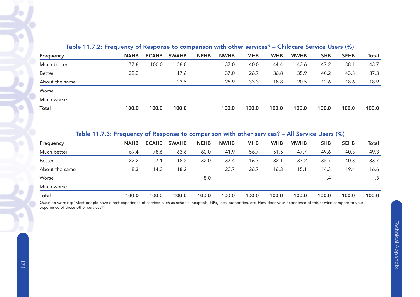|                | $\frac{1}{2}$ . The case is a sequence of the sequence of companions in the sequence of the sequence of $\frac{1}{2}$ |              |              |             |             |            |            |             |            |             |              |
|----------------|-----------------------------------------------------------------------------------------------------------------------|--------------|--------------|-------------|-------------|------------|------------|-------------|------------|-------------|--------------|
| Frequency      | <b>NAHB</b>                                                                                                           | <b>ECAHB</b> | <b>SWAHB</b> | <b>NEHB</b> | <b>NWHB</b> | <b>MHB</b> | <b>WHB</b> | <b>MWHB</b> | <b>SHB</b> | <b>SEHB</b> | <b>Total</b> |
| Much better    | 77.8                                                                                                                  | 100.0        | 58.8         |             | 37.0        | 40.0       | 44.4       | 43.6        | 47.2       | 38.1        | 43.7         |
| Better         | 22.2                                                                                                                  |              | 17.6         |             | 37.0        | 26.7       | 36.8       | 35.9        | 40.2       | 43.3        | 37.3         |
| About the same |                                                                                                                       |              | 23.5         |             | 25.9        | 33.3       | 18.8       | 20.5        | 12.6       | 18.6        | 18.9         |
| Worse          |                                                                                                                       |              |              |             |             |            |            |             |            |             |              |
| Much worse     |                                                                                                                       |              |              |             |             |            |            |             |            |             |              |
| Total          | 100.0                                                                                                                 | 100.0        | 100.0        |             | 100.0       | 100.0      | 100.0      | 100.0       | 100.0      | 100.0       | 100.0        |
|                |                                                                                                                       |              |              |             |             |            |            |             |            |             |              |

# Table 11.7.2: Frequency of Response to comparison with other services? – Childcare Service Users (%)

#### Table 11.7.3: Frequency of Response to comparison with other services? – All Service Users (%)

| Frequency      | <b>NAHB</b> | <b>ECAHB</b> | <b>SWAHB</b> | <b>NEHB</b> | <b>NWHB</b> | <b>MHB</b> | <b>WHB</b> | <b>MWHB</b> | <b>SHB</b>      | <b>SEHB</b> | <b>Total</b>    |
|----------------|-------------|--------------|--------------|-------------|-------------|------------|------------|-------------|-----------------|-------------|-----------------|
| Much better    | 69.4        | 78.6         | 63.6         | 60.0        | 41.9        | 56.7       | 51.5       | 47.7        | 49.6            | 40.3        | 49.3            |
| Better         | 22.2        | 7.1          | 18.2         | 32.0        | 37.4        | 16.7       | 32.1       | 37.2        | 35.7            | 40.3        | 33.7            |
| About the same | 8.3         | 14.3         | 18.2         |             | 20.7        | 26.7       | 16.3       | 15.1        | 14.3            | 19.4        | 16.6            |
| Worse          |             |              |              | 8.0         |             |            |            |             | $.4\phantom{0}$ |             | $.3\phantom{0}$ |
| Much worse     |             |              |              |             |             |            |            |             |                 |             |                 |
| <b>Total</b>   | 100.0       | 100.0        | 100.0        | 100.0       | 100.0       | 100.0      | 100.0      | 100.0       | 100.0           | 100.0       | 100.0           |

Question wording: 'Most people have direct experience of services such as schools, hospitals, GPs, local authorities, etc. How does your experience of this service compare to your experience of these other services?'

╰

o

٠